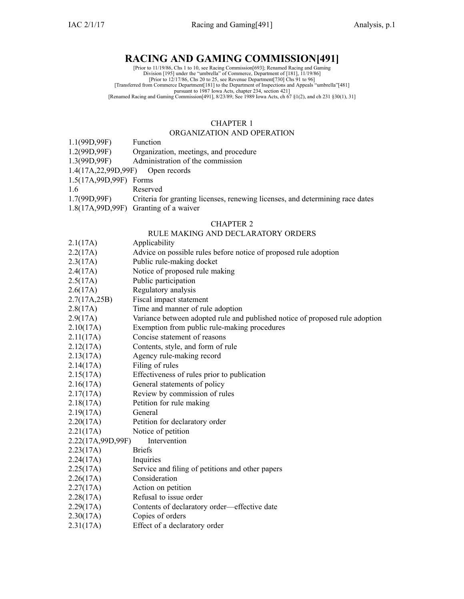## **RACING AND GAMING COMMISSION[491]**

[Prior to 11/19/86, Chs 1 to 10, see Racing Commission[693]; Renamed Racing and Gaming<br>Division [195] under the "umbrella" of Commerce, Department of [181], 11/19/86]<br>[Prior to 12/17/86, Chs 20 to 25, see Revenue Departmen [Transferred from Commerce Department[181] to the Department of Inspections and Appeals "umbrella"[481] pursuan<sup>t</sup> to 1987 Iowa Acts, chapter 234, section 421] [Renamed Racing and Gaming Commission[491], 8/23/89; See 1989 Iowa Acts, ch 67 §1(2), and ch 231 §30(1), 31]

#### CHAPTER 1

#### ORGANIZATION AND OPERATION

- 1.1(99D,99F) Function
- 1.2(99D,99F) Organization, meetings, and procedure
- 1.3(99D,99F) Administration of the commission
- 1.4(17A,22,99D,99F) Open records
- 1.5(17A,99D,99F) Forms
- 1.6 Reserved
- 1.7(99D,99F) Criteria for granting licenses, renewing licenses, and determining race dates
- 1.8(17A,99D,99F) Granting of <sup>a</sup> waiver
- CHAPTER 2 RULE MAKING AND DECLARATORY ORDERS 2.1(17A) Applicability 2.2(17A) Advice on possible rules before notice of proposed rule adoption 2.3(17A) Public rule-making docket 2.4(17A) Notice of proposed rule making 2.5(17A) Public participation 2.6(17A) Regulatory analysis 2.7(17A,25B) Fiscal impact statement 2.8(17A) Time and manner of rule adoption 2.9(17A) Variance between adopted rule and published notice of proposed rule adoption 2.10(17A) Exemption from public rule-making procedures 2.11(17A) Concise statement of reasons 2.12(17A) Contents, style, and form of rule 2.13(17A) Agency rule-making record 2.14(17A) Filing of rules 2.15(17A) Effectiveness of rules prior to publication 2.16(17A) General statements of policy 2.17(17A) Review by commission of rules 2.18(17A) Petition for rule making 2.19(17A) General 2.20(17A) Petition for declaratory order 2.21(17A) Notice of petition<br>2.22(17A.99D.99F) Intervention 2.22(17A,99D,99F) 2.23(17A) Briefs 2.24(17A) Inquiries 2.25(17A) Service and filing of petitions and other papers 2.26(17A) Consideration 2.27(17A) Action on petition 2.28(17A) Refusal to issue order 2.29(17A) Contents of declaratory order—effective date 2.30(17A) Copies of orders 2.31(17A) Effect of <sup>a</sup> declaratory order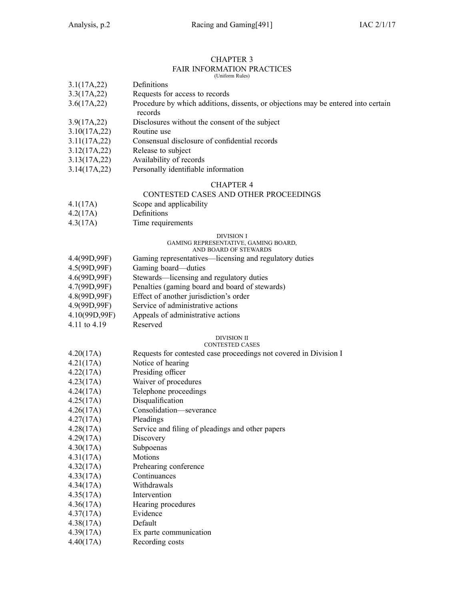| <b>FAIR INFORMATION PRACTICES</b> |                                                                                   |  |  |
|-----------------------------------|-----------------------------------------------------------------------------------|--|--|
|                                   | (Uniform Rules)<br>Definitions                                                    |  |  |
| 3.1(17A,22)<br>3.3(17A,22)        | Requests for access to records                                                    |  |  |
| 3.6(17A,22)                       | Procedure by which additions, dissents, or objections may be entered into certain |  |  |
|                                   | records                                                                           |  |  |
| 3.9(17A,22)                       | Disclosures without the consent of the subject                                    |  |  |
| 3.10(17A,22)                      | Routine use                                                                       |  |  |
| 3.11(17A,22)                      | Consensual disclosure of confidential records                                     |  |  |
| 3.12(17A, 22)                     | Release to subject                                                                |  |  |
| 3.13(17A,22)                      | Availability of records                                                           |  |  |
| 3.14(17A,22)                      | Personally identifiable information                                               |  |  |
|                                   | <b>CHAPTER 4</b>                                                                  |  |  |
|                                   | CONTESTED CASES AND OTHER PROCEEDINGS                                             |  |  |
| 4.1(17A)                          | Scope and applicability                                                           |  |  |
| 4.2(17A)                          | Definitions                                                                       |  |  |
| 4.3(17A)                          | Time requirements                                                                 |  |  |
|                                   | DIVISION I                                                                        |  |  |
|                                   | GAMING REPRESENTATIVE, GAMING BOARD,<br>AND BOARD OF STEWARDS                     |  |  |
| 4.4(99D,99F)                      | Gaming representatives—licensing and regulatory duties                            |  |  |
| 4.5(99D,99F)                      | Gaming board-duties                                                               |  |  |
| 4.6(99D,99F)                      | Stewards-licensing and regulatory duties                                          |  |  |
| 4.7(99D,99F)                      | Penalties (gaming board and board of stewards)                                    |  |  |
| 4.8(99D,99F)                      | Effect of another jurisdiction's order                                            |  |  |
| 4.9(99D,99F)                      | Service of administrative actions                                                 |  |  |
| 4.10(99D,99F)                     | Appeals of administrative actions                                                 |  |  |
| 4.11 to 4.19                      | Reserved                                                                          |  |  |
|                                   | <b>DIVISION II</b>                                                                |  |  |
|                                   | <b>CONTESTED CASES</b>                                                            |  |  |
| 4.20(17A)                         | Requests for contested case proceedings not covered in Division I                 |  |  |
| 4.21(17A)<br>4.22(17A)            | Notice of hearing<br>Presiding officer                                            |  |  |
| 4.23(17A)                         | Waiver of procedures                                                              |  |  |
| 4.24(17A)                         | Telephone proceedings                                                             |  |  |
| 4.25(17A)                         | Disqualification                                                                  |  |  |
| 4.26(17A)                         | Consolidation-severance                                                           |  |  |
| 4.27(17A)                         | Pleadings                                                                         |  |  |
| 4.28(17A)                         | Service and filing of pleadings and other papers                                  |  |  |
| 4.29(17A)                         | Discovery                                                                         |  |  |
| 4.30(17A)                         | Subpoenas                                                                         |  |  |
| 4.31(17A)                         | Motions                                                                           |  |  |
| 4.32(17A)                         | Prehearing conference                                                             |  |  |
| 4.33(17A)                         | Continuances                                                                      |  |  |
| 4.34(17A)                         | Withdrawals                                                                       |  |  |
| 4.35(17A)                         | Intervention                                                                      |  |  |
| 4.36(17A)                         | Hearing procedures                                                                |  |  |
| 4.37(17A)                         | Evidence                                                                          |  |  |
| 4.38(17A)                         | Default                                                                           |  |  |
|                                   |                                                                                   |  |  |

- 4.39(17A) Ex parte communication
- 4.40(17A) Recording costs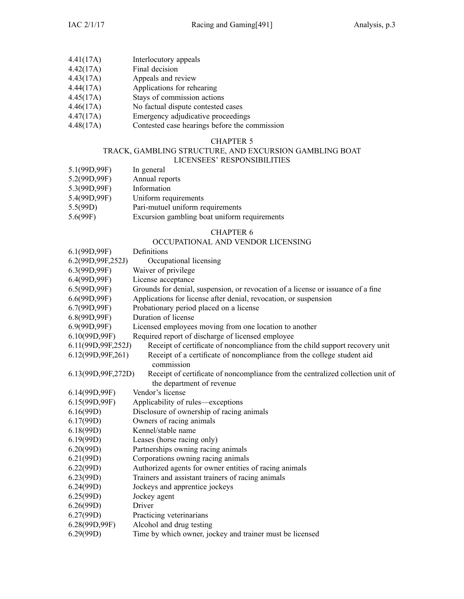- 4.41(17A) Interlocutory appeals
- 4.42(17A) Final decision
- 
- 4.43(17A) Appeals and review<br>4.44(17A) Applications for reh Applications for rehearing
- 4.45(17A) Stays of commission actions
- 4.46(17A) No factual dispute contested cases
- 4.47(17A) Emergency adjudicative proceedings
- 4.48(17A) Contested case hearings before the commission

## TRACK, GAMBLING STRUCTURE, AND EXCURSION GAMBLING BOAT

## LICENSEES' RESPONSIBILITIES

- 5.1(99D,99F) In general
- 5.2(99D,99F) Annual reports<br>5.3(99D,99F) Information
- 5.3(99D,99F)
- 5.4(99D,99F) Uniform requirements
- 5.5(99D) Pari-mutuel uniform requirements<br>5.6(99F) Excursion gambling boat uniform
- Excursion gambling boat uniform requirements

## CHAPTER 6

## OCCUPATIONAL AND VENDOR LICENSING

| 6.1(99D, 99F)        | Definitions                                                                      |
|----------------------|----------------------------------------------------------------------------------|
| 6.2(99D, 99F, 252J)  | Occupational licensing                                                           |
| 6.3(99D, 99F)        | Waiver of privilege                                                              |
| 6.4(99D,99F)         | License acceptance                                                               |
| 6.5(99D, 99F)        | Grounds for denial, suspension, or revocation of a license or issuance of a fine |
| 6.6(99D, 99F)        | Applications for license after denial, revocation, or suspension                 |
| 6.7(99D,99F)         | Probationary period placed on a license                                          |
| 6.8(99D, 99F)        | Duration of license                                                              |
| 6.9(99D,99F)         | Licensed employees moving from one location to another                           |
| 6.10(99D,99F)        | Required report of discharge of licensed employee                                |
| 6.11(99D, 99F, 252J) | Receipt of certificate of noncompliance from the child support recovery unit     |
| 6.12(99D, 99F, 261)  | Receipt of a certificate of noncompliance from the college student aid           |
|                      | commission                                                                       |
| 6.13(99D, 99F, 272D) | Receipt of certificate of noncompliance from the centralized collection unit of  |
|                      | the department of revenue                                                        |
| 6.14(99D,99F)        | Vendor's license                                                                 |
| 6.15(99D,99F)        | Applicability of rules—exceptions                                                |
| 6.16(99D)            | Disclosure of ownership of racing animals                                        |
| 6.17(99D)            | Owners of racing animals                                                         |
| 6.18(99D)            | Kennel/stable name                                                               |
| 6.19(99D)            | Leases (horse racing only)                                                       |
| 6.20(99D)            | Partnerships owning racing animals                                               |
| 6.21(99D)            | Corporations owning racing animals                                               |
| 6.22(99D)            | Authorized agents for owner entities of racing animals                           |
| 6.23(99D)            | Trainers and assistant trainers of racing animals                                |
| 6.24(99D)            | Jockeys and apprentice jockeys                                                   |
| 6.25(99D)            | Jockey agent                                                                     |
| 6.26(99D)            | Driver                                                                           |
| 6.27(99D)            | Practicing veterinarians                                                         |
| 6.28(99D,99F)        | Alcohol and drug testing                                                         |
| 6.29(99D)            | Time by which owner, jockey and trainer must be licensed                         |
|                      |                                                                                  |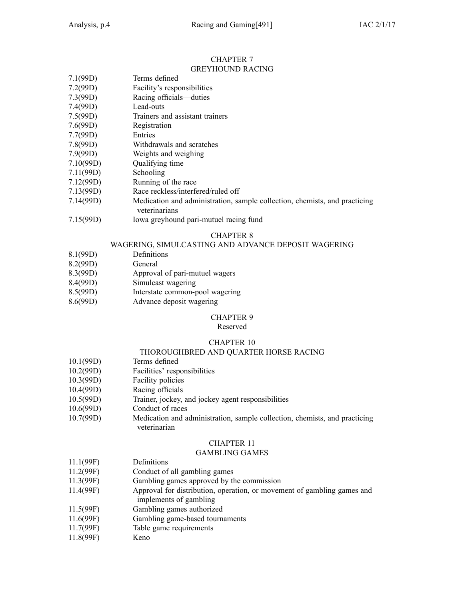#### CHAPTER 7 GREYHOUND RACING

| 7.1(99D) | Terms defined               |
|----------|-----------------------------|
| 7.2(99D) | Facility's responsibilities |
| 7.3(99D) | Racing officials—duties     |
| 7.4(99D) | Lead-outs                   |
|          |                             |

- 7.5(99D) Trainers and assistant trainers
- 7.6(99D) Registration
- 7.7(99D) Entries
- 7.8(99D) Withdrawals and scratches
- 7.9(99D) Weights and weighing
- 7.10(99D) Qualifying time
- 7.11(99D) Schooling
- 7.12(99D) Running of the race
- 7.13(99D) Race reckless/interfered/ruled off
- 7.14(99D) Medication and administration, sample collection, chemists, and practicing veterinarians
- 7.15(99D) Iowa greyhound pari-mutuel racing fund

## CHAPTER 8

## WAGERING, SIMULCASTING AND ADVANCE DEPOSIT WAGERING

- 8.1(99D) Definitions
- 8.2(99D) General
- 8.3(99D) Approval of pari-mutuel wagers
- 8.4(99D) Simulcast wagering
- 8.5(99D) Interstate common-pool wagering
- 8.6(99D) Advance deposit wagering

#### CHAPTER 9

#### Reserved

## CHAPTER 10

## THOROUGHBRED AND QUARTER HORSE RACING

- 10.1(99D) Terms defined
- 10.2(99D) Facilities' responsibilities
- 10.3(99D) Facility policies
- 10.4(99D) Racing officials
- 10.5(99D) Trainer, jockey, and jockey agen<sup>t</sup> responsibilities
- 10.6(99D) Conduct of races
- 10.7(99D) Medication and administration, sample collection, chemists, and practicing veterinarian

## CHAPTER 11

#### GAMBLING GAMES

- 11.1(99F) Definitions
- 11.2(99F) Conduct of all gambling games
- 11.3(99F) Gambling games approved by the commission
- 11.4(99F) Approval for distribution, operation, or movement of gambling games and implements of gambling
- 11.5(99F) Gambling games authorized
- 11.6(99F) Gambling game-based tournaments
- 11.7(99F) Table game requirements
- 11.8(99F) Keno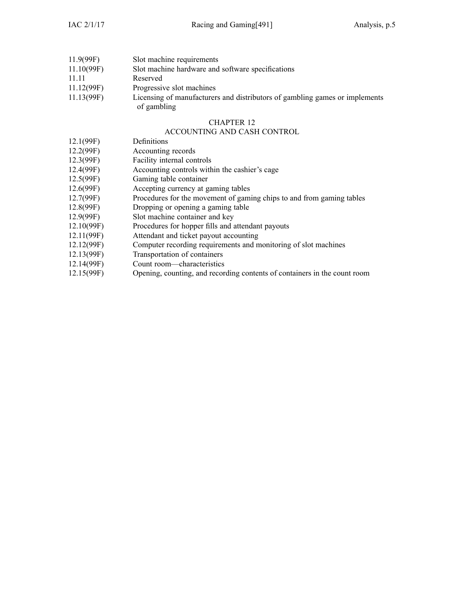| 11.9(99F)  | Slot machine requirements                                                   |
|------------|-----------------------------------------------------------------------------|
| 11.10(99F) | Slot machine hardware and software specifications                           |
| 11 11      | Reserved                                                                    |
| 11.12(99F) | Progressive slot machines                                                   |
| 11.13(99F) | Licensing of manufacturers and distributors of gambling games or implements |
|            | of gambling                                                                 |

#### ACCOUNTING AND CASH CONTROL

- 12.1(99F) Definitions
- 12.2(99F) Accounting records
- 
- 12.3(99F) Facility internal controls<br>12.4(99F) Accounting controls with Accounting controls within the cashier's cage
- 12.5(99F) Gaming table container
- 12.6(99F) Accepting currency at gaming tables
- 12.7(99F) Procedures for the movement of gaming chips to and from gaming tables
- 12.8(99F) Dropping or opening <sup>a</sup> gaming table
- 12.9(99F) Slot machine container and key
- 12.10(99F) Procedures for hopper fills and attendant payouts
- 12.11(99F) Attendant and ticket payou<sup>t</sup> accounting
- 12.12(99F) Computer recording requirements and monitoring of slot machines
- 12.13(99F) Transportation of containers
- 12.14(99F) Count room—characteristics
- 12.15(99F) Opening, counting, and recording contents of containers in the count room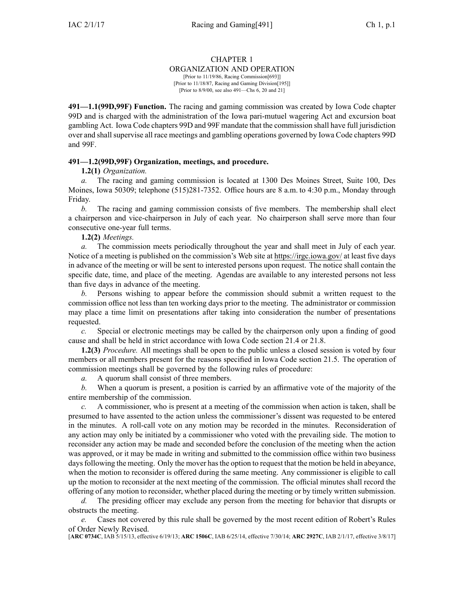#### ORGANIZATION AND OPERATION

[Prior to 11/19/86, Racing Commission[693]] [Prior to 11/18/87, Racing and Gaming Division[195]] [Prior to 8/9/00, see also 491—Chs 6, 20 and 21]

**491—1.1(99D,99F) Function.** The racing and gaming commission was created by Iowa Code chapter [99D](https://www.legis.iowa.gov/docs/ico/chapter/99D.pdf) and is charged with the administration of the Iowa pari-mutuel wagering Act and excursion boat gambling Act. Iowa Code chapters [99D](https://www.legis.iowa.gov/docs/ico/chapter/99D.pdf) and [99F](https://www.legis.iowa.gov/docs/ico/chapter/99F.pdf) mandate that the commission shall have full jurisdiction over and shallsupervise all race meetings and gambling operations governed by Iowa Code chapters [99D](https://www.legis.iowa.gov/docs/ico/chapter/99D.pdf) and [99F](https://www.legis.iowa.gov/docs/ico/chapter/99F.pdf).

## **491—1.2(99D,99F) Organization, meetings, and procedure.**

#### **1.2(1)** *Organization.*

*a.* The racing and gaming commission is located at 1300 Des Moines Street, Suite 100, Des Moines, Iowa 50309; telephone (515)281-7352. Office hours are 8 a.m. to 4:30 p.m., Monday through Friday.

*b.* The racing and gaming commission consists of five members. The membership shall elect <sup>a</sup> chairperson and vice-chairperson in July of each year. No chairperson shall serve more than four consecutive one-year full terms.

**1.2(2)** *Meetings.*

*a.* The commission meets periodically throughout the year and shall meet in July of each year. Notice of <sup>a</sup> meeting is published on the commission's Web site at <https://irgc.iowa.gov/> at least five days in advance of the meeting or will be sent to interested persons upon request. The notice shall contain the specific date, time, and place of the meeting. Agendas are available to any interested persons not less than five days in advance of the meeting.

*b.* Persons wishing to appear before the commission should submit <sup>a</sup> written reques<sup>t</sup> to the commission office not less than ten working days prior to the meeting. The administrator or commission may place <sup>a</sup> time limit on presentations after taking into consideration the number of presentations requested.

*c.* Special or electronic meetings may be called by the chairperson only upon <sup>a</sup> finding of good cause and shall be held in strict accordance with Iowa Code section [21.4](https://www.legis.iowa.gov/docs/ico/section/21.4.pdf) or [21.8](https://www.legis.iowa.gov/docs/ico/section/21.8.pdf).

**1.2(3)** *Procedure.* All meetings shall be open to the public unless <sup>a</sup> closed session is voted by four members or all members presen<sup>t</sup> for the reasons specified in Iowa Code section [21.5](https://www.legis.iowa.gov/docs/ico/section/21.5.pdf). The operation of commission meetings shall be governed by the following rules of procedure:

*a.* A quorum shall consist of three members.

*b.* When <sup>a</sup> quorum is present, <sup>a</sup> position is carried by an affirmative vote of the majority of the entire membership of the commission.

*c.* A commissioner, who is presen<sup>t</sup> at <sup>a</sup> meeting of the commission when action is taken, shall be presumed to have assented to the action unless the commissioner's dissent was requested to be entered in the minutes. A roll-call vote on any motion may be recorded in the minutes. Reconsideration of any action may only be initiated by <sup>a</sup> commissioner who voted with the prevailing side. The motion to reconsider any action may be made and seconded before the conclusion of the meeting when the action was approved, or it may be made in writing and submitted to the commission office within two business days following the meeting. Only the mover has the option to request that the motion be held in abeyance, when the motion to reconsider is offered during the same meeting. Any commissioner is eligible to call up the motion to reconsider at the next meeting of the commission. The official minutes shall record the offering of any motion to reconsider, whether placed during the meeting or by timely written submission.

*d.* The presiding officer may exclude any person from the meeting for behavior that disrupts or obstructs the meeting.

*e.* Cases not covered by this rule shall be governed by the most recent edition of Robert's Rules of Order Newly Revised.

[**ARC [0734C](https://www.legis.iowa.gov/docs/aco/arc/0734C.pdf)**, IAB 5/15/13, effective 6/19/13; **ARC [1506C](https://www.legis.iowa.gov/docs/aco/arc/1506C.pdf)**, IAB 6/25/14, effective 7/30/14; **ARC [2927C](https://www.legis.iowa.gov/docs/aco/arc/2927C.pdf)**, IAB 2/1/17, effective 3/8/17]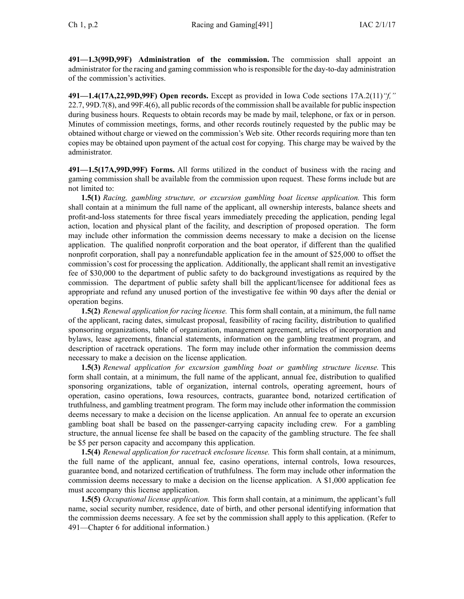**491—1.3(99D,99F) Administration of the commission.** The commission shall appoint an administrator for the racing and gaming commission who isresponsible for the day-to-day administration of the commission's activities.

**491—1.4(17A,22,99D,99F) Open records.** Except as provided in Iowa Code sections [17A.2\(11\)](https://www.legis.iowa.gov/docs/ico/section/17A.2.pdf)*"f,"* [22.7](https://www.legis.iowa.gov/docs/ico/section/22.7.pdf), [99D.7\(8\)](https://www.legis.iowa.gov/docs/ico/section/99D.7.pdf), and [99F.4\(6\)](https://www.legis.iowa.gov/docs/ico/section/99F.4.pdf), all public records of the commission shall be available for public inspection during business hours. Requests to obtain records may be made by mail, telephone, or fax or in person. Minutes of commission meetings, forms, and other records routinely requested by the public may be obtained without charge or viewed on the commission's Web site. Other records requiring more than ten copies may be obtained upon paymen<sup>t</sup> of the actual cost for copying. This charge may be waived by the administrator.

**491—1.5(17A,99D,99F) Forms.** All forms utilized in the conduct of business with the racing and gaming commission shall be available from the commission upon request. These forms include but are not limited to:

**1.5(1)** *Racing, gambling structure, or excursion gambling boat license application.* This form shall contain at <sup>a</sup> minimum the full name of the applicant, all ownership interests, balance sheets and profit-and-loss statements for three fiscal years immediately preceding the application, pending legal action, location and physical plant of the facility, and description of proposed operation. The form may include other information the commission deems necessary to make <sup>a</sup> decision on the license application. The qualified nonprofit corporation and the boat operator, if different than the qualified nonprofit corporation, shall pay <sup>a</sup> nonrefundable application fee in the amount of \$25,000 to offset the commission's cost for processing the application. Additionally, the applicant shall remit an investigative fee of \$30,000 to the department of public safety to do background investigations as required by the commission. The department of public safety shall bill the applicant/licensee for additional fees as appropriate and refund any unused portion of the investigative fee within 90 days after the denial or operation begins.

**1.5(2)** *Renewal application for racing license.* This form shall contain, at <sup>a</sup> minimum, the full name of the applicant, racing dates, simulcast proposal, feasibility of racing facility, distribution to qualified sponsoring organizations, table of organization, managemen<sup>t</sup> agreement, articles of incorporation and bylaws, lease agreements, financial statements, information on the gambling treatment program, and description of racetrack operations. The form may include other information the commission deems necessary to make <sup>a</sup> decision on the license application.

**1.5(3)** *Renewal application for excursion gambling boat or gambling structure license.* This form shall contain, at <sup>a</sup> minimum, the full name of the applicant, annual fee, distribution to qualified sponsoring organizations, table of organization, internal controls, operating agreement, hours of operation, casino operations, Iowa resources, contracts, guarantee bond, notarized certification of truthfulness, and gambling treatment program. The form may include other information the commission deems necessary to make <sup>a</sup> decision on the license application. An annual fee to operate an excursion gambling boat shall be based on the passenger-carrying capacity including crew. For <sup>a</sup> gambling structure, the annual license fee shall be based on the capacity of the gambling structure. The fee shall be \$5 per person capacity and accompany this application.

**1.5(4)** *Renewal application for racetrack enclosure license.* This form shall contain, at <sup>a</sup> minimum, the full name of the applicant, annual fee, casino operations, internal controls, Iowa resources, guarantee bond, and notarized certification of truthfulness. The form may include other information the commission deems necessary to make <sup>a</sup> decision on the license application. A \$1,000 application fee must accompany this license application.

**1.5(5)** *Occupational license application.* This form shall contain, at <sup>a</sup> minimum, the applicant's full name, social security number, residence, date of birth, and other personal identifying information that the commission deems necessary. A fee set by the commission shall apply to this application. (Refer to [491—Chapter](https://www.legis.iowa.gov/docs/iac/chapter/491.6.pdf) 6 for additional information.)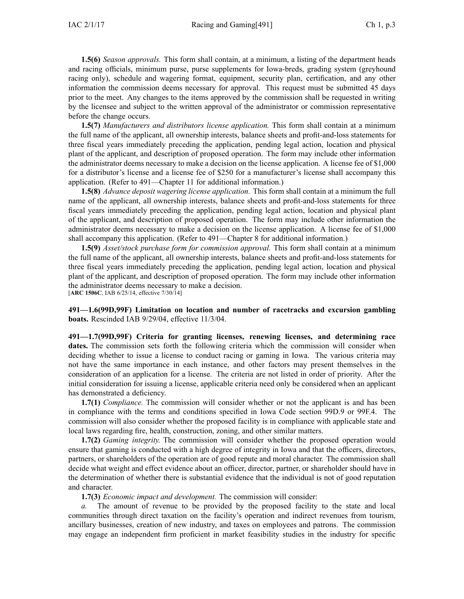**1.5(6)** *Season approvals.* This form shall contain, at <sup>a</sup> minimum, <sup>a</sup> listing of the department heads and racing officials, minimum purse, purse supplements for Iowa-breds, grading system (greyhound racing only), schedule and wagering format, equipment, security plan, certification, and any other information the commission deems necessary for approval. This reques<sup>t</sup> must be submitted 45 days prior to the meet. Any changes to the items approved by the commission shall be requested in writing by the licensee and subject to the written approval of the administrator or commission representative before the change occurs.

**1.5(7)** *Manufacturers and distributors license application.* This form shall contain at <sup>a</sup> minimum the full name of the applicant, all ownership interests, balance sheets and profit-and-loss statements for three fiscal years immediately preceding the application, pending legal action, location and physical plant of the applicant, and description of proposed operation. The form may include other information the administrator deems necessary to make <sup>a</sup> decision on the license application. A license fee of \$1,000 for <sup>a</sup> distributor's license and <sup>a</sup> license fee of \$250 for <sup>a</sup> manufacturer's license shall accompany this application. (Refer to [491—Chapter](https://www.legis.iowa.gov/docs/iac/chapter/491.11.pdf) 11 for additional information.)

**1.5(8)** *Advance deposit wagering license application.* This form shall contain at <sup>a</sup> minimum the full name of the applicant, all ownership interests, balance sheets and profit-and-loss statements for three fiscal years immediately preceding the application, pending legal action, location and physical plant of the applicant, and description of proposed operation. The form may include other information the administrator deems necessary to make <sup>a</sup> decision on the license application. A license fee of \$1,000 shall accompany this application. (Refer to [491—Chapter](https://www.legis.iowa.gov/docs/iac/chapter/491.8.pdf) 8 for additional information.)

**1.5(9)** *Asset/stock purchase form for commission approval.* This form shall contain at <sup>a</sup> minimum the full name of the applicant, all ownership interests, balance sheets and profit-and-loss statements for three fiscal years immediately preceding the application, pending legal action, location and physical plant of the applicant, and description of proposed operation. The form may include other information the administrator deems necessary to make <sup>a</sup> decision. [**ARC [1506C](https://www.legis.iowa.gov/docs/aco/arc/1506C.pdf)**, IAB 6/25/14, effective 7/30/14]

**491—1.6(99D,99F) Limitation on location and number of racetracks and excursion gambling boats.** Rescinded IAB [9/29/04](https://www.legis.iowa.gov/docs/aco/bulletin/09-29-2004.pdf), effective 11/3/04.

**491—1.7(99D,99F) Criteria for granting licenses, renewing licenses, and determining race dates.** The commission sets forth the following criteria which the commission will consider when deciding whether to issue <sup>a</sup> license to conduct racing or gaming in Iowa. The various criteria may not have the same importance in each instance, and other factors may presen<sup>t</sup> themselves in the consideration of an application for <sup>a</sup> license. The criteria are not listed in order of priority. After the initial consideration for issuing <sup>a</sup> license, applicable criteria need only be considered when an applicant has demonstrated <sup>a</sup> deficiency.

**1.7(1)** *Compliance.* The commission will consider whether or not the applicant is and has been in compliance with the terms and conditions specified in Iowa Code section [99D.9](https://www.legis.iowa.gov/docs/ico/section/99D.9.pdf) or [99F.4](https://www.legis.iowa.gov/docs/ico/section/99F.4.pdf). The commission will also consider whether the proposed facility is in compliance with applicable state and local laws regarding fire, health, construction, zoning, and other similar matters.

**1.7(2)** *Gaming integrity.* The commission will consider whether the proposed operation would ensure that gaming is conducted with <sup>a</sup> high degree of integrity in Iowa and that the officers, directors, partners, or shareholders of the operation are of good repute and moral character. The commission shall decide what weight and effect evidence about an officer, director, partner, or shareholder should have in the determination of whether there is substantial evidence that the individual is not of good reputation and character.

**1.7(3)** *Economic impact and development.* The commission will consider:

*a.* The amount of revenue to be provided by the proposed facility to the state and local communities through direct taxation on the facility's operation and indirect revenues from tourism, ancillary businesses, creation of new industry, and taxes on employees and patrons. The commission may engage an independent firm proficient in market feasibility studies in the industry for specific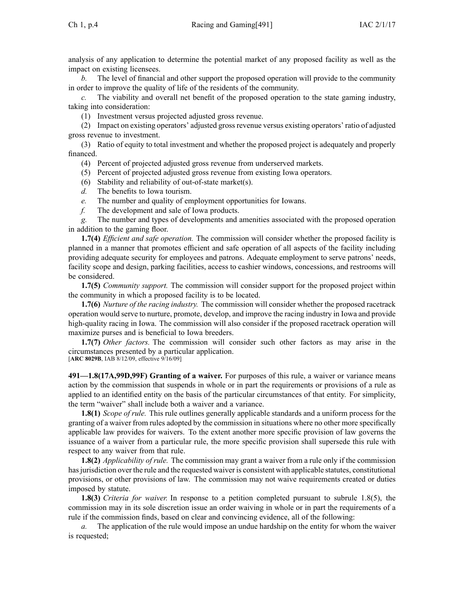analysis of any application to determine the potential market of any proposed facility as well as the impact on existing licensees.

*b.* The level of financial and other suppor<sup>t</sup> the proposed operation will provide to the community in order to improve the quality of life of the residents of the community.

*c.* The viability and overall net benefit of the proposed operation to the state gaming industry, taking into consideration:

(1) Investment versus projected adjusted gross revenue.

(2) Impact on existing operators' adjusted grossrevenue versus existing operators' ratio of adjusted gross revenue to investment.

(3) Ratio of equity to total investment and whether the proposed project is adequately and properly financed.

(4) Percent of projected adjusted gross revenue from underserved markets.

- (5) Percent of projected adjusted gross revenue from existing Iowa operators.
- (6) Stability and reliability of out-of-state market(s).
- *d.* The benefits to Iowa tourism.
- *e.* The number and quality of employment opportunities for Iowans.
- *f.* The development and sale of Iowa products.

*g.* The number and types of developments and amenities associated with the proposed operation in addition to the gaming floor.

**1.7(4)** *Efficient and safe operation.* The commission will consider whether the proposed facility is planned in <sup>a</sup> manner that promotes efficient and safe operation of all aspects of the facility including providing adequate security for employees and patrons. Adequate employment to serve patrons' needs, facility scope and design, parking facilities, access to cashier windows, concessions, and restrooms will be considered.

**1.7(5)** *Community support.* The commission will consider suppor<sup>t</sup> for the proposed project within the community in which <sup>a</sup> proposed facility is to be located.

**1.7(6)** *Nurture of the racing industry.* The commission will consider whether the proposed racetrack operation would serve to nurture, promote, develop, and improve the racing industry in Iowa and provide high-quality racing in Iowa. The commission will also consider if the proposed racetrack operation will maximize purses and is beneficial to Iowa breeders.

**1.7(7)** *Other factors.* The commission will consider such other factors as may arise in the circumstances presented by <sup>a</sup> particular application.

[**ARC [8029B](https://www.legis.iowa.gov/docs/aco/arc/8029B.pdf)**, IAB 8/12/09, effective 9/16/09]

**491—1.8(17A,99D,99F) Granting of <sup>a</sup> waiver.** For purposes of this rule, <sup>a</sup> waiver or variance means action by the commission that suspends in whole or in par<sup>t</sup> the requirements or provisions of <sup>a</sup> rule as applied to an identified entity on the basis of the particular circumstances of that entity. For simplicity, the term "waiver" shall include both <sup>a</sup> waiver and <sup>a</sup> variance.

**1.8(1)** *Scope of rule.* This rule outlines generally applicable standards and <sup>a</sup> uniform process for the granting of <sup>a</sup> waiver from rules adopted by the commission in situations where no other more specifically applicable law provides for waivers. To the extent another more specific provision of law governs the issuance of <sup>a</sup> waiver from <sup>a</sup> particular rule, the more specific provision shall supersede this rule with respec<sup>t</sup> to any waiver from that rule.

**1.8(2)** *Applicability of rule.* The commission may gran<sup>t</sup> <sup>a</sup> waiver from <sup>a</sup> rule only if the commission has jurisdiction over the rule and the requested waiver is consistent with applicable statutes, constitutional provisions, or other provisions of law. The commission may not waive requirements created or duties imposed by statute.

**1.8(3)** *Criteria for waiver.* In response to <sup>a</sup> petition completed pursuan<sup>t</sup> to subrule [1.8\(5\)](https://www.legis.iowa.gov/docs/iac/rule/491.1.8.pdf), the commission may in its sole discretion issue an order waiving in whole or in par<sup>t</sup> the requirements of <sup>a</sup> rule if the commission finds, based on clear and convincing evidence, all of the following:

*a.* The application of the rule would impose an undue hardship on the entity for whom the waiver is requested;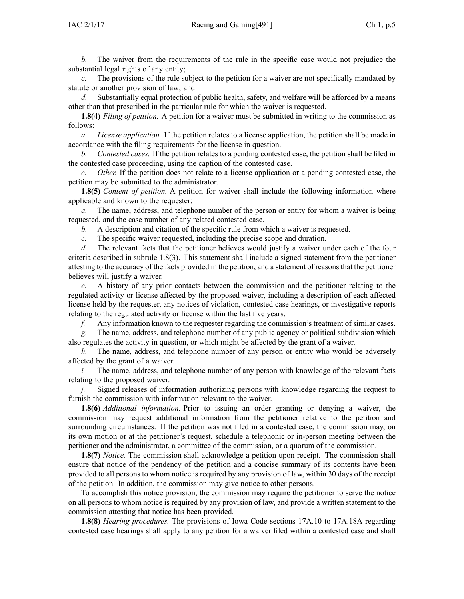*b.* The waiver from the requirements of the rule in the specific case would not prejudice the substantial legal rights of any entity;

*c.* The provisions of the rule subject to the petition for <sup>a</sup> waiver are not specifically mandated by statute or another provision of law; and

*d.* Substantially equal protection of public health, safety, and welfare will be afforded by <sup>a</sup> means other than that prescribed in the particular rule for which the waiver is requested.

**1.8(4)** *Filing of petition.* A petition for <sup>a</sup> waiver must be submitted in writing to the commission as follows:

*a. License application.* If the petition relates to <sup>a</sup> license application, the petition shall be made in accordance with the filing requirements for the license in question.

*b. Contested cases.* If the petition relates to <sup>a</sup> pending contested case, the petition shall be filed in the contested case proceeding, using the caption of the contested case.

*c. Other.* If the petition does not relate to <sup>a</sup> license application or <sup>a</sup> pending contested case, the petition may be submitted to the administrator.

**1.8(5)** *Content of petition*. A petition for waiver shall include the following information where applicable and known to the requester:

*a.* The name, address, and telephone number of the person or entity for whom <sup>a</sup> waiver is being requested, and the case number of any related contested case.

*b.* A description and citation of the specific rule from which <sup>a</sup> waiver is requested.

*c.* The specific waiver requested, including the precise scope and duration.

*d.* The relevant facts that the petitioner believes would justify <sup>a</sup> waiver under each of the four criteria described in subrule [1.8\(3\)](https://www.legis.iowa.gov/docs/iac/rule/491.1.8.pdf). This statement shall include <sup>a</sup> signed statement from the petitioner attesting to the accuracy of the facts provided in the petition, and <sup>a</sup> statement of reasonsthat the petitioner believes will justify <sup>a</sup> waiver.

*e.* A history of any prior contacts between the commission and the petitioner relating to the regulated activity or license affected by the proposed waiver, including <sup>a</sup> description of each affected license held by the requester, any notices of violation, contested case hearings, or investigative reports relating to the regulated activity or license within the last five years.

*f.* Any information known to the requester regarding the commission's treatment of similar cases.

*g.* The name, address, and telephone number of any public agency or political subdivision which also regulates the activity in question, or which might be affected by the gran<sup>t</sup> of <sup>a</sup> waiver.

*h.* The name, address, and telephone number of any person or entity who would be adversely affected by the gran<sup>t</sup> of <sup>a</sup> waiver.

*i.* The name, address, and telephone number of any person with knowledge of the relevant facts relating to the proposed waiver.

*j.* Signed releases of information authorizing persons with knowledge regarding the reques<sup>t</sup> to furnish the commission with information relevant to the waiver.

**1.8(6)** *Additional information.* Prior to issuing an order granting or denying <sup>a</sup> waiver, the commission may reques<sup>t</sup> additional information from the petitioner relative to the petition and surrounding circumstances. If the petition was not filed in <sup>a</sup> contested case, the commission may, on its own motion or at the petitioner's request, schedule <sup>a</sup> telephonic or in-person meeting between the petitioner and the administrator, <sup>a</sup> committee of the commission, or <sup>a</sup> quorum of the commission.

**1.8(7)** *Notice.* The commission shall acknowledge <sup>a</sup> petition upon receipt. The commission shall ensure that notice of the pendency of the petition and <sup>a</sup> concise summary of its contents have been provided to all persons to whom notice is required by any provision of law, within 30 days of the receipt of the petition. In addition, the commission may give notice to other persons.

To accomplish this notice provision, the commission may require the petitioner to serve the notice on all persons to whom notice is required by any provision of law, and provide <sup>a</sup> written statement to the commission attesting that notice has been provided.

**1.8(8)** *Hearing procedures.* The provisions of Iowa Code sections 17A.10 to [17A.18A](https://www.legis.iowa.gov/docs/ico/section/17A.10-18A.pdf) regarding contested case hearings shall apply to any petition for <sup>a</sup> waiver filed within <sup>a</sup> contested case and shall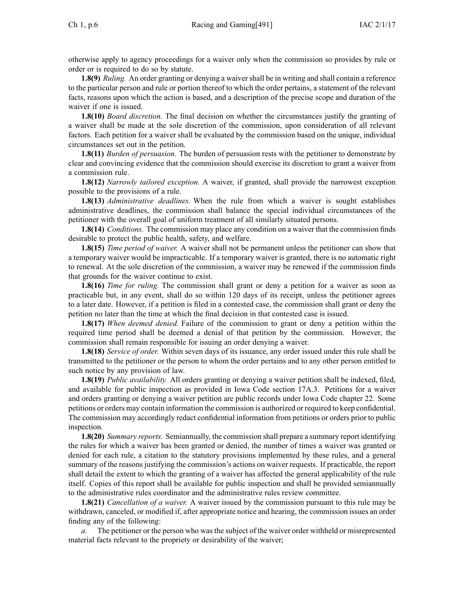otherwise apply to agency proceedings for <sup>a</sup> waiver only when the commission so provides by rule or order or is required to do so by statute.

**1.8(9)** *Ruling.* An order granting or denying <sup>a</sup> waivershall be in writing and shall contain <sup>a</sup> reference to the particular person and rule or portion thereof to which the order pertains, <sup>a</sup> statement of the relevant facts, reasons upon which the action is based, and <sup>a</sup> description of the precise scope and duration of the waiver if one is issued.

**1.8(10)** *Board discretion.* The final decision on whether the circumstances justify the granting of <sup>a</sup> waiver shall be made at the sole discretion of the commission, upon consideration of all relevant factors. Each petition for <sup>a</sup> waiver shall be evaluated by the commission based on the unique, individual circumstances set out in the petition.

**1.8(11)** *Burden of persuasion.* The burden of persuasion rests with the petitioner to demonstrate by clear and convincing evidence that the commission should exercise its discretion to gran<sup>t</sup> <sup>a</sup> waiver from <sup>a</sup> commission rule.

**1.8(12)** *Narrowly tailored exception.* A waiver, if granted, shall provide the narrowest exception possible to the provisions of <sup>a</sup> rule.

**1.8(13)** *Administrative deadlines.* When the rule from which <sup>a</sup> waiver is sought establishes administrative deadlines, the commission shall balance the special individual circumstances of the petitioner with the overall goal of uniform treatment of all similarly situated persons.

**1.8(14)** *Conditions.* The commission may place any condition on <sup>a</sup> waiver that the commission finds desirable to protect the public health, safety, and welfare.

**1.8(15)** *Time period of waiver.* A waiver shall not be permanen<sup>t</sup> unless the petitioner can show that <sup>a</sup> temporary waiver would be impracticable. If <sup>a</sup> temporary waiver is granted, there is no automatic right to renewal. At the sole discretion of the commission, <sup>a</sup> waiver may be renewed if the commission finds that grounds for the waiver continue to exist.

**1.8(16)** *Time for ruling.* The commission shall gran<sup>t</sup> or deny <sup>a</sup> petition for <sup>a</sup> waiver as soon as practicable but, in any event, shall do so within 120 days of its receipt, unless the petitioner agrees to <sup>a</sup> later date. However, if <sup>a</sup> petition is filed in <sup>a</sup> contested case, the commission shall gran<sup>t</sup> or deny the petition no later than the time at which the final decision in that contested case is issued.

**1.8(17)** *When deemed denied.* Failure of the commission to gran<sup>t</sup> or deny <sup>a</sup> petition within the required time period shall be deemed <sup>a</sup> denial of that petition by the commission. However, the commission shall remain responsible for issuing an order denying <sup>a</sup> waiver.

**1.8(18)** *Service of order.* Within seven days of its issuance, any order issued under this rule shall be transmitted to the petitioner or the person to whom the order pertains and to any other person entitled to such notice by any provision of law.

**1.8(19)** *Public availability.* All orders granting or denying <sup>a</sup> waiver petition shall be indexed, filed, and available for public inspection as provided in Iowa Code section [17A.3](https://www.legis.iowa.gov/docs/ico/section/17A.3.pdf). Petitions for <sup>a</sup> waiver and orders granting or denying <sup>a</sup> waiver petition are public records under Iowa Code chapter [22](https://www.legis.iowa.gov/docs/ico/chapter/22.pdf). Some petitions or orders may contain information the commission is authorized or required to keep confidential. The commission may accordingly redact confidential information from petitions or orders prior to public inspection.

**1.8(20)** *Summary reports.* Semiannually, the commission shall prepare <sup>a</sup> summary repor<sup>t</sup> identifying the rules for which <sup>a</sup> waiver has been granted or denied, the number of times <sup>a</sup> waiver was granted or denied for each rule, <sup>a</sup> citation to the statutory provisions implemented by these rules, and <sup>a</sup> general summary of the reasons justifying the commission's actions on waiver requests. If practicable, the repor<sup>t</sup> shall detail the extent to which the granting of <sup>a</sup> waiver has affected the general applicability of the rule itself. Copies of this repor<sup>t</sup> shall be available for public inspection and shall be provided semiannually to the administrative rules coordinator and the administrative rules review committee.

**1.8(21)** *Cancellation of <sup>a</sup> waiver.* A waiver issued by the commission pursuan<sup>t</sup> to this rule may be withdrawn, canceled, or modified if, after appropriate notice and hearing, the commission issues an order finding any of the following:

*a.* The petitioner or the person who was the subject of the waiver order withheld or misrepresented material facts relevant to the propriety or desirability of the waiver;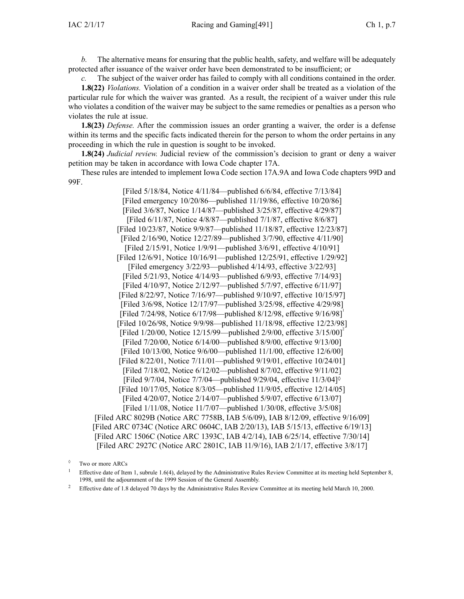*b.* The alternative means for ensuring that the public health, safety, and welfare will be adequately protected after issuance of the waiver order have been demonstrated to be insufficient; or

The subject of the waiver order has failed to comply with all conditions contained in the order. **1.8(22)** *Violations.* Violation of <sup>a</sup> condition in <sup>a</sup> waiver order shall be treated as <sup>a</sup> violation of the particular rule for which the waiver was granted. As <sup>a</sup> result, the recipient of <sup>a</sup> waiver under this rule who violates <sup>a</sup> condition of the waiver may be subject to the same remedies or penalties as <sup>a</sup> person who violates the rule at issue.

**1.8(23)** *Defense.* After the commission issues an order granting <sup>a</sup> waiver, the order is <sup>a</sup> defense within its terms and the specific facts indicated therein for the person to whom the order pertains in any proceeding in which the rule in question is sought to be invoked.

**1.8(24)** *Judicial review.* Judicial review of the commission's decision to gran<sup>t</sup> or deny <sup>a</sup> waiver petition may be taken in accordance with Iowa Code chapter [17A](https://www.legis.iowa.gov/docs/ico/chapter/17A.pdf).

These rules are intended to implement Iowa Code section [17A.9A](https://www.legis.iowa.gov/docs/ico/section/17A.9A.pdf) and Iowa Code chapters [99D](https://www.legis.iowa.gov/docs/ico/chapter/99D.pdf) and [99F](https://www.legis.iowa.gov/docs/ico/chapter/99F.pdf).

[Filed 5/18/84, Notice 4/11/84—published 6/6/84, effective 7/13/84] [Filed emergency 10/20/86—published 11/19/86, effective 10/20/86] [Filed 3/6/87, Notice 1/14/87—published 3/25/87, effective 4/29/87] [Filed 6/11/87, Notice 4/8/87—published 7/1/87, effective 8/6/87] [Filed 10/23/87, Notice 9/9/87—published 11/18/87, effective 12/23/87] [Filed 2/16/90, Notice 12/27/89—published 3/7/90, effective 4/11/90] [Filed 2/15/91, Notice 1/9/91—published 3/6/91, effective 4/10/91] [Filed 12/6/91, Notice 10/16/91—published 12/25/91, effective 1/29/92] [Filed emergency 3/22/93—published 4/14/93, effective 3/22/93] [Filed 5/21/93, Notice 4/14/93—published 6/9/93, effective 7/14/93] [Filed 4/10/97, Notice 2/12/97—published 5/7/97, effective 6/11/97] [Filed 8/22/97, Notice 7/16/97—published 9/10/97, effective 10/15/97] [Filed 3/6/98, Notice 12/17/97—published 3/25/98, effective 4/29/98] [Filed 7/24/98, Notice 6/17/98—published 8/12/98, effective 9/16/98] [Filed 10/26/98, Notice 9/9/98—published 11/18/98, effective 12/23/98] [Filed  $1/20/00$ , Notice  $12/15/99$ —published  $2/9/00$ , effective  $3/15/00$ ]<sup>2</sup> [Filed 7/20/00, Notice 6/14/00—published 8/9/00, effective 9/13/00] [Filed 10/13/00, Notice 9/6/00—published 11/1/00, effective 12/6/00] [Filed 8/22/01, Notice 7/11/01—published 9/19/01, effective 10/24/01] [Filed 7/18/02, Notice 6/12/02—published 8/7/02, effective 9/11/02] [Filed 9/7/04, Notice 7/7/04—published 9/29/04, effective 11/3/04]◊ [Filed 10/17/05, Notice 8/3/05—published 11/9/05, effective 12/14/05] [Filed 4/20/07, Notice 2/14/07—published 5/9/07, effective 6/13/07] [Filed 1/11/08, Notice 11/7/07—published 1/30/08, effective 3/5/08] [[Filed](https://www.legis.iowa.gov/docs/aco/arc/8029B.pdf) ARC 8029B ([Notice](https://www.legis.iowa.gov/docs/aco/arc/7758B.pdf) ARC 7758B, IAB 5/6/09), IAB 8/12/09, effective 9/16/09] [Filed ARC [0734C](https://www.legis.iowa.gov/docs/aco/arc/0734C.pdf) ([Notice](https://www.legis.iowa.gov/docs/aco/arc/0604C.pdf) ARC 0604C, IAB 2/20/13), IAB 5/15/13, effective 6/19/13] [[Filed](https://www.legis.iowa.gov/docs/aco/arc/1506C.pdf) ARC 1506C ([Notice](https://www.legis.iowa.gov/docs/aco/arc/1393C.pdf) ARC 1393C, IAB 4/2/14), IAB 6/25/14, effective 7/30/14] [[Filed](https://www.legis.iowa.gov/docs/aco/arc/2927C.pdf) ARC 2927C ([Notice](https://www.legis.iowa.gov/docs/aco/arc/2801C.pdf) ARC 2801C, IAB 11/9/16), IAB 2/1/17, effective 3/8/17]

<sup>◊</sup> Two or more ARCs

<sup>1</sup> Effective date of Item 1, subrule 1.6(4), delayed by the Administrative Rules Review Committee at its meeting held September 8, 1998, until the adjournment of the 1999 Session of the General Assembly.

<sup>2</sup> Effective date of 1.8 delayed 70 days by the Administrative Rules Review Committee at its meeting held March 10, 2000.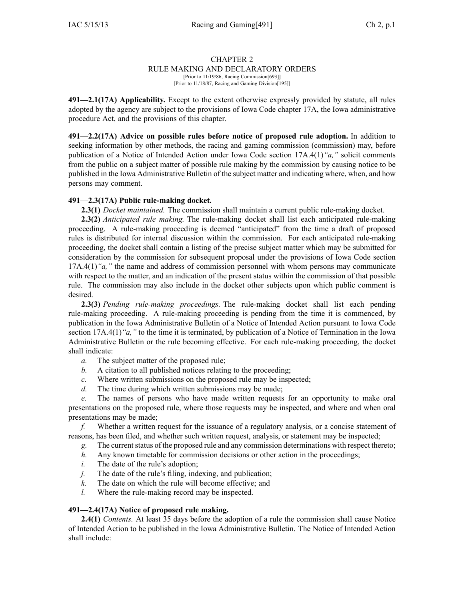## RULE MAKING AND DECLARATORY ORDERS

[Prior to 11/19/86, Racing Commission[693]] [Prior to 11/18/87, Racing and Gaming Division[195]]

**491—2.1(17A) Applicability.** Except to the extent otherwise expressly provided by statute, all rules adopted by the agency are subject to the provisions of Iowa Code chapter [17A](https://www.legis.iowa.gov/docs/ico/chapter/17A.pdf), the Iowa administrative procedure Act, and the provisions of this chapter.

**491—2.2(17A) Advice on possible rules before notice of proposed rule adoption.** In addition to seeking information by other methods, the racing and gaming commission (commission) may, before publication of <sup>a</sup> Notice of Intended Action under Iowa Code section [17A.4\(1\)](https://www.legis.iowa.gov/docs/ico/section/17A.4.pdf)*"a,"* solicit comments from the public on <sup>a</sup> subject matter of possible rule making by the commission by causing notice to be published in the Iowa Administrative Bulletin of the subject matter and indicating where, when, and how persons may comment.

## **491—2.3(17A) Public rule-making docket.**

**2.3(1)** *Docket maintained.* The commission shall maintain <sup>a</sup> current public rule-making docket.

**2.3(2)** *Anticipated rule making.* The rule-making docket shall list each anticipated rule-making proceeding. A rule-making proceeding is deemed "anticipated" from the time <sup>a</sup> draft of proposed rules is distributed for internal discussion within the commission. For each anticipated rule-making proceeding, the docket shall contain <sup>a</sup> listing of the precise subject matter which may be submitted for consideration by the commission for subsequent proposal under the provisions of Iowa Code section [17A.4\(1\)](https://www.legis.iowa.gov/docs/ico/section/17A.4.pdf)*"a,"* the name and address of commission personnel with whom persons may communicate with respect to the matter, and an indication of the present status within the commission of that possible rule. The commission may also include in the docket other subjects upon which public comment is desired.

**2.3(3)** *Pending rule-making proceedings.* The rule-making docket shall list each pending rule-making proceeding. A rule-making proceeding is pending from the time it is commenced, by publication in the Iowa Administrative Bulletin of <sup>a</sup> Notice of Intended Action pursuan<sup>t</sup> to Iowa Code section [17A.4\(1\)](https://www.legis.iowa.gov/docs/ico/section/17A.4.pdf)<sup>*"a,*"</sup> to the time it is terminated, by publication of a Notice of Termination in the Iowa Administrative Bulletin or the rule becoming effective. For each rule-making proceeding, the docket shall indicate:

- *a.* The subject matter of the proposed rule;
- *b.* A citation to all published notices relating to the proceeding;
- *c.* Where written submissions on the proposed rule may be inspected;
- *d.* The time during which written submissions may be made;

*e.* The names of persons who have made written requests for an opportunity to make oral presentations on the proposed rule, where those requests may be inspected, and where and when oral presentations may be made;

*f.* Whether <sup>a</sup> written reques<sup>t</sup> for the issuance of <sup>a</sup> regulatory analysis, or <sup>a</sup> concise statement of reasons, has been filed, and whether such written request, analysis, or statement may be inspected;

*g.* The currentstatus of the proposed rule and any commission determinations with respec<sup>t</sup> thereto;

- *h.* Any known timetable for commission decisions or other action in the proceedings;
- *i.* The date of the rule's adoption;
- *j.* The date of the rule's filing, indexing, and publication;
- *k.* The date on which the rule will become effective; and
- *l.* Where the rule-making record may be inspected.

#### **491—2.4(17A) Notice of proposed rule making.**

**2.4(1)** *Contents.* At least 35 days before the adoption of <sup>a</sup> rule the commission shall cause Notice of Intended Action to be published in the Iowa Administrative Bulletin. The Notice of Intended Action shall include: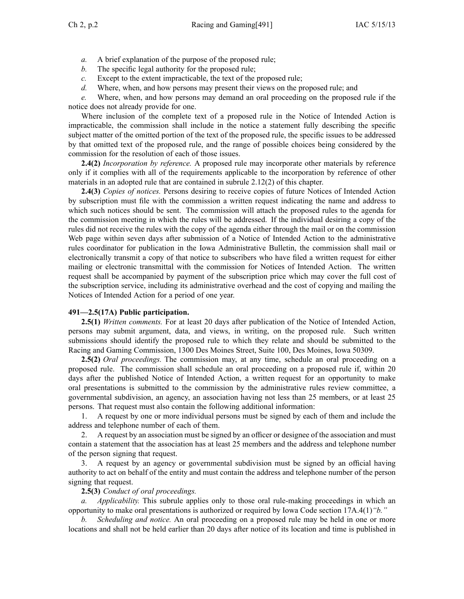- *a.* A brief explanation of the purpose of the proposed rule;
- *b.* The specific legal authority for the proposed rule;
- *c.* Except to the extent impracticable, the text of the proposed rule;
- *d.* Where, when, and how persons may presen<sup>t</sup> their views on the proposed rule; and

*e.* Where, when, and how persons may demand an oral proceeding on the proposed rule if the notice does not already provide for one.

Where inclusion of the complete text of <sup>a</sup> proposed rule in the Notice of Intended Action is impracticable, the commission shall include in the notice <sup>a</sup> statement fully describing the specific subject matter of the omitted portion of the text of the proposed rule, the specific issues to be addressed by that omitted text of the proposed rule, and the range of possible choices being considered by the commission for the resolution of each of those issues.

**2.4(2)** *Incorporation by reference.* A proposed rule may incorporate other materials by reference only if it complies with all of the requirements applicable to the incorporation by reference of other materials in an adopted rule that are contained in subrule [2.12\(2\)](https://www.legis.iowa.gov/docs/iac/rule/491.2.12.pdf) of this chapter.

**2.4(3)** *Copies of notices.* Persons desiring to receive copies of future Notices of Intended Action by subscription must file with the commission <sup>a</sup> written reques<sup>t</sup> indicating the name and address to which such notices should be sent. The commission will attach the proposed rules to the agenda for the commission meeting in which the rules will be addressed. If the individual desiring <sup>a</sup> copy of the rules did not receive the rules with the copy of the agenda either through the mail or on the commission Web page within seven days after submission of <sup>a</sup> Notice of Intended Action to the administrative rules coordinator for publication in the Iowa Administrative Bulletin, the commission shall mail or electronically transmit <sup>a</sup> copy of that notice to subscribers who have filed <sup>a</sup> written reques<sup>t</sup> for either mailing or electronic transmittal with the commission for Notices of Intended Action. The written reques<sup>t</sup> shall be accompanied by paymen<sup>t</sup> of the subscription price which may cover the full cost of the subscription service, including its administrative overhead and the cost of copying and mailing the Notices of Intended Action for <sup>a</sup> period of one year.

#### **491—2.5(17A) Public participation.**

**2.5(1)** *Written comments.* For at least 20 days after publication of the Notice of Intended Action, persons may submit argument, data, and views, in writing, on the proposed rule. Such written submissions should identify the proposed rule to which they relate and should be submitted to the Racing and Gaming Commission, 1300 Des Moines Street, Suite 100, Des Moines, Iowa 50309.

**2.5(2)** *Oral proceedings.* The commission may, at any time, schedule an oral proceeding on <sup>a</sup> proposed rule. The commission shall schedule an oral proceeding on <sup>a</sup> proposed rule if, within 20 days after the published Notice of Intended Action, <sup>a</sup> written reques<sup>t</sup> for an opportunity to make oral presentations is submitted to the commission by the administrative rules review committee, <sup>a</sup> governmental subdivision, an agency, an association having not less than 25 members, or at least 25 persons. That reques<sup>t</sup> must also contain the following additional information:

1. A reques<sup>t</sup> by one or more individual persons must be signed by each of them and include the address and telephone number of each of them.

2. A reques<sup>t</sup> by an association must be signed by an officer or designee of the association and must contain <sup>a</sup> statement that the association has at least 25 members and the address and telephone number of the person signing that request.

3. A reques<sup>t</sup> by an agency or governmental subdivision must be signed by an official having authority to act on behalf of the entity and must contain the address and telephone number of the person signing that request.

#### **2.5(3)** *Conduct of oral proceedings.*

*a. Applicability.* This subrule applies only to those oral rule-making proceedings in which an opportunity to make oral presentations is authorized or required by Iowa Code section [17A.4\(1\)](https://www.legis.iowa.gov/docs/ico/section/17A.4.pdf)*"b."*

*b. Scheduling and notice.* An oral proceeding on <sup>a</sup> proposed rule may be held in one or more locations and shall not be held earlier than 20 days after notice of its location and time is published in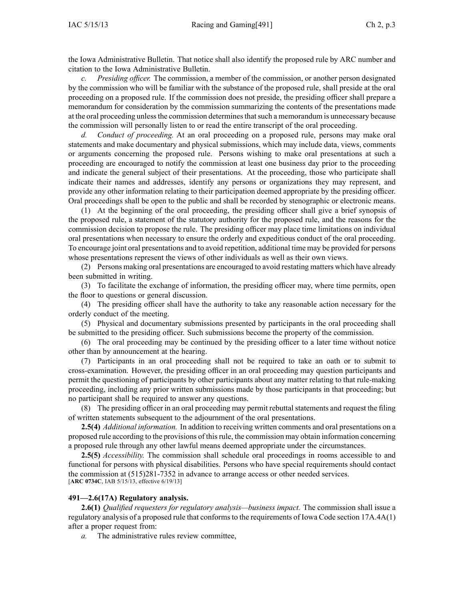the Iowa Administrative Bulletin. That notice shall also identify the proposed rule by ARC number and citation to the Iowa Administrative Bulletin.

*Presiding officer.* The commission, a member of the commission, or another person designated by the commission who will be familiar with the substance of the proposed rule, shall preside at the oral proceeding on <sup>a</sup> proposed rule. If the commission does not preside, the presiding officer shall prepare <sup>a</sup> memorandum for consideration by the commission summarizing the contents of the presentations made at the oral proceeding unlessthe commission determinesthatsuch <sup>a</sup> memorandum is unnecessary because the commission will personally listen to or read the entire transcript of the oral proceeding.

*d. Conduct of proceeding.* At an oral proceeding on <sup>a</sup> proposed rule, persons may make oral statements and make documentary and physical submissions, which may include data, views, comments or arguments concerning the proposed rule. Persons wishing to make oral presentations at such <sup>a</sup> proceeding are encouraged to notify the commission at least one business day prior to the proceeding and indicate the general subject of their presentations. At the proceeding, those who participate shall indicate their names and addresses, identify any persons or organizations they may represent, and provide any other information relating to their participation deemed appropriate by the presiding officer. Oral proceedings shall be open to the public and shall be recorded by stenographic or electronic means.

(1) At the beginning of the oral proceeding, the presiding officer shall give <sup>a</sup> brief synopsis of the proposed rule, <sup>a</sup> statement of the statutory authority for the proposed rule, and the reasons for the commission decision to propose the rule. The presiding officer may place time limitations on individual oral presentations when necessary to ensure the orderly and expeditious conduct of the oral proceeding. To encourage joint oral presentations and to avoid repetition, additional time may be provided for persons whose presentations represen<sup>t</sup> the views of other individuals as well as their own views.

(2) Persons making oral presentations are encouraged to avoid restating matters which have already been submitted in writing.

(3) To facilitate the exchange of information, the presiding officer may, where time permits, open the floor to questions or general discussion.

(4) The presiding officer shall have the authority to take any reasonable action necessary for the orderly conduct of the meeting.

(5) Physical and documentary submissions presented by participants in the oral proceeding shall be submitted to the presiding officer. Such submissions become the property of the commission.

(6) The oral proceeding may be continued by the presiding officer to <sup>a</sup> later time without notice other than by announcement at the hearing.

(7) Participants in an oral proceeding shall not be required to take an oath or to submit to cross-examination. However, the presiding officer in an oral proceeding may question participants and permit the questioning of participants by other participants about any matter relating to that rule-making proceeding, including any prior written submissions made by those participants in that proceeding; but no participant shall be required to answer any questions.

(8) The presiding officer in an oral proceeding may permit rebuttal statements and reques<sup>t</sup> the filing of written statements subsequent to the adjournment of the oral presentations.

**2.5(4)** *Additional information.* In addition to receiving written comments and oral presentations on <sup>a</sup> proposed rule according to the provisions of thisrule, the commission may obtain information concerning <sup>a</sup> proposed rule through any other lawful means deemed appropriate under the circumstances.

**2.5(5)** *Accessibility.* The commission shall schedule oral proceedings in rooms accessible to and functional for persons with physical disabilities. Persons who have special requirements should contact the commission at (515)281-7352 in advance to arrange access or other needed services. [**ARC [0734C](https://www.legis.iowa.gov/docs/aco/arc/0734C.pdf)**, IAB 5/15/13, effective 6/19/13]

#### **491—2.6(17A) Regulatory analysis.**

**2.6(1)** *Qualified requesters for regulatory analysis—business impact.* The commission shall issue <sup>a</sup> regulatory analysis of a proposed rule that conforms to the requirements of Iowa Code section [17A.4A\(1\)](https://www.legis.iowa.gov/docs/ico/section/17A.4A.pdf) after <sup>a</sup> proper reques<sup>t</sup> from:

*a.* The administrative rules review committee,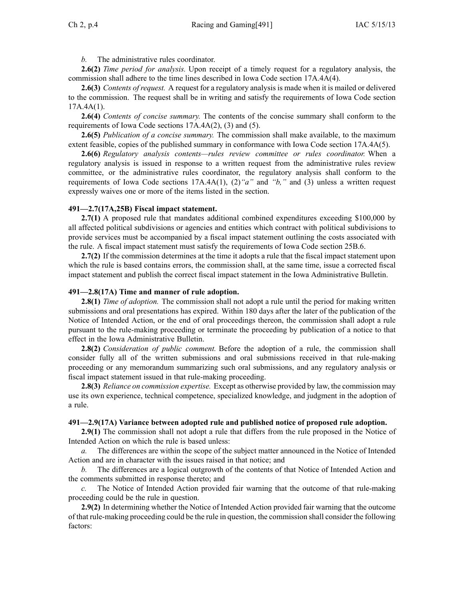*b.* The administrative rules coordinator.

**2.6(2)** *Time period for analysis.* Upon receipt of <sup>a</sup> timely reques<sup>t</sup> for <sup>a</sup> regulatory analysis, the commission shall adhere to the time lines described in Iowa Code section [17A.4A\(4\)](https://www.legis.iowa.gov/docs/ico/section/17A.4A.pdf).

**2.6(3)** *Contents of request.* A reques<sup>t</sup> for <sup>a</sup> regulatory analysis is made when it is mailed or delivered to the commission. The reques<sup>t</sup> shall be in writing and satisfy the requirements of Iowa Code section  $17A.4A(1)$ .

**2.6(4)** *Contents of concise summary.* The contents of the concise summary shall conform to the requirements of Iowa Code sections [17A.4A\(2\),](https://www.legis.iowa.gov/docs/ico/section/17A.4A.pdf) (3) and (5).

**2.6(5)** *Publication of <sup>a</sup> concise summary.* The commission shall make available, to the maximum extent feasible, copies of the published summary in conformance with Iowa Code section [17A.4A\(5\)](https://www.legis.iowa.gov/docs/ico/section/17A.4A.pdf).

**2.6(6)** *Regulatory analysis contents—rules review committee or rules coordinator.* When <sup>a</sup> regulatory analysis is issued in response to <sup>a</sup> written reques<sup>t</sup> from the administrative rules review committee, or the administrative rules coordinator, the regulatory analysis shall conform to the requirements of Iowa Code sections [17A.4A\(1\)](https://www.legis.iowa.gov/docs/ico/section/17A.4A.pdf), (2)*"a"* and *["b,"](https://www.legis.iowa.gov/docs/ico/section/17A.4A.pdf)* and [\(3\)](https://www.legis.iowa.gov/docs/ico/section/17A.4A.pdf) unless <sup>a</sup> written reques<sup>t</sup> expressly waives one or more of the items listed in the section.

#### **491—2.7(17A,25B) Fiscal impact statement.**

**2.7(1)** A proposed rule that mandates additional combined expenditures exceeding \$100,000 by all affected political subdivisions or agencies and entities which contract with political subdivisions to provide services must be accompanied by <sup>a</sup> fiscal impact statement outlining the costs associated with the rule. A fiscal impact statement must satisfy the requirements of Iowa Code section [25B.6](https://www.legis.iowa.gov/docs/ico/section/25B.6.pdf).

**2.7(2)** If the commission determines at the time it adopts <sup>a</sup> rule that the fiscal impact statement upon which the rule is based contains errors, the commission shall, at the same time, issue <sup>a</sup> corrected fiscal impact statement and publish the correct fiscal impact statement in the Iowa Administrative Bulletin.

#### **491—2.8(17A) Time and manner of rule adoption.**

**2.8(1)** *Time of adoption.* The commission shall not adopt a rule until the period for making written submissions and oral presentations has expired. Within 180 days after the later of the publication of the Notice of Intended Action, or the end of oral proceedings thereon, the commission shall adopt <sup>a</sup> rule pursuan<sup>t</sup> to the rule-making proceeding or terminate the proceeding by publication of <sup>a</sup> notice to that effect in the Iowa Administrative Bulletin.

**2.8(2)** *Consideration of public comment.* Before the adoption of <sup>a</sup> rule, the commission shall consider fully all of the written submissions and oral submissions received in that rule-making proceeding or any memorandum summarizing such oral submissions, and any regulatory analysis or fiscal impact statement issued in that rule-making proceeding.

**2.8(3)** *Reliance on commission expertise.* Except as otherwise provided by law, the commission may use its own experience, technical competence, specialized knowledge, and judgment in the adoption of <sup>a</sup> rule.

#### **491—2.9(17A) Variance between adopted rule and published notice of proposed rule adoption.**

**2.9(1)** The commission shall not adopt <sup>a</sup> rule that differs from the rule proposed in the Notice of Intended Action on which the rule is based unless:

*a.* The differences are within the scope of the subject matter announced in the Notice of Intended Action and are in character with the issues raised in that notice; and

*b.* The differences are <sup>a</sup> logical outgrowth of the contents of that Notice of Intended Action and the comments submitted in response thereto; and

*c.* The Notice of Intended Action provided fair warning that the outcome of that rule-making proceeding could be the rule in question.

**2.9(2)** In determining whether the Notice of Intended Action provided fair warning that the outcome of that rule-making proceeding could be the rule in question, the commission shall consider the following factors: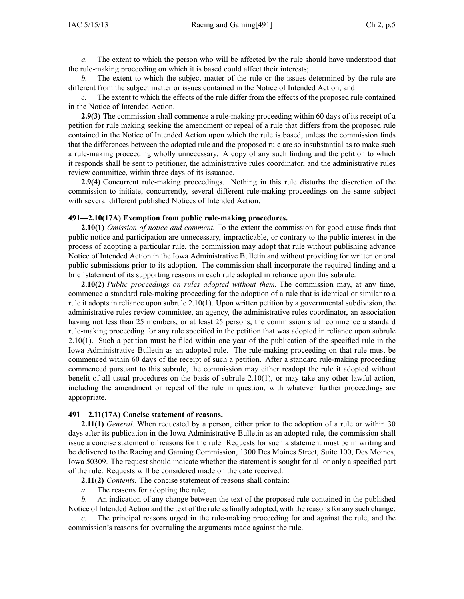*a.* The extent to which the person who will be affected by the rule should have understood that the rule-making proceeding on which it is based could affect their interests;

*b.* The extent to which the subject matter of the rule or the issues determined by the rule are different from the subject matter or issues contained in the Notice of Intended Action; and

*c.* The extent to which the effects of the rule differ from the effects of the proposed rule contained in the Notice of Intended Action.

**2.9(3)** The commission shall commence <sup>a</sup> rule-making proceeding within 60 days of its receipt of <sup>a</sup> petition for rule making seeking the amendment or repeal of <sup>a</sup> rule that differs from the proposed rule contained in the Notice of Intended Action upon which the rule is based, unless the commission finds that the differences between the adopted rule and the proposed rule are so insubstantial as to make such <sup>a</sup> rule-making proceeding wholly unnecessary. A copy of any such finding and the petition to which it responds shall be sent to petitioner, the administrative rules coordinator, and the administrative rules review committee, within three days of its issuance.

**2.9(4)** Concurrent rule-making proceedings. Nothing in this rule disturbs the discretion of the commission to initiate, concurrently, several different rule-making proceedings on the same subject with several different published Notices of Intended Action.

#### **491—2.10(17A) Exemption from public rule-making procedures.**

**2.10(1)** *Omission of notice and comment.* To the extent the commission for good cause finds that public notice and participation are unnecessary, impracticable, or contrary to the public interest in the process of adopting <sup>a</sup> particular rule, the commission may adopt that rule without publishing advance Notice of Intended Action in the Iowa Administrative Bulletin and without providing for written or oral public submissions prior to its adoption. The commission shall incorporate the required finding and <sup>a</sup> brief statement of its supporting reasons in each rule adopted in reliance upon this subrule.

**2.10(2)** *Public proceedings on rules adopted without them.* The commission may, at any time, commence <sup>a</sup> standard rule-making proceeding for the adoption of <sup>a</sup> rule that is identical or similar to <sup>a</sup> rule it adopts in reliance upon subrule [2.10\(1\)](https://www.legis.iowa.gov/docs/iac/rule/491.2.10.pdf). Upon written petition by <sup>a</sup> governmental subdivision, the administrative rules review committee, an agency, the administrative rules coordinator, an association having not less than 25 members, or at least 25 persons, the commission shall commence <sup>a</sup> standard rule-making proceeding for any rule specified in the petition that was adopted in reliance upon subrule [2.10\(1\)](https://www.legis.iowa.gov/docs/iac/rule/491.2.10.pdf). Such <sup>a</sup> petition must be filed within one year of the publication of the specified rule in the Iowa Administrative Bulletin as an adopted rule. The rule-making proceeding on that rule must be commenced within 60 days of the receipt of such <sup>a</sup> petition. After <sup>a</sup> standard rule-making proceeding commenced pursuan<sup>t</sup> to this subrule, the commission may either readopt the rule it adopted without benefit of all usual procedures on the basis of subrule [2.10\(1\)](https://www.legis.iowa.gov/docs/iac/rule/491.2.10.pdf), or may take any other lawful action, including the amendment or repeal of the rule in question, with whatever further proceedings are appropriate.

#### **491—2.11(17A) Concise statement of reasons.**

**2.11(1)** *General.* When requested by <sup>a</sup> person, either prior to the adoption of <sup>a</sup> rule or within 30 days after its publication in the Iowa Administrative Bulletin as an adopted rule, the commission shall issue <sup>a</sup> concise statement of reasons for the rule. Requests for such <sup>a</sup> statement must be in writing and be delivered to the Racing and Gaming Commission, 1300 Des Moines Street, Suite 100, Des Moines, Iowa 50309. The reques<sup>t</sup> should indicate whether the statement is sought for all or only <sup>a</sup> specified par<sup>t</sup> of the rule. Requests will be considered made on the date received.

**2.11(2)** *Contents.* The concise statement of reasons shall contain:

*a.* The reasons for adopting the rule;

*b.* An indication of any change between the text of the proposed rule contained in the published Notice of Intended Action and the text of the rule as finally adopted, with the reasons for any such change;

The principal reasons urged in the rule-making proceeding for and against the rule, and the commission's reasons for overruling the arguments made against the rule.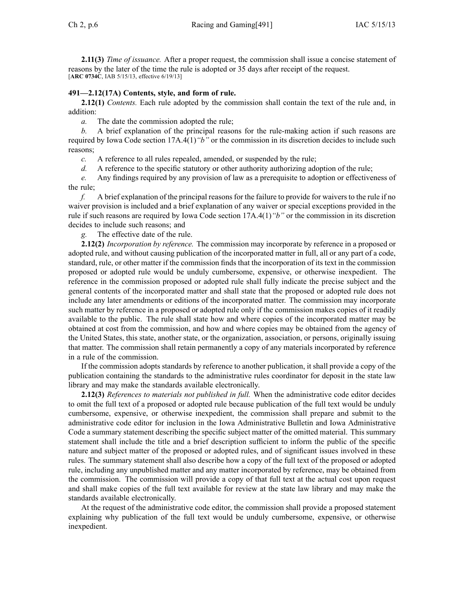**2.11(3)** *Time of issuance.* After <sup>a</sup> proper request, the commission shall issue <sup>a</sup> concise statement of reasons by the later of the time the rule is adopted or 35 days after receipt of the request. [**ARC [0734C](https://www.legis.iowa.gov/docs/aco/arc/0734C.pdf)**, IAB 5/15/13, effective 6/19/13]

## **491—2.12(17A) Contents, style, and form of rule.**

**2.12(1)** *Contents.* Each rule adopted by the commission shall contain the text of the rule and, in addition:

*a.* The date the commission adopted the rule;

*b.* A brief explanation of the principal reasons for the rule-making action if such reasons are required by Iowa Code section [17A.4\(1\)](https://www.legis.iowa.gov/docs/ico/section/17A.4.pdf)*"b"* or the commission in its discretion decides to include such reasons;

*c.* A reference to all rules repealed, amended, or suspended by the rule;

*d.* A reference to the specific statutory or other authority authorizing adoption of the rule;

*e.* Any findings required by any provision of law as <sup>a</sup> prerequisite to adoption or effectiveness of the rule;

*f.* A brief explanation of the principal reasons for the failure to provide for waivers to the rule if no waiver provision is included and <sup>a</sup> brief explanation of any waiver or special exceptions provided in the rule if such reasons are required by Iowa Code section [17A.4\(1\)](https://www.legis.iowa.gov/docs/ico/section/17A.4.pdf)*"b"* or the commission in its discretion decides to include such reasons; and

*g.* The effective date of the rule.

**2.12(2)** *Incorporation by reference.* The commission may incorporate by reference in <sup>a</sup> proposed or adopted rule, and without causing publication of the incorporated matter in full, all or any par<sup>t</sup> of <sup>a</sup> code, standard, rule, or other matter if the commission finds that the incorporation of its text in the commission proposed or adopted rule would be unduly cumbersome, expensive, or otherwise inexpedient. The reference in the commission proposed or adopted rule shall fully indicate the precise subject and the general contents of the incorporated matter and shall state that the proposed or adopted rule does not include any later amendments or editions of the incorporated matter. The commission may incorporate such matter by reference in <sup>a</sup> proposed or adopted rule only if the commission makes copies of it readily available to the public. The rule shall state how and where copies of the incorporated matter may be obtained at cost from the commission, and how and where copies may be obtained from the agency of the United States, this state, another state, or the organization, association, or persons, originally issuing that matter. The commission shall retain permanently <sup>a</sup> copy of any materials incorporated by reference in <sup>a</sup> rule of the commission.

If the commission adopts standards by reference to another publication, it shall provide <sup>a</sup> copy of the publication containing the standards to the administrative rules coordinator for deposit in the state law library and may make the standards available electronically.

**2.12(3)** *References to materials not published in full.* When the administrative code editor decides to omit the full text of <sup>a</sup> proposed or adopted rule because publication of the full text would be unduly cumbersome, expensive, or otherwise inexpedient, the commission shall prepare and submit to the administrative code editor for inclusion in the Iowa Administrative Bulletin and Iowa Administrative Code <sup>a</sup> summary statement describing the specific subject matter of the omitted material. This summary statement shall include the title and <sup>a</sup> brief description sufficient to inform the public of the specific nature and subject matter of the proposed or adopted rules, and of significant issues involved in these rules. The summary statement shall also describe how <sup>a</sup> copy of the full text of the proposed or adopted rule, including any unpublished matter and any matter incorporated by reference, may be obtained from the commission. The commission will provide <sup>a</sup> copy of that full text at the actual cost upon reques<sup>t</sup> and shall make copies of the full text available for review at the state law library and may make the standards available electronically.

At the reques<sup>t</sup> of the administrative code editor, the commission shall provide <sup>a</sup> proposed statement explaining why publication of the full text would be unduly cumbersome, expensive, or otherwise inexpedient.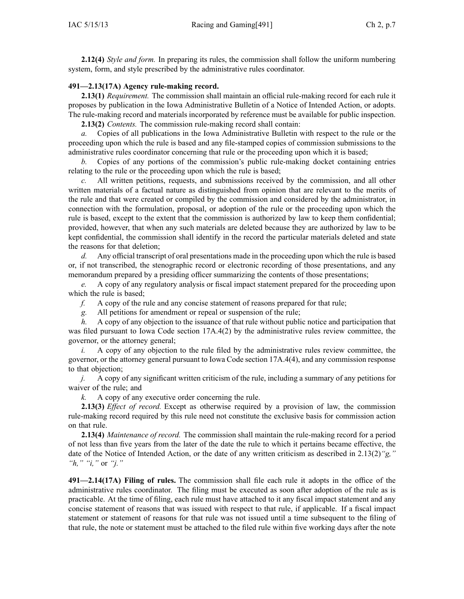**2.12(4)** *Style and form.* In preparing its rules, the commission shall follow the uniform numbering system, form, and style prescribed by the administrative rules coordinator.

#### **491—2.13(17A) Agency rule-making record.**

**2.13(1)** *Requirement.* The commission shall maintain an official rule-making record for each rule it proposes by publication in the Iowa Administrative Bulletin of <sup>a</sup> Notice of Intended Action, or adopts. The rule-making record and materials incorporated by reference must be available for public inspection.

**2.13(2)** *Contents.* The commission rule-making record shall contain:

*a.* Copies of all publications in the Iowa Administrative Bulletin with respec<sup>t</sup> to the rule or the proceeding upon which the rule is based and any file-stamped copies of commission submissions to the administrative rules coordinator concerning that rule or the proceeding upon which it is based;

*b.* Copies of any portions of the commission's public rule-making docket containing entries relating to the rule or the proceeding upon which the rule is based;

*c.* All written petitions, requests, and submissions received by the commission, and all other written materials of <sup>a</sup> factual nature as distinguished from opinion that are relevant to the merits of the rule and that were created or compiled by the commission and considered by the administrator, in connection with the formulation, proposal, or adoption of the rule or the proceeding upon which the rule is based, excep<sup>t</sup> to the extent that the commission is authorized by law to keep them confidential; provided, however, that when any such materials are deleted because they are authorized by law to be kept confidential, the commission shall identify in the record the particular materials deleted and state the reasons for that deletion;

*d.* Any official transcript of oral presentations made in the proceeding upon which the rule is based or, if not transcribed, the stenographic record or electronic recording of those presentations, and any memorandum prepared by <sup>a</sup> presiding officer summarizing the contents of those presentations;

*e.* A copy of any regulatory analysis or fiscal impact statement prepared for the proceeding upon which the rule is based;

*f.* A copy of the rule and any concise statement of reasons prepared for that rule;

*g.* All petitions for amendment or repeal or suspension of the rule;

*h.* A copy of any objection to the issuance of that rule without public notice and participation that was filed pursuant to Iowa Code section  $17A.4(2)$  by the administrative rules review committee, the governor, or the attorney general;

*i.* A copy of any objection to the rule filed by the administrative rules review committee, the governor, or the attorney general pursuan<sup>t</sup> to Iowa Code section [17A.4\(4\)](https://www.legis.iowa.gov/docs/ico/section/17A.4.pdf), and any commission response to that objection;

*j.* A copy of any significant written criticism of the rule, including <sup>a</sup> summary of any petitions for waiver of the rule; and

*k.* A copy of any executive order concerning the rule.

**2.13(3)** *Effect of record.* Except as otherwise required by <sup>a</sup> provision of law, the commission rule-making record required by this rule need not constitute the exclusive basis for commission action on that rule.

**2.13(4)** *Maintenance of record.* The commission shall maintain the rule-making record for <sup>a</sup> period of not less than five years from the later of the date the rule to which it pertains became effective, the date of the Notice of Intended Action, or the date of any written criticism as described in [2.13\(2\)](https://www.legis.iowa.gov/docs/iac/rule/491.2.13.pdf)*"g," "h," "i,"* or *"j."*

**491—2.14(17A) Filing of rules.** The commission shall file each rule it adopts in the office of the administrative rules coordinator. The filing must be executed as soon after adoption of the rule as is practicable. At the time of filing, each rule must have attached to it any fiscal impact statement and any concise statement of reasons that was issued with respec<sup>t</sup> to that rule, if applicable. If <sup>a</sup> fiscal impact statement or statement of reasons for that rule was not issued until <sup>a</sup> time subsequent to the filing of that rule, the note or statement must be attached to the filed rule within five working days after the note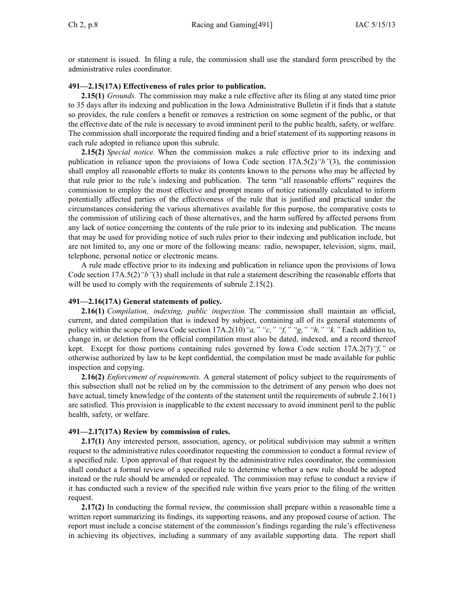or statement is issued. In filing <sup>a</sup> rule, the commission shall use the standard form prescribed by the administrative rules coordinator.

#### **491—2.15(17A) Effectiveness of rules prior to publication.**

**2.15(1)** *Grounds.* The commission may make <sup>a</sup> rule effective after its filing at any stated time prior to 35 days after its indexing and publication in the Iowa Administrative Bulletin if it finds that <sup>a</sup> statute so provides, the rule confers <sup>a</sup> benefit or removes <sup>a</sup> restriction on some segmen<sup>t</sup> of the public, or that the effective date of the rule is necessary to avoid imminent peril to the public health, safety, or welfare. The commission shall incorporate the required finding and <sup>a</sup> brief statement of its supporting reasons in each rule adopted in reliance upon this subrule.

**2.15(2)** *Special notice.* When the commission makes <sup>a</sup> rule effective prior to its indexing and publication in reliance upon the provisions of Iowa Code section [17A.5\(2\)](https://www.legis.iowa.gov/docs/ico/section/17A.5.pdf)*"b"*(3), the commission shall employ all reasonable efforts to make its contents known to the persons who may be affected by that rule prior to the rule's indexing and publication. The term "all reasonable efforts" requires the commission to employ the most effective and promp<sup>t</sup> means of notice rationally calculated to inform potentially affected parties of the effectiveness of the rule that is justified and practical under the circumstances considering the various alternatives available for this purpose, the comparative costs to the commission of utilizing each of those alternatives, and the harm suffered by affected persons from any lack of notice concerning the contents of the rule prior to its indexing and publication. The means that may be used for providing notice of such rules prior to their indexing and publication include, but are not limited to, any one or more of the following means: radio, newspaper, television, signs, mail, telephone, personal notice or electronic means.

A rule made effective prior to its indexing and publication in reliance upon the provisions of Iowa Code section [17A.5\(2\)](https://www.legis.iowa.gov/docs/ico/section/17A.5.pdf)*"b"*(3) shall include in that rule <sup>a</sup> statement describing the reasonable efforts that will be used to comply with the requirements of subrule [2.15\(2\)](https://www.legis.iowa.gov/docs/iac/rule/491.2.15.pdf).

#### **491—2.16(17A) General statements of policy.**

**2.16(1)** *Compilation, indexing, public inspection.* The commission shall maintain an official, current, and dated compilation that is indexed by subject, containing all of its general statements of policy within the scope of Iowa Code section [17A.2\(10\)](https://www.legis.iowa.gov/docs/ico/section/17A.2.pdf)*"a," "c," "f," "g," "h," "k."* Each addition to, change in, or deletion from the official compilation must also be dated, indexed, and <sup>a</sup> record thereof kept. Except for those portions containing rules governed by Iowa Code section [17A.2\(7\)](https://www.legis.iowa.gov/docs/ico/section/17A.2.pdf)*"f,"* or otherwise authorized by law to be kept confidential, the compilation must be made available for public inspection and copying.

**2.16(2)** *Enforcement of requirements.* A general statement of policy subject to the requirements of this subsection shall not be relied on by the commission to the detriment of any person who does not have actual, timely knowledge of the contents of the statement until the requirements of subrule [2.16\(1\)](https://www.legis.iowa.gov/docs/iac/rule/491.2.16.pdf) are satisfied. This provision is inapplicable to the extent necessary to avoid imminent peril to the public health, safety, or welfare.

#### **491—2.17(17A) Review by commission of rules.**

**2.17(1)** Any interested person, association, agency, or political subdivision may submit a written reques<sup>t</sup> to the administrative rules coordinator requesting the commission to conduct <sup>a</sup> formal review of <sup>a</sup> specified rule. Upon approval of that reques<sup>t</sup> by the administrative rules coordinator, the commission shall conduct <sup>a</sup> formal review of <sup>a</sup> specified rule to determine whether <sup>a</sup> new rule should be adopted instead or the rule should be amended or repealed. The commission may refuse to conduct <sup>a</sup> review if it has conducted such <sup>a</sup> review of the specified rule within five years prior to the filing of the written request.

**2.17(2)** In conducting the formal review, the commission shall prepare within <sup>a</sup> reasonable time <sup>a</sup> written repor<sup>t</sup> summarizing its findings, its supporting reasons, and any proposed course of action. The repor<sup>t</sup> must include <sup>a</sup> concise statement of the commission's findings regarding the rule's effectiveness in achieving its objectives, including <sup>a</sup> summary of any available supporting data. The repor<sup>t</sup> shall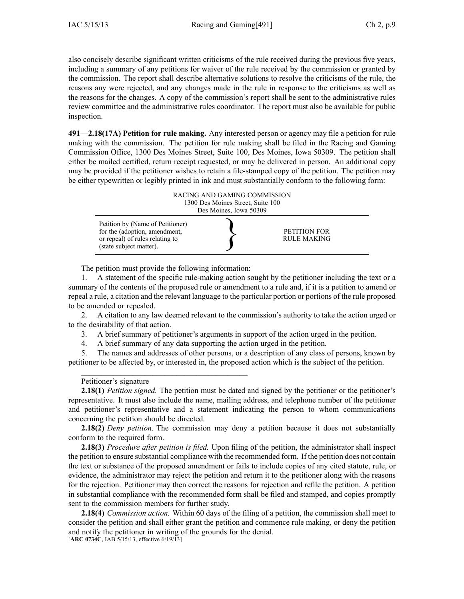also concisely describe significant written criticisms of the rule received during the previous five years, including <sup>a</sup> summary of any petitions for waiver of the rule received by the commission or granted by the commission. The repor<sup>t</sup> shall describe alternative solutions to resolve the criticisms of the rule, the reasons any were rejected, and any changes made in the rule in response to the criticisms as well as the reasons for the changes. A copy of the commission's repor<sup>t</sup> shall be sent to the administrative rules review committee and the administrative rules coordinator. The repor<sup>t</sup> must also be available for public inspection.

**491—2.18(17A) Petition for rule making.** Any interested person or agency may file <sup>a</sup> petition for rule making with the commission. The petition for rule making shall be filed in the Racing and Gaming Commission Office, 1300 Des Moines Street, Suite 100, Des Moines, Iowa 50309. The petition shall either be mailed certified, return receipt requested, or may be delivered in person. An additional copy may be provided if the petitioner wishes to retain <sup>a</sup> file-stamped copy of the petition. The petition may be either typewritten or legibly printed in ink and must substantially conform to the following form:



The petition must provide the following information:

 $\mathcal{L}_\mathcal{L}$  , and the set of the set of the set of the set of the set of the set of the set of the set of the set of the set of the set of the set of the set of the set of the set of the set of the set of the set of th

1. A statement of the specific rule-making action sought by the petitioner including the text or <sup>a</sup> summary of the contents of the proposed rule or amendment to <sup>a</sup> rule and, if it is <sup>a</sup> petition to amend or repeal <sup>a</sup> rule, <sup>a</sup> citation and the relevant language to the particular portion or portions of the rule proposed to be amended or repealed.

2. A citation to any law deemed relevant to the commission's authority to take the action urged or to the desirability of that action.

3. A brief summary of petitioner's arguments in suppor<sup>t</sup> of the action urged in the petition.

4. A brief summary of any data supporting the action urged in the petition.

5. The names and addresses of other persons, or <sup>a</sup> description of any class of persons, known by petitioner to be affected by, or interested in, the proposed action which is the subject of the petition.

#### Petitioner's signature

**2.18(1)** *Petition signed.* The petition must be dated and signed by the petitioner or the petitioner's representative. It must also include the name, mailing address, and telephone number of the petitioner and petitioner's representative and <sup>a</sup> statement indicating the person to whom communications concerning the petition should be directed.

**2.18(2)** *Deny petition.* The commission may deny <sup>a</sup> petition because it does not substantially conform to the required form.

**2.18(3)** *Procedure after petition is filed.* Upon filing of the petition, the administrator shall inspect the petition to ensure substantial compliance with the recommended form. If the petition does not contain the text or substance of the proposed amendment or fails to include copies of any cited statute, rule, or evidence, the administrator may reject the petition and return it to the petitioner along with the reasons for the rejection. Petitioner may then correct the reasons for rejection and refile the petition. A petition in substantial compliance with the recommended form shall be filed and stamped, and copies promptly sent to the commission members for further study.

**2.18(4)** *Commission action.* Within 60 days of the filing of <sup>a</sup> petition, the commission shall meet to consider the petition and shall either gran<sup>t</sup> the petition and commence rule making, or deny the petition and notify the petitioner in writing of the grounds for the denial. [**ARC [0734C](https://www.legis.iowa.gov/docs/aco/arc/0734C.pdf)**, IAB 5/15/13, effective 6/19/13]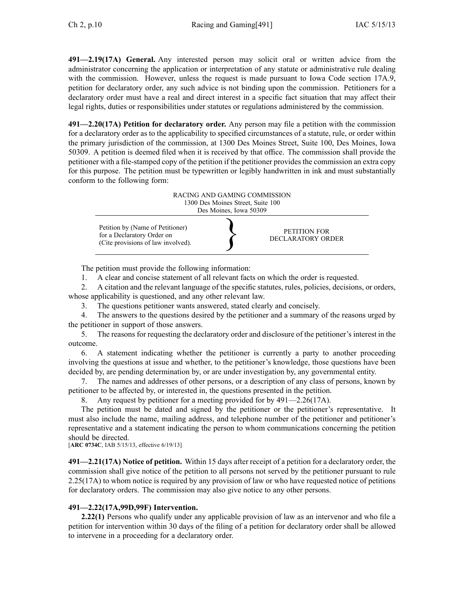**491—2.19(17A) General.** Any interested person may solicit oral or written advice from the administrator concerning the application or interpretation of any statute or administrative rule dealing with the commission. However, unless the request is made pursuant to Iowa Code section [17A.9](https://www.legis.iowa.gov/docs/ico/section/17A.9.pdf), petition for declaratory order, any such advice is not binding upon the commission. Petitioners for <sup>a</sup> declaratory order must have <sup>a</sup> real and direct interest in <sup>a</sup> specific fact situation that may affect their legal rights, duties or responsibilities under statutes or regulations administered by the commission.

**491—2.20(17A) Petition for declaratory order.** Any person may file <sup>a</sup> petition with the commission for <sup>a</sup> declaratory order as to the applicability to specified circumstances of <sup>a</sup> statute, rule, or order within the primary jurisdiction of the commission, at 1300 Des Moines Street, Suite 100, Des Moines, Iowa 50309. A petition is deemed filed when it is received by that office. The commission shall provide the petitioner with <sup>a</sup> file-stamped copy of the petition if the petitioner provides the commission an extra copy for this purpose. The petition must be typewritten or legibly handwritten in ink and must substantially conform to the following form:



The petition must provide the following information:

1. A clear and concise statement of all relevant facts on which the order is requested.

2. A citation and the relevant language of the specific statutes, rules, policies, decisions, or orders, whose applicability is questioned, and any other relevant law.

3. The questions petitioner wants answered, stated clearly and concisely.

4. The answers to the questions desired by the petitioner and <sup>a</sup> summary of the reasons urged by the petitioner in suppor<sup>t</sup> of those answers.

5. The reasons for requesting the declaratory order and disclosure of the petitioner's interest in the outcome.

6. A statement indicating whether the petitioner is currently <sup>a</sup> party to another proceeding involving the questions at issue and whether, to the petitioner's knowledge, those questions have been decided by, are pending determination by, or are under investigation by, any governmental entity.

7. The names and addresses of other persons, or <sup>a</sup> description of any class of persons, known by petitioner to be affected by, or interested in, the questions presented in the petition.

8. Any reques<sup>t</sup> by petitioner for <sup>a</sup> meeting provided for by 491—2.26(17A).

The petition must be dated and signed by the petitioner or the petitioner's representative. It must also include the name, mailing address, and telephone number of the petitioner and petitioner's representative and <sup>a</sup> statement indicating the person to whom communications concerning the petition should be directed.

[**ARC [0734C](https://www.legis.iowa.gov/docs/aco/arc/0734C.pdf)**, IAB 5/15/13, effective 6/19/13]

**491—2.21(17A) Notice of petition.** Within 15 days after receipt of <sup>a</sup> petition for <sup>a</sup> declaratory order, the commission shall give notice of the petition to all persons not served by the petitioner pursuan<sup>t</sup> to rule [2.25](https://www.legis.iowa.gov/docs/iac/rule/491.2.25.pdf)(17A) to whom notice is required by any provision of law or who have requested notice of petitions for declaratory orders. The commission may also give notice to any other persons.

## **491—2.22(17A,99D,99F) Intervention.**

**2.22(1)** Persons who qualify under any applicable provision of law as an intervenor and who file <sup>a</sup> petition for intervention within 30 days of the filing of <sup>a</sup> petition for declaratory order shall be allowed to intervene in <sup>a</sup> proceeding for <sup>a</sup> declaratory order.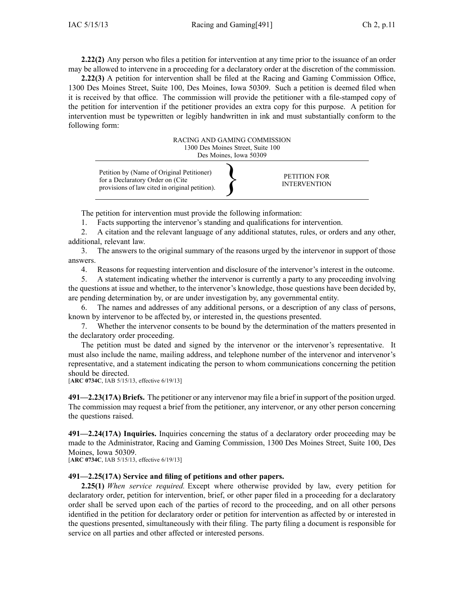**2.22(2)** Any person who files <sup>a</sup> petition for intervention at any time prior to the issuance of an order may be allowed to intervene in <sup>a</sup> proceeding for <sup>a</sup> declaratory order at the discretion of the commission.

**2.22(3)** A petition for intervention shall be filed at the Racing and Gaming Commission Office, 1300 Des Moines Street, Suite 100, Des Moines, Iowa 50309. Such <sup>a</sup> petition is deemed filed when it is received by that office. The commission will provide the petitioner with <sup>a</sup> file-stamped copy of the petition for intervention if the petitioner provides an extra copy for this purpose. A petition for intervention must be typewritten or legibly handwritten in ink and must substantially conform to the following form:



The petition for intervention must provide the following information:

1. Facts supporting the intervenor's standing and qualifications for intervention.

2. A citation and the relevant language of any additional statutes, rules, or orders and any other, additional, relevant law.

3. The answers to the original summary of the reasons urged by the intervenor in suppor<sup>t</sup> of those answers.

4. Reasons for requesting intervention and disclosure of the intervenor's interest in the outcome.

5. A statement indicating whether the intervenor is currently <sup>a</sup> party to any proceeding involving the questions at issue and whether, to the intervenor's knowledge, those questions have been decided by, are pending determination by, or are under investigation by, any governmental entity.

6. The names and addresses of any additional persons, or <sup>a</sup> description of any class of persons, known by intervenor to be affected by, or interested in, the questions presented.

7. Whether the intervenor consents to be bound by the determination of the matters presented in the declaratory order proceeding.

The petition must be dated and signed by the intervenor or the intervenor's representative. It must also include the name, mailing address, and telephone number of the intervenor and intervenor's representative, and <sup>a</sup> statement indicating the person to whom communications concerning the petition should be directed.

[**ARC [0734C](https://www.legis.iowa.gov/docs/aco/arc/0734C.pdf)**, IAB 5/15/13, effective 6/19/13]

**491—2.23(17A) Briefs.** The petitioner or any intervenor may file <sup>a</sup> brief in suppor<sup>t</sup> of the position urged. The commission may reques<sup>t</sup> <sup>a</sup> brief from the petitioner, any intervenor, or any other person concerning the questions raised.

**491—2.24(17A) Inquiries.** Inquiries concerning the status of <sup>a</sup> declaratory order proceeding may be made to the Administrator, Racing and Gaming Commission, 1300 Des Moines Street, Suite 100, Des Moines, Iowa 50309.

[**ARC [0734C](https://www.legis.iowa.gov/docs/aco/arc/0734C.pdf)**, IAB 5/15/13, effective 6/19/13]

## **491—2.25(17A) Service and filing of petitions and other papers.**

**2.25(1)** *When service required.* Except where otherwise provided by law, every petition for declaratory order, petition for intervention, brief, or other paper filed in <sup>a</sup> proceeding for <sup>a</sup> declaratory order shall be served upon each of the parties of record to the proceeding, and on all other persons identified in the petition for declaratory order or petition for intervention as affected by or interested in the questions presented, simultaneously with their filing. The party filing <sup>a</sup> document is responsible for service on all parties and other affected or interested persons.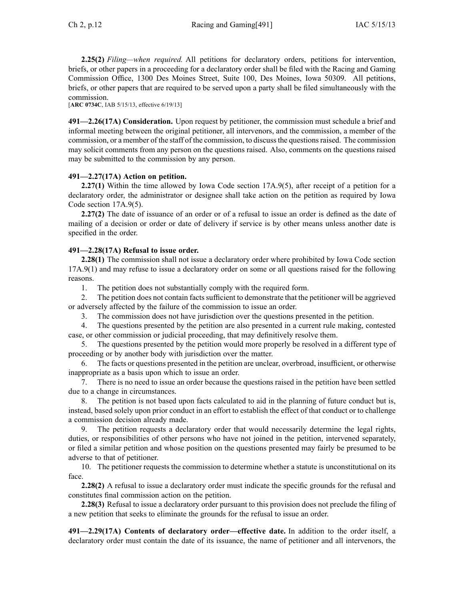**2.25(2)** *Filing—when required.* All petitions for declaratory orders, petitions for intervention, briefs, or other papers in <sup>a</sup> proceeding for <sup>a</sup> declaratory order shall be filed with the Racing and Gaming Commission Office, 1300 Des Moines Street, Suite 100, Des Moines, Iowa 50309. All petitions, briefs, or other papers that are required to be served upon <sup>a</sup> party shall be filed simultaneously with the commission.

[**ARC [0734C](https://www.legis.iowa.gov/docs/aco/arc/0734C.pdf)**, IAB 5/15/13, effective 6/19/13]

**491—2.26(17A) Consideration.** Upon reques<sup>t</sup> by petitioner, the commission must schedule <sup>a</sup> brief and informal meeting between the original petitioner, all intervenors, and the commission, <sup>a</sup> member of the commission, or <sup>a</sup> member of the staff of the commission, to discussthe questionsraised. The commission may solicit comments from any person on the questions raised. Also, comments on the questions raised may be submitted to the commission by any person.

## **491—2.27(17A) Action on petition.**

**2.27(1)** Within the time allowed by Iowa Code section [17A.9\(5\)](https://www.legis.iowa.gov/docs/ico/section/17A.9.pdf), after receipt of a petition for a declaratory order, the administrator or designee shall take action on the petition as required by Iowa Code section [17A.9\(5\)](https://www.legis.iowa.gov/docs/ico/section/17A.9.pdf).

**2.27(2)** The date of issuance of an order or of <sup>a</sup> refusal to issue an order is defined as the date of mailing of <sup>a</sup> decision or order or date of delivery if service is by other means unless another date is specified in the order.

## **491—2.28(17A) Refusal to issue order.**

**2.28(1)** The commission shall not issue a declaratory order where prohibited by Iowa Code section [17A.9\(1\)](https://www.legis.iowa.gov/docs/ico/section/17A.9.pdf) and may refuse to issue <sup>a</sup> declaratory order on some or all questions raised for the following reasons.

1. The petition does not substantially comply with the required form.

2. The petition does not contain factssufficient to demonstrate that the petitioner will be aggrieved or adversely affected by the failure of the commission to issue an order.

3. The commission does not have jurisdiction over the questions presented in the petition.

4. The questions presented by the petition are also presented in <sup>a</sup> current rule making, contested case, or other commission or judicial proceeding, that may definitively resolve them.

5. The questions presented by the petition would more properly be resolved in <sup>a</sup> different type of proceeding or by another body with jurisdiction over the matter.

The facts or questions presented in the petition are unclear, overbroad, insufficient, or otherwise inappropriate as <sup>a</sup> basis upon which to issue an order.

7. There is no need to issue an order because the questions raised in the petition have been settled due to <sup>a</sup> change in circumstances.

8. The petition is not based upon facts calculated to aid in the planning of future conduct but is, instead, based solely upon prior conduct in an effort to establish the effect of that conduct or to challenge <sup>a</sup> commission decision already made.

The petition requests a declaratory order that would necessarily determine the legal rights, duties, or responsibilities of other persons who have not joined in the petition, intervened separately, or filed <sup>a</sup> similar petition and whose position on the questions presented may fairly be presumed to be adverse to that of petitioner.

10. The petitioner requests the commission to determine whether <sup>a</sup> statute is unconstitutional on its face.

**2.28(2)** A refusal to issue <sup>a</sup> declaratory order must indicate the specific grounds for the refusal and constitutes final commission action on the petition.

**2.28(3)** Refusal to issue a declaratory order pursuant to this provision does not preclude the filing of <sup>a</sup> new petition that seeks to eliminate the grounds for the refusal to issue an order.

**491—2.29(17A) Contents of declaratory order—effective date.** In addition to the order itself, <sup>a</sup> declaratory order must contain the date of its issuance, the name of petitioner and all intervenors, the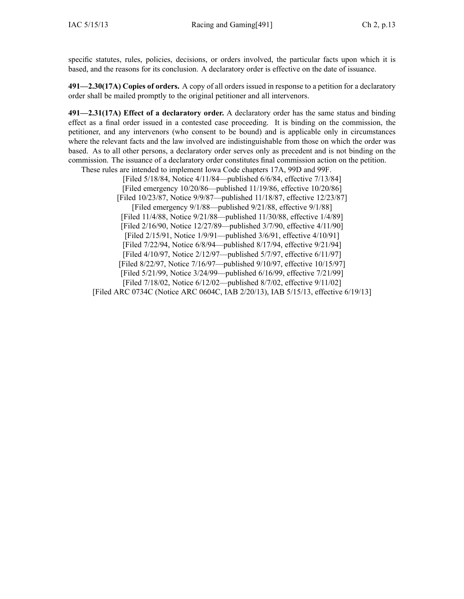specific statutes, rules, policies, decisions, or orders involved, the particular facts upon which it is based, and the reasons for its conclusion. A declaratory order is effective on the date of issuance.

**491—2.30(17A) Copies of orders.** A copy of all orders issued in response to <sup>a</sup> petition for <sup>a</sup> declaratory order shall be mailed promptly to the original petitioner and all intervenors.

**491—2.31(17A) Effect of <sup>a</sup> declaratory order.** A declaratory order has the same status and binding effect as <sup>a</sup> final order issued in <sup>a</sup> contested case proceeding. It is binding on the commission, the petitioner, and any intervenors (who consent to be bound) and is applicable only in circumstances where the relevant facts and the law involved are indistinguishable from those on which the order was based. As to all other persons, <sup>a</sup> declaratory order serves only as precedent and is not binding on the commission. The issuance of <sup>a</sup> declaratory order constitutes final commission action on the petition.

These rules are intended to implement Iowa Code chapters [17A](https://www.legis.iowa.gov/docs/ico/chapter/17A.pdf), [99D](https://www.legis.iowa.gov/docs/ico/chapter/99D.pdf) and [99F](https://www.legis.iowa.gov/docs/ico/chapter/99F.pdf).

[Filed 5/18/84, Notice 4/11/84—published 6/6/84, effective 7/13/84] [Filed emergency 10/20/86—published 11/19/86, effective 10/20/86] [Filed 10/23/87, Notice 9/9/87—published 11/18/87, effective 12/23/87] [Filed emergency 9/1/88—published 9/21/88, effective 9/1/88] [Filed 11/4/88, Notice 9/21/88—published 11/30/88, effective 1/4/89] [Filed 2/16/90, Notice 12/27/89—published 3/7/90, effective 4/11/90] [Filed 2/15/91, Notice 1/9/91—published 3/6/91, effective 4/10/91] [Filed 7/22/94, Notice 6/8/94—published 8/17/94, effective 9/21/94] [Filed 4/10/97, Notice 2/12/97—published 5/7/97, effective 6/11/97] [Filed 8/22/97, Notice 7/16/97—published 9/10/97, effective 10/15/97] [Filed 5/21/99, Notice 3/24/99—published 6/16/99, effective 7/21/99] [Filed 7/18/02, Notice 6/12/02—published 8/7/02, effective 9/11/02] [[Filed](https://www.legis.iowa.gov/docs/aco/arc/0734C.pdf) ARC 0734C ([Notice](https://www.legis.iowa.gov/docs/aco/arc/0604C.pdf) ARC 0604C, IAB 2/20/13), IAB 5/15/13, effective 6/19/13]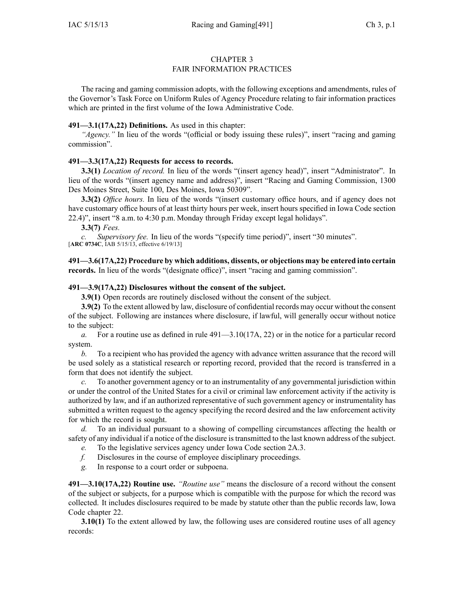## FAIR INFORMATION PRACTICES

The racing and gaming commission adopts, with the following exceptions and amendments, rules of the Governor's Task Force on Uniform Rules of Agency Procedure relating to fair information practices which are printed in the first volume of the Iowa Administrative Code.

## **491—3.1(17A,22) Definitions.** As used in this chapter:

*"Agency."* In lieu of the words "(official or body issuing these rules)", insert "racing and gaming commission".

## **491—3.3(17A,22) Requests for access to records.**

**3.3(1)** *Location of record.* In lieu of the words "(insert agency head)", insert "Administrator". In lieu of the words "(insert agency name and address)", insert "Racing and Gaming Commission, 1300 Des Moines Street, Suite 100, Des Moines, Iowa 50309".

**3.3(2)** *Office hours.* In lieu of the words "(insert customary office hours, and if agency does not have customary office hours of at least thirty hours per week, insert hours specified in Iowa Code section [22.4\)](https://www.legis.iowa.gov/docs/ico/section/22.4.pdf)", insert "8 a.m. to 4:30 p.m. Monday through Friday excep<sup>t</sup> legal holidays".

**3.3(7)** *Fees.*

*c. Supervisory fee.* In lieu of the words "(specify time period)", insert "30 minutes". [**ARC [0734C](https://www.legis.iowa.gov/docs/aco/arc/0734C.pdf)**, IAB 5/15/13, effective 6/19/13]

**491—3.6(17A,22) Procedure by which additions, dissents, or objections may be entered into certain** records. In lieu of the words "(designate office)", insert "racing and gaming commission".

## **491—3.9(17A,22) Disclosures without the consent of the subject.**

**3.9(1)** Open records are routinely disclosed without the consent of the subject.

**3.9(2)** To the extent allowed by law, disclosure of confidential records may occur without the consent of the subject. Following are instances where disclosure, if lawful, will generally occur without notice to the subject:

*a.* For <sup>a</sup> routine use as defined in rule [491—3.10\(17A,](https://www.legis.iowa.gov/docs/iac/rule/491.3.10.pdf) 22) or in the notice for <sup>a</sup> particular record system.

*b.* To <sup>a</sup> recipient who has provided the agency with advance written assurance that the record will be used solely as <sup>a</sup> statistical research or reporting record, provided that the record is transferred in <sup>a</sup> form that does not identify the subject.

*c.* To another governmen<sup>t</sup> agency or to an instrumentality of any governmental jurisdiction within or under the control of the United States for <sup>a</sup> civil or criminal law enforcement activity if the activity is authorized by law, and if an authorized representative of such governmen<sup>t</sup> agency or instrumentality has submitted <sup>a</sup> written reques<sup>t</sup> to the agency specifying the record desired and the law enforcement activity for which the record is sought.

*d.* To an individual pursuan<sup>t</sup> to <sup>a</sup> showing of compelling circumstances affecting the health or safety of any individual if <sup>a</sup> notice of the disclosure istransmitted to the last known address of the subject.

- *e.* To the legislative services agency under Iowa Code section [2A.3](https://www.legis.iowa.gov/docs/ico/section/2A.3.pdf).
- *f.* Disclosures in the course of employee disciplinary proceedings.
- *g.* In response to <sup>a</sup> court order or subpoena.

**491—3.10(17A,22) Routine use.** *"Routine use"* means the disclosure of <sup>a</sup> record without the consent of the subject or subjects, for <sup>a</sup> purpose which is compatible with the purpose for which the record was collected. It includes disclosures required to be made by statute other than the public records law, Iowa Code chapter [22](https://www.legis.iowa.gov/docs/ico/chapter/22.pdf).

**3.10(1)** To the extent allowed by law, the following uses are considered routine uses of all agency records: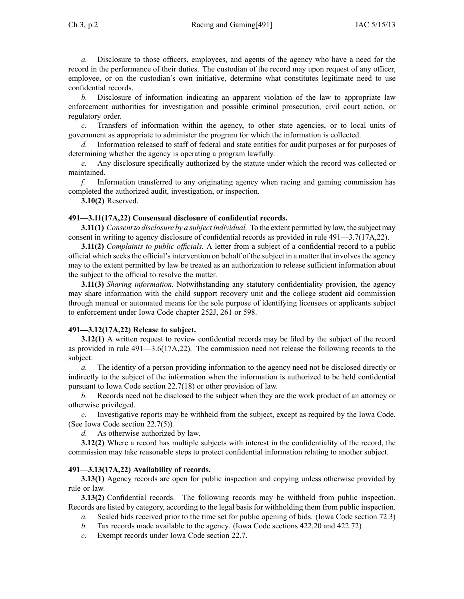*a.* Disclosure to those officers, employees, and agents of the agency who have <sup>a</sup> need for the record in the performance of their duties. The custodian of the record may upon reques<sup>t</sup> of any officer, employee, or on the custodian's own initiative, determine what constitutes legitimate need to use confidential records.

*b.* Disclosure of information indicating an apparen<sup>t</sup> violation of the law to appropriate law enforcement authorities for investigation and possible criminal prosecution, civil court action, or regulatory order.

*c.* Transfers of information within the agency, to other state agencies, or to local units of governmen<sup>t</sup> as appropriate to administer the program for which the information is collected.

*d.* Information released to staff of federal and state entities for audit purposes or for purposes of determining whether the agency is operating <sup>a</sup> program lawfully.

*e.* Any disclosure specifically authorized by the statute under which the record was collected or maintained.

*f.* Information transferred to any originating agency when racing and gaming commission has completed the authorized audit, investigation, or inspection.

**3.10(2)** Reserved.

## **491—3.11(17A,22) Consensual disclosure of confidential records.**

**3.11(1)** *Consent to disclosure by <sup>a</sup> subject individual.* To the extent permitted by law, the subject may consent in writing to agency disclosure of confidential records as provided in rule [491—3.7](https://www.legis.iowa.gov/docs/iac/rule/491.3.7.pdf)(17A,22).

**3.11(2)** *Complaints to public officials.* A letter from <sup>a</sup> subject of <sup>a</sup> confidential record to <sup>a</sup> public official which seeksthe official'sintervention on behalf of the subject in <sup>a</sup> matter that involvesthe agency may to the extent permitted by law be treated as an authorization to release sufficient information about the subject to the official to resolve the matter.

**3.11(3)** *Sharing information.* Notwithstanding any statutory confidentiality provision, the agency may share information with the child suppor<sup>t</sup> recovery unit and the college student aid commission through manual or automated means for the sole purpose of identifying licensees or applicants subject to enforcement under Iowa Code chapter [252J](https://www.legis.iowa.gov/docs/ico/chapter/252J.pdf), [261](https://www.legis.iowa.gov/docs/ico/chapter/261.pdf) or [598](https://www.legis.iowa.gov/docs/ico/chapter/598.pdf).

## **491—3.12(17A,22) Release to subject.**

**3.12(1)** A written request to review confidential records may be filed by the subject of the record as provided in rule [491—3.6](https://www.legis.iowa.gov/docs/iac/rule/491.3.6.pdf)(17A,22). The commission need not release the following records to the subject:

*a.* The identity of <sup>a</sup> person providing information to the agency need not be disclosed directly or indirectly to the subject of the information when the information is authorized to be held confidential pursuan<sup>t</sup> to Iowa Code section [22.7\(18\)](https://www.legis.iowa.gov/docs/ico/section/22.7.pdf) or other provision of law.

*b.* Records need not be disclosed to the subject when they are the work product of an attorney or otherwise privileged.

*c.* Investigative reports may be withheld from the subject, excep<sup>t</sup> as required by the Iowa Code. (See Iowa Code section [22.7\(5\)](https://www.legis.iowa.gov/docs/ico/section/22.7.pdf))

*d.* As otherwise authorized by law.

**3.12(2)** Where <sup>a</sup> record has multiple subjects with interest in the confidentiality of the record, the commission may take reasonable steps to protect confidential information relating to another subject.

## **491—3.13(17A,22) Availability of records.**

**3.13(1)** Agency records are open for public inspection and copying unless otherwise provided by rule or law.

**3.13(2)** Confidential records. The following records may be withheld from public inspection. Records are listed by category, according to the legal basis for withholding them from public inspection.

- *a.* Sealed bids received prior to the time set for public opening of bids. (Iowa Code section [72.3\)](https://www.legis.iowa.gov/docs/ico/section/72.3.pdf)
- *b.* Tax records made available to the agency. (Iowa Code sections [422.20](https://www.legis.iowa.gov/docs/ico/section/422.20.pdf) and [422.72](https://www.legis.iowa.gov/docs/ico/section/422.72.pdf))
- *c.* Exempt records under Iowa Code section [22.7](https://www.legis.iowa.gov/docs/ico/section/22.7.pdf).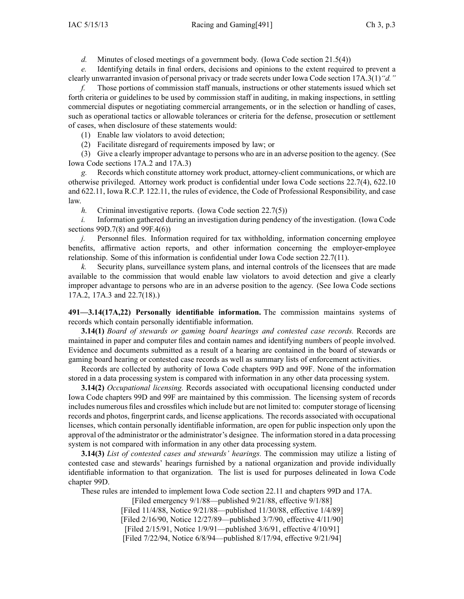*d.* Minutes of closed meetings of <sup>a</sup> governmen<sup>t</sup> body. (Iowa Code section [21.5\(4\)\)](https://www.legis.iowa.gov/docs/ico/section/21.5.pdf)

*e.* Identifying details in final orders, decisions and opinions to the extent required to preven<sup>t</sup> <sup>a</sup> clearly unwarranted invasion of personal privacy or trade secrets under Iowa Code section [17A.3\(1\)](https://www.legis.iowa.gov/docs/ico/section/17A.3.pdf)*"d."*

*f.* Those portions of commission staff manuals, instructions or other statements issued which set forth criteria or guidelines to be used by commission staff in auditing, in making inspections, in settling commercial disputes or negotiating commercial arrangements, or in the selection or handling of cases, such as operational tactics or allowable tolerances or criteria for the defense, prosecution or settlement of cases, when disclosure of these statements would:

(1) Enable law violators to avoid detection;

(2) Facilitate disregard of requirements imposed by law; or

(3) Give <sup>a</sup> clearly improper advantage to persons who are in an adverse position to the agency. (See Iowa Code sections [17A.2](https://www.legis.iowa.gov/docs/ico/section/17A.2.pdf) and [17A.3](https://www.legis.iowa.gov/docs/ico/section/17A.3.pdf))

*g.* Records which constitute attorney work product, attorney-client communications, or which are otherwise privileged. Attorney work product is confidential under Iowa Code sections [22.7\(4\)](https://www.legis.iowa.gov/docs/ico/section/22.7.pdf), [622.10](https://www.legis.iowa.gov/docs/ico/section/622.10.pdf) and [622.11](https://www.legis.iowa.gov/docs/ico/section/622.11.pdf), Iowa R.C.P. 122.11, the rules of evidence, the Code of Professional Responsibility, and case law.

*h.* Criminal investigative reports. (Iowa Code section [22.7\(5\)](https://www.legis.iowa.gov/docs/ico/section/22.7.pdf))

*i.* Information gathered during an investigation during pendency of the investigation. (Iowa Code sections [99D.7\(8\)](https://www.legis.iowa.gov/docs/ico/section/99D.7.pdf) and [99F.4\(6\)](https://www.legis.iowa.gov/docs/ico/section/99F.4.pdf))

*j.* Personnel files. Information required for tax withholding, information concerning employee benefits, affirmative action reports, and other information concerning the employer-employee relationship. Some of this information is confidential under Iowa Code section [22.7\(11\)](https://www.legis.iowa.gov/docs/ico/section/22.7.pdf).

*k.* Security plans, surveillance system plans, and internal controls of the licensees that are made available to the commission that would enable law violators to avoid detection and give <sup>a</sup> clearly improper advantage to persons who are in an adverse position to the agency. (See Iowa Code sections [17A.2](https://www.legis.iowa.gov/docs/ico/section/17A.2.pdf), [17A.3](https://www.legis.iowa.gov/docs/ico/section/17A.3.pdf) and [22.7\(18\)](https://www.legis.iowa.gov/docs/ico/section/22.7.pdf).)

**491—3.14(17A,22) Personally identifiable information.** The commission maintains systems of records which contain personally identifiable information.

**3.14(1)** *Board of stewards or gaming board hearings and contested case records.* Records are maintained in paper and computer files and contain names and identifying numbers of people involved. Evidence and documents submitted as <sup>a</sup> result of <sup>a</sup> hearing are contained in the board of stewards or gaming board hearing or contested case records as well as summary lists of enforcement activities.

Records are collected by authority of Iowa Code chapters [99D](https://www.legis.iowa.gov/docs/ico/chapter/99D.pdf) and [99F](https://www.legis.iowa.gov/docs/ico/chapter/99F.pdf). None of the information stored in <sup>a</sup> data processing system is compared with information in any other data processing system.

**3.14(2)** *Occupational licensing.* Records associated with occupational licensing conducted under Iowa Code chapters [99D](https://www.legis.iowa.gov/docs/ico/chapter/99D.pdf) and [99F](https://www.legis.iowa.gov/docs/ico/chapter/99F.pdf) are maintained by this commission. The licensing system of records includes numerous files and crossfiles which include but are not limited to: computer storage of licensing records and photos, fingerprint cards, and license applications. The records associated with occupational licenses, which contain personally identifiable information, are open for public inspection only upon the approval of the administrator or the administrator's designee. The information stored in <sup>a</sup> data processing system is not compared with information in any other data processing system.

**3.14(3)** *List of contested cases and stewards' hearings.* The commission may utilize <sup>a</sup> listing of contested case and stewards' hearings furnished by <sup>a</sup> national organization and provide individually identifiable information to that organization. The list is used for purposes delineated in Iowa Code chapter [99D](https://www.legis.iowa.gov/docs/ico/chapter/99D.pdf).

These rules are intended to implement Iowa Code section [22.11](https://www.legis.iowa.gov/docs/ico/section/22.11.pdf) and chapters [99D](https://www.legis.iowa.gov/docs/ico/chapter/99D.pdf) and [17A](https://www.legis.iowa.gov/docs/ico/chapter/17A.pdf).

[Filed emergency 9/1/88—published 9/21/88, effective 9/1/88] [Filed 11/4/88, Notice 9/21/88—published 11/30/88, effective 1/4/89] [Filed 2/16/90, Notice 12/27/89—published 3/7/90, effective 4/11/90] [Filed 2/15/91, Notice 1/9/91—published 3/6/91, effective 4/10/91] [Filed 7/22/94, Notice 6/8/94—published 8/17/94, effective 9/21/94]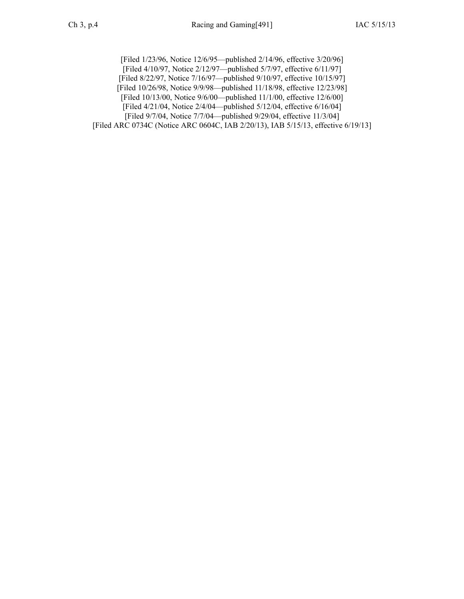[Filed 1/23/96, Notice 12/6/95—published 2/14/96, effective 3/20/96] [Filed 4/10/97, Notice 2/12/97—published 5/7/97, effective 6/11/97] [Filed 8/22/97, Notice 7/16/97—published 9/10/97, effective 10/15/97] [Filed 10/26/98, Notice 9/9/98—published 11/18/98, effective 12/23/98] [Filed 10/13/00, Notice 9/6/00—published 11/1/00, effective 12/6/00] [Filed 4/21/04, Notice 2/4/04—published 5/12/04, effective 6/16/04] [Filed 9/7/04, Notice 7/7/04—published 9/29/04, effective 11/3/04] [Filed ARC [0734C](https://www.legis.iowa.gov/docs/aco/arc/0734C.pdf) ([Notice](https://www.legis.iowa.gov/docs/aco/arc/0604C.pdf) ARC 0604C, IAB 2/20/13), IAB 5/15/13, effective 6/19/13]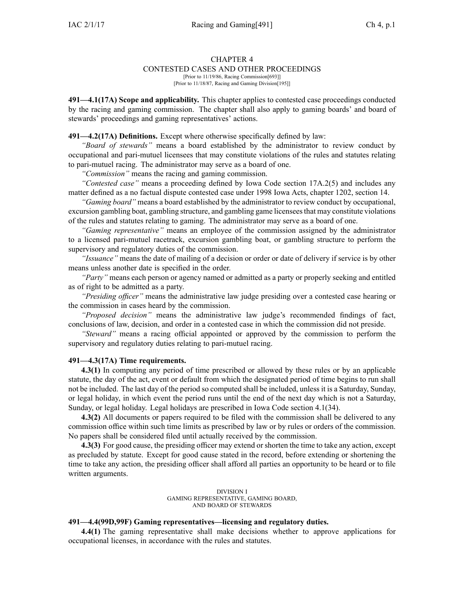#### CONTESTED CASES AND OTHER PROCEEDINGS

[Prior to 11/19/86, Racing Commission[693]] [Prior to 11/18/87, Racing and Gaming Division[195]]

**491—4.1(17A) Scope and applicability.** This chapter applies to contested case proceedings conducted by the racing and gaming commission. The chapter shall also apply to gaming boards' and board of stewards' proceedings and gaming representatives' actions.

**491—4.2(17A) Definitions.** Except where otherwise specifically defined by law:

*"Board of stewards"* means <sup>a</sup> board established by the administrator to review conduct by occupational and pari-mutuel licensees that may constitute violations of the rules and statutes relating to pari-mutuel racing. The administrator may serve as <sup>a</sup> board of one.

*"Commission"* means the racing and gaming commission.

*"Contested case"* means <sup>a</sup> proceeding defined by Iowa Code section [17A.2\(5\)](https://www.legis.iowa.gov/docs/ico/section/17A.2.pdf) and includes any matter defined as <sup>a</sup> no factual dispute contested case under 1998 Iowa Acts, chapter 1202, section 14.

*"Gaming board"* means <sup>a</sup> board established by the administrator to review conduct by occupational, excursion gambling boat, gambling structure, and gambling game licenseesthat may constitute violations of the rules and statutes relating to gaming. The administrator may serve as <sup>a</sup> board of one.

*"Gaming representative"* means an employee of the commission assigned by the administrator to <sup>a</sup> licensed pari-mutuel racetrack, excursion gambling boat, or gambling structure to perform the supervisory and regulatory duties of the commission.

*"Issuance"* means the date of mailing of <sup>a</sup> decision or order or date of delivery if service is by other means unless another date is specified in the order.

*"Party"* means each person or agency named or admitted as <sup>a</sup> party or properly seeking and entitled as of right to be admitted as <sup>a</sup> party.

*"Presiding officer"* means the administrative law judge presiding over <sup>a</sup> contested case hearing or the commission in cases heard by the commission.

*"Proposed decision"* means the administrative law judge's recommended findings of fact, conclusions of law, decision, and order in <sup>a</sup> contested case in which the commission did not preside.

*"Steward"* means <sup>a</sup> racing official appointed or approved by the commission to perform the supervisory and regulatory duties relating to pari-mutuel racing.

#### **491—4.3(17A) Time requirements.**

**4.3(1)** In computing any period of time prescribed or allowed by these rules or by an applicable statute, the day of the act, event or default from which the designated period of time begins to run shall not be included. The last day of the period so computed shall be included, unless it is <sup>a</sup> Saturday, Sunday, or legal holiday, in which event the period runs until the end of the next day which is not <sup>a</sup> Saturday, Sunday, or legal holiday. Legal holidays are prescribed in Iowa Code section [4.1\(34\)](https://www.legis.iowa.gov/docs/ico/section/4.1.pdf).

**4.3(2)** All documents or papers required to be filed with the commission shall be delivered to any commission office within such time limits as prescribed by law or by rules or orders of the commission. No papers shall be considered filed until actually received by the commission.

**4.3(3)** For good cause, the presiding officer may extend or shorten the time to take any action, excep<sup>t</sup> as precluded by statute. Except for good cause stated in the record, before extending or shortening the time to take any action, the presiding officer shall afford all parties an opportunity to be heard or to file written arguments.

> DIVISION I GAMING REPRESENTATIVE, GAMING BOARD, AND BOARD OF STEWARDS

#### **491—4.4(99D,99F) Gaming representatives—licensing and regulatory duties.**

**4.4(1)** The gaming representative shall make decisions whether to approve applications for occupational licenses, in accordance with the rules and statutes.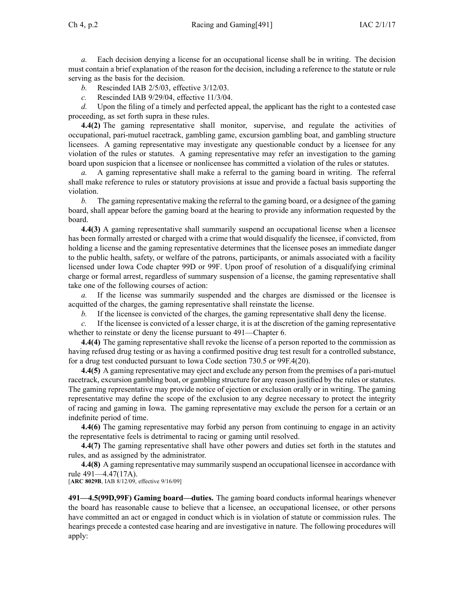*a.* Each decision denying <sup>a</sup> license for an occupational license shall be in writing. The decision must contain <sup>a</sup> brief explanation of the reason for the decision, including <sup>a</sup> reference to the statute or rule serving as the basis for the decision.

- *b.* Rescinded IAB [2/5/03](https://www.legis.iowa.gov/docs/aco/bulletin/02-05-2003.pdf), effective 3/12/03.
- *c.* Rescinded IAB [9/29/04](https://www.legis.iowa.gov/docs/aco/bulletin/09-29-2004.pdf), effective 11/3/04.

*d.* Upon the filing of <sup>a</sup> timely and perfected appeal, the applicant has the right to <sup>a</sup> contested case proceeding, as set forth supra in these rules.

**4.4(2)** The gaming representative shall monitor, supervise, and regulate the activities of occupational, pari-mutuel racetrack, gambling game, excursion gambling boat, and gambling structure licensees. A gaming representative may investigate any questionable conduct by <sup>a</sup> licensee for any violation of the rules or statutes. A gaming representative may refer an investigation to the gaming board upon suspicion that <sup>a</sup> licensee or nonlicensee has committed <sup>a</sup> violation of the rules or statutes.

*a.* A gaming representative shall make <sup>a</sup> referral to the gaming board in writing. The referral shall make reference to rules or statutory provisions at issue and provide <sup>a</sup> factual basis supporting the violation.

*b.* The gaming representative making the referral to the gaming board, or <sup>a</sup> designee of the gaming board, shall appear before the gaming board at the hearing to provide any information requested by the board.

**4.4(3)** A gaming representative shall summarily suspend an occupational license when <sup>a</sup> licensee has been formally arrested or charged with <sup>a</sup> crime that would disqualify the licensee, if convicted, from holding <sup>a</sup> license and the gaming representative determines that the licensee poses an immediate danger to the public health, safety, or welfare of the patrons, participants, or animals associated with <sup>a</sup> facility licensed under Iowa Code chapter [99D](https://www.legis.iowa.gov/docs/ico/chapter/99D.pdf) or [99F](https://www.legis.iowa.gov/docs/ico/chapter/99F.pdf). Upon proof of resolution of <sup>a</sup> disqualifying criminal charge or formal arrest, regardless of summary suspension of <sup>a</sup> license, the gaming representative shall take one of the following courses of action:

*a.* If the license was summarily suspended and the charges are dismissed or the licensee is acquitted of the charges, the gaming representative shall reinstate the license.

*b.* If the licensee is convicted of the charges, the gaming representative shall deny the license.

*c.* If the licensee is convicted of <sup>a</sup> lesser charge, it is at the discretion of the gaming representative whether to reinstate or deny the license pursuant to [491—Chapter](https://www.legis.iowa.gov/docs/iac/chapter/491.6.pdf) 6.

**4.4(4)** The gaming representative shall revoke the license of <sup>a</sup> person reported to the commission as having refused drug testing or as having <sup>a</sup> confirmed positive drug test result for <sup>a</sup> controlled substance, for <sup>a</sup> drug test conducted pursuan<sup>t</sup> to Iowa Code section [730.5](https://www.legis.iowa.gov/docs/ico/section/730.5.pdf) or [99F.4\(20\)](https://www.legis.iowa.gov/docs/ico/section/99F.4.pdf).

**4.4(5)** A gaming representative may eject and exclude any person from the premises of <sup>a</sup> pari-mutuel racetrack, excursion gambling boat, or gambling structure for any reason justified by the rules or statutes. The gaming representative may provide notice of ejection or exclusion orally or in writing. The gaming representative may define the scope of the exclusion to any degree necessary to protect the integrity of racing and gaming in Iowa. The gaming representative may exclude the person for <sup>a</sup> certain or an indefinite period of time.

**4.4(6)** The gaming representative may forbid any person from continuing to engage in an activity the representative feels is detrimental to racing or gaming until resolved.

**4.4(7)** The gaming representative shall have other powers and duties set forth in the statutes and rules, and as assigned by the administrator.

**4.4(8)** A gaming representative may summarily suspend an occupational licensee in accordance with rule [491—4.47](https://www.legis.iowa.gov/docs/iac/rule/491.4.47.pdf)(17A).

[**ARC [8029B](https://www.legis.iowa.gov/docs/aco/arc/8029B.pdf)**, IAB 8/12/09, effective 9/16/09]

**491—4.5(99D,99F) Gaming board—duties.** The gaming board conducts informal hearings whenever the board has reasonable cause to believe that <sup>a</sup> licensee, an occupational licensee, or other persons have committed an act or engaged in conduct which is in violation of statute or commission rules. The hearings precede <sup>a</sup> contested case hearing and are investigative in nature. The following procedures will apply: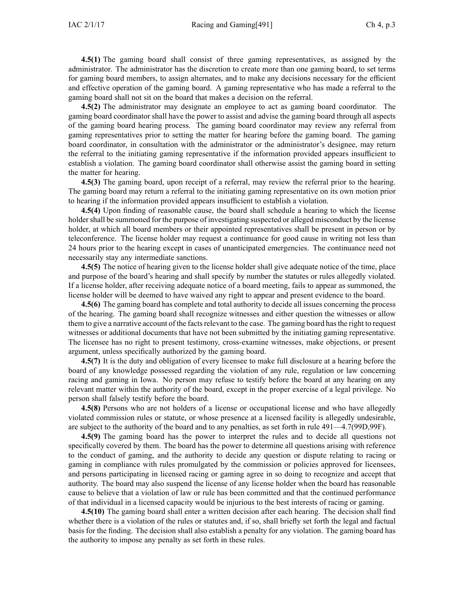**4.5(1)** The gaming board shall consist of three gaming representatives, as assigned by the administrator. The administrator has the discretion to create more than one gaming board, to set terms for gaming board members, to assign alternates, and to make any decisions necessary for the efficient and effective operation of the gaming board. A gaming representative who has made <sup>a</sup> referral to the gaming board shall not sit on the board that makes <sup>a</sup> decision on the referral.

**4.5(2)** The administrator may designate an employee to act as gaming board coordinator. The gaming board coordinator shall have the power to assist and advise the gaming board through all aspects of the gaming board hearing process. The gaming board coordinator may review any referral from gaming representatives prior to setting the matter for hearing before the gaming board. The gaming board coordinator, in consultation with the administrator or the administrator's designee, may return the referral to the initiating gaming representative if the information provided appears insufficient to establish <sup>a</sup> violation. The gaming board coordinator shall otherwise assist the gaming board in setting the matter for hearing.

**4.5(3)** The gaming board, upon receipt of <sup>a</sup> referral, may review the referral prior to the hearing. The gaming board may return <sup>a</sup> referral to the initiating gaming representative on its own motion prior to hearing if the information provided appears insufficient to establish <sup>a</sup> violation.

**4.5(4)** Upon finding of reasonable cause, the board shall schedule <sup>a</sup> hearing to which the license holder shall be summoned for the purpose of investigating suspected or alleged misconduct by the license holder, at which all board members or their appointed representatives shall be presen<sup>t</sup> in person or by teleconference. The license holder may reques<sup>t</sup> <sup>a</sup> continuance for good cause in writing not less than 24 hours prior to the hearing excep<sup>t</sup> in cases of unanticipated emergencies. The continuance need not necessarily stay any intermediate sanctions.

**4.5(5)** The notice of hearing given to the license holder shall give adequate notice of the time, place and purpose of the board's hearing and shall specify by number the statutes or rules allegedly violated. If <sup>a</sup> license holder, after receiving adequate notice of <sup>a</sup> board meeting, fails to appear as summoned, the license holder will be deemed to have waived any right to appear and presen<sup>t</sup> evidence to the board.

**4.5(6)** The gaming board has complete and total authority to decide all issues concerning the process of the hearing. The gaming board shall recognize witnesses and either question the witnesses or allow them to give a narrative account of the facts relevant to the case. The gaming board has the right to request witnesses or additional documents that have not been submitted by the initiating gaming representative. The licensee has no right to presen<sup>t</sup> testimony, cross-examine witnesses, make objections, or presen<sup>t</sup> argument, unless specifically authorized by the gaming board.

**4.5(7)** It is the duty and obligation of every licensee to make full disclosure at <sup>a</sup> hearing before the board of any knowledge possessed regarding the violation of any rule, regulation or law concerning racing and gaming in Iowa. No person may refuse to testify before the board at any hearing on any relevant matter within the authority of the board, excep<sup>t</sup> in the proper exercise of <sup>a</sup> legal privilege. No person shall falsely testify before the board.

**4.5(8)** Persons who are not holders of <sup>a</sup> license or occupational license and who have allegedly violated commission rules or statute, or whose presence at <sup>a</sup> licensed facility is allegedly undesirable, are subject to the authority of the board and to any penalties, as set forth in rule [491—4.7](https://www.legis.iowa.gov/docs/iac/rule/491.4.7.pdf)(99D,99F).

**4.5(9)** The gaming board has the power to interpret the rules and to decide all questions not specifically covered by them. The board has the power to determine all questions arising with reference to the conduct of gaming, and the authority to decide any question or dispute relating to racing or gaming in compliance with rules promulgated by the commission or policies approved for licensees, and persons participating in licensed racing or gaming agree in so doing to recognize and accep<sup>t</sup> that authority. The board may also suspend the license of any license holder when the board has reasonable cause to believe that <sup>a</sup> violation of law or rule has been committed and that the continued performance of that individual in <sup>a</sup> licensed capacity would be injurious to the best interests of racing or gaming.

**4.5(10)** The gaming board shall enter <sup>a</sup> written decision after each hearing. The decision shall find whether there is <sup>a</sup> violation of the rules or statutes and, if so, shall briefly set forth the legal and factual basis for the finding. The decision shall also establish <sup>a</sup> penalty for any violation. The gaming board has the authority to impose any penalty as set forth in these rules.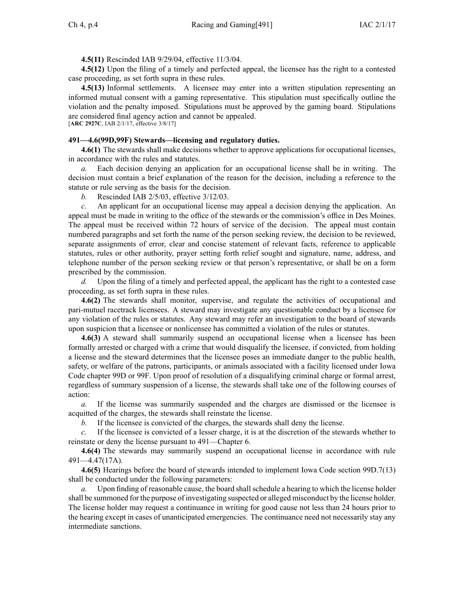**4.5(11)** Rescinded IAB [9/29/04](https://www.legis.iowa.gov/docs/aco/bulletin/09-29-2004.pdf), effective 11/3/04.

**4.5(12)** Upon the filing of <sup>a</sup> timely and perfected appeal, the licensee has the right to <sup>a</sup> contested case proceeding, as set forth supra in these rules.

**4.5(13)** Informal settlements. A licensee may enter into <sup>a</sup> written stipulation representing an informed mutual consent with <sup>a</sup> gaming representative. This stipulation must specifically outline the violation and the penalty imposed. Stipulations must be approved by the gaming board. Stipulations are considered final agency action and cannot be appealed. [**ARC [2927C](https://www.legis.iowa.gov/docs/aco/arc/2927C.pdf)**, IAB 2/1/17, effective 3/8/17]

## **491—4.6(99D,99F) Stewards—licensing and regulatory duties.**

**4.6(1)** The stewards shall make decisions whether to approve applications for occupational licenses, in accordance with the rules and statutes.

*a.* Each decision denying an application for an occupational license shall be in writing. The decision must contain <sup>a</sup> brief explanation of the reason for the decision, including <sup>a</sup> reference to the statute or rule serving as the basis for the decision.

*b.* Rescinded IAB [2/5/03](https://www.legis.iowa.gov/docs/aco/bulletin/02-05-2003.pdf), effective 3/12/03.

*c.* An applicant for an occupational license may appeal <sup>a</sup> decision denying the application. An appeal must be made in writing to the office of the stewards or the commission's office in Des Moines. The appeal must be received within 72 hours of service of the decision. The appeal must contain numbered paragraphs and set forth the name of the person seeking review, the decision to be reviewed, separate assignments of error, clear and concise statement of relevant facts, reference to applicable statutes, rules or other authority, prayer setting forth relief sought and signature, name, address, and telephone number of the person seeking review or that person's representative, or shall be on <sup>a</sup> form prescribed by the commission.

*d.* Upon the filing of <sup>a</sup> timely and perfected appeal, the applicant has the right to <sup>a</sup> contested case proceeding, as set forth supra in these rules.

**4.6(2)** The stewards shall monitor, supervise, and regulate the activities of occupational and pari-mutuel racetrack licensees. A steward may investigate any questionable conduct by <sup>a</sup> licensee for any violation of the rules or statutes. Any steward may refer an investigation to the board of stewards upon suspicion that <sup>a</sup> licensee or nonlicensee has committed <sup>a</sup> violation of the rules or statutes.

**4.6(3)** A steward shall summarily suspend an occupational license when <sup>a</sup> licensee has been formally arrested or charged with <sup>a</sup> crime that would disqualify the licensee, if convicted, from holding <sup>a</sup> license and the steward determines that the licensee poses an immediate danger to the public health, safety, or welfare of the patrons, participants, or animals associated with <sup>a</sup> facility licensed under Iowa Code chapter [99D](https://www.legis.iowa.gov/docs/ico/chapter/99D.pdf) or [99F](https://www.legis.iowa.gov/docs/ico/chapter/99F.pdf). Upon proof of resolution of <sup>a</sup> disqualifying criminal charge or formal arrest, regardless of summary suspension of <sup>a</sup> license, the stewards shall take one of the following courses of action:

*a.* If the license was summarily suspended and the charges are dismissed or the licensee is acquitted of the charges, the stewards shall reinstate the license.

*b.* If the licensee is convicted of the charges, the stewards shall deny the license.

*c.* If the licensee is convicted of <sup>a</sup> lesser charge, it is at the discretion of the stewards whether to reinstate or deny the license pursuan<sup>t</sup> to [491—Chapter](https://www.legis.iowa.gov/docs/iac/chapter/491.6.pdf) 6.

**4.6(4)** The stewards may summarily suspend an occupational license in accordance with rule [491—4.47\(17A\)](https://www.legis.iowa.gov/docs/iac/rule/491.4.47.pdf).

**4.6(5)** Hearings before the board of stewards intended to implement Iowa Code section [99D.7\(13\)](https://www.legis.iowa.gov/docs/ico/section/99D.7.pdf) shall be conducted under the following parameters:

*a.* Upon finding of reasonable cause, the board shallschedule <sup>a</sup> hearing to which the license holder shall be summoned for the purpose of investigating suspected or alleged misconduct by the license holder. The license holder may reques<sup>t</sup> <sup>a</sup> continuance in writing for good cause not less than 24 hours prior to the hearing excep<sup>t</sup> in cases of unanticipated emergencies. The continuance need not necessarily stay any intermediate sanctions.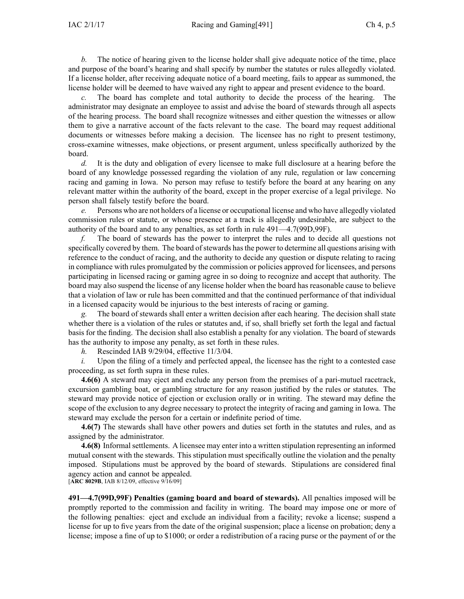*b.* The notice of hearing given to the license holder shall give adequate notice of the time, place and purpose of the board's hearing and shall specify by number the statutes or rules allegedly violated. If <sup>a</sup> license holder, after receiving adequate notice of <sup>a</sup> board meeting, fails to appear as summoned, the license holder will be deemed to have waived any right to appear and presen<sup>t</sup> evidence to the board.

*c.* The board has complete and total authority to decide the process of the hearing. The administrator may designate an employee to assist and advise the board of stewards through all aspects of the hearing process. The board shall recognize witnesses and either question the witnesses or allow them to give <sup>a</sup> narrative account of the facts relevant to the case. The board may reques<sup>t</sup> additional documents or witnesses before making <sup>a</sup> decision. The licensee has no right to presen<sup>t</sup> testimony, cross-examine witnesses, make objections, or presen<sup>t</sup> argument, unless specifically authorized by the board.

*d.* It is the duty and obligation of every licensee to make full disclosure at <sup>a</sup> hearing before the board of any knowledge possessed regarding the violation of any rule, regulation or law concerning racing and gaming in Iowa. No person may refuse to testify before the board at any hearing on any relevant matter within the authority of the board, excep<sup>t</sup> in the proper exercise of <sup>a</sup> legal privilege. No person shall falsely testify before the board.

*e.* Persons who are not holders of <sup>a</sup> license or occupational license and who have allegedly violated commission rules or statute, or whose presence at <sup>a</sup> track is allegedly undesirable, are subject to the authority of the board and to any penalties, as set forth in rule [491—4.7\(](https://www.legis.iowa.gov/docs/iac/rule/491.4.7.pdf)99D,99F).

*f.* The board of stewards has the power to interpret the rules and to decide all questions not specifically covered by them. The board of stewards has the power to determine all questions arising with reference to the conduct of racing, and the authority to decide any question or dispute relating to racing in compliance with rules promulgated by the commission or policies approved for licensees, and persons participating in licensed racing or gaming agree in so doing to recognize and accep<sup>t</sup> that authority. The board may also suspend the license of any license holder when the board has reasonable cause to believe that <sup>a</sup> violation of law or rule has been committed and that the continued performance of that individual in <sup>a</sup> licensed capacity would be injurious to the best interests of racing or gaming.

*g.* The board of stewards shall enter <sup>a</sup> written decision after each hearing. The decision shall state whether there is <sup>a</sup> violation of the rules or statutes and, if so, shall briefly set forth the legal and factual basis for the finding. The decision shall also establish <sup>a</sup> penalty for any violation. The board of stewards has the authority to impose any penalty, as set forth in these rules.

*h.* Rescinded IAB [9/29/04](https://www.legis.iowa.gov/docs/aco/bulletin/09-29-2004.pdf), effective 11/3/04.

*i.* Upon the filing of a timely and perfected appeal, the licensee has the right to a contested case proceeding, as set forth supra in these rules.

**4.6(6)** A steward may eject and exclude any person from the premises of <sup>a</sup> pari-mutuel racetrack, excursion gambling boat, or gambling structure for any reason justified by the rules or statutes. The steward may provide notice of ejection or exclusion orally or in writing. The steward may define the scope of the exclusion to any degree necessary to protect the integrity of racing and gaming in Iowa. The steward may exclude the person for <sup>a</sup> certain or indefinite period of time.

**4.6(7)** The stewards shall have other powers and duties set forth in the statutes and rules, and as assigned by the administrator.

**4.6(8)** Informalsettlements. A licensee may enter into <sup>a</sup> written stipulation representing an informed mutual consent with the stewards. This stipulation must specifically outline the violation and the penalty imposed. Stipulations must be approved by the board of stewards. Stipulations are considered final agency action and cannot be appealed. [**ARC [8029B](https://www.legis.iowa.gov/docs/aco/arc/8029B.pdf)**, IAB 8/12/09, effective 9/16/09]

**491—4.7(99D,99F) Penalties (gaming board and board of stewards).** All penalties imposed will be promptly reported to the commission and facility in writing. The board may impose one or more of the following penalties: eject and exclude an individual from <sup>a</sup> facility; revoke <sup>a</sup> license; suspend <sup>a</sup> license for up to five years from the date of the original suspension; place <sup>a</sup> license on probation; deny <sup>a</sup> license; impose <sup>a</sup> fine of up to \$1000; or order <sup>a</sup> redistribution of <sup>a</sup> racing purse or the paymen<sup>t</sup> of or the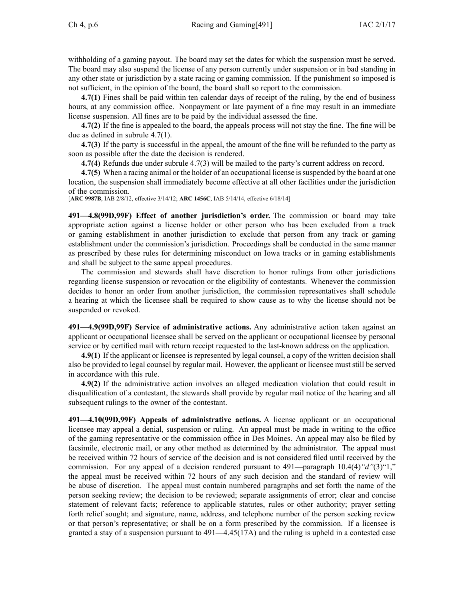withholding of <sup>a</sup> gaming payout. The board may set the dates for which the suspension must be served. The board may also suspend the license of any person currently under suspension or in bad standing in any other state or jurisdiction by <sup>a</sup> state racing or gaming commission. If the punishment so imposed is not sufficient, in the opinion of the board, the board shall so repor<sup>t</sup> to the commission.

**4.7(1)** Fines shall be paid within ten calendar days of receipt of the ruling, by the end of business hours, at any commission office. Nonpayment or late paymen<sup>t</sup> of <sup>a</sup> fine may result in an immediate license suspension. All fines are to be paid by the individual assessed the fine.

**4.7(2)** If the fine is appealed to the board, the appeals process will not stay the fine. The fine will be due as defined in subrule 4.7(1).

**4.7(3)** If the party is successful in the appeal, the amount of the fine will be refunded to the party as soon as possible after the date the decision is rendered.

**4.7(4)** Refunds due under subrule 4.7(3) will be mailed to the party's current address on record.

**4.7(5)** When <sup>a</sup> racing animal or the holder of an occupational license issuspended by the board at one location, the suspension shall immediately become effective at all other facilities under the jurisdiction of the commission.

[**ARC [9987B](https://www.legis.iowa.gov/docs/aco/arc/9987B.pdf)**, IAB 2/8/12, effective 3/14/12; **ARC [1456C](https://www.legis.iowa.gov/docs/aco/arc/1456C.pdf)**, IAB 5/14/14, effective 6/18/14]

**491—4.8(99D,99F) Effect of another jurisdiction's order.** The commission or board may take appropriate action against <sup>a</sup> license holder or other person who has been excluded from <sup>a</sup> track or gaming establishment in another jurisdiction to exclude that person from any track or gaming establishment under the commission's jurisdiction. Proceedings shall be conducted in the same manner as prescribed by these rules for determining misconduct on Iowa tracks or in gaming establishments and shall be subject to the same appeal procedures.

The commission and stewards shall have discretion to honor rulings from other jurisdictions regarding license suspension or revocation or the eligibility of contestants. Whenever the commission decides to honor an order from another jurisdiction, the commission representatives shall schedule <sup>a</sup> hearing at which the licensee shall be required to show cause as to why the license should not be suspended or revoked.

**491—4.9(99D,99F) Service of administrative actions.** Any administrative action taken against an applicant or occupational licensee shall be served on the applicant or occupational licensee by personal service or by certified mail with return receipt requested to the last-known address on the application.

**4.9(1)** If the applicant or licensee is represented by legal counsel, <sup>a</sup> copy of the written decision shall also be provided to legal counsel by regular mail. However, the applicant or licensee must still be served in accordance with this rule.

**4.9(2)** If the administrative action involves an alleged medication violation that could result in disqualification of <sup>a</sup> contestant, the stewards shall provide by regular mail notice of the hearing and all subsequent rulings to the owner of the contestant.

**491—4.10(99D,99F) Appeals of administrative actions.** A license applicant or an occupational licensee may appeal <sup>a</sup> denial, suspension or ruling. An appeal must be made in writing to the office of the gaming representative or the commission office in Des Moines. An appeal may also be filed by facsimile, electronic mail, or any other method as determined by the administrator. The appeal must be received within 72 hours of service of the decision and is not considered filed until received by the commission. For any appeal of <sup>a</sup> decision rendered pursuan<sup>t</sup> to [491—paragraph](https://www.legis.iowa.gov/docs/iac/rule/491.10.4.pdf) 10.4(4)*"d"*(3)"1," the appeal must be received within 72 hours of any such decision and the standard of review will be abuse of discretion. The appeal must contain numbered paragraphs and set forth the name of the person seeking review; the decision to be reviewed; separate assignments of error; clear and concise statement of relevant facts; reference to applicable statutes, rules or other authority; prayer setting forth relief sought; and signature, name, address, and telephone number of the person seeking review or that person's representative; or shall be on <sup>a</sup> form prescribed by the commission. If <sup>a</sup> licensee is granted <sup>a</sup> stay of <sup>a</sup> suspension pursuan<sup>t</sup> to [491—4.45\(17A\)](https://www.legis.iowa.gov/docs/iac/rule/491.4.45.pdf) and the ruling is upheld in <sup>a</sup> contested case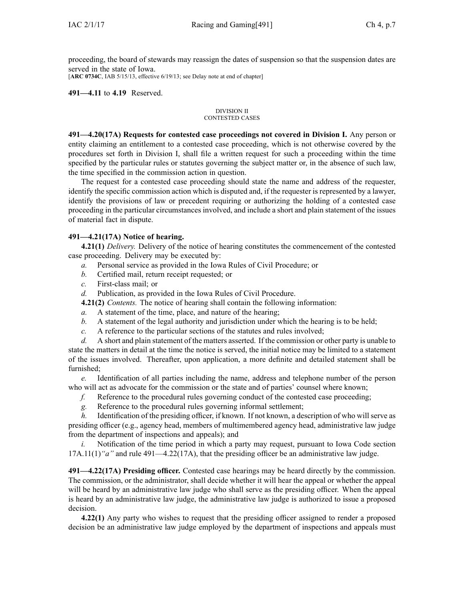proceeding, the board of stewards may reassign the dates of suspension so that the suspension dates are served in the state of Iowa.

[**ARC [0734C](https://www.legis.iowa.gov/docs/aco/arc/0734C.pdf)**, IAB 5/15/13, effective 6/19/13; see Delay note at end of chapter]

# **491—4.11** to **4.19** Reserved.

#### DIVISION II CONTESTED CASES

**491—4.20(17A) Requests for contested case proceedings not covered in Division I.** Any person or entity claiming an entitlement to <sup>a</sup> contested case proceeding, which is not otherwise covered by the procedures set forth in Division I, shall file <sup>a</sup> written reques<sup>t</sup> for such <sup>a</sup> proceeding within the time specified by the particular rules or statutes governing the subject matter or, in the absence of such law, the time specified in the commission action in question.

The reques<sup>t</sup> for <sup>a</sup> contested case proceeding should state the name and address of the requester, identify the specific commission action which is disputed and, if the requester is represented by <sup>a</sup> lawyer, identify the provisions of law or precedent requiring or authorizing the holding of <sup>a</sup> contested case proceeding in the particular circumstances involved, and include <sup>a</sup> short and plain statement of the issues of material fact in dispute.

# **491—4.21(17A) Notice of hearing.**

**4.21(1)** *Delivery.* Delivery of the notice of hearing constitutes the commencement of the contested case proceeding. Delivery may be executed by:

- *a.* Personal service as provided in the Iowa Rules of Civil Procedure; or
- *b.* Certified mail, return receipt requested; or
- *c.* First-class mail; or
- *d.* Publication, as provided in the Iowa Rules of Civil Procedure.

**4.21(2)** *Contents.* The notice of hearing shall contain the following information:

- *a.* A statement of the time, place, and nature of the hearing;
- *b.* A statement of the legal authority and jurisdiction under which the hearing is to be held;
- *c.* A reference to the particular sections of the statutes and rules involved;

*d.* A short and plain statement of the matters asserted. If the commission or other party is unable to state the matters in detail at the time the notice is served, the initial notice may be limited to <sup>a</sup> statement of the issues involved. Thereafter, upon application, <sup>a</sup> more definite and detailed statement shall be furnished;

*e.* Identification of all parties including the name, address and telephone number of the person who will act as advocate for the commission or the state and of parties' counsel where known;

- *f.* Reference to the procedural rules governing conduct of the contested case proceeding;
- *g.* Reference to the procedural rules governing informal settlement;

*h.* Identification of the presiding officer, if known. If not known, a description of who will serve as presiding officer (e.g., agency head, members of multimembered agency head, administrative law judge from the department of inspections and appeals); and

*i.* Notification of the time period in which a party may request, pursuant to Iowa Code section [17A.11\(1\)](https://www.legis.iowa.gov/docs/ico/section/17A.11.pdf)*"a"* and rule [491—4.22\(17A\)](https://www.legis.iowa.gov/docs/iac/rule/491.4.22.pdf), that the presiding officer be an administrative law judge.

**491—4.22(17A) Presiding officer.** Contested case hearings may be heard directly by the commission. The commission, or the administrator, shall decide whether it will hear the appeal or whether the appeal will be heard by an administrative law judge who shall serve as the presiding officer. When the appeal is heard by an administrative law judge, the administrative law judge is authorized to issue <sup>a</sup> proposed decision.

**4.22(1)** Any party who wishes to reques<sup>t</sup> that the presiding officer assigned to render <sup>a</sup> proposed decision be an administrative law judge employed by the department of inspections and appeals must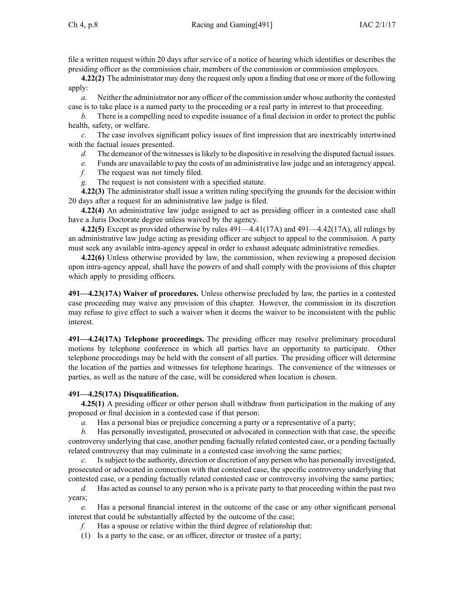file <sup>a</sup> written reques<sup>t</sup> within 20 days after service of <sup>a</sup> notice of hearing which identifies or describes the presiding officer as the commission chair, members of the commission or commission employees.

**4.22(2)** The administrator may deny the reques<sup>t</sup> only upon <sup>a</sup> finding that one or more of the following apply:

*a.* Neither the administrator nor any officer of the commission under whose authority the contested case is to take place is <sup>a</sup> named party to the proceeding or <sup>a</sup> real party in interest to that proceeding.

*b.* There is <sup>a</sup> compelling need to expedite issuance of <sup>a</sup> final decision in order to protect the public health, safety, or welfare.

*c.* The case involves significant policy issues of first impression that are inextricably intertwined with the factual issues presented.

- *d.* The demeanor of the witnesses is likely to be dispositive in resolving the disputed factual issues.
- *e.* Funds are unavailable to pay the costs of an administrative law judge and an interagency appeal.
- *f.* The reques<sup>t</sup> was not timely filed.

*g.* The reques<sup>t</sup> is not consistent with <sup>a</sup> specified statute.

**4.22(3)** The administrator shall issue <sup>a</sup> written ruling specifying the grounds for the decision within 20 days after <sup>a</sup> reques<sup>t</sup> for an administrative law judge is filed.

**4.22(4)** An administrative law judge assigned to act as presiding officer in <sup>a</sup> contested case shall have <sup>a</sup> Juris Doctorate degree unless waived by the agency.

**4.22(5)** Except as provided otherwise by rules [491—4.41](https://www.legis.iowa.gov/docs/iac/rule/491.4.41.pdf)(17A) and [491—4.42](https://www.legis.iowa.gov/docs/iac/rule/491.4.42.pdf)(17A), all rulings by an administrative law judge acting as presiding officer are subject to appeal to the commission. A party must seek any available intra-agency appeal in order to exhaust adequate administrative remedies.

**4.22(6)** Unless otherwise provided by law, the commission, when reviewing <sup>a</sup> proposed decision upon intra-agency appeal, shall have the powers of and shall comply with the provisions of this chapter which apply to presiding officers.

**491—4.23(17A) Waiver of procedures.** Unless otherwise precluded by law, the parties in <sup>a</sup> contested case proceeding may waive any provision of this chapter. However, the commission in its discretion may refuse to give effect to such <sup>a</sup> waiver when it deems the waiver to be inconsistent with the public interest.

**491—4.24(17A) Telephone proceedings.** The presiding officer may resolve preliminary procedural motions by telephone conference in which all parties have an opportunity to participate. Other telephone proceedings may be held with the consent of all parties. The presiding officer will determine the location of the parties and witnesses for telephone hearings. The convenience of the witnesses or parties, as well as the nature of the case, will be considered when location is chosen.

# **491—4.25(17A) Disqualification.**

**4.25(1)** A presiding officer or other person shall withdraw from participation in the making of any proposed or final decision in <sup>a</sup> contested case if that person:

*a.* Has <sup>a</sup> personal bias or prejudice concerning <sup>a</sup> party or <sup>a</sup> representative of <sup>a</sup> party;

*b.* Has personally investigated, prosecuted or advocated in connection with that case, the specific controversy underlying that case, another pending factually related contested case, or <sup>a</sup> pending factually related controversy that may culminate in <sup>a</sup> contested case involving the same parties;

Is subject to the authority, direction or discretion of any person who has personally investigated, prosecuted or advocated in connection with that contested case, the specific controversy underlying that contested case, or <sup>a</sup> pending factually related contested case or controversy involving the same parties;

*d.* Has acted as counsel to any person who is <sup>a</sup> private party to that proceeding within the pas<sup>t</sup> two years;

*e.* Has <sup>a</sup> personal financial interest in the outcome of the case or any other significant personal interest that could be substantially affected by the outcome of the case;

*f.* Has <sup>a</sup> spouse or relative within the third degree of relationship that:

(1) Is <sup>a</sup> party to the case, or an officer, director or trustee of <sup>a</sup> party;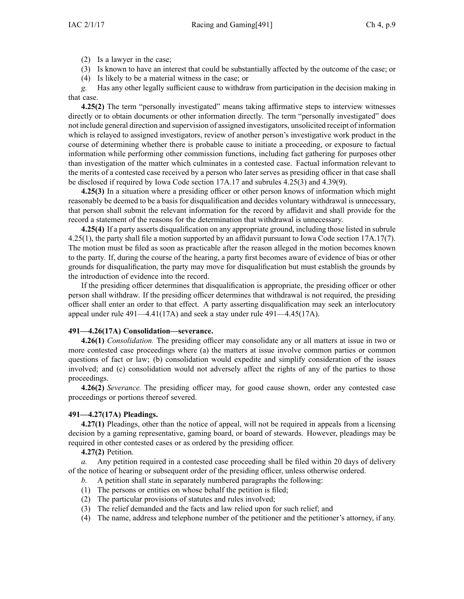(2) Is <sup>a</sup> lawyer in the case;

- (3) Is known to have an interest that could be substantially affected by the outcome of the case; or
- (4) Is likely to be <sup>a</sup> material witness in the case; or

*g.* Has any other legally sufficient cause to withdraw from participation in the decision making in that case.

**4.25(2)** The term "personally investigated" means taking affirmative steps to interview witnesses directly or to obtain documents or other information directly. The term "personally investigated" does not include general direction and supervision of assigned investigators, unsolicited receipt of information which is relayed to assigned investigators, review of another person's investigative work product in the course of determining whether there is probable cause to initiate <sup>a</sup> proceeding, or exposure to factual information while performing other commission functions, including fact gathering for purposes other than investigation of the matter which culminates in <sup>a</sup> contested case. Factual information relevant to the merits of <sup>a</sup> contested case received by <sup>a</sup> person who later serves as presiding officer in that case shall be disclosed if required by Iowa Code section [17A.17](https://www.legis.iowa.gov/docs/ico/section/17A.17.pdf) and subrules [4.25\(3\)](https://www.legis.iowa.gov/docs/iac/rule/491.4.25.pdf) and [4.39\(9\)](https://www.legis.iowa.gov/docs/iac/rule/491.4.39.pdf).

**4.25(3)** In <sup>a</sup> situation where <sup>a</sup> presiding officer or other person knows of information which might reasonably be deemed to be <sup>a</sup> basis for disqualification and decides voluntary withdrawal is unnecessary, that person shall submit the relevant information for the record by affidavit and shall provide for the record <sup>a</sup> statement of the reasons for the determination that withdrawal is unnecessary.

**4.25(4)** If <sup>a</sup> party asserts disqualification on any appropriate ground, including those listed in subrule [4.25\(1\)](https://www.legis.iowa.gov/docs/iac/rule/491.4.25.pdf), the party shall file <sup>a</sup> motion supported by an affidavit pursuan<sup>t</sup> to Iowa Code section [17A.17\(7\)](https://www.legis.iowa.gov/docs/ico/section/17A.17.pdf). The motion must be filed as soon as practicable after the reason alleged in the motion becomes known to the party. If, during the course of the hearing, <sup>a</sup> party first becomes aware of evidence of bias or other grounds for disqualification, the party may move for disqualification but must establish the grounds by the introduction of evidence into the record.

If the presiding officer determines that disqualification is appropriate, the presiding officer or other person shall withdraw. If the presiding officer determines that withdrawal is not required, the presiding officer shall enter an order to that effect. A party asserting disqualification may seek an interlocutory appeal under rule [491—4.41\(17A\)](https://www.legis.iowa.gov/docs/iac/rule/491.4.41.pdf) and seek <sup>a</sup> stay under rule [491—4.45\(17A\)](https://www.legis.iowa.gov/docs/iac/rule/491.4.45.pdf).

# **491—4.26(17A) Consolidation—severance.**

**4.26(1)** *Consolidation.* The presiding officer may consolidate any or all matters at issue in two or more contested case proceedings where (a) the matters at issue involve common parties or common questions of fact or law; (b) consolidation would expedite and simplify consideration of the issues involved; and (c) consolidation would not adversely affect the rights of any of the parties to those proceedings.

**4.26(2)** *Severance.* The presiding officer may, for good cause shown, order any contested case proceedings or portions thereof severed.

# **491—4.27(17A) Pleadings.**

**4.27(1)** Pleadings, other than the notice of appeal, will not be required in appeals from <sup>a</sup> licensing decision by <sup>a</sup> gaming representative, gaming board, or board of stewards. However, pleadings may be required in other contested cases or as ordered by the presiding officer.

**4.27(2)** Petition.

*a.* Any petition required in <sup>a</sup> contested case proceeding shall be filed within 20 days of delivery of the notice of hearing or subsequent order of the presiding officer, unless otherwise ordered.

- *b.* A petition shall state in separately numbered paragraphs the following:
- (1) The persons or entities on whose behalf the petition is filed;
- (2) The particular provisions of statutes and rules involved;
- (3) The relief demanded and the facts and law relied upon for such relief; and
- (4) The name, address and telephone number of the petitioner and the petitioner's attorney, if any.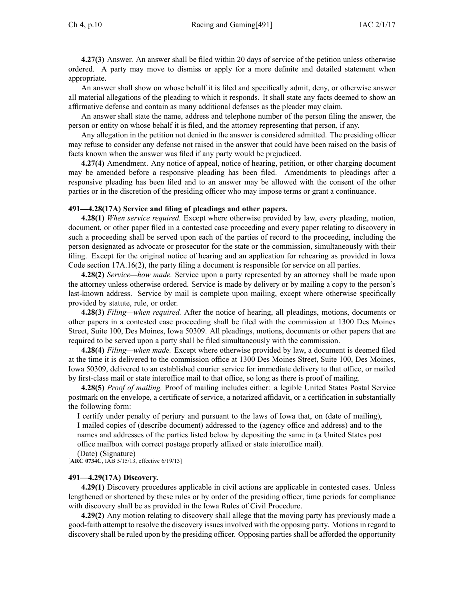**4.27(3)** Answer. An answer shall be filed within 20 days of service of the petition unless otherwise ordered. A party may move to dismiss or apply for <sup>a</sup> more definite and detailed statement when appropriate.

An answer shall show on whose behalf it is filed and specifically admit, deny, or otherwise answer all material allegations of the pleading to which it responds. It shall state any facts deemed to show an affirmative defense and contain as many additional defenses as the pleader may claim.

An answer shall state the name, address and telephone number of the person filing the answer, the person or entity on whose behalf it is filed, and the attorney representing that person, if any.

Any allegation in the petition not denied in the answer is considered admitted. The presiding officer may refuse to consider any defense not raised in the answer that could have been raised on the basis of facts known when the answer was filed if any party would be prejudiced.

**4.27(4)** Amendment. Any notice of appeal, notice of hearing, petition, or other charging document may be amended before <sup>a</sup> responsive pleading has been filed. Amendments to pleadings after <sup>a</sup> responsive pleading has been filed and to an answer may be allowed with the consent of the other parties or in the discretion of the presiding officer who may impose terms or gran<sup>t</sup> <sup>a</sup> continuance.

#### **491—4.28(17A) Service and filing of pleadings and other papers.**

**4.28(1)** *When service required.* Except where otherwise provided by law, every pleading, motion, document, or other paper filed in <sup>a</sup> contested case proceeding and every paper relating to discovery in such <sup>a</sup> proceeding shall be served upon each of the parties of record to the proceeding, including the person designated as advocate or prosecutor for the state or the commission, simultaneously with their filing. Except for the original notice of hearing and an application for rehearing as provided in Iowa Code section [17A.16\(2\)](https://www.legis.iowa.gov/docs/ico/section/17A.16.pdf), the party filing <sup>a</sup> document is responsible for service on all parties.

**4.28(2)** *Service—how made.* Service upon <sup>a</sup> party represented by an attorney shall be made upon the attorney unless otherwise ordered. Service is made by delivery or by mailing <sup>a</sup> copy to the person's last-known address. Service by mail is complete upon mailing, excep<sup>t</sup> where otherwise specifically provided by statute, rule, or order.

**4.28(3)** *Filing—when required.* After the notice of hearing, all pleadings, motions, documents or other papers in <sup>a</sup> contested case proceeding shall be filed with the commission at 1300 Des Moines Street, Suite 100, Des Moines, Iowa 50309. All pleadings, motions, documents or other papers that are required to be served upon <sup>a</sup> party shall be filed simultaneously with the commission.

**4.28(4)** *Filing—when made.* Except where otherwise provided by law, <sup>a</sup> document is deemed filed at the time it is delivered to the commission office at 1300 Des Moines Street, Suite 100, Des Moines, Iowa 50309, delivered to an established courier service for immediate delivery to that office, or mailed by first-class mail or state interoffice mail to that office, so long as there is proof of mailing.

**4.28(5)** *Proof of mailing.* Proof of mailing includes either: <sup>a</sup> legible United States Postal Service postmark on the envelope, <sup>a</sup> certificate of service, <sup>a</sup> notarized affidavit, or <sup>a</sup> certification in substantially the following form:

I certify under penalty of perjury and pursuan<sup>t</sup> to the laws of Iowa that, on (date of mailing), I mailed copies of (describe document) addressed to the (agency office and address) and to the names and addresses of the parties listed below by depositing the same in (a United States pos<sup>t</sup> office mailbox with correct postage properly affixed or state interoffice mail).

(Date) (Signature)

[**ARC [0734C](https://www.legis.iowa.gov/docs/aco/arc/0734C.pdf)**, IAB 5/15/13, effective 6/19/13]

### **491—4.29(17A) Discovery.**

**4.29(1)** Discovery procedures applicable in civil actions are applicable in contested cases. Unless lengthened or shortened by these rules or by order of the presiding officer, time periods for compliance with discovery shall be as provided in the Iowa Rules of Civil Procedure.

**4.29(2)** Any motion relating to discovery shall allege that the moving party has previously made <sup>a</sup> good-faith attempt to resolve the discovery issues involved with the opposing party. Motions in regard to discovery shall be ruled upon by the presiding officer. Opposing parties shall be afforded the opportunity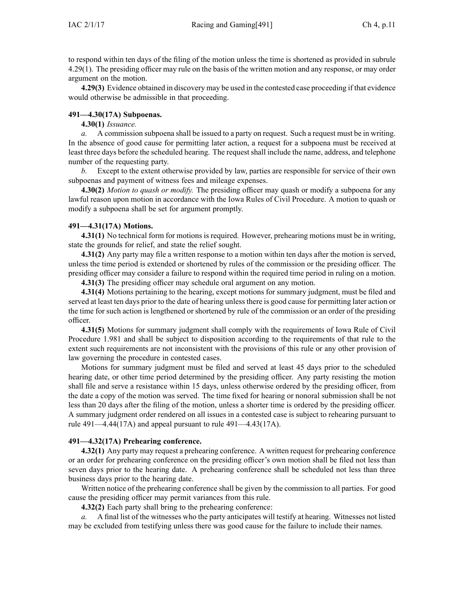to respond within ten days of the filing of the motion unless the time is shortened as provided in subrule [4.29\(1\)](https://www.legis.iowa.gov/docs/iac/rule/491.4.29.pdf). The presiding officer may rule on the basis of the written motion and any response, or may order argumen<sup>t</sup> on the motion.

**4.29(3)** Evidence obtained in discovery may be used in the contested case proceeding if that evidence would otherwise be admissible in that proceeding.

# **491—4.30(17A) Subpoenas.**

# **4.30(1)** *Issuance.*

*a.* A commission subpoena shall be issued to <sup>a</sup> party on request. Such <sup>a</sup> reques<sup>t</sup> must be in writing. In the absence of good cause for permitting later action, <sup>a</sup> reques<sup>t</sup> for <sup>a</sup> subpoena must be received at least three days before the scheduled hearing. The reques<sup>t</sup> shall include the name, address, and telephone number of the requesting party.

*b.* Except to the extent otherwise provided by law, parties are responsible for service of their own subpoenas and paymen<sup>t</sup> of witness fees and mileage expenses.

**4.30(2)** *Motion to quash or modify.* The presiding officer may quash or modify <sup>a</sup> subpoena for any lawful reason upon motion in accordance with the Iowa Rules of Civil Procedure. A motion to quash or modify <sup>a</sup> subpoena shall be set for argumen<sup>t</sup> promptly.

# **491—4.31(17A) Motions.**

**4.31(1)** No technical form for motions is required. However, prehearing motions must be in writing, state the grounds for relief, and state the relief sought.

**4.31(2)** Any party may file <sup>a</sup> written response to <sup>a</sup> motion within ten days after the motion is served, unless the time period is extended or shortened by rules of the commission or the presiding officer. The presiding officer may consider <sup>a</sup> failure to respond within the required time period in ruling on <sup>a</sup> motion.

**4.31(3)** The presiding officer may schedule oral argumen<sup>t</sup> on any motion.

**4.31(4)** Motions pertaining to the hearing, excep<sup>t</sup> motions for summary judgment, must be filed and served at least ten days prior to the date of hearing unlessthere is good cause for permitting later action or the time for such action is lengthened or shortened by rule of the commission or an order of the presiding officer.

**4.31(5)** Motions for summary judgment shall comply with the requirements of Iowa Rule of Civil Procedure 1.981 and shall be subject to disposition according to the requirements of that rule to the extent such requirements are not inconsistent with the provisions of this rule or any other provision of law governing the procedure in contested cases.

Motions for summary judgment must be filed and served at least 45 days prior to the scheduled hearing date, or other time period determined by the presiding officer. Any party resisting the motion shall file and serve <sup>a</sup> resistance within 15 days, unless otherwise ordered by the presiding officer, from the date <sup>a</sup> copy of the motion was served. The time fixed for hearing or nonoral submission shall be not less than 20 days after the filing of the motion, unless <sup>a</sup> shorter time is ordered by the presiding officer. A summary judgment order rendered on all issues in <sup>a</sup> contested case is subject to rehearing pursuan<sup>t</sup> to rule [491—4.44](https://www.legis.iowa.gov/docs/iac/rule/491.4.44.pdf)(17A) and appeal pursuan<sup>t</sup> to rule [491—4.43](https://www.legis.iowa.gov/docs/iac/rule/491.4.43.pdf)(17A).

# **491—4.32(17A) Prehearing conference.**

**4.32(1)** Any party may reques<sup>t</sup> <sup>a</sup> prehearing conference. A written reques<sup>t</sup> for prehearing conference or an order for prehearing conference on the presiding officer's own motion shall be filed not less than seven days prior to the hearing date. A prehearing conference shall be scheduled not less than three business days prior to the hearing date.

Written notice of the prehearing conference shall be given by the commission to all parties. For good cause the presiding officer may permit variances from this rule.

**4.32(2)** Each party shall bring to the prehearing conference:

*a.* A final list of the witnesses who the party anticipates will testify at hearing. Witnesses not listed may be excluded from testifying unless there was good cause for the failure to include their names.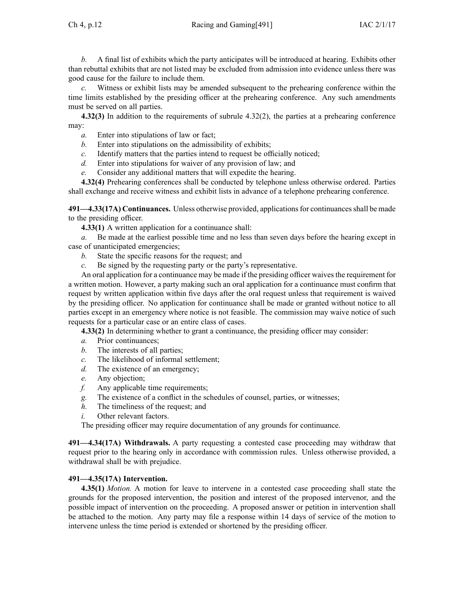*b.* A final list of exhibits which the party anticipates will be introduced at hearing. Exhibits other than rebuttal exhibits that are not listed may be excluded from admission into evidence unless there was good cause for the failure to include them.

*c.* Witness or exhibit lists may be amended subsequent to the prehearing conference within the time limits established by the presiding officer at the prehearing conference. Any such amendments must be served on all parties.

**4.32(3)** In addition to the requirements of subrule [4.32\(2\)](https://www.legis.iowa.gov/docs/iac/rule/491.4.32.pdf), the parties at <sup>a</sup> prehearing conference may:

- *a.* Enter into stipulations of law or fact;
- *b.* Enter into stipulations on the admissibility of exhibits;
- *c.* Identify matters that the parties intend to reques<sup>t</sup> be officially noticed;
- *d.* Enter into stipulations for waiver of any provision of law; and
- *e.* Consider any additional matters that will expedite the hearing.

**4.32(4)** Prehearing conferences shall be conducted by telephone unless otherwise ordered. Parties shall exchange and receive witness and exhibit lists in advance of <sup>a</sup> telephone prehearing conference.

**491—4.33(17A) Continuances.** Unless otherwise provided, applicationsfor continuancesshall be made to the presiding officer.

**4.33(1)** A written application for <sup>a</sup> continuance shall:

*a.* Be made at the earliest possible time and no less than seven days before the hearing excep<sup>t</sup> in case of unanticipated emergencies;

- *b.* State the specific reasons for the request; and
- *c.* Be signed by the requesting party or the party's representative.

An oral application for a continuance may be made if the presiding officer waives the requirement for <sup>a</sup> written motion. However, <sup>a</sup> party making such an oral application for <sup>a</sup> continuance must confirm that reques<sup>t</sup> by written application within five days after the oral reques<sup>t</sup> unless that requirement is waived by the presiding officer. No application for continuance shall be made or granted without notice to all parties excep<sup>t</sup> in an emergency where notice is not feasible. The commission may waive notice of such requests for <sup>a</sup> particular case or an entire class of cases.

**4.33(2)** In determining whether to gran<sup>t</sup> <sup>a</sup> continuance, the presiding officer may consider:

- *a.* Prior continuances;
- *b.* The interests of all parties;
- *c.* The likelihood of informal settlement;
- *d.* The existence of an emergency;
- *e.* Any objection;
- *f.* Any applicable time requirements;
- *g.* The existence of <sup>a</sup> conflict in the schedules of counsel, parties, or witnesses;
- *h.* The timeliness of the request; and
- *i.* Other relevant factors.

The presiding officer may require documentation of any grounds for continuance.

**491—4.34(17A) Withdrawals.** A party requesting <sup>a</sup> contested case proceeding may withdraw that reques<sup>t</sup> prior to the hearing only in accordance with commission rules. Unless otherwise provided, <sup>a</sup> withdrawal shall be with prejudice.

# **491—4.35(17A) Intervention.**

**4.35(1)** *Motion.* A motion for leave to intervene in <sup>a</sup> contested case proceeding shall state the grounds for the proposed intervention, the position and interest of the proposed intervenor, and the possible impact of intervention on the proceeding. A proposed answer or petition in intervention shall be attached to the motion. Any party may file <sup>a</sup> response within 14 days of service of the motion to intervene unless the time period is extended or shortened by the presiding officer.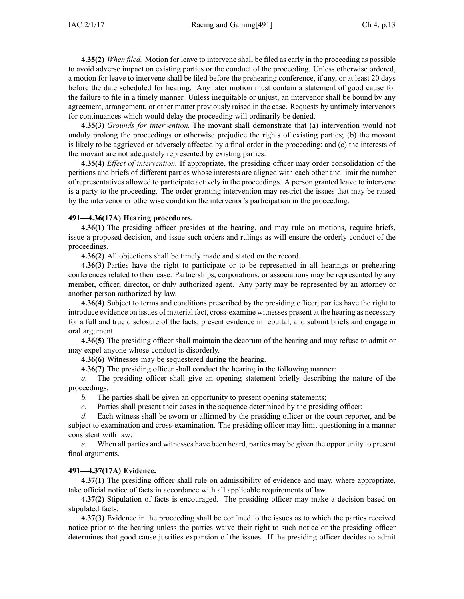**4.35(2)** *When filed.* Motion for leave to intervene shall be filed as early in the proceeding as possible to avoid adverse impact on existing parties or the conduct of the proceeding. Unless otherwise ordered, <sup>a</sup> motion for leave to intervene shall be filed before the prehearing conference, if any, or at least 20 days before the date scheduled for hearing. Any later motion must contain <sup>a</sup> statement of good cause for the failure to file in <sup>a</sup> timely manner. Unless inequitable or unjust, an intervenor shall be bound by any agreement, arrangement, or other matter previously raised in the case. Requests by untimely intervenors for continuances which would delay the proceeding will ordinarily be denied.

**4.35(3)** *Grounds for intervention.* The movant shall demonstrate that (a) intervention would not unduly prolong the proceedings or otherwise prejudice the rights of existing parties; (b) the movant is likely to be aggrieved or adversely affected by <sup>a</sup> final order in the proceeding; and (c) the interests of the movant are not adequately represented by existing parties.

**4.35(4)** *Effect of intervention.* If appropriate, the presiding officer may order consolidation of the petitions and briefs of different parties whose interests are aligned with each other and limit the number of representatives allowed to participate actively in the proceedings. A person granted leave to intervene is <sup>a</sup> party to the proceeding. The order granting intervention may restrict the issues that may be raised by the intervenor or otherwise condition the intervenor's participation in the proceeding.

# **491—4.36(17A) Hearing procedures.**

**4.36(1)** The presiding officer presides at the hearing, and may rule on motions, require briefs, issue <sup>a</sup> proposed decision, and issue such orders and rulings as will ensure the orderly conduct of the proceedings.

**4.36(2)** All objections shall be timely made and stated on the record.

**4.36(3)** Parties have the right to participate or to be represented in all hearings or prehearing conferences related to their case. Partnerships, corporations, or associations may be represented by any member, officer, director, or duly authorized agent. Any party may be represented by an attorney or another person authorized by law.

**4.36(4)** Subject to terms and conditions prescribed by the presiding officer, parties have the right to introduce evidence on issues of material fact, cross-examine witnesses presen<sup>t</sup> at the hearing as necessary for <sup>a</sup> full and true disclosure of the facts, presen<sup>t</sup> evidence in rebuttal, and submit briefs and engage in oral argument.

**4.36(5)** The presiding officer shall maintain the decorum of the hearing and may refuse to admit or may expel anyone whose conduct is disorderly.

**4.36(6)** Witnesses may be sequestered during the hearing.

**4.36(7)** The presiding officer shall conduct the hearing in the following manner:

*a.* The presiding officer shall give an opening statement briefly describing the nature of the proceedings;

- *b.* The parties shall be given an opportunity to presen<sup>t</sup> opening statements;
- *c.* Parties shall presen<sup>t</sup> their cases in the sequence determined by the presiding officer;

*d.* Each witness shall be sworn or affirmed by the presiding officer or the court reporter, and be subject to examination and cross-examination. The presiding officer may limit questioning in <sup>a</sup> manner consistent with law;

*e.* When all parties and witnesses have been heard, parties may be given the opportunity to presen<sup>t</sup> final arguments.

# **491—4.37(17A) Evidence.**

**4.37(1)** The presiding officer shall rule on admissibility of evidence and may, where appropriate, take official notice of facts in accordance with all applicable requirements of law.

**4.37(2)** Stipulation of facts is encouraged. The presiding officer may make <sup>a</sup> decision based on stipulated facts.

**4.37(3)** Evidence in the proceeding shall be confined to the issues as to which the parties received notice prior to the hearing unless the parties waive their right to such notice or the presiding officer determines that good cause justifies expansion of the issues. If the presiding officer decides to admit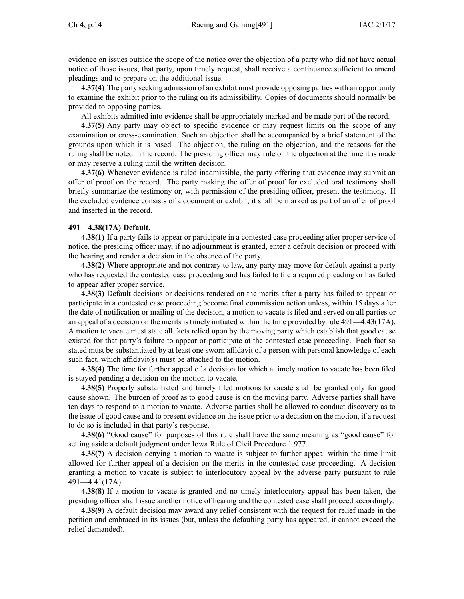evidence on issues outside the scope of the notice over the objection of <sup>a</sup> party who did not have actual notice of those issues, that party, upon timely request, shall receive <sup>a</sup> continuance sufficient to amend pleadings and to prepare on the additional issue.

**4.37(4)** The party seeking admission of an exhibit must provide opposing parties with an opportunity to examine the exhibit prior to the ruling on its admissibility. Copies of documents should normally be provided to opposing parties.

All exhibits admitted into evidence shall be appropriately marked and be made par<sup>t</sup> of the record.

**4.37(5)** Any party may object to specific evidence or may reques<sup>t</sup> limits on the scope of any examination or cross-examination. Such an objection shall be accompanied by <sup>a</sup> brief statement of the grounds upon which it is based. The objection, the ruling on the objection, and the reasons for the ruling shall be noted in the record. The presiding officer may rule on the objection at the time it is made or may reserve <sup>a</sup> ruling until the written decision.

**4.37(6)** Whenever evidence is ruled inadmissible, the party offering that evidence may submit an offer of proof on the record. The party making the offer of proof for excluded oral testimony shall briefly summarize the testimony or, with permission of the presiding officer, presen<sup>t</sup> the testimony. If the excluded evidence consists of <sup>a</sup> document or exhibit, it shall be marked as par<sup>t</sup> of an offer of proof and inserted in the record.

#### **491—4.38(17A) Default.**

**4.38(1)** If <sup>a</sup> party fails to appear or participate in <sup>a</sup> contested case proceeding after proper service of notice, the presiding officer may, if no adjournment is granted, enter <sup>a</sup> default decision or proceed with the hearing and render <sup>a</sup> decision in the absence of the party.

**4.38(2)** Where appropriate and not contrary to law, any party may move for default against <sup>a</sup> party who has requested the contested case proceeding and has failed to file <sup>a</sup> required pleading or has failed to appear after proper service.

**4.38(3)** Default decisions or decisions rendered on the merits after <sup>a</sup> party has failed to appear or participate in <sup>a</sup> contested case proceeding become final commission action unless, within 15 days after the date of notification or mailing of the decision, <sup>a</sup> motion to vacate is filed and served on all parties or an appeal of <sup>a</sup> decision on the merits is timely initiated within the time provided by rule [491—4.43\(17A\)](https://www.legis.iowa.gov/docs/iac/rule/491.4.43.pdf). A motion to vacate must state all facts relied upon by the moving party which establish that good cause existed for that party's failure to appear or participate at the contested case proceeding. Each fact so stated must be substantiated by at least one sworn affidavit of <sup>a</sup> person with personal knowledge of each such fact, which affidavit(s) must be attached to the motion.

**4.38(4)** The time for further appeal of <sup>a</sup> decision for which <sup>a</sup> timely motion to vacate has been filed is stayed pending <sup>a</sup> decision on the motion to vacate.

**4.38(5)** Properly substantiated and timely filed motions to vacate shall be granted only for good cause shown. The burden of proof as to good cause is on the moving party. Adverse parties shall have ten days to respond to <sup>a</sup> motion to vacate. Adverse parties shall be allowed to conduct discovery as to the issue of good cause and to presen<sup>t</sup> evidence on the issue prior to <sup>a</sup> decision on the motion, if <sup>a</sup> reques<sup>t</sup> to do so is included in that party's response.

**4.38(6)** "Good cause" for purposes of this rule shall have the same meaning as "good cause" for setting aside <sup>a</sup> default judgment under Iowa Rule of Civil Procedure [1.977](https://www.legis.iowa.gov/docs/ACO/CourtRulesChapter/1.pdf).

**4.38(7)** A decision denying <sup>a</sup> motion to vacate is subject to further appeal within the time limit allowed for further appeal of <sup>a</sup> decision on the merits in the contested case proceeding. A decision granting <sup>a</sup> motion to vacate is subject to interlocutory appeal by the adverse party pursuan<sup>t</sup> to rule [491—4.41\(17A\)](https://www.legis.iowa.gov/docs/iac/rule/491.4.41.pdf).

**4.38(8)** If <sup>a</sup> motion to vacate is granted and no timely interlocutory appeal has been taken, the presiding officer shall issue another notice of hearing and the contested case shall proceed accordingly.

**4.38(9)** A default decision may award any relief consistent with the reques<sup>t</sup> for relief made in the petition and embraced in its issues (but, unless the defaulting party has appeared, it cannot exceed the relief demanded).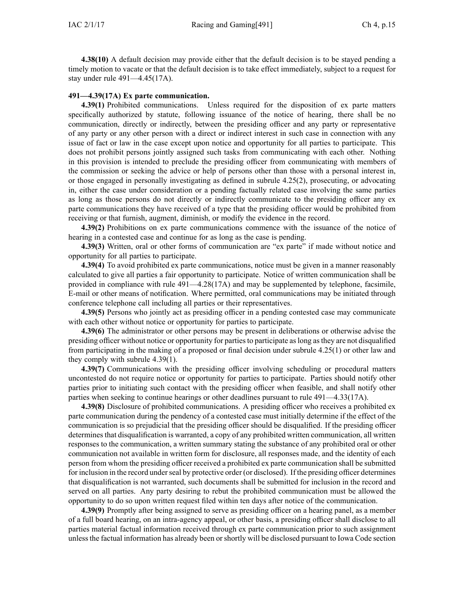**4.38(10)** A default decision may provide either that the default decision is to be stayed pending <sup>a</sup> timely motion to vacate or that the default decision is to take effect immediately, subject to <sup>a</sup> reques<sup>t</sup> for stay under rule [491—4.45\(17A\)](https://www.legis.iowa.gov/docs/iac/rule/491.4.45.pdf).

#### **491—4.39(17A) Ex parte communication.**

**4.39(1)** Prohibited communications. Unless required for the disposition of ex parte matters specifically authorized by statute, following issuance of the notice of hearing, there shall be no communication, directly or indirectly, between the presiding officer and any party or representative of any party or any other person with <sup>a</sup> direct or indirect interest in such case in connection with any issue of fact or law in the case excep<sup>t</sup> upon notice and opportunity for all parties to participate. This does not prohibit persons jointly assigned such tasks from communicating with each other. Nothing in this provision is intended to preclude the presiding officer from communicating with members of the commission or seeking the advice or help of persons other than those with <sup>a</sup> personal interest in, or those engaged in personally investigating as defined in subrule [4.25\(2\)](https://www.legis.iowa.gov/docs/iac/rule/491.4.25.pdf), prosecuting, or advocating in, either the case under consideration or <sup>a</sup> pending factually related case involving the same parties as long as those persons do not directly or indirectly communicate to the presiding officer any ex parte communications they have received of <sup>a</sup> type that the presiding officer would be prohibited from receiving or that furnish, augment, diminish, or modify the evidence in the record.

**4.39(2)** Prohibitions on ex parte communications commence with the issuance of the notice of hearing in <sup>a</sup> contested case and continue for as long as the case is pending.

**4.39(3)** Written, oral or other forms of communication are "ex parte" if made without notice and opportunity for all parties to participate.

**4.39(4)** To avoid prohibited ex parte communications, notice must be given in <sup>a</sup> manner reasonably calculated to give all parties <sup>a</sup> fair opportunity to participate. Notice of written communication shall be provided in compliance with rule [491—4.28\(17A\)](https://www.legis.iowa.gov/docs/iac/rule/491.4.28.pdf) and may be supplemented by telephone, facsimile, E-mail or other means of notification. Where permitted, oral communications may be initiated through conference telephone call including all parties or their representatives.

**4.39(5)** Persons who jointly act as presiding officer in <sup>a</sup> pending contested case may communicate with each other without notice or opportunity for parties to participate.

**4.39(6)** The administrator or other persons may be presen<sup>t</sup> in deliberations or otherwise advise the presiding officer without notice or opportunity for partiesto participate aslong asthey are not disqualified from participating in the making of <sup>a</sup> proposed or final decision under subrule [4.25\(1\)](https://www.legis.iowa.gov/docs/iac/rule/491.4.25.pdf) or other law and they comply with subrule [4.39\(1\)](https://www.legis.iowa.gov/docs/iac/rule/491.4.39.pdf).

**4.39(7)** Communications with the presiding officer involving scheduling or procedural matters uncontested do not require notice or opportunity for parties to participate. Parties should notify other parties prior to initiating such contact with the presiding officer when feasible, and shall notify other parties when seeking to continue hearings or other deadlines pursuan<sup>t</sup> to rule [491—4.33\(17A\)](https://www.legis.iowa.gov/docs/iac/rule/491.4.33.pdf).

**4.39(8)** Disclosure of prohibited communications. A presiding officer who receives <sup>a</sup> prohibited ex parte communication during the pendency of <sup>a</sup> contested case must initially determine if the effect of the communication is so prejudicial that the presiding officer should be disqualified. If the presiding officer determinesthat disqualification is warranted, <sup>a</sup> copy of any prohibited written communication, all written responses to the communication, <sup>a</sup> written summary stating the substance of any prohibited oral or other communication not available in written form for disclosure, all responses made, and the identity of each person from whom the presiding officer received <sup>a</sup> prohibited ex parte communication shall be submitted for inclusion in the record under seal by protective order (or disclosed). If the presiding officer determines that disqualification is not warranted, such documents shall be submitted for inclusion in the record and served on all parties. Any party desiring to rebut the prohibited communication must be allowed the opportunity to do so upon written reques<sup>t</sup> filed within ten days after notice of the communication.

**4.39(9)** Promptly after being assigned to serve as presiding officer on <sup>a</sup> hearing panel, as <sup>a</sup> member of <sup>a</sup> full board hearing, on an intra-agency appeal, or other basis, <sup>a</sup> presiding officer shall disclose to all parties material factual information received through ex parte communication prior to such assignment unlessthe factual information has already been orshortly will be disclosed pursuan<sup>t</sup> to Iowa Code section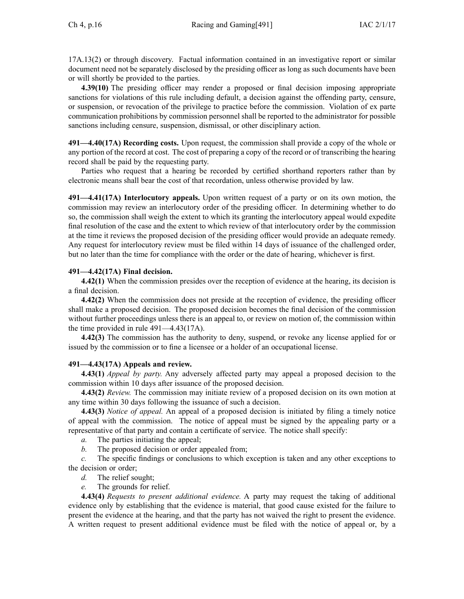[17A.13\(2\)](https://www.legis.iowa.gov/docs/ico/section/17A.13.pdf) or through discovery. Factual information contained in an investigative repor<sup>t</sup> or similar document need not be separately disclosed by the presiding officer as long as such documents have been or will shortly be provided to the parties.

**4.39(10)** The presiding officer may render <sup>a</sup> proposed or final decision imposing appropriate sanctions for violations of this rule including default, <sup>a</sup> decision against the offending party, censure, or suspension, or revocation of the privilege to practice before the commission. Violation of ex parte communication prohibitions by commission personnel shall be reported to the administrator for possible sanctions including censure, suspension, dismissal, or other disciplinary action.

**491—4.40(17A) Recording costs.** Upon request, the commission shall provide <sup>a</sup> copy of the whole or any portion of the record at cost. The cost of preparing <sup>a</sup> copy of the record or of transcribing the hearing record shall be paid by the requesting party.

Parties who reques<sup>t</sup> that <sup>a</sup> hearing be recorded by certified shorthand reporters rather than by electronic means shall bear the cost of that recordation, unless otherwise provided by law.

**491—4.41(17A) Interlocutory appeals.** Upon written reques<sup>t</sup> of <sup>a</sup> party or on its own motion, the commission may review an interlocutory order of the presiding officer. In determining whether to do so, the commission shall weigh the extent to which its granting the interlocutory appeal would expedite final resolution of the case and the extent to which review of that interlocutory order by the commission at the time it reviews the proposed decision of the presiding officer would provide an adequate remedy. Any reques<sup>t</sup> for interlocutory review must be filed within 14 days of issuance of the challenged order, but no later than the time for compliance with the order or the date of hearing, whichever is first.

# **491—4.42(17A) Final decision.**

**4.42(1)** When the commission presides over the reception of evidence at the hearing, its decision is <sup>a</sup> final decision.

**4.42(2)** When the commission does not preside at the reception of evidence, the presiding officer shall make <sup>a</sup> proposed decision. The proposed decision becomes the final decision of the commission without further proceedings unless there is an appeal to, or review on motion of, the commission within the time provided in rule [491—4.43\(17A\)](https://www.legis.iowa.gov/docs/iac/rule/491.4.43.pdf).

**4.42(3)** The commission has the authority to deny, suspend, or revoke any license applied for or issued by the commission or to fine <sup>a</sup> licensee or <sup>a</sup> holder of an occupational license.

# **491—4.43(17A) Appeals and review.**

**4.43(1)** *Appeal by party.* Any adversely affected party may appeal <sup>a</sup> proposed decision to the commission within 10 days after issuance of the proposed decision.

**4.43(2)** *Review.* The commission may initiate review of <sup>a</sup> proposed decision on its own motion at any time within 30 days following the issuance of such <sup>a</sup> decision.

**4.43(3)** *Notice of appeal.* An appeal of <sup>a</sup> proposed decision is initiated by filing <sup>a</sup> timely notice of appeal with the commission. The notice of appeal must be signed by the appealing party or <sup>a</sup> representative of that party and contain <sup>a</sup> certificate of service. The notice shall specify:

*a.* The parties initiating the appeal;

*b.* The proposed decision or order appealed from;

*c.* The specific findings or conclusions to which exception is taken and any other exceptions to the decision or order;

- *d.* The relief sought;
- *e.* The grounds for relief.

**4.43(4)** *Requests to presen<sup>t</sup> additional evidence.* A party may reques<sup>t</sup> the taking of additional evidence only by establishing that the evidence is material, that good cause existed for the failure to presen<sup>t</sup> the evidence at the hearing, and that the party has not waived the right to presen<sup>t</sup> the evidence. A written reques<sup>t</sup> to presen<sup>t</sup> additional evidence must be filed with the notice of appeal or, by <sup>a</sup>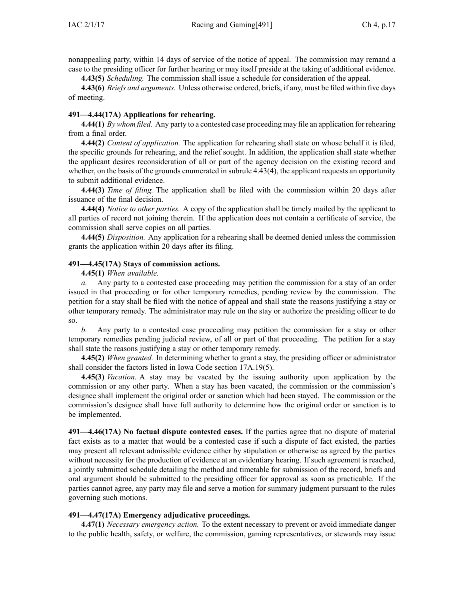nonappealing party, within 14 days of service of the notice of appeal. The commission may remand <sup>a</sup> case to the presiding officer for further hearing or may itself preside at the taking of additional evidence.

**4.43(5)** *Scheduling.* The commission shall issue <sup>a</sup> schedule for consideration of the appeal.

**4.43(6)** *Briefs and arguments.* Unless otherwise ordered, briefs, if any, must be filed within five days of meeting.

# **491—4.44(17A) Applications for rehearing.**

**4.44(1)** *By whom filed.* Any party to <sup>a</sup> contested case proceeding may file an application for rehearing from <sup>a</sup> final order.

**4.44(2)** *Content of application.* The application for rehearing shall state on whose behalf it is filed, the specific grounds for rehearing, and the relief sought. In addition, the application shall state whether the applicant desires reconsideration of all or par<sup>t</sup> of the agency decision on the existing record and whether, on the basis of the grounds enumerated in subrule [4.43\(4\)](https://www.legis.iowa.gov/docs/iac/rule/491.4.43.pdf), the applicant requests an opportunity to submit additional evidence.

**4.44(3)** *Time of filing.* The application shall be filed with the commission within 20 days after issuance of the final decision.

**4.44(4)** *Notice to other parties.* A copy of the application shall be timely mailed by the applicant to all parties of record not joining therein. If the application does not contain <sup>a</sup> certificate of service, the commission shall serve copies on all parties.

**4.44(5)** *Disposition.* Any application for <sup>a</sup> rehearing shall be deemed denied unless the commission grants the application within 20 days after its filing.

# **491—4.45(17A) Stays of commission actions.**

**4.45(1)** *When available.*

*a.* Any party to <sup>a</sup> contested case proceeding may petition the commission for <sup>a</sup> stay of an order issued in that proceeding or for other temporary remedies, pending review by the commission. The petition for <sup>a</sup> stay shall be filed with the notice of appeal and shall state the reasons justifying <sup>a</sup> stay or other temporary remedy. The administrator may rule on the stay or authorize the presiding officer to do so.

*b.* Any party to <sup>a</sup> contested case proceeding may petition the commission for <sup>a</sup> stay or other temporary remedies pending judicial review, of all or par<sup>t</sup> of that proceeding. The petition for <sup>a</sup> stay shall state the reasons justifying <sup>a</sup> stay or other temporary remedy.

**4.45(2)** *When granted.* In determining whether to gran<sup>t</sup> <sup>a</sup> stay, the presiding officer or administrator shall consider the factors listed in Iowa Code section [17A.19\(5\)](https://www.legis.iowa.gov/docs/ico/section/17A.19.pdf).

**4.45(3)** *Vacation.* A stay may be vacated by the issuing authority upon application by the commission or any other party. When <sup>a</sup> stay has been vacated, the commission or the commission's designee shall implement the original order or sanction which had been stayed. The commission or the commission's designee shall have full authority to determine how the original order or sanction is to be implemented.

**491—4.46(17A) No factual dispute contested cases.** If the parties agree that no dispute of material fact exists as to <sup>a</sup> matter that would be <sup>a</sup> contested case if such <sup>a</sup> dispute of fact existed, the parties may presen<sup>t</sup> all relevant admissible evidence either by stipulation or otherwise as agreed by the parties without necessity for the production of evidence at an evidentiary hearing. If such agreemen<sup>t</sup> is reached, <sup>a</sup> jointly submitted schedule detailing the method and timetable for submission of the record, briefs and oral argumen<sup>t</sup> should be submitted to the presiding officer for approval as soon as practicable. If the parties cannot agree, any party may file and serve <sup>a</sup> motion for summary judgment pursuan<sup>t</sup> to the rules governing such motions.

# **491—4.47(17A) Emergency adjudicative proceedings.**

**4.47(1)** *Necessary emergency action.* To the extent necessary to preven<sup>t</sup> or avoid immediate danger to the public health, safety, or welfare, the commission, gaming representatives, or stewards may issue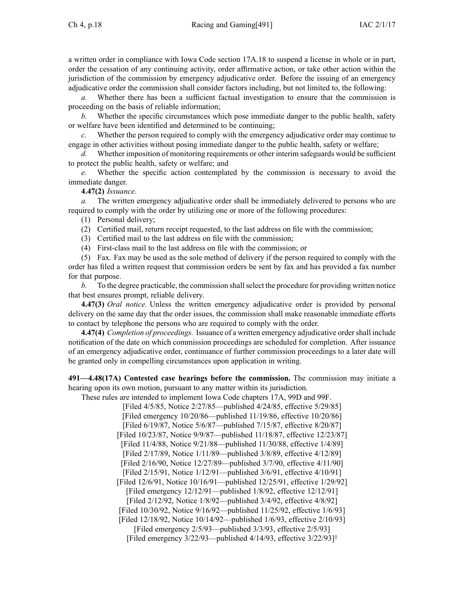<sup>a</sup> written order in compliance with Iowa Code section [17A.18](https://www.legis.iowa.gov/docs/ico/section/17A.18.pdf) to suspend <sup>a</sup> license in whole or in part, order the cessation of any continuing activity, order affirmative action, or take other action within the jurisdiction of the commission by emergency adjudicative order. Before the issuing of an emergency adjudicative order the commission shall consider factors including, but not limited to, the following:

*a.* Whether there has been <sup>a</sup> sufficient factual investigation to ensure that the commission is proceeding on the basis of reliable information;

*b.* Whether the specific circumstances which pose immediate danger to the public health, safety or welfare have been identified and determined to be continuing;

*c.* Whether the person required to comply with the emergency adjudicative order may continue to engage in other activities without posing immediate danger to the public health, safety or welfare;

*d.* Whether imposition of monitoring requirements or other interim safeguards would be sufficient to protect the public health, safety or welfare; and

*e.* Whether the specific action contemplated by the commission is necessary to avoid the immediate danger.

**4.47(2)** *Issuance.*

*a.* The written emergency adjudicative order shall be immediately delivered to persons who are required to comply with the order by utilizing one or more of the following procedures:

(1) Personal delivery;

- (2) Certified mail, return receipt requested, to the last address on file with the commission;
- (3) Certified mail to the last address on file with the commission;

(4) First-class mail to the last address on file with the commission; or

(5) Fax. Fax may be used as the sole method of delivery if the person required to comply with the order has filed <sup>a</sup> written reques<sup>t</sup> that commission orders be sent by fax and has provided <sup>a</sup> fax number for that purpose.

*b.* To the degree practicable, the commission shall select the procedure for providing written notice that best ensures prompt, reliable delivery.

**4.47(3)** *Oral notice.* Unless the written emergency adjudicative order is provided by personal delivery on the same day that the order issues, the commission shall make reasonable immediate efforts to contact by telephone the persons who are required to comply with the order.

**4.47(4)** *Completion of proceedings.* Issuance of <sup>a</sup> written emergency adjudicative ordershall include notification of the date on which commission proceedings are scheduled for completion. After issuance of an emergency adjudicative order, continuance of further commission proceedings to <sup>a</sup> later date will be granted only in compelling circumstances upon application in writing.

**491—4.48(17A) Contested case hearings before the commission.** The commission may initiate <sup>a</sup> hearing upon its own motion, pursuan<sup>t</sup> to any matter within its jurisdiction.

These rules are intended to implement Iowa Code chapters [17A](https://www.legis.iowa.gov/docs/ico/chapter/17A.pdf), [99D](https://www.legis.iowa.gov/docs/ico/chapter/99D.pdf) and [99F](https://www.legis.iowa.gov/docs/ico/chapter/99F.pdf).

[Filed 4/5/85, Notice 2/27/85—published 4/24/85, effective 5/29/85] [Filed emergency 10/20/86—published 11/19/86, effective 10/20/86] [Filed 6/19/87, Notice 5/6/87—published 7/15/87, effective 8/20/87] [Filed 10/23/87, Notice 9/9/87—published 11/18/87, effective 12/23/87] [Filed 11/4/88, Notice 9/21/88—published 11/30/88, effective 1/4/89] [Filed 2/17/89, Notice 1/11/89—published 3/8/89, effective 4/12/89] [Filed 2/16/90, Notice 12/27/89—published 3/7/90, effective 4/11/90] [Filed 2/15/91, Notice 1/12/91—published 3/6/91, effective 4/10/91] [Filed 12/6/91, Notice 10/16/91—published 12/25/91, effective 1/29/92] [Filed emergency 12/12/91—published 1/8/92, effective 12/12/91] [Filed 2/12/92, Notice 1/8/92—published 3/4/92, effective 4/8/92] [Filed 10/30/92, Notice 9/16/92—published 11/25/92, effective 1/6/93] [Filed 12/18/92, Notice 10/14/92—published 1/6/93, effective 2/10/93] [Filed emergency 2/5/93—published 3/3/93, effective 2/5/93] [Filed emergency  $3/22/93$ —published  $4/14/93$ , effective  $3/22/93$ ]<sup> $\circ$ </sup>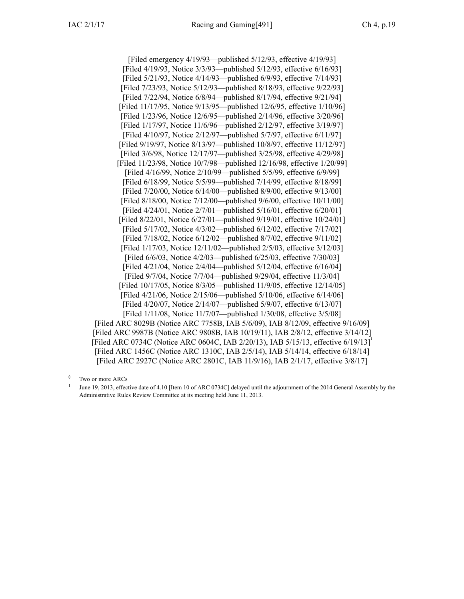[Filed emergency 4/19/93—published 5/12/93, effective 4/19/93] [Filed 4/19/93, Notice 3/3/93—published 5/12/93, effective 6/16/93] [Filed 5/21/93, Notice 4/14/93—published 6/9/93, effective 7/14/93] [Filed 7/23/93, Notice 5/12/93—published 8/18/93, effective 9/22/93] [Filed 7/22/94, Notice 6/8/94—published 8/17/94, effective 9/21/94] [Filed 11/17/95, Notice 9/13/95—published 12/6/95, effective 1/10/96] [Filed 1/23/96, Notice 12/6/95—published 2/14/96, effective 3/20/96] [Filed 1/17/97, Notice 11/6/96—published 2/12/97, effective 3/19/97] [Filed 4/10/97, Notice 2/12/97—published 5/7/97, effective 6/11/97] [Filed 9/19/97, Notice 8/13/97—published 10/8/97, effective 11/12/97] [Filed 3/6/98, Notice 12/17/97—published 3/25/98, effective 4/29/98] [Filed 11/23/98, Notice 10/7/98—published 12/16/98, effective 1/20/99] [Filed 4/16/99, Notice 2/10/99—published 5/5/99, effective 6/9/99] [Filed 6/18/99, Notice 5/5/99—published 7/14/99, effective 8/18/99] [Filed 7/20/00, Notice 6/14/00—published 8/9/00, effective 9/13/00] [Filed 8/18/00, Notice 7/12/00—published 9/6/00, effective 10/11/00] [Filed 4/24/01, Notice 2/7/01—published 5/16/01, effective 6/20/01] [Filed 8/22/01, Notice 6/27/01—published 9/19/01, effective 10/24/01] [Filed 5/17/02, Notice 4/3/02—published 6/12/02, effective 7/17/02] [Filed 7/18/02, Notice 6/12/02—published 8/7/02, effective 9/11/02] [Filed 1/17/03, Notice 12/11/02—published 2/5/03, effective 3/12/03] [Filed 6/6/03, Notice 4/2/03—published 6/25/03, effective 7/30/03] [Filed 4/21/04, Notice 2/4/04—published 5/12/04, effective 6/16/04] [Filed 9/7/04, Notice 7/7/04—published 9/29/04, effective 11/3/04] [Filed 10/17/05, Notice 8/3/05—published 11/9/05, effective 12/14/05] [Filed 4/21/06, Notice 2/15/06—published 5/10/06, effective 6/14/06] [Filed 4/20/07, Notice 2/14/07—published 5/9/07, effective 6/13/07] [Filed 1/11/08, Notice 11/7/07—published 1/30/08, effective 3/5/08] [[Filed](https://www.legis.iowa.gov/docs/aco/arc/8029B.pdf) ARC 8029B ([Notice](https://www.legis.iowa.gov/docs/aco/arc/7758B.pdf) ARC 7758B, IAB 5/6/09), IAB 8/12/09, effective 9/16/09] [Filed ARC [9987B](https://www.legis.iowa.gov/docs/aco/arc/9987B.pdf) [\(Notice](https://www.legis.iowa.gov/docs/aco/arc/9808B.pdf) ARC 9808B, IAB 10/19/11), IAB 2/8/12, effective 3/14/12] [\[Filed](https://www.legis.iowa.gov/docs/aco/arc/0734C.pdf) ARC 0734C ([Notice](https://www.legis.iowa.gov/docs/aco/arc/0604C.pdf) ARC 0604C, IAB 2/20/13), IAB 5/15/13, effective 6/19/13]

◊ Two or more ARCs

1 June 19, 2013, effective date of 4.10 [Item 10 of ARC 0734C] delayed until the adjournment of the 2014 General Assembly by the Administrative Rules Review Committee at its meeting held June 11, 2013.

[[Filed](https://www.legis.iowa.gov/docs/aco/arc/1456C.pdf) ARC 1456C ([Notice](https://www.legis.iowa.gov/docs/aco/arc/1310C.pdf) ARC 1310C, IAB 2/5/14), IAB 5/14/14, effective 6/18/14] [[Filed](https://www.legis.iowa.gov/docs/aco/arc/2927C.pdf) ARC 2927C ([Notice](https://www.legis.iowa.gov/docs/aco/arc/2801C.pdf) ARC 2801C, IAB 11/9/16), IAB 2/1/17, effective 3/8/17]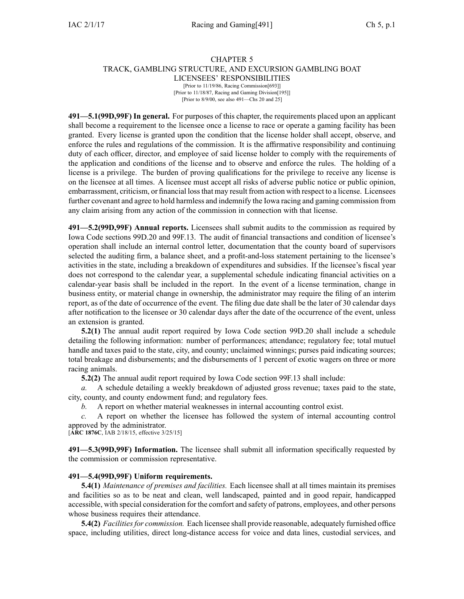# CHAPTER 5 TRACK, GAMBLING STRUCTURE, AND EXCURSION GAMBLING BOAT LICENSEES' RESPONSIBILITIES

[Prior to 11/19/86, Racing Commission[693]] [Prior to 11/18/87, Racing and Gaming Division[195]] [Prior to 8/9/00, see also 491—Chs 20 and 25]

**491—5.1(99D,99F) In general.** For purposes of this chapter, the requirements placed upon an applicant shall become <sup>a</sup> requirement to the licensee once <sup>a</sup> license to race or operate <sup>a</sup> gaming facility has been granted. Every license is granted upon the condition that the license holder shall accept, observe, and enforce the rules and regulations of the commission. It is the affirmative responsibility and continuing duty of each officer, director, and employee of said license holder to comply with the requirements of the application and conditions of the license and to observe and enforce the rules. The holding of <sup>a</sup> license is <sup>a</sup> privilege. The burden of proving qualifications for the privilege to receive any license is on the licensee at all times. A licensee must accep<sup>t</sup> all risks of adverse public notice or public opinion, embarrassment, criticism, or financial lossthat may result from action with respec<sup>t</sup> to <sup>a</sup> license. Licensees further covenant and agree to hold harmless and indemnify the Iowa racing and gaming commission from any claim arising from any action of the commission in connection with that license.

**491—5.2(99D,99F) Annual reports.** Licensees shall submit audits to the commission as required by Iowa Code sections [99D.20](https://www.legis.iowa.gov/docs/ico/section/99D.20.pdf) and [99F.13](https://www.legis.iowa.gov/docs/ico/section/99F.13.pdf). The audit of financial transactions and condition of licensee's operation shall include an internal control letter, documentation that the county board of supervisors selected the auditing firm, <sup>a</sup> balance sheet, and <sup>a</sup> profit-and-loss statement pertaining to the licensee's activities in the state, including <sup>a</sup> breakdown of expenditures and subsidies. If the licensee's fiscal year does not correspond to the calendar year, <sup>a</sup> supplemental schedule indicating financial activities on <sup>a</sup> calendar-year basis shall be included in the report. In the event of <sup>a</sup> license termination, change in business entity, or material change in ownership, the administrator may require the filing of an interim report, as of the date of occurrence of the event. The filing due date shall be the later of 30 calendar days after notification to the licensee or 30 calendar days after the date of the occurrence of the event, unless an extension is granted.

**5.2(1)** The annual audit repor<sup>t</sup> required by Iowa Code section [99D.20](https://www.legis.iowa.gov/docs/ico/section/99D.20.pdf) shall include <sup>a</sup> schedule detailing the following information: number of performances; attendance; regulatory fee; total mutuel handle and taxes paid to the state, city, and county; unclaimed winnings; purses paid indicating sources; total breakage and disbursements; and the disbursements of 1 percen<sup>t</sup> of exotic wagers on three or more racing animals.

**5.2(2)** The annual audit repor<sup>t</sup> required by Iowa Code section [99F.13](https://www.legis.iowa.gov/docs/ico/section/99F.13.pdf) shall include:

*a.* A schedule detailing <sup>a</sup> weekly breakdown of adjusted gross revenue; taxes paid to the state, city, county, and county endowment fund; and regulatory fees.

*b.* A repor<sup>t</sup> on whether material weaknesses in internal accounting control exist.

*c.* A repor<sup>t</sup> on whether the licensee has followed the system of internal accounting control approved by the administrator.

[**ARC [1876C](https://www.legis.iowa.gov/docs/aco/arc/1876C.pdf)**, IAB 2/18/15, effective 3/25/15]

**491—5.3(99D,99F) Information.** The licensee shall submit all information specifically requested by the commission or commission representative.

# **491—5.4(99D,99F) Uniform requirements.**

**5.4(1)** *Maintenance of premises and facilities.* Each licensee shall at all times maintain its premises and facilities so as to be neat and clean, well landscaped, painted and in good repair, handicapped accessible, with special consideration for the comfort and safety of patrons, employees, and other persons whose business requires their attendance.

**5.4(2)** *Facilitiesfor commission.* Each licensee shall provide reasonable, adequately furnished office space, including utilities, direct long-distance access for voice and data lines, custodial services, and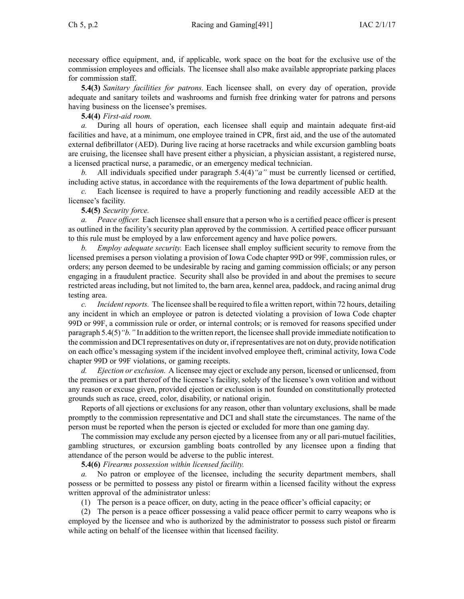necessary office equipment, and, if applicable, work space on the boat for the exclusive use of the commission employees and officials. The licensee shall also make available appropriate parking places for commission staff.

**5.4(3)** *Sanitary facilities for patrons.* Each licensee shall, on every day of operation, provide adequate and sanitary toilets and washrooms and furnish free drinking water for patrons and persons having business on the licensee's premises.

**5.4(4)** *First-aid room.*

During all hours of operation, each licensee shall equip and maintain adequate first-aid facilities and have, at <sup>a</sup> minimum, one employee trained in CPR, first aid, and the use of the automated external defibrillator (AED). During live racing at horse racetracks and while excursion gambling boats are cruising, the licensee shall have presen<sup>t</sup> either <sup>a</sup> physician, <sup>a</sup> physician assistant, <sup>a</sup> registered nurse, <sup>a</sup> licensed practical nurse, <sup>a</sup> paramedic, or an emergency medical technician.

*b.* All individuals specified under paragraph [5.4\(4\)](https://www.legis.iowa.gov/docs/iac/rule/491.5.4.pdf)*"a"* must be currently licensed or certified, including active status, in accordance with the requirements of the Iowa department of public health.

*c.* Each licensee is required to have <sup>a</sup> properly functioning and readily accessible AED at the licensee's facility.

**5.4(5)** *Security force.*

*a. Peace officer.* Each licensee shall ensure that <sup>a</sup> person who is <sup>a</sup> certified peace officer is presen<sup>t</sup> as outlined in the facility's security plan approved by the commission. A certified peace officer pursuan<sup>t</sup> to this rule must be employed by <sup>a</sup> law enforcement agency and have police powers.

*b. Employ adequate security.* Each licensee shall employ sufficient security to remove from the licensed premises <sup>a</sup> person violating <sup>a</sup> provision of Iowa Code chapter [99D](https://www.legis.iowa.gov/docs/ico/chapter/99D.pdf) or [99F](https://www.legis.iowa.gov/docs/ico/chapter/99F.pdf), commission rules, or orders; any person deemed to be undesirable by racing and gaming commission officials; or any person engaging in <sup>a</sup> fraudulent practice. Security shall also be provided in and about the premises to secure restricted areas including, but not limited to, the barn area, kennel area, paddock, and racing animal drug testing area.

*c. Incidentreports.* The licensee shall be required to file <sup>a</sup> written report, within 72 hours, detailing any incident in which an employee or patron is detected violating <sup>a</sup> provision of Iowa Code chapter [99D](https://www.legis.iowa.gov/docs/ico/chapter/99D.pdf) or [99F](https://www.legis.iowa.gov/docs/ico/chapter/99F.pdf), <sup>a</sup> commission rule or order, or internal controls; or is removed for reasons specified under paragraph [5.4\(5\)](https://www.legis.iowa.gov/docs/iac/rule/491.5.4.pdf)*"b."* In addition to the written report, the licensee shall provide immediate notification to the commission and DCI representatives on duty or, if representatives are not on duty, provide notification on each office's messaging system if the incident involved employee theft, criminal activity, Iowa Code chapter [99D](https://www.legis.iowa.gov/docs/ico/chapter/99D.pdf) or [99F](https://www.legis.iowa.gov/docs/ico/chapter/99F.pdf) violations, or gaming receipts.

*d. Ejection or exclusion.* A licensee may eject or exclude any person, licensed or unlicensed, from the premises or <sup>a</sup> par<sup>t</sup> thereof of the licensee's facility, solely of the licensee's own volition and without any reason or excuse given, provided ejection or exclusion is not founded on constitutionally protected grounds such as race, creed, color, disability, or national origin.

Reports of all ejections or exclusions for any reason, other than voluntary exclusions, shall be made promptly to the commission representative and DCI and shall state the circumstances. The name of the person must be reported when the person is ejected or excluded for more than one gaming day.

The commission may exclude any person ejected by <sup>a</sup> licensee from any or all pari-mutuel facilities, gambling structures, or excursion gambling boats controlled by any licensee upon <sup>a</sup> finding that attendance of the person would be adverse to the public interest.

**5.4(6)** *Firearms possession within licensed facility.*

*a.* No patron or employee of the licensee, including the security department members, shall possess or be permitted to possess any pistol or firearm within <sup>a</sup> licensed facility without the express written approval of the administrator unless:

(1) The person is <sup>a</sup> peace officer, on duty, acting in the peace officer's official capacity; or

(2) The person is <sup>a</sup> peace officer possessing <sup>a</sup> valid peace officer permit to carry weapons who is employed by the licensee and who is authorized by the administrator to possess such pistol or firearm while acting on behalf of the licensee within that licensed facility.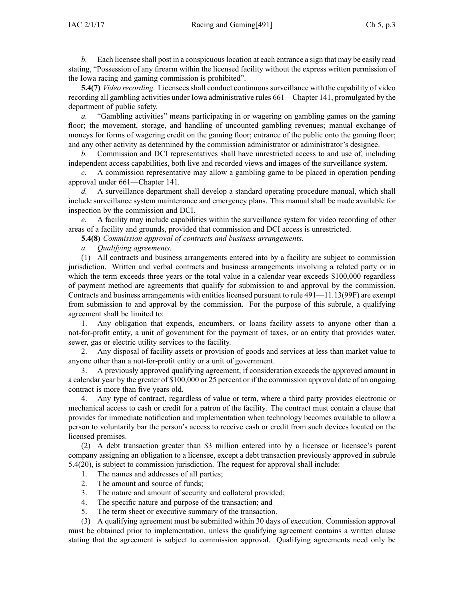$IAC 2/1/17$  Racing and  $Gaming[491]$  Ch 5, p.3

*b.* Each licensee shall post in a conspicuous location at each entrance a sign that may be easily read stating, "Possession of any firearm within the licensed facility without the express written permission of the Iowa racing and gaming commission is prohibited".

**5.4(7)** *Video recording.* Licensees shall conduct continuous surveillance with the capability of video recording all gambling activities under Iowa administrative rules [661—Chapter](https://www.legis.iowa.gov/docs/iac/chapter/661.141.pdf) 141, promulgated by the department of public safety.

*a.* "Gambling activities" means participating in or wagering on gambling games on the gaming floor; the movement, storage, and handling of uncounted gambling revenues; manual exchange of moneys for forms of wagering credit on the gaming floor; entrance of the public onto the gaming floor; and any other activity as determined by the commission administrator or administrator's designee.

*b.* Commission and DCI representatives shall have unrestricted access to and use of, including independent access capabilities, both live and recorded views and images of the surveillance system.

*c.* A commission representative may allow <sup>a</sup> gambling game to be placed in operation pending approval under [661—Chapter](https://www.legis.iowa.gov/docs/iac/chapter/661.141.pdf) 141.

*d.* A surveillance department shall develop <sup>a</sup> standard operating procedure manual, which shall include surveillance system maintenance and emergency plans. This manual shall be made available for inspection by the commission and DCI.

*e.* A facility may include capabilities within the surveillance system for video recording of other areas of <sup>a</sup> facility and grounds, provided that commission and DCI access is unrestricted.

**5.4(8)** *Commission approval of contracts and business arrangements.*

*a. Qualifying agreements.*

(1) All contracts and business arrangements entered into by <sup>a</sup> facility are subject to commission jurisdiction. Written and verbal contracts and business arrangements involving <sup>a</sup> related party or in which the term exceeds three years or the total value in <sup>a</sup> calendar year exceeds \$100,000 regardless of paymen<sup>t</sup> method are agreements that qualify for submission to and approval by the commission. Contracts and business arrangements with entities licensed pursuan<sup>t</sup> to rule [491—11.13](https://www.legis.iowa.gov/docs/iac/rule/491.11.13.pdf)(99F) are exemp<sup>t</sup> from submission to and approval by the commission. For the purpose of this subrule, <sup>a</sup> qualifying agreemen<sup>t</sup> shall be limited to:

1. Any obligation that expends, encumbers, or loans facility assets to anyone other than <sup>a</sup> not-for-profit entity, <sup>a</sup> unit of governmen<sup>t</sup> for the paymen<sup>t</sup> of taxes, or an entity that provides water, sewer, gas or electric utility services to the facility.

2. Any disposal of facility assets or provision of goods and services at less than market value to anyone other than <sup>a</sup> not-for-profit entity or <sup>a</sup> unit of government.

3. A previously approved qualifying agreement, if consideration exceeds the approved amount in <sup>a</sup> calendar year by the greater of \$100,000 or 25 percen<sup>t</sup> or if the commission approval date of an ongoing contract is more than five years old.

4. Any type of contract, regardless of value or term, where <sup>a</sup> third party provides electronic or mechanical access to cash or credit for <sup>a</sup> patron of the facility. The contract must contain <sup>a</sup> clause that provides for immediate notification and implementation when technology becomes available to allow <sup>a</sup> person to voluntarily bar the person's access to receive cash or credit from such devices located on the licensed premises.

(2) A debt transaction greater than \$3 million entered into by <sup>a</sup> licensee or licensee's paren<sup>t</sup> company assigning an obligation to <sup>a</sup> licensee, excep<sup>t</sup> <sup>a</sup> debt transaction previously approved in subrule [5.4\(20\)](https://www.legis.iowa.gov/docs/iac/rule/491.5.4.pdf), is subject to commission jurisdiction. The reques<sup>t</sup> for approval shall include:

- 1. The names and addresses of all parties;
- 2. The amount and source of funds;
- 3. The nature and amount of security and collateral provided;
- 4. The specific nature and purpose of the transaction; and
- 5. The term sheet or executive summary of the transaction.

(3) A qualifying agreemen<sup>t</sup> must be submitted within 30 days of execution. Commission approval must be obtained prior to implementation, unless the qualifying agreemen<sup>t</sup> contains <sup>a</sup> written clause stating that the agreemen<sup>t</sup> is subject to commission approval. Qualifying agreements need only be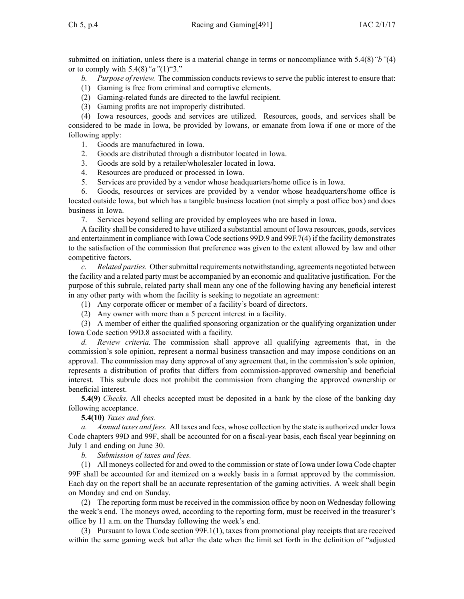submitted on initiation, unless there is <sup>a</sup> material change in terms or noncompliance with [5.4\(8\)](https://www.legis.iowa.gov/docs/iac/rule/491.5.4.pdf)*"b"*(4) or to comply with [5.4\(8\)](https://www.legis.iowa.gov/docs/iac/rule/491.5.4.pdf)*"a"*(1)"3."

*b. Purpose of review.* The commission conducts reviews to serve the public interest to ensure that:

- (1) Gaming is free from criminal and corruptive elements.
- (2) Gaming-related funds are directed to the lawful recipient.
- (3) Gaming profits are not improperly distributed.

(4) Iowa resources, goods and services are utilized. Resources, goods, and services shall be considered to be made in Iowa, be provided by Iowans, or emanate from Iowa if one or more of the following apply:

- 1. Goods are manufactured in Iowa.
- 2. Goods are distributed through <sup>a</sup> distributor located in Iowa.
- 3. Goods are sold by <sup>a</sup> retailer/wholesaler located in Iowa.
- 4. Resources are produced or processed in Iowa.
- 5. Services are provided by <sup>a</sup> vendor whose headquarters/home office is in Iowa.

6. Goods, resources or services are provided by <sup>a</sup> vendor whose headquarters/home office is located outside Iowa, but which has <sup>a</sup> tangible business location (not simply <sup>a</sup> pos<sup>t</sup> office box) and does business in Iowa.

7. Services beyond selling are provided by employees who are based in Iowa.

A facility shall be considered to have utilized <sup>a</sup> substantial amount of Iowa resources, goods, services and entertainment in compliance with Iowa Code sections [99D.9](https://www.legis.iowa.gov/docs/ico/section/2016/99D.9.pdf) and [99F.7\(4\)](https://www.legis.iowa.gov/docs/ico/section/2016/99F.7.pdf) if the facility demonstrates to the satisfaction of the commission that preference was given to the extent allowed by law and other competitive factors.

*c. Related parties.* Other submittal requirements notwithstanding, agreements negotiated between the facility and <sup>a</sup> related party must be accompanied by an economic and qualitative justification. For the purpose of this subrule, related party shall mean any one of the following having any beneficial interest in any other party with whom the facility is seeking to negotiate an agreement:

(1) Any corporate officer or member of <sup>a</sup> facility's board of directors.

(2) Any owner with more than <sup>a</sup> 5 percen<sup>t</sup> interest in <sup>a</sup> facility.

(3) A member of either the qualified sponsoring organization or the qualifying organization under Iowa Code section [99D.8](https://www.legis.iowa.gov/docs/ico/section/99D.8.pdf) associated with <sup>a</sup> facility.

*d. Review criteria.* The commission shall approve all qualifying agreements that, in the commission's sole opinion, represen<sup>t</sup> <sup>a</sup> normal business transaction and may impose conditions on an approval. The commission may deny approval of any agreemen<sup>t</sup> that, in the commission's sole opinion, represents <sup>a</sup> distribution of profits that differs from commission-approved ownership and beneficial interest. This subrule does not prohibit the commission from changing the approved ownership or beneficial interest.

**5.4(9)** *Checks.* All checks accepted must be deposited in <sup>a</sup> bank by the close of the banking day following acceptance.

**5.4(10)** *Taxes and fees.*

*a. Annual taxes and fees.* All taxes and fees, whose collection by the state is authorized under Iowa Code chapters [99D](https://www.legis.iowa.gov/docs/ico/chapter/99D.pdf) and [99F](https://www.legis.iowa.gov/docs/ico/chapter/99F.pdf), shall be accounted for on <sup>a</sup> fiscal-year basis, each fiscal year beginning on July 1 and ending on June 30.

*b. Submission of taxes and fees.*

(1) All moneys collected for and owed to the commission or state of Iowa under Iowa Code chapter [99F](https://www.legis.iowa.gov/docs/ico/chapter/99F.pdf) shall be accounted for and itemized on <sup>a</sup> weekly basis in <sup>a</sup> format approved by the commission. Each day on the repor<sup>t</sup> shall be an accurate representation of the gaming activities. A week shall begin on Monday and end on Sunday.

(2) The reporting form must be received in the commission office by noon on Wednesday following the week's end. The moneys owed, according to the reporting form, must be received in the treasurer's office by 11 a.m. on the Thursday following the week's end.

(3) Pursuant to Iowa Code section [99F.1\(1\)](https://www.legis.iowa.gov/docs/ico/section/2016/99F.1.pdf), taxes from promotional play receipts that are received within the same gaming week but after the date when the limit set forth in the definition of "adjusted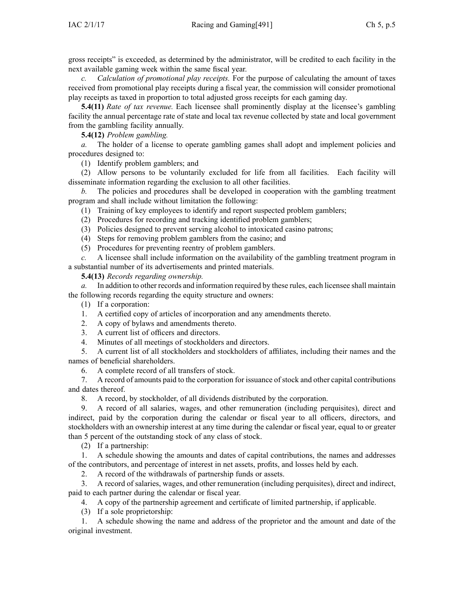gross receipts" is exceeded, as determined by the administrator, will be credited to each facility in the next available gaming week within the same fiscal year.

*c. Calculation of promotional play receipts.* For the purpose of calculating the amount of taxes received from promotional play receipts during <sup>a</sup> fiscal year, the commission will consider promotional play receipts as taxed in proportion to total adjusted gross receipts for each gaming day.

**5.4(11)** *Rate of tax revenue.* Each licensee shall prominently display at the licensee's gambling facility the annual percentage rate of state and local tax revenue collected by state and local governmen<sup>t</sup> from the gambling facility annually.

**5.4(12)** *Problem gambling.*

*a.* The holder of <sup>a</sup> license to operate gambling games shall adopt and implement policies and procedures designed to:

(1) Identify problem gamblers; and

(2) Allow persons to be voluntarily excluded for life from all facilities. Each facility will disseminate information regarding the exclusion to all other facilities.

*b.* The policies and procedures shall be developed in cooperation with the gambling treatment program and shall include without limitation the following:

(1) Training of key employees to identify and repor<sup>t</sup> suspected problem gamblers;

- (2) Procedures for recording and tracking identified problem gamblers;
- (3) Policies designed to preven<sup>t</sup> serving alcohol to intoxicated casino patrons;
- (4) Steps for removing problem gamblers from the casino; and
- (5) Procedures for preventing reentry of problem gamblers.

*c.* A licensee shall include information on the availability of the gambling treatment program in <sup>a</sup> substantial number of its advertisements and printed materials.

**5.4(13)** *Records regarding ownership.*

*a.* In addition to other records and information required by these rules, each licensee shall maintain the following records regarding the equity structure and owners:

(1) If <sup>a</sup> corporation:

- 1. A certified copy of articles of incorporation and any amendments thereto.
- 2. A copy of bylaws and amendments thereto.
- 3. A current list of officers and directors.
- 4. Minutes of all meetings of stockholders and directors.

5. A current list of all stockholders and stockholders of affiliates, including their names and the names of beneficial shareholders.

6. A complete record of all transfers of stock.

7. A record of amounts paid to the corporation for issuance of stock and other capital contributions and dates thereof.

8. A record, by stockholder, of all dividends distributed by the corporation.

9. A record of all salaries, wages, and other remuneration (including perquisites), direct and indirect, paid by the corporation during the calendar or fiscal year to all officers, directors, and stockholders with an ownership interest at any time during the calendar or fiscal year, equal to or greater than 5 percen<sup>t</sup> of the outstanding stock of any class of stock.

(2) If <sup>a</sup> partnership:

1. A schedule showing the amounts and dates of capital contributions, the names and addresses of the contributors, and percentage of interest in net assets, profits, and losses held by each.

2. A record of the withdrawals of partnership funds or assets.

3. A record of salaries, wages, and other remuneration (including perquisites), direct and indirect, paid to each partner during the calendar or fiscal year.

4. A copy of the partnership agreemen<sup>t</sup> and certificate of limited partnership, if applicable.

(3) If <sup>a</sup> sole proprietorship:

1. A schedule showing the name and address of the proprietor and the amount and date of the original investment.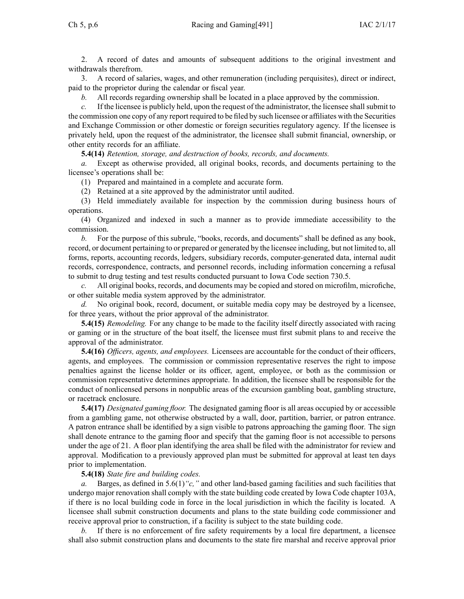2. A record of dates and amounts of subsequent additions to the original investment and withdrawals therefrom.

3. A record of salaries, wages, and other remuneration (including perquisites), direct or indirect, paid to the proprietor during the calendar or fiscal year.

*b.* All records regarding ownership shall be located in <sup>a</sup> place approved by the commission.

*c.* If the licensee is publicly held, upon the request of the administrator, the licensee shall submit to the commission one copy of any repor<sup>t</sup> required to be filed by such licensee or affiliates with the Securities and Exchange Commission or other domestic or foreign securities regulatory agency. If the licensee is privately held, upon the reques<sup>t</sup> of the administrator, the licensee shall submit financial, ownership, or other entity records for an affiliate.

**5.4(14)** *Retention, storage, and destruction of books, records, and documents.*

*a.* Except as otherwise provided, all original books, records, and documents pertaining to the licensee's operations shall be:

(1) Prepared and maintained in <sup>a</sup> complete and accurate form.

(2) Retained at <sup>a</sup> site approved by the administrator until audited.

(3) Held immediately available for inspection by the commission during business hours of operations.

(4) Organized and indexed in such <sup>a</sup> manner as to provide immediate accessibility to the commission.

*b.* For the purpose of this subrule, "books, records, and documents" shall be defined as any book, record, or document pertaining to or prepared or generated by the licensee including, but not limited to, all forms, reports, accounting records, ledgers, subsidiary records, computer-generated data, internal audit records, correspondence, contracts, and personnel records, including information concerning <sup>a</sup> refusal to submit to drug testing and test results conducted pursuan<sup>t</sup> to Iowa Code section [730.5](https://www.legis.iowa.gov/docs/ico/section/730.5.pdf).

*c.* All original books, records, and documents may be copied and stored on microfilm, microfiche, or other suitable media system approved by the administrator.

*d.* No original book, record, document, or suitable media copy may be destroyed by <sup>a</sup> licensee, for three years, without the prior approval of the administrator.

**5.4(15)** *Remodeling.* For any change to be made to the facility itself directly associated with racing or gaming or in the structure of the boat itself, the licensee must first submit plans to and receive the approval of the administrator.

**5.4(16)** *Officers, agents, and employees.* Licensees are accountable for the conduct of their officers, agents, and employees. The commission or commission representative reserves the right to impose penalties against the license holder or its officer, agent, employee, or both as the commission or commission representative determines appropriate. In addition, the licensee shall be responsible for the conduct of nonlicensed persons in nonpublic areas of the excursion gambling boat, gambling structure, or racetrack enclosure.

**5.4(17)** *Designated gaming floor.* The designated gaming floor is all areas occupied by or accessible from <sup>a</sup> gambling game, not otherwise obstructed by <sup>a</sup> wall, door, partition, barrier, or patron entrance. A patron entrance shall be identified by <sup>a</sup> sign visible to patrons approaching the gaming floor. The sign shall denote entrance to the gaming floor and specify that the gaming floor is not accessible to persons under the age of 21. A floor plan identifying the area shall be filed with the administrator for review and approval. Modification to <sup>a</sup> previously approved plan must be submitted for approval at least ten days prior to implementation.

# **5.4(18)** *State fire and building codes.*

*a.* Barges, as defined in [5.6\(1\)](https://www.legis.iowa.gov/docs/iac/rule/491.5.6.pdf)*"c,"* and other land-based gaming facilities and such facilities that undergo major renovation shall comply with the state building code created by Iowa Code chapter [103A](https://www.legis.iowa.gov/docs/ico/chapter/103A.pdf), if there is no local building code in force in the local jurisdiction in which the facility is located. A licensee shall submit construction documents and plans to the state building code commissioner and receive approval prior to construction, if <sup>a</sup> facility is subject to the state building code.

*b.* If there is no enforcement of fire safety requirements by <sup>a</sup> local fire department, <sup>a</sup> licensee shall also submit construction plans and documents to the state fire marshal and receive approval prior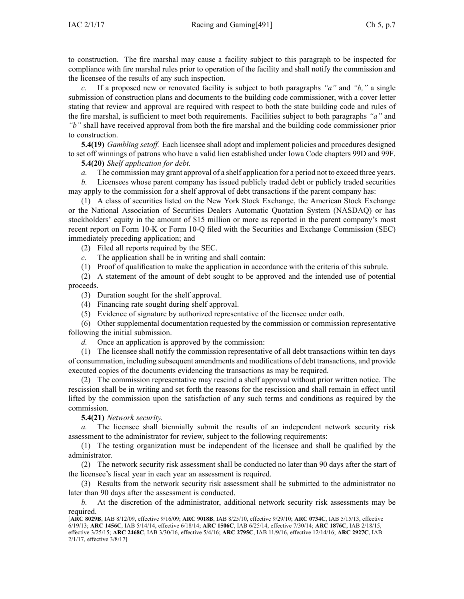to construction. The fire marshal may cause <sup>a</sup> facility subject to this paragraph to be inspected for compliance with fire marshal rules prior to operation of the facility and shall notify the commission and the licensee of the results of any such inspection.

*c.* If <sup>a</sup> proposed new or renovated facility is subject to both paragraphs *"a"* and *"b,"* <sup>a</sup> single submission of construction plans and documents to the building code commissioner, with <sup>a</sup> cover letter stating that review and approval are required with respec<sup>t</sup> to both the state building code and rules of the fire marshal, is sufficient to meet both requirements. Facilities subject to both paragraphs *"a"* and *"b"* shall have received approval from both the fire marshal and the building code commissioner prior to construction.

**5.4(19)** *Gambling setoff.* Each licensee shall adopt and implement policies and procedures designed to set off winnings of patrons who have <sup>a</sup> valid lien established under Iowa Code chapters [99D](https://www.legis.iowa.gov/docs/ico/chapter/99D.pdf) and [99F](https://www.legis.iowa.gov/docs/ico/chapter/99F.pdf).

**5.4(20)** *Shelf application for debt.*

*a.* The commission may gran<sup>t</sup> approval of <sup>a</sup> shelf application for <sup>a</sup> period not to exceed three years.

*b.* Licensees whose paren<sup>t</sup> company has issued publicly traded debt or publicly traded securities may apply to the commission for <sup>a</sup> shelf approval of debt transactions if the paren<sup>t</sup> company has:

(1) A class of securities listed on the New York Stock Exchange, the American Stock Exchange or the National Association of Securities Dealers Automatic Quotation System (NASDAQ) or has stockholders' equity in the amount of \$15 million or more as reported in the paren<sup>t</sup> company's most recent repor<sup>t</sup> on Form 10-K or Form 10-Q filed with the Securities and Exchange Commission (SEC) immediately preceding application; and

(2) Filed all reports required by the SEC.

- *c.* The application shall be in writing and shall contain:
- (1) Proof of qualification to make the application in accordance with the criteria of this subrule.

(2) A statement of the amount of debt sought to be approved and the intended use of potential proceeds.

- (3) Duration sought for the shelf approval.
- (4) Financing rate sought during shelf approval.
- (5) Evidence of signature by authorized representative of the licensee under oath.

(6) Other supplemental documentation requested by the commission or commission representative following the initial submission.

*d.* Once an application is approved by the commission:

(1) The licensee shall notify the commission representative of all debt transactions within ten days of consummation, including subsequent amendments and modifications of debt transactions, and provide executed copies of the documents evidencing the transactions as may be required.

(2) The commission representative may rescind <sup>a</sup> shelf approval without prior written notice. The rescission shall be in writing and set forth the reasons for the rescission and shall remain in effect until lifted by the commission upon the satisfaction of any such terms and conditions as required by the commission.

**5.4(21)** *Network security.*

*a.* The licensee shall biennially submit the results of an independent network security risk assessment to the administrator for review, subject to the following requirements:

(1) The testing organization must be independent of the licensee and shall be qualified by the administrator.

(2) The network security risk assessment shall be conducted no later than 90 days after the start of the licensee's fiscal year in each year an assessment is required.

(3) Results from the network security risk assessment shall be submitted to the administrator no later than 90 days after the assessment is conducted.

*b.* At the discretion of the administrator, additional network security risk assessments may be required.

<sup>[</sup>**ARC [8029B](https://www.legis.iowa.gov/docs/aco/arc/8029B.pdf)**, IAB 8/12/09, effective 9/16/09; **ARC [9018B](https://www.legis.iowa.gov/docs/aco/arc/9018B.pdf)**, IAB 8/25/10, effective 9/29/10; **ARC [0734C](https://www.legis.iowa.gov/docs/aco/arc/0734C.pdf)**, IAB 5/15/13, effective 6/19/13; **ARC [1456C](https://www.legis.iowa.gov/docs/aco/arc/1456C.pdf)**, IAB 5/14/14, effective 6/18/14; **ARC [1506C](https://www.legis.iowa.gov/docs/aco/arc/1506C.pdf)**, IAB 6/25/14, effective 7/30/14; **ARC [1876C](https://www.legis.iowa.gov/docs/aco/arc/1876C.pdf)**, IAB 2/18/15, effective 3/25/15; **ARC [2468C](https://www.legis.iowa.gov/docs/aco/arc/2468C.pdf)**, IAB 3/30/16, effective 5/4/16; **ARC [2795C](https://www.legis.iowa.gov/docs/aco/arc/2795C.pdf)**, IAB 11/9/16, effective 12/14/16; **ARC [2927C](https://www.legis.iowa.gov/docs/aco/arc/2927C.pdf)**, IAB 2/1/17, effective 3/8/17]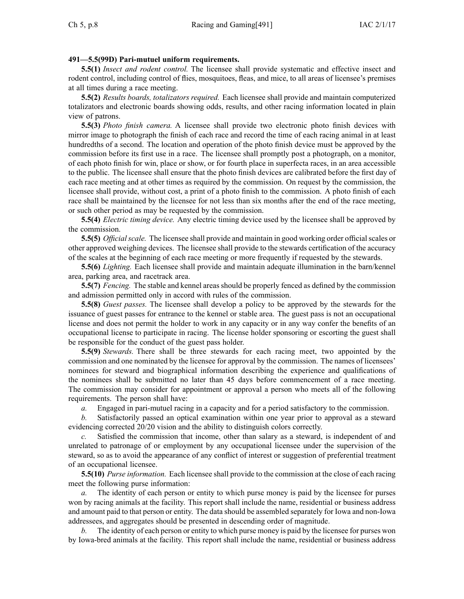# **491—5.5(99D) Pari-mutuel uniform requirements.**

**5.5(1)** *Insect and rodent control.* The licensee shall provide systematic and effective insect and rodent control, including control of flies, mosquitoes, fleas, and mice, to all areas of licensee's premises at all times during <sup>a</sup> race meeting.

**5.5(2)** *Results boards, totalizators required.* Each licensee shall provide and maintain computerized totalizators and electronic boards showing odds, results, and other racing information located in plain view of patrons.

**5.5(3)** *Photo finish camera.* A licensee shall provide two electronic photo finish devices with mirror image to photograph the finish of each race and record the time of each racing animal in at least hundredths of <sup>a</sup> second. The location and operation of the photo finish device must be approved by the commission before its first use in <sup>a</sup> race. The licensee shall promptly pos<sup>t</sup> <sup>a</sup> photograph, on <sup>a</sup> monitor, of each photo finish for win, place or show, or for fourth place in superfecta races, in an area accessible to the public. The licensee shall ensure that the photo finish devices are calibrated before the first day of each race meeting and at other times as required by the commission. On reques<sup>t</sup> by the commission, the licensee shall provide, without cost, <sup>a</sup> print of <sup>a</sup> photo finish to the commission. A photo finish of each race shall be maintained by the licensee for not less than six months after the end of the race meeting, or such other period as may be requested by the commission.

**5.5(4)** *Electric timing device.* Any electric timing device used by the licensee shall be approved by the commission.

**5.5(5)** *Official scale.* The licensee shall provide and maintain in good working order official scales or other approved weighing devices. The licensee shall provide to the stewards certification of the accuracy of the scales at the beginning of each race meeting or more frequently if requested by the stewards.

**5.5(6)** *Lighting.* Each licensee shall provide and maintain adequate illumination in the barn/kennel area, parking area, and racetrack area.

**5.5(7)** *Fencing.* The stable and kennel areas should be properly fenced as defined by the commission and admission permitted only in accord with rules of the commission.

**5.5(8)** *Guest passes.* The licensee shall develop <sup>a</sup> policy to be approved by the stewards for the issuance of gues<sup>t</sup> passes for entrance to the kennel or stable area. The gues<sup>t</sup> pass is not an occupational license and does not permit the holder to work in any capacity or in any way confer the benefits of an occupational license to participate in racing. The license holder sponsoring or escorting the gues<sup>t</sup> shall be responsible for the conduct of the gues<sup>t</sup> pass holder.

**5.5(9)** *Stewards.* There shall be three stewards for each racing meet, two appointed by the commission and one nominated by the licensee for approval by the commission. The names of licensees' nominees for steward and biographical information describing the experience and qualifications of the nominees shall be submitted no later than 45 days before commencement of <sup>a</sup> race meeting. The commission may consider for appointment or approval <sup>a</sup> person who meets all of the following requirements. The person shall have:

*a.* Engaged in pari-mutuel racing in <sup>a</sup> capacity and for <sup>a</sup> period satisfactory to the commission.

*b.* Satisfactorily passed an optical examination within one year prior to approval as <sup>a</sup> steward evidencing corrected 20/20 vision and the ability to distinguish colors correctly.

*c.* Satisfied the commission that income, other than salary as <sup>a</sup> steward, is independent of and unrelated to patronage of or employment by any occupational licensee under the supervision of the steward, so as to avoid the appearance of any conflict of interest or suggestion of preferential treatment of an occupational licensee.

**5.5(10)** *Purse information.* Each licensee shall provide to the commission at the close of each racing meet the following purse information:

The identity of each person or entity to which purse money is paid by the licensee for purses won by racing animals at the facility. This repor<sup>t</sup> shall include the name, residential or business address and amount paid to that person or entity. The data should be assembled separately for Iowa and non-Iowa addressees, and aggregates should be presented in descending order of magnitude.

*b.* The identity of each person or entity to which purse money is paid by the licensee for purses won by Iowa-bred animals at the facility. This repor<sup>t</sup> shall include the name, residential or business address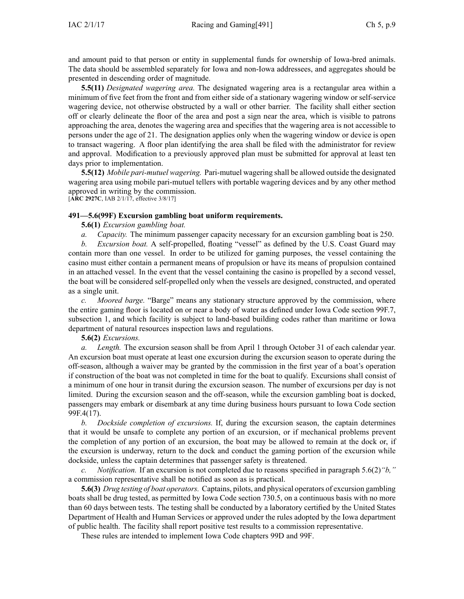and amount paid to that person or entity in supplemental funds for ownership of Iowa-bred animals. The data should be assembled separately for Iowa and non-Iowa addressees, and aggregates should be presented in descending order of magnitude.

**5.5(11)** *Designated wagering area.* The designated wagering area is <sup>a</sup> rectangular area within <sup>a</sup> minimum of five feet from the front and from either side of <sup>a</sup> stationary wagering window or self-service wagering device, not otherwise obstructed by <sup>a</sup> wall or other barrier. The facility shall either section off or clearly delineate the floor of the area and pos<sup>t</sup> <sup>a</sup> sign near the area, which is visible to patrons approaching the area, denotes the wagering area and specifies that the wagering area is not accessible to persons under the age of 21. The designation applies only when the wagering window or device is open to transact wagering. A floor plan identifying the area shall be filed with the administrator for review and approval. Modification to <sup>a</sup> previously approved plan must be submitted for approval at least ten days prior to implementation.

**5.5(12)** *Mobile pari-mutuel wagering.* Pari-mutuel wagering shall be allowed outside the designated wagering area using mobile pari-mutuel tellers with portable wagering devices and by any other method approved in writing by the commission. [**ARC [2927C](https://www.legis.iowa.gov/docs/aco/arc/2927C.pdf)**, IAB 2/1/17, effective 3/8/17]

# **491—5.6(99F) Excursion gambling boat uniform requirements.**

**5.6(1)** *Excursion gambling boat.*

*a. Capacity.* The minimum passenger capacity necessary for an excursion gambling boat is 250.

*b. Excursion boat.* A self-propelled, floating "vessel" as defined by the U.S. Coast Guard may contain more than one vessel. In order to be utilized for gaming purposes, the vessel containing the casino must either contain <sup>a</sup> permanen<sup>t</sup> means of propulsion or have its means of propulsion contained in an attached vessel. In the event that the vessel containing the casino is propelled by <sup>a</sup> second vessel, the boat will be considered self-propelled only when the vessels are designed, constructed, and operated as <sup>a</sup> single unit.

*c. Moored barge.* "Barge" means any stationary structure approved by the commission, where the entire gaming floor is located on or near <sup>a</sup> body of water as defined under Iowa Code section [99F.7,](https://www.legis.iowa.gov/docs/ico/section/99F.7.pdf) [subsection](https://www.legis.iowa.gov/docs/ico/section/99F.7.pdf) 1, and which facility is subject to land-based building codes rather than maritime or Iowa department of natural resources inspection laws and regulations.

**5.6(2)** *Excursions.*

*a. Length.* The excursion season shall be from April 1 through October 31 of each calendar year. An excursion boat must operate at least one excursion during the excursion season to operate during the off-season, although <sup>a</sup> waiver may be granted by the commission in the first year of <sup>a</sup> boat's operation if construction of the boat was not completed in time for the boat to qualify. Excursions shall consist of <sup>a</sup> minimum of one hour in transit during the excursion season. The number of excursions per day is not limited. During the excursion season and the off-season, while the excursion gambling boat is docked, passengers may embark or disembark at any time during business hours pursuan<sup>t</sup> to Iowa Code section [99F.4\(17\)](https://www.legis.iowa.gov/docs/ico/section/99F.4.pdf).

*b. Dockside completion of excursions.* If, during the excursion season, the captain determines that it would be unsafe to complete any portion of an excursion, or if mechanical problems preven<sup>t</sup> the completion of any portion of an excursion, the boat may be allowed to remain at the dock or, if the excursion is underway, return to the dock and conduct the gaming portion of the excursion while dockside, unless the captain determines that passenger safety is threatened.

*c. Notification.* If an excursion is not completed due to reasons specified in paragraph [5.6\(2\)](https://www.legis.iowa.gov/docs/iac/rule/491.5.6.pdf)*"b,"* <sup>a</sup> commission representative shall be notified as soon as is practical.

**5.6(3)** *Drug testing of boat operators.* Captains, pilots, and physical operators of excursion gambling boats shall be drug tested, as permitted by Iowa Code section [730.5](https://www.legis.iowa.gov/docs/ico/section/730.5.pdf), on <sup>a</sup> continuous basis with no more than 60 days between tests. The testing shall be conducted by <sup>a</sup> laboratory certified by the United States Department of Health and Human Services or approved under the rules adopted by the Iowa department of public health. The facility shall repor<sup>t</sup> positive test results to <sup>a</sup> commission representative.

These rules are intended to implement Iowa Code chapters [99D](https://www.legis.iowa.gov/docs/ico/chapter/99D.pdf) and [99F](https://www.legis.iowa.gov/docs/ico/chapter/99F.pdf).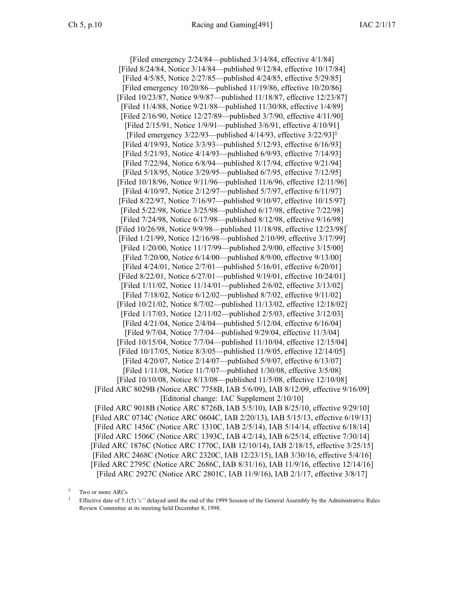[Filed emergency 2/24/84—published 3/14/84, effective 4/1/84] [Filed 8/24/84, Notice 3/14/84—published 9/12/84, effective 10/17/84] [Filed 4/5/85, Notice 2/27/85—published 4/24/85, effective 5/29/85] [Filed emergency 10/20/86—published 11/19/86, effective 10/20/86] [Filed 10/23/87, Notice 9/9/87—published 11/18/87, effective 12/23/87] [Filed 11/4/88, Notice 9/21/88—published 11/30/88, effective 1/4/89] [Filed 2/16/90, Notice 12/27/89—published 3/7/90, effective 4/11/90] [Filed 2/15/91, Notice 1/9/91—published 3/6/91, effective 4/10/91] [Filed emergency  $3/22/93$ —published  $4/14/93$ , effective  $3/22/93$ ]<sup> $\circ$ </sup> [Filed 4/19/93, Notice 3/3/93—published 5/12/93, effective 6/16/93] [Filed 5/21/93, Notice 4/14/93—published 6/9/93, effective 7/14/93] [Filed 7/22/94, Notice 6/8/94—published 8/17/94, effective 9/21/94] [Filed 5/18/95, Notice 3/29/95—published 6/7/95, effective 7/12/95] [Filed 10/18/96, Notice 9/11/96—published 11/6/96, effective 12/11/96] [Filed 4/10/97, Notice 2/12/97—published 5/7/97, effective 6/11/97] [Filed 8/22/97, Notice 7/16/97—published 9/10/97, effective 10/15/97] [Filed 5/22/98, Notice 3/25/98—published 6/17/98, effective 7/22/98] [Filed 7/24/98, Notice 6/17/98—published 8/12/98, effective 9/16/98] [Filed 10/26/98, Notice 9/9/98—published 11/18/98, effective 12/23/98] [Filed 1/21/99, Notice 12/16/98—published 2/10/99, effective 3/17/99] [Filed 1/20/00, Notice 11/17/99—published 2/9/00, effective 3/15/00] [Filed 7/20/00, Notice 6/14/00—published 8/9/00, effective 9/13/00] [Filed 4/24/01, Notice 2/7/01—published 5/16/01, effective 6/20/01] [Filed 8/22/01, Notice 6/27/01—published 9/19/01, effective 10/24/01] [Filed 1/11/02, Notice 11/14/01—published 2/6/02, effective 3/13/02] [Filed 7/18/02, Notice 6/12/02—published 8/7/02, effective 9/11/02] [Filed 10/21/02, Notice 8/7/02—published 11/13/02, effective 12/18/02] [Filed 1/17/03, Notice 12/11/02—published 2/5/03, effective 3/12/03] [Filed 4/21/04, Notice 2/4/04—published 5/12/04, effective 6/16/04] [Filed 9/7/04, Notice 7/7/04—published 9/29/04, effective 11/3/04] [Filed 10/15/04, Notice 7/7/04—published 11/10/04, effective 12/15/04] [Filed 10/17/05, Notice 8/3/05—published 11/9/05, effective 12/14/05] [Filed 4/20/07, Notice 2/14/07—published 5/9/07, effective 6/13/07] [Filed 1/11/08, Notice 11/7/07—published 1/30/08, effective 3/5/08] [Filed 10/10/08, Notice 8/13/08—published 11/5/08, effective 12/10/08] [[Filed](https://www.legis.iowa.gov/docs/aco/arc/8029B.pdf) ARC 8029B (Notice ARC [7758B](https://www.legis.iowa.gov/docs/aco/arc/7758B.pdf), IAB 5/6/09), IAB 8/12/09, effective 9/16/09] [Editorial change: IAC Supplement 2/10/10] [[Filed](https://www.legis.iowa.gov/docs/aco/arc/9018B.pdf) ARC 9018B ([Notice](https://www.legis.iowa.gov/docs/aco/arc/8726B.pdf) ARC 8726B, IAB 5/5/10), IAB 8/25/10, effective 9/29/10] [[Filed](https://www.legis.iowa.gov/docs/aco/arc/0734C.pdf) ARC 0734C ([Notice](https://www.legis.iowa.gov/docs/aco/arc/0604C.pdf) ARC 0604C, IAB 2/20/13), IAB 5/15/13, effective 6/19/13] [[Filed](https://www.legis.iowa.gov/docs/aco/arc/1456C.pdf) ARC 1456C ([Notice](https://www.legis.iowa.gov/docs/aco/arc/1310C.pdf) ARC 1310C, IAB 2/5/14), IAB 5/14/14, effective 6/18/14] [[Filed](https://www.legis.iowa.gov/docs/aco/arc/1506C.pdf) ARC 1506C ([Notice](https://www.legis.iowa.gov/docs/aco/arc/1393C.pdf) ARC 1393C, IAB 4/2/14), IAB 6/25/14, effective 7/30/14] [[Filed](https://www.legis.iowa.gov/docs/aco/arc/1876C.pdf) ARC 1876C ([Notice](https://www.legis.iowa.gov/docs/aco/arc/1770C.pdf) ARC 1770C, IAB 12/10/14), IAB 2/18/15, effective 3/25/15] [Filed ARC [2468C](https://www.legis.iowa.gov/docs/aco/arc/2468C.pdf) ([Notice](https://www.legis.iowa.gov/docs/aco/arc/2320C.pdf) ARC 2320C, IAB 12/23/15), IAB 3/30/16, effective 5/4/16] [[Filed](https://www.legis.iowa.gov/docs/aco/arc/2795C.pdf) ARC 2795C ([Notice](https://www.legis.iowa.gov/docs/aco/arc/2686C.pdf) ARC 2686C, IAB 8/31/16), IAB 11/9/16, effective 12/14/16] [Filed ARC [2927C](https://www.legis.iowa.gov/docs/aco/arc/2927C.pdf) ([Notice](https://www.legis.iowa.gov/docs/aco/arc/2801C.pdf) ARC 2801C, IAB 11/9/16), IAB 2/1/17, effective 3/8/17]

<sup>◊</sup> Two or more ARCs

<sup>1</sup> Effective date of 5.1(5)*"c"* delayed until the end of the 1999 Session of the General Assembly by the Administrative Rules Review Committee at its meeting held December 8, 1998.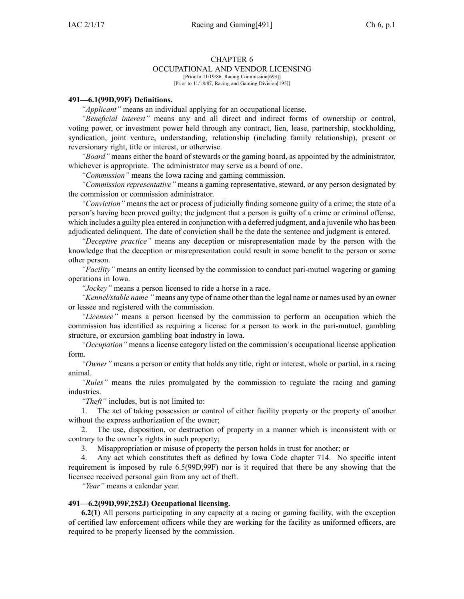# CHAPTER 6

OCCUPATIONAL AND VENDOR LICENSING [Prior to 11/19/86, Racing Commission[693]]

[Prior to 11/18/87, Racing and Gaming Division[195]]

# **491—6.1(99D,99F) Definitions.**

*"Applicant"* means an individual applying for an occupational license.

*"Beneficial interest"* means any and all direct and indirect forms of ownership or control, voting power, or investment power held through any contract, lien, lease, partnership, stockholding, syndication, joint venture, understanding, relationship (including family relationship), presen<sup>t</sup> or reversionary right, title or interest, or otherwise.

*"Board"* means either the board of stewards or the gaming board, as appointed by the administrator, whichever is appropriate. The administrator may serve as <sup>a</sup> board of one.

*"Commission"* means the Iowa racing and gaming commission.

*"Commission representative"* means <sup>a</sup> gaming representative, steward, or any person designated by the commission or commission administrator.

*"Conviction"* means the act or process of judicially finding someone guilty of <sup>a</sup> crime; the state of <sup>a</sup> person's having been proved guilty; the judgment that <sup>a</sup> person is guilty of <sup>a</sup> crime or criminal offense, which includes <sup>a</sup> guilty plea entered in conjunction with <sup>a</sup> deferred judgment, and <sup>a</sup> juvenile who has been adjudicated delinquent. The date of conviction shall be the date the sentence and judgment is entered.

*"Deceptive practice"* means any deception or misrepresentation made by the person with the knowledge that the deception or misrepresentation could result in some benefit to the person or some other person.

*"Facility"* means an entity licensed by the commission to conduct pari-mutuel wagering or gaming operations in Iowa.

*"Jockey"* means <sup>a</sup> person licensed to ride <sup>a</sup> horse in <sup>a</sup> race.

*"Kennel/stable name "* means any type of name other than the legal name or names used by an owner or lessee and registered with the commission.

*"Licensee"* means <sup>a</sup> person licensed by the commission to perform an occupation which the commission has identified as requiring <sup>a</sup> license for <sup>a</sup> person to work in the pari-mutuel, gambling structure, or excursion gambling boat industry in Iowa.

*"Occupation"* means <sup>a</sup> license category listed on the commission's occupational license application form.

*"Owner"* means <sup>a</sup> person or entity that holds any title, right or interest, whole or partial, in <sup>a</sup> racing animal.

*"Rules"* means the rules promulgated by the commission to regulate the racing and gaming industries.

*"Theft"* includes, but is not limited to:

1. The act of taking possession or control of either facility property or the property of another without the express authorization of the owner;

2. The use, disposition, or destruction of property in <sup>a</sup> manner which is inconsistent with or contrary to the owner's rights in such property;

3. Misappropriation or misuse of property the person holds in trust for another; or

4. Any act which constitutes theft as defined by Iowa Code chapter [714](https://www.legis.iowa.gov/docs/ico/chapter/714.pdf). No specific intent requirement is imposed by rule 6.5(99D,99F) nor is it required that there be any showing that the licensee received personal gain from any act of theft.

*"Year"* means <sup>a</sup> calendar year.

# **491—6.2(99D,99F,252J) Occupational licensing.**

**6.2(1)** All persons participating in any capacity at <sup>a</sup> racing or gaming facility, with the exception of certified law enforcement officers while they are working for the facility as uniformed officers, are required to be properly licensed by the commission.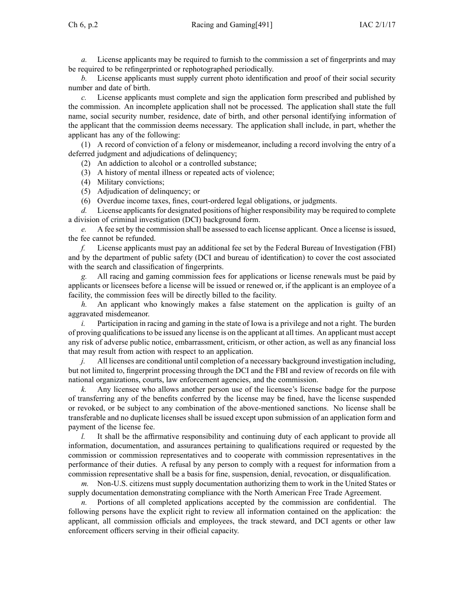*a.* License applicants may be required to furnish to the commission <sup>a</sup> set of fingerprints and may be required to be refingerprinted or rephotographed periodically.

*b.* License applicants must supply current photo identification and proof of their social security number and date of birth.

*c.* License applicants must complete and sign the application form prescribed and published by the commission. An incomplete application shall not be processed. The application shall state the full name, social security number, residence, date of birth, and other personal identifying information of the applicant that the commission deems necessary. The application shall include, in part, whether the applicant has any of the following:

(1) A record of conviction of <sup>a</sup> felony or misdemeanor, including <sup>a</sup> record involving the entry of <sup>a</sup> deferred judgment and adjudications of delinquency;

(2) An addiction to alcohol or <sup>a</sup> controlled substance;

- (3) A history of mental illness or repeated acts of violence;
- (4) Military convictions;
- (5) Adjudication of delinquency; or
- (6) Overdue income taxes, fines, court-ordered legal obligations, or judgments.

*d.* License applicants for designated positions of higher responsibility may be required to complete <sup>a</sup> division of criminal investigation (DCI) background form.

*e.* A fee set by the commission shall be assessed to each license applicant. Once a license is issued, the fee cannot be refunded.

*f.* License applicants must pay an additional fee set by the Federal Bureau of Investigation (FBI) and by the department of public safety (DCI and bureau of identification) to cover the cost associated with the search and classification of fingerprints.

*g.* All racing and gaming commission fees for applications or license renewals must be paid by applicants or licensees before <sup>a</sup> license will be issued or renewed or, if the applicant is an employee of <sup>a</sup> facility, the commission fees will be directly billed to the facility.

*h.* An applicant who knowingly makes <sup>a</sup> false statement on the application is guilty of an aggravated misdemeanor.

*i.* Participation in racing and gaming in the state of Iowa is a privilege and not a right. The burden of proving qualificationsto be issued any license is on the applicant at all times. An applicant must accep<sup>t</sup> any risk of adverse public notice, embarrassment, criticism, or other action, as well as any financial loss that may result from action with respec<sup>t</sup> to an application.

*j.* All licenses are conditional until completion of a necessary background investigation including, but not limited to, fingerprint processing through the DCI and the FBI and review of records on file with national organizations, courts, law enforcement agencies, and the commission.

*k.* Any licensee who allows another person use of the licensee's license badge for the purpose of transferring any of the benefits conferred by the license may be fined, have the license suspended or revoked, or be subject to any combination of the above-mentioned sanctions. No license shall be transferable and no duplicate licenses shall be issued excep<sup>t</sup> upon submission of an application form and paymen<sup>t</sup> of the license fee.

*l.* It shall be the affirmative responsibility and continuing duty of each applicant to provide all information, documentation, and assurances pertaining to qualifications required or requested by the commission or commission representatives and to cooperate with commission representatives in the performance of their duties. A refusal by any person to comply with <sup>a</sup> reques<sup>t</sup> for information from <sup>a</sup> commission representative shall be <sup>a</sup> basis for fine, suspension, denial, revocation, or disqualification.

*m.* Non-U.S. citizens must supply documentation authorizing them to work in the United States or supply documentation demonstrating compliance with the North American Free Trade Agreement.

*n.* Portions of all completed applications accepted by the commission are confidential. The following persons have the explicit right to review all information contained on the application: the applicant, all commission officials and employees, the track steward, and DCI agents or other law enforcement officers serving in their official capacity.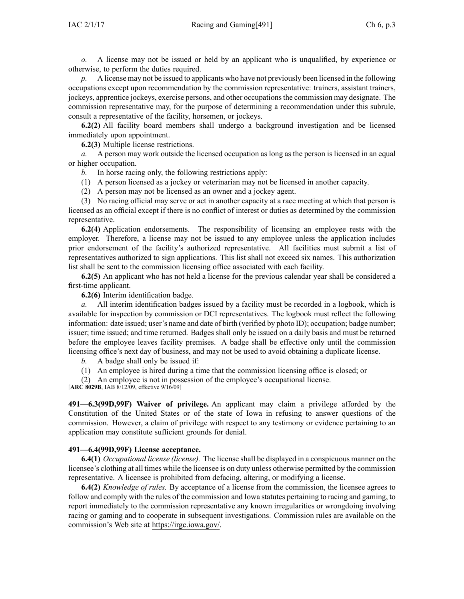*o.* A license may not be issued or held by an applicant who is unqualified, by experience or otherwise, to perform the duties required.

*p.* A license may not be issued to applicants who have not previously been licensed in the following occupations excep<sup>t</sup> upon recommendation by the commission representative: trainers, assistant trainers, jockeys, apprentice jockeys, exercise persons, and other occupationsthe commission may designate. The commission representative may, for the purpose of determining <sup>a</sup> recommendation under this subrule, consult <sup>a</sup> representative of the facility, horsemen, or jockeys.

**6.2(2)** All facility board members shall undergo <sup>a</sup> background investigation and be licensed immediately upon appointment.

**6.2(3)** Multiple license restrictions.

*a.* A person may work outside the licensed occupation as long as the person is licensed in an equal or higher occupation.

*b.* In horse racing only, the following restrictions apply:

(1) A person licensed as <sup>a</sup> jockey or veterinarian may not be licensed in another capacity.

(2) A person may not be licensed as an owner and <sup>a</sup> jockey agent.

(3) No racing official may serve or act in another capacity at <sup>a</sup> race meeting at which that person is licensed as an official excep<sup>t</sup> if there is no conflict of interest or duties as determined by the commission representative.

**6.2(4)** Application endorsements. The responsibility of licensing an employee rests with the employer. Therefore, <sup>a</sup> license may not be issued to any employee unless the application includes prior endorsement of the facility's authorized representative. All facilities must submit <sup>a</sup> list of representatives authorized to sign applications. This list shall not exceed six names. This authorization list shall be sent to the commission licensing office associated with each facility.

**6.2(5)** An applicant who has not held <sup>a</sup> license for the previous calendar year shall be considered <sup>a</sup> first-time applicant.

**6.2(6)** Interim identification badge.

*a.* All interim identification badges issued by <sup>a</sup> facility must be recorded in <sup>a</sup> logbook, which is available for inspection by commission or DCI representatives. The logbook must reflect the following information: date issued; user's name and date of birth (verified by photo ID); occupation; badge number; issuer; time issued; and time returned. Badges shall only be issued on <sup>a</sup> daily basis and must be returned before the employee leaves facility premises. A badge shall be effective only until the commission licensing office's next day of business, and may not be used to avoid obtaining <sup>a</sup> duplicate license.

*b.* A badge shall only be issued if:

(1) An employee is hired during <sup>a</sup> time that the commission licensing office is closed; or

(2) An employee is not in possession of the employee's occupational license.

[**ARC [8029B](https://www.legis.iowa.gov/docs/aco/arc/8029B.pdf)**, IAB 8/12/09, effective 9/16/09]

**491—6.3(99D,99F) Waiver of privilege.** An applicant may claim <sup>a</sup> privilege afforded by the Constitution of the United States or of the state of Iowa in refusing to answer questions of the commission. However, <sup>a</sup> claim of privilege with respec<sup>t</sup> to any testimony or evidence pertaining to an application may constitute sufficient grounds for denial.

# **491—6.4(99D,99F) License acceptance.**

**6.4(1)** *Occupational license (license).* The license shall be displayed in <sup>a</sup> conspicuous manner on the licensee's clothing at all times while the licensee is on duty unless otherwise permitted by the commission representative. A licensee is prohibited from defacing, altering, or modifying <sup>a</sup> license.

**6.4(2)** *Knowledge of rules.* By acceptance of <sup>a</sup> license from the commission, the licensee agrees to follow and comply with the rules of the commission and Iowa statutes pertaining to racing and gaming, to repor<sup>t</sup> immediately to the commission representative any known irregularities or wrongdoing involving racing or gaming and to cooperate in subsequent investigations. Commission rules are available on the commission's Web site at <https://irgc.iowa.gov/>.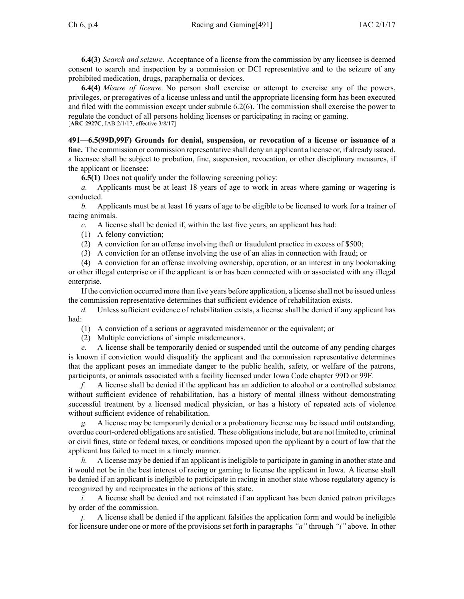**6.4(3)** *Search and seizure.* Acceptance of <sup>a</sup> license from the commission by any licensee is deemed consent to search and inspection by <sup>a</sup> commission or DCI representative and to the seizure of any prohibited medication, drugs, paraphernalia or devices.

**6.4(4)** *Misuse of license.* No person shall exercise or attempt to exercise any of the powers, privileges, or prerogatives of <sup>a</sup> license unless and until the appropriate licensing form has been executed and filed with the commission excep<sup>t</sup> under subrule [6.2\(6\)](https://www.legis.iowa.gov/docs/iac/rule/491.6.2.pdf). The commission shall exercise the power to regulate the conduct of all persons holding licenses or participating in racing or gaming. [**ARC [2927C](https://www.legis.iowa.gov/docs/aco/arc/2927C.pdf)**, IAB 2/1/17, effective 3/8/17]

**491—6.5(99D,99F) Grounds for denial, suspension, or revocation of <sup>a</sup> license or issuance of <sup>a</sup> fine.** The commission or commission representative shall deny an applicant <sup>a</sup> license or, if already issued, <sup>a</sup> licensee shall be subject to probation, fine, suspension, revocation, or other disciplinary measures, if the applicant or licensee:

**6.5(1)** Does not qualify under the following screening policy:

*a.* Applicants must be at least 18 years of age to work in areas where gaming or wagering is conducted.

*b.* Applicants must be at least 16 years of age to be eligible to be licensed to work for <sup>a</sup> trainer of racing animals.

*c.* A license shall be denied if, within the last five years, an applicant has had:

- (1) A felony conviction;
- (2) A conviction for an offense involving theft or fraudulent practice in excess of \$500;
- (3) A conviction for an offense involving the use of an alias in connection with fraud; or

(4) A conviction for an offense involving ownership, operation, or an interest in any bookmaking or other illegal enterprise or if the applicant is or has been connected with or associated with any illegal enterprise.

If the conviction occurred more than five years before application, <sup>a</sup> license shall not be issued unless the commission representative determines that sufficient evidence of rehabilitation exists.

*d.* Unless sufficient evidence of rehabilitation exists, <sup>a</sup> license shall be denied if any applicant has had:

- (1) A conviction of <sup>a</sup> serious or aggravated misdemeanor or the equivalent; or
- (2) Multiple convictions of simple misdemeanors.

*e.* A license shall be temporarily denied or suspended until the outcome of any pending charges is known if conviction would disqualify the applicant and the commission representative determines that the applicant poses an immediate danger to the public health, safety, or welfare of the patrons, participants, or animals associated with <sup>a</sup> facility licensed under Iowa Code chapter [99D](https://www.legis.iowa.gov/docs/ico/chapter/99D.pdf) or [99F](https://www.legis.iowa.gov/docs/ico/chapter/99F.pdf).

*f.* A license shall be denied if the applicant has an addiction to alcohol or <sup>a</sup> controlled substance without sufficient evidence of rehabilitation, has <sup>a</sup> history of mental illness without demonstrating successful treatment by <sup>a</sup> licensed medical physician, or has <sup>a</sup> history of repeated acts of violence without sufficient evidence of rehabilitation.

*g.* A license may be temporarily denied or <sup>a</sup> probationary license may be issued until outstanding, overdue court-ordered obligations are satisfied. These obligationsinclude, but are not limited to, criminal or civil fines, state or federal taxes, or conditions imposed upon the applicant by <sup>a</sup> court of law that the applicant has failed to meet in <sup>a</sup> timely manner.

*h.* A license may be denied if an applicant is ineligible to participate in gaming in another state and it would not be in the best interest of racing or gaming to license the applicant in Iowa. A license shall be denied if an applicant is ineligible to participate in racing in another state whose regulatory agency is recognized by and reciprocates in the actions of this state.

*i.* A license shall be denied and not reinstated if an applicant has been denied patron privileges by order of the commission.

*j.* A license shall be denied if the applicant falsifies the application form and would be ineligible for licensure under one or more of the provisions set forth in paragraphs *"a"* through *"i"* above. In other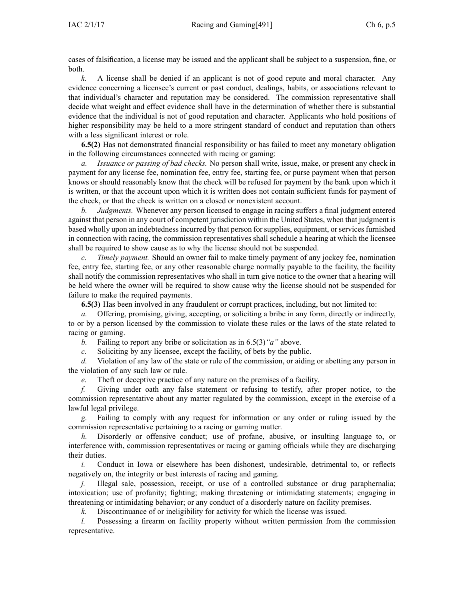cases of falsification, <sup>a</sup> license may be issued and the applicant shall be subject to <sup>a</sup> suspension, fine, or both.

*k.* A license shall be denied if an applicant is not of good repute and moral character. Any evidence concerning <sup>a</sup> licensee's current or pas<sup>t</sup> conduct, dealings, habits, or associations relevant to that individual's character and reputation may be considered. The commission representative shall decide what weight and effect evidence shall have in the determination of whether there is substantial evidence that the individual is not of good reputation and character. Applicants who hold positions of higher responsibility may be held to <sup>a</sup> more stringent standard of conduct and reputation than others with <sup>a</sup> less significant interest or role.

**6.5(2)** Has not demonstrated financial responsibility or has failed to meet any monetary obligation in the following circumstances connected with racing or gaming:

*a. Issuance or passing of bad checks.* No person shall write, issue, make, or presen<sup>t</sup> any check in paymen<sup>t</sup> for any license fee, nomination fee, entry fee, starting fee, or purse paymen<sup>t</sup> when that person knows or should reasonably know that the check will be refused for paymen<sup>t</sup> by the bank upon which it is written, or that the account upon which it is written does not contain sufficient funds for paymen<sup>t</sup> of the check, or that the check is written on <sup>a</sup> closed or nonexistent account.

*b. Judgments.* Whenever any person licensed to engage in racing suffers <sup>a</sup> final judgment entered against that person in any court of competent jurisdiction within the United States, when that judgment is based wholly upon an indebtedness incurred by that person for supplies, equipment, or services furnished in connection with racing, the commission representatives shall schedule <sup>a</sup> hearing at which the licensee shall be required to show cause as to why the license should not be suspended.

*c. Timely payment.* Should an owner fail to make timely paymen<sup>t</sup> of any jockey fee, nomination fee, entry fee, starting fee, or any other reasonable charge normally payable to the facility, the facility shall notify the commission representatives who shall in turn give notice to the owner that <sup>a</sup> hearing will be held where the owner will be required to show cause why the license should not be suspended for failure to make the required payments.

**6.5(3)** Has been involved in any fraudulent or corrup<sup>t</sup> practices, including, but not limited to:

*a.* Offering, promising, giving, accepting, or soliciting <sup>a</sup> bribe in any form, directly or indirectly, to or by <sup>a</sup> person licensed by the commission to violate these rules or the laws of the state related to racing or gaming.

*b.* Failing to repor<sup>t</sup> any bribe or solicitation as in [6.5\(3\)](https://www.legis.iowa.gov/docs/iac/rule/491.6.5.pdf)*"a"* above.

*c.* Soliciting by any licensee, excep<sup>t</sup> the facility, of bets by the public.

*d.* Violation of any law of the state or rule of the commission, or aiding or abetting any person in the violation of any such law or rule.

*e.* Theft or deceptive practice of any nature on the premises of <sup>a</sup> facility.

*f.* Giving under oath any false statement or refusing to testify, after proper notice, to the commission representative about any matter regulated by the commission, excep<sup>t</sup> in the exercise of <sup>a</sup> lawful legal privilege.

*g.* Failing to comply with any reques<sup>t</sup> for information or any order or ruling issued by the commission representative pertaining to <sup>a</sup> racing or gaming matter.

*h.* Disorderly or offensive conduct; use of profane, abusive, or insulting language to, or interference with, commission representatives or racing or gaming officials while they are discharging their duties.

*i.* Conduct in Iowa or elsewhere has been dishonest, undesirable, detrimental to, or reflects negatively on, the integrity or best interests of racing and gaming.

*j.* Illegal sale, possession, receipt, or use of a controlled substance or drug paraphernalia; intoxication; use of profanity; fighting; making threatening or intimidating statements; engaging in threatening or intimidating behavior; or any conduct of <sup>a</sup> disorderly nature on facility premises.

*k.* Discontinuance of or ineligibility for activity for which the license was issued.

*l.* Possessing a firearm on facility property without written permission from the commission representative.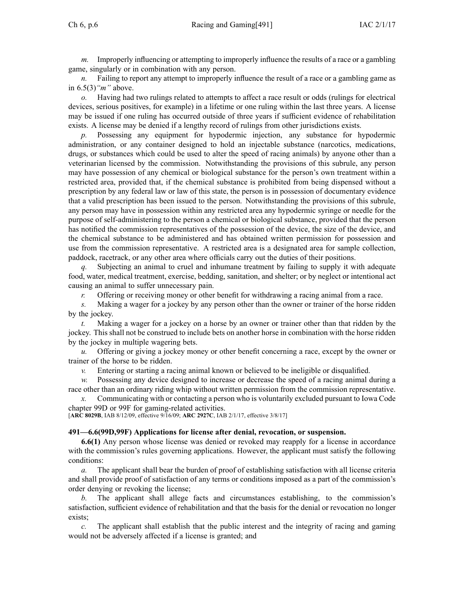*m.* Improperly influencing or attempting to improperly influence the results of <sup>a</sup> race or <sup>a</sup> gambling game, singularly or in combination with any person.

*n.* Failing to report any attempt to improperly influence the result of a race or a gambling game as in [6.5\(3\)](https://www.legis.iowa.gov/docs/iac/rule/491.6.5.pdf)*"m"* above.

*o.* Having had two rulings related to attempts to affect <sup>a</sup> race result or odds (rulings for electrical devices, serious positives, for example) in <sup>a</sup> lifetime or one ruling within the last three years. A license may be issued if one ruling has occurred outside of three years if sufficient evidence of rehabilitation exists. A license may be denied if <sup>a</sup> lengthy record of rulings from other jurisdictions exists.

*p.* Possessing any equipment for hypodermic injection, any substance for hypodermic administration, or any container designed to hold an injectable substance (narcotics, medications, drugs, or substances which could be used to alter the speed of racing animals) by anyone other than <sup>a</sup> veterinarian licensed by the commission. Notwithstanding the provisions of this subrule, any person may have possession of any chemical or biological substance for the person's own treatment within <sup>a</sup> restricted area, provided that, if the chemical substance is prohibited from being dispensed without <sup>a</sup> prescription by any federal law or law of this state, the person is in possession of documentary evidence that <sup>a</sup> valid prescription has been issued to the person. Notwithstanding the provisions of this subrule, any person may have in possession within any restricted area any hypodermic syringe or needle for the purpose of self-administering to the person <sup>a</sup> chemical or biological substance, provided that the person has notified the commission representatives of the possession of the device, the size of the device, and the chemical substance to be administered and has obtained written permission for possession and use from the commission representative. A restricted area is <sup>a</sup> designated area for sample collection, paddock, racetrack, or any other area where officials carry out the duties of their positions.

*q.* Subjecting an animal to cruel and inhumane treatment by failing to supply it with adequate food, water, medical treatment, exercise, bedding, sanitation, and shelter; or by neglect or intentional act causing an animal to suffer unnecessary pain.

*r.* Offering or receiving money or other benefit for withdrawing <sup>a</sup> racing animal from <sup>a</sup> race.

*s.* Making <sup>a</sup> wager for <sup>a</sup> jockey by any person other than the owner or trainer of the horse ridden by the jockey.

*t.* Making <sup>a</sup> wager for <sup>a</sup> jockey on <sup>a</sup> horse by an owner or trainer other than that ridden by the jockey. This shall not be construed to include bets on another horse in combination with the horse ridden by the jockey in multiple wagering bets.

*u.* Offering or giving <sup>a</sup> jockey money or other benefit concerning <sup>a</sup> race, excep<sup>t</sup> by the owner or trainer of the horse to be ridden.

*v.* Entering or starting <sup>a</sup> racing animal known or believed to be ineligible or disqualified.

*w.* Possessing any device designed to increase or decrease the speed of <sup>a</sup> racing animal during <sup>a</sup> race other than an ordinary riding whip without written permission from the commission representative.

*x.* Communicating with or contacting <sup>a</sup> person who is voluntarily excluded pursuan<sup>t</sup> to Iowa Code chapter [99D](https://www.legis.iowa.gov/docs/ico/chapter/99D.pdf) or 99F for gaming-related activities.

[**ARC [8029B](https://www.legis.iowa.gov/docs/aco/arc/8029B.pdf)**, IAB 8/12/09, effective 9/16/09; **ARC [2927C](https://www.legis.iowa.gov/docs/aco/arc/2927C.pdf)**, IAB 2/1/17, effective 3/8/17]

# **491—6.6(99D,99F) Applications for license after denial, revocation, or suspension.**

**6.6(1)** Any person whose license was denied or revoked may reapply for <sup>a</sup> license in accordance with the commission's rules governing applications. However, the applicant must satisfy the following conditions:

*a.* The applicant shall bear the burden of proof of establishing satisfaction with all license criteria and shall provide proof of satisfaction of any terms or conditions imposed as <sup>a</sup> par<sup>t</sup> of the commission's order denying or revoking the license;

*b.* The applicant shall allege facts and circumstances establishing, to the commission's satisfaction, sufficient evidence of rehabilitation and that the basis for the denial or revocation no longer exists;

*c.* The applicant shall establish that the public interest and the integrity of racing and gaming would not be adversely affected if <sup>a</sup> license is granted; and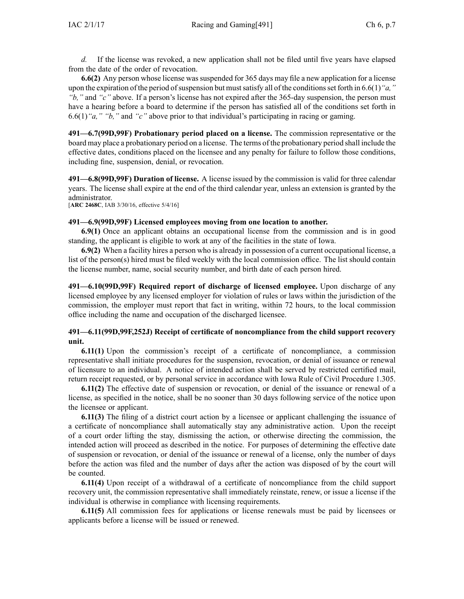*d.* If the license was revoked, <sup>a</sup> new application shall not be filed until five years have elapsed from the date of the order of revocation.

**6.6(2)** Any person whose license wassuspended for 365 days may file <sup>a</sup> new application for <sup>a</sup> license upon the expiration of the period of suspension but must satisfy all of the conditions set forth in [6.6\(1\)](https://www.legis.iowa.gov/docs/iac/rule/491.6.6.pdf)<sup>*"a,*"</sup> *"b,"* and *"c"* above. If <sup>a</sup> person's license has not expired after the 365-day suspension, the person must have <sup>a</sup> hearing before <sup>a</sup> board to determine if the person has satisfied all of the conditions set forth in [6.6\(1\)](https://www.legis.iowa.gov/docs/iac/rule/491.6.6.pdf)*"a," "b,"* and *"c"* above prior to that individual's participating in racing or gaming.

**491—6.7(99D,99F) Probationary period placed on <sup>a</sup> license.** The commission representative or the board may place <sup>a</sup> probationary period on <sup>a</sup> license. The terms of the probationary period shall include the effective dates, conditions placed on the licensee and any penalty for failure to follow those conditions, including fine, suspension, denial, or revocation.

**491—6.8(99D,99F) Duration of license.** A license issued by the commission is valid for three calendar years. The license shall expire at the end of the third calendar year, unless an extension is granted by the administrator.

[**ARC [2468C](https://www.legis.iowa.gov/docs/aco/arc/2468C.pdf)**, IAB 3/30/16, effective 5/4/16]

#### **491—6.9(99D,99F) Licensed employees moving from one location to another.**

**6.9(1)** Once an applicant obtains an occupational license from the commission and is in good standing, the applicant is eligible to work at any of the facilities in the state of Iowa.

**6.9(2)** When <sup>a</sup> facility hires <sup>a</sup> person who is already in possession of <sup>a</sup> current occupational license, <sup>a</sup> list of the person(s) hired must be filed weekly with the local commission office. The list should contain the license number, name, social security number, and birth date of each person hired.

**491—6.10(99D,99F) Required repor<sup>t</sup> of discharge of licensed employee.** Upon discharge of any licensed employee by any licensed employer for violation of rules or laws within the jurisdiction of the commission, the employer must repor<sup>t</sup> that fact in writing, within 72 hours, to the local commission office including the name and occupation of the discharged licensee.

# **491—6.11(99D,99F,252J) Receipt of certificate of noncompliance from the child support recovery unit.**

**6.11(1)** Upon the commission's receipt of <sup>a</sup> certificate of noncompliance, <sup>a</sup> commission representative shall initiate procedures for the suspension, revocation, or denial of issuance or renewal of licensure to an individual. A notice of intended action shall be served by restricted certified mail, return receipt requested, or by personal service in accordance with Iowa Rule of Civil Procedure [1.305](https://www.legis.iowa.gov/docs/ACO/CourtRulesChapter/1.pdf).

**6.11(2)** The effective date of suspension or revocation, or denial of the issuance or renewal of <sup>a</sup> license, as specified in the notice, shall be no sooner than 30 days following service of the notice upon the licensee or applicant.

**6.11(3)** The filing of <sup>a</sup> district court action by <sup>a</sup> licensee or applicant challenging the issuance of <sup>a</sup> certificate of noncompliance shall automatically stay any administrative action. Upon the receipt of <sup>a</sup> court order lifting the stay, dismissing the action, or otherwise directing the commission, the intended action will proceed as described in the notice. For purposes of determining the effective date of suspension or revocation, or denial of the issuance or renewal of <sup>a</sup> license, only the number of days before the action was filed and the number of days after the action was disposed of by the court will be counted.

**6.11(4)** Upon receipt of <sup>a</sup> withdrawal of <sup>a</sup> certificate of noncompliance from the child suppor<sup>t</sup> recovery unit, the commission representative shall immediately reinstate, renew, or issue <sup>a</sup> license if the individual is otherwise in compliance with licensing requirements.

**6.11(5)** All commission fees for applications or license renewals must be paid by licensees or applicants before <sup>a</sup> license will be issued or renewed.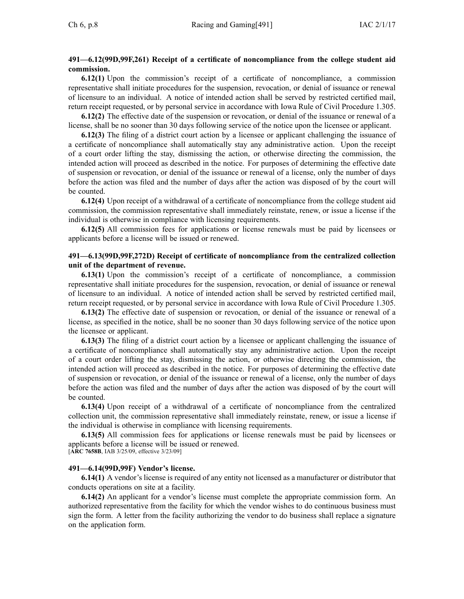# **491—6.12(99D,99F,261) Receipt of <sup>a</sup> certificate of noncompliance from the college student aid commission.**

**6.12(1)** Upon the commission's receipt of <sup>a</sup> certificate of noncompliance, <sup>a</sup> commission representative shall initiate procedures for the suspension, revocation, or denial of issuance or renewal of licensure to an individual. A notice of intended action shall be served by restricted certified mail, return receipt requested, or by personal service in accordance with Iowa Rule of Civil Procedure [1.305](https://www.legis.iowa.gov/docs/ACO/CourtRulesChapter/1.pdf).

**6.12(2)** The effective date of the suspension or revocation, or denial of the issuance or renewal of <sup>a</sup> license, shall be no sooner than 30 days following service of the notice upon the licensee or applicant.

**6.12(3)** The filing of <sup>a</sup> district court action by <sup>a</sup> licensee or applicant challenging the issuance of <sup>a</sup> certificate of noncompliance shall automatically stay any administrative action. Upon the receipt of <sup>a</sup> court order lifting the stay, dismissing the action, or otherwise directing the commission, the intended action will proceed as described in the notice. For purposes of determining the effective date of suspension or revocation, or denial of the issuance or renewal of <sup>a</sup> license, only the number of days before the action was filed and the number of days after the action was disposed of by the court will be counted.

**6.12(4)** Upon receipt of <sup>a</sup> withdrawal of <sup>a</sup> certificate of noncompliance from the college student aid commission, the commission representative shall immediately reinstate, renew, or issue <sup>a</sup> license if the individual is otherwise in compliance with licensing requirements.

**6.12(5)** All commission fees for applications or license renewals must be paid by licensees or applicants before <sup>a</sup> license will be issued or renewed.

# **491—6.13(99D,99F,272D) Receipt of certificate of noncompliance from the centralized collection unit of the department of revenue.**

**6.13(1)** Upon the commission's receipt of <sup>a</sup> certificate of noncompliance, <sup>a</sup> commission representative shall initiate procedures for the suspension, revocation, or denial of issuance or renewal of licensure to an individual. A notice of intended action shall be served by restricted certified mail, return receipt requested, or by personal service in accordance with Iowa Rule of Civil Procedure [1.305](https://www.legis.iowa.gov/docs/ACO/CourtRulesChapter/1.pdf).

**6.13(2)** The effective date of suspension or revocation, or denial of the issuance or renewal of <sup>a</sup> license, as specified in the notice, shall be no sooner than 30 days following service of the notice upon the licensee or applicant.

**6.13(3)** The filing of <sup>a</sup> district court action by <sup>a</sup> licensee or applicant challenging the issuance of <sup>a</sup> certificate of noncompliance shall automatically stay any administrative action. Upon the receipt of <sup>a</sup> court order lifting the stay, dismissing the action, or otherwise directing the commission, the intended action will proceed as described in the notice. For purposes of determining the effective date of suspension or revocation, or denial of the issuance or renewal of <sup>a</sup> license, only the number of days before the action was filed and the number of days after the action was disposed of by the court will be counted.

**6.13(4)** Upon receipt of <sup>a</sup> withdrawal of <sup>a</sup> certificate of noncompliance from the centralized collection unit, the commission representative shall immediately reinstate, renew, or issue <sup>a</sup> license if the individual is otherwise in compliance with licensing requirements.

**6.13(5)** All commission fees for applications or license renewals must be paid by licensees or applicants before <sup>a</sup> license will be issued or renewed.

[**ARC [7658B](https://www.legis.iowa.gov/docs/aco/arc/7658B.pdf)**, IAB 3/25/09, effective 3/23/09]

# **491—6.14(99D,99F) Vendor's license.**

**6.14(1)** A vendor's license is required of any entity not licensed as <sup>a</sup> manufacturer or distributor that conducts operations on site at <sup>a</sup> facility.

**6.14(2)** An applicant for <sup>a</sup> vendor's license must complete the appropriate commission form. An authorized representative from the facility for which the vendor wishes to do continuous business must sign the form. A letter from the facility authorizing the vendor to do business shall replace <sup>a</sup> signature on the application form.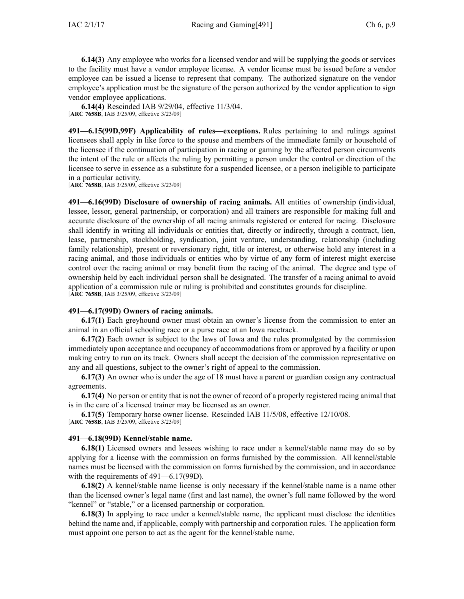**6.14(3)** Any employee who works for <sup>a</sup> licensed vendor and will be supplying the goods or services to the facility must have <sup>a</sup> vendor employee license. A vendor license must be issued before <sup>a</sup> vendor employee can be issued <sup>a</sup> license to represen<sup>t</sup> that company. The authorized signature on the vendor employee's application must be the signature of the person authorized by the vendor application to sign vendor employee applications.

**6.14(4)** Rescinded IAB [9/29/04](https://www.legis.iowa.gov/docs/aco/bulletin/09-29-2004.pdf), effective 11/3/04. [**ARC [7658B](https://www.legis.iowa.gov/docs/aco/arc/7658B.pdf)**, IAB 3/25/09, effective 3/23/09]

**491—6.15(99D,99F) Applicability of rules—exceptions.** Rules pertaining to and rulings against licensees shall apply in like force to the spouse and members of the immediate family or household of the licensee if the continuation of participation in racing or gaming by the affected person circumvents the intent of the rule or affects the ruling by permitting <sup>a</sup> person under the control or direction of the licensee to serve in essence as <sup>a</sup> substitute for <sup>a</sup> suspended licensee, or <sup>a</sup> person ineligible to participate in <sup>a</sup> particular activity.

[**ARC [7658B](https://www.legis.iowa.gov/docs/aco/arc/7658B.pdf)**, IAB 3/25/09, effective 3/23/09]

**491—6.16(99D) Disclosure of ownership of racing animals.** All entities of ownership (individual, lessee, lessor, general partnership, or corporation) and all trainers are responsible for making full and accurate disclosure of the ownership of all racing animals registered or entered for racing. Disclosure shall identify in writing all individuals or entities that, directly or indirectly, through <sup>a</sup> contract, lien, lease, partnership, stockholding, syndication, joint venture, understanding, relationship (including family relationship), presen<sup>t</sup> or reversionary right, title or interest, or otherwise hold any interest in <sup>a</sup> racing animal, and those individuals or entities who by virtue of any form of interest might exercise control over the racing animal or may benefit from the racing of the animal. The degree and type of ownership held by each individual person shall be designated. The transfer of <sup>a</sup> racing animal to avoid application of <sup>a</sup> commission rule or ruling is prohibited and constitutes grounds for discipline. [**ARC [7658B](https://www.legis.iowa.gov/docs/aco/arc/7658B.pdf)**, IAB 3/25/09, effective 3/23/09]

# **491—6.17(99D) Owners of racing animals.**

**6.17(1)** Each greyhound owner must obtain an owner's license from the commission to enter an animal in an official schooling race or <sup>a</sup> purse race at an Iowa racetrack.

**6.17(2)** Each owner is subject to the laws of Iowa and the rules promulgated by the commission immediately upon acceptance and occupancy of accommodations from or approved by <sup>a</sup> facility or upon making entry to run on its track. Owners shall accep<sup>t</sup> the decision of the commission representative on any and all questions, subject to the owner's right of appeal to the commission.

**6.17(3)** An owner who is under the age of 18 must have <sup>a</sup> paren<sup>t</sup> or guardian cosign any contractual agreements.

**6.17(4)** No person or entity that is not the owner of record of <sup>a</sup> properly registered racing animal that is in the care of <sup>a</sup> licensed trainer may be licensed as an owner.

**6.17(5)** Temporary horse owner license. Rescinded IAB [11/5/08](https://www.legis.iowa.gov/docs/aco/bulletin/11-05-2008.pdf), effective 12/10/08. [**ARC [7658B](https://www.legis.iowa.gov/docs/aco/arc/7658B.pdf)**, IAB 3/25/09, effective 3/23/09]

# **491—6.18(99D) Kennel/stable name.**

**6.18(1)** Licensed owners and lessees wishing to race under <sup>a</sup> kennel/stable name may do so by applying for <sup>a</sup> license with the commission on forms furnished by the commission. All kennel/stable names must be licensed with the commission on forms furnished by the commission, and in accordance with the requirements of [491—6.17\(99D\)](https://www.legis.iowa.gov/docs/iac/rule/491.6.17.pdf).

**6.18(2)** A kennel/stable name license is only necessary if the kennel/stable name is <sup>a</sup> name other than the licensed owner's legal name (first and last name), the owner's full name followed by the word "kennel" or "stable," or <sup>a</sup> licensed partnership or corporation.

**6.18(3)** In applying to race under <sup>a</sup> kennel/stable name, the applicant must disclose the identities behind the name and, if applicable, comply with partnership and corporation rules. The application form must appoint one person to act as the agen<sup>t</sup> for the kennel/stable name.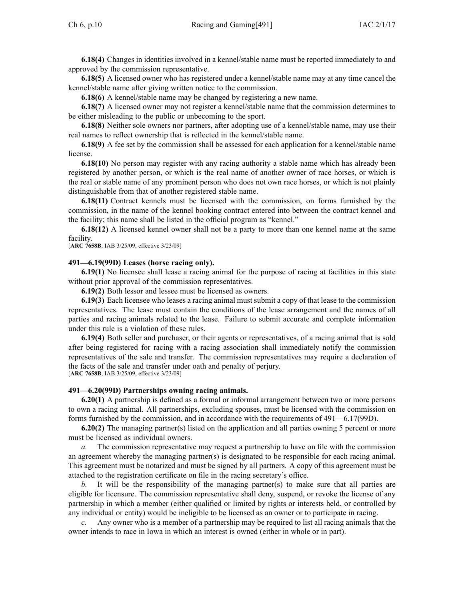**6.18(4)** Changes in identities involved in <sup>a</sup> kennel/stable name must be reported immediately to and approved by the commission representative.

**6.18(5)** A licensed owner who has registered under <sup>a</sup> kennel/stable name may at any time cancel the kennel/stable name after giving written notice to the commission.

**6.18(6)** A kennel/stable name may be changed by registering <sup>a</sup> new name.

**6.18(7)** A licensed owner may not register <sup>a</sup> kennel/stable name that the commission determines to be either misleading to the public or unbecoming to the sport.

**6.18(8)** Neither sole owners nor partners, after adopting use of <sup>a</sup> kennel/stable name, may use their real names to reflect ownership that is reflected in the kennel/stable name.

**6.18(9)** A fee set by the commission shall be assessed for each application for <sup>a</sup> kennel/stable name license.

**6.18(10)** No person may register with any racing authority <sup>a</sup> stable name which has already been registered by another person, or which is the real name of another owner of race horses, or which is the real or stable name of any prominent person who does not own race horses, or which is not plainly distinguishable from that of another registered stable name.

**6.18(11)** Contract kennels must be licensed with the commission, on forms furnished by the commission, in the name of the kennel booking contract entered into between the contract kennel and the facility; this name shall be listed in the official program as "kennel."

**6.18(12)** A licensed kennel owner shall not be <sup>a</sup> party to more than one kennel name at the same facility.

[**ARC [7658B](https://www.legis.iowa.gov/docs/aco/arc/7658B.pdf)**, IAB 3/25/09, effective 3/23/09]

#### **491—6.19(99D) Leases (horse racing only).**

**6.19(1)** No licensee shall lease <sup>a</sup> racing animal for the purpose of racing at facilities in this state without prior approval of the commission representatives.

**6.19(2)** Both lessor and lessee must be licensed as owners.

**6.19(3)** Each licensee who leases <sup>a</sup> racing animal must submit <sup>a</sup> copy of that lease to the commission representatives. The lease must contain the conditions of the lease arrangemen<sup>t</sup> and the names of all parties and racing animals related to the lease. Failure to submit accurate and complete information under this rule is <sup>a</sup> violation of these rules.

**6.19(4)** Both seller and purchaser, or their agents or representatives, of <sup>a</sup> racing animal that is sold after being registered for racing with <sup>a</sup> racing association shall immediately notify the commission representatives of the sale and transfer. The commission representatives may require <sup>a</sup> declaration of the facts of the sale and transfer under oath and penalty of perjury. [**ARC [7658B](https://www.legis.iowa.gov/docs/aco/arc/7658B.pdf)**, IAB 3/25/09, effective 3/23/09]

**491—6.20(99D) Partnerships owning racing animals.**

**6.20(1)** A partnership is defined as <sup>a</sup> formal or informal arrangemen<sup>t</sup> between two or more persons to own <sup>a</sup> racing animal. All partnerships, excluding spouses, must be licensed with the commission on forms furnished by the commission, and in accordance with the requirements of [491—6.17](https://www.legis.iowa.gov/docs/iac/rule/491.6.17.pdf)(99D).

**6.20(2)** The managing partner(s) listed on the application and all parties owning 5 percen<sup>t</sup> or more must be licensed as individual owners.

*a.* The commission representative may reques<sup>t</sup> <sup>a</sup> partnership to have on file with the commission an agreemen<sup>t</sup> whereby the managing partner(s) is designated to be responsible for each racing animal. This agreemen<sup>t</sup> must be notarized and must be signed by all partners. A copy of this agreemen<sup>t</sup> must be attached to the registration certificate on file in the racing secretary's office.

*b.* It will be the responsibility of the managing partner(s) to make sure that all parties are eligible for licensure. The commission representative shall deny, suspend, or revoke the license of any partnership in which <sup>a</sup> member (either qualified or limited by rights or interests held, or controlled by any individual or entity) would be ineligible to be licensed as an owner or to participate in racing.

*c.* Any owner who is <sup>a</sup> member of <sup>a</sup> partnership may be required to list all racing animals that the owner intends to race in Iowa in which an interest is owned (either in whole or in part).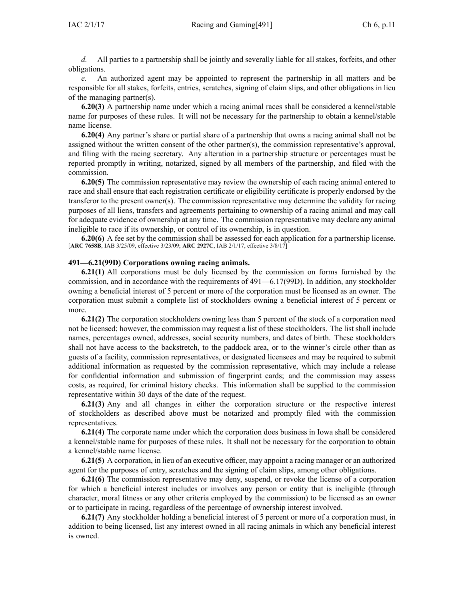*d.* All parties to <sup>a</sup> partnership shall be jointly and severally liable for all stakes, forfeits, and other obligations.

*e.* An authorized agen<sup>t</sup> may be appointed to represen<sup>t</sup> the partnership in all matters and be responsible for all stakes, forfeits, entries, scratches, signing of claim slips, and other obligations in lieu of the managing partner(s).

**6.20(3)** A partnership name under which <sup>a</sup> racing animal races shall be considered <sup>a</sup> kennel/stable name for purposes of these rules. It will not be necessary for the partnership to obtain <sup>a</sup> kennel/stable name license.

**6.20(4)** Any partner's share or partial share of <sup>a</sup> partnership that owns <sup>a</sup> racing animal shall not be assigned without the written consent of the other partner(s), the commission representative's approval, and filing with the racing secretary. Any alteration in <sup>a</sup> partnership structure or percentages must be reported promptly in writing, notarized, signed by all members of the partnership, and filed with the commission.

**6.20(5)** The commission representative may review the ownership of each racing animal entered to race and shall ensure that each registration certificate or eligibility certificate is properly endorsed by the transferor to the presen<sup>t</sup> owner(s). The commission representative may determine the validity for racing purposes of all liens, transfers and agreements pertaining to ownership of <sup>a</sup> racing animal and may call for adequate evidence of ownership at any time. The commission representative may declare any animal ineligible to race if its ownership, or control of its ownership, is in question.

**6.20(6)** A fee set by the commission shall be assessed for each application for <sup>a</sup> partnership license. [**ARC [7658B](https://www.legis.iowa.gov/docs/aco/arc/7658B.pdf)**, IAB 3/25/09, effective 3/23/09; **ARC [2927C](https://www.legis.iowa.gov/docs/aco/arc/2927C.pdf)**, IAB 2/1/17, effective 3/8/17]

#### **491—6.21(99D) Corporations owning racing animals.**

**6.21(1)** All corporations must be duly licensed by the commission on forms furnished by the commission, and in accordance with the requirements of [491—6.17](https://www.legis.iowa.gov/docs/iac/rule/491.6.17.pdf)(99D). In addition, any stockholder owning <sup>a</sup> beneficial interest of 5 percen<sup>t</sup> or more of the corporation must be licensed as an owner. The corporation must submit <sup>a</sup> complete list of stockholders owning <sup>a</sup> beneficial interest of 5 percen<sup>t</sup> or more.

**6.21(2)** The corporation stockholders owning less than 5 percen<sup>t</sup> of the stock of <sup>a</sup> corporation need not be licensed; however, the commission may reques<sup>t</sup> <sup>a</sup> list of these stockholders. The list shall include names, percentages owned, addresses, social security numbers, and dates of birth. These stockholders shall not have access to the backstretch, to the paddock area, or to the winner's circle other than as guests of <sup>a</sup> facility, commission representatives, or designated licensees and may be required to submit additional information as requested by the commission representative, which may include <sup>a</sup> release for confidential information and submission of fingerprint cards; and the commission may assess costs, as required, for criminal history checks. This information shall be supplied to the commission representative within 30 days of the date of the request.

**6.21(3)** Any and all changes in either the corporation structure or the respective interest of stockholders as described above must be notarized and promptly filed with the commission representatives.

**6.21(4)** The corporate name under which the corporation does business in Iowa shall be considered <sup>a</sup> kennel/stable name for purposes of these rules. It shall not be necessary for the corporation to obtain <sup>a</sup> kennel/stable name license.

**6.21(5)** A corporation, in lieu of an executive officer, may appoint <sup>a</sup> racing manager or an authorized agen<sup>t</sup> for the purposes of entry, scratches and the signing of claim slips, among other obligations.

**6.21(6)** The commission representative may deny, suspend, or revoke the license of <sup>a</sup> corporation for which <sup>a</sup> beneficial interest includes or involves any person or entity that is ineligible (through character, moral fitness or any other criteria employed by the commission) to be licensed as an owner or to participate in racing, regardless of the percentage of ownership interest involved.

**6.21(7)** Any stockholder holding <sup>a</sup> beneficial interest of 5 percen<sup>t</sup> or more of <sup>a</sup> corporation must, in addition to being licensed, list any interest owned in all racing animals in which any beneficial interest is owned.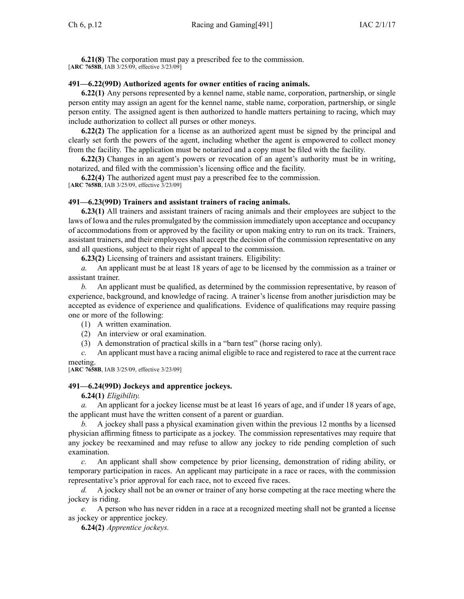**6.21(8)** The corporation must pay <sup>a</sup> prescribed fee to the commission. [**ARC [7658B](https://www.legis.iowa.gov/docs/aco/arc/7658B.pdf)**, IAB 3/25/09, effective 3/23/09]

#### **491—6.22(99D) Authorized agents for owner entities of racing animals.**

**6.22(1)** Any persons represented by <sup>a</sup> kennel name, stable name, corporation, partnership, or single person entity may assign an agen<sup>t</sup> for the kennel name, stable name, corporation, partnership, or single person entity. The assigned agen<sup>t</sup> is then authorized to handle matters pertaining to racing, which may include authorization to collect all purses or other moneys.

**6.22(2)** The application for <sup>a</sup> license as an authorized agen<sup>t</sup> must be signed by the principal and clearly set forth the powers of the agent, including whether the agen<sup>t</sup> is empowered to collect money from the facility. The application must be notarized and <sup>a</sup> copy must be filed with the facility.

**6.22(3)** Changes in an agent's powers or revocation of an agent's authority must be in writing, notarized, and filed with the commission's licensing office and the facility.

**6.22(4)** The authorized agen<sup>t</sup> must pay <sup>a</sup> prescribed fee to the commission. [**ARC [7658B](https://www.legis.iowa.gov/docs/aco/arc/7658B.pdf)**, IAB 3/25/09, effective 3/23/09]

#### **491—6.23(99D) Trainers and assistant trainers of racing animals.**

**6.23(1)** All trainers and assistant trainers of racing animals and their employees are subject to the laws of Iowa and the rules promulgated by the commission immediately upon acceptance and occupancy of accommodations from or approved by the facility or upon making entry to run on its track. Trainers, assistant trainers, and their employees shall accep<sup>t</sup> the decision of the commission representative on any and all questions, subject to their right of appeal to the commission.

**6.23(2)** Licensing of trainers and assistant trainers. Eligibility:

*a.* An applicant must be at least 18 years of age to be licensed by the commission as <sup>a</sup> trainer or assistant trainer.

*b.* An applicant must be qualified, as determined by the commission representative, by reason of experience, background, and knowledge of racing. A trainer's license from another jurisdiction may be accepted as evidence of experience and qualifications. Evidence of qualifications may require passing one or more of the following:

(1) A written examination.

(2) An interview or oral examination.

(3) A demonstration of practical skills in <sup>a</sup> "barn test" (horse racing only).

*c.* An applicant must have <sup>a</sup> racing animal eligible to race and registered to race at the current race meeting.

[**ARC [7658B](https://www.legis.iowa.gov/docs/aco/arc/7658B.pdf)**, IAB 3/25/09, effective 3/23/09]

### **491—6.24(99D) Jockeys and apprentice jockeys.**

**6.24(1)** *Eligibility.*

*a.* An applicant for <sup>a</sup> jockey license must be at least 16 years of age, and if under 18 years of age, the applicant must have the written consent of <sup>a</sup> paren<sup>t</sup> or guardian.

*b.* A jockey shall pass <sup>a</sup> physical examination given within the previous 12 months by <sup>a</sup> licensed physician affirming fitness to participate as <sup>a</sup> jockey. The commission representatives may require that any jockey be reexamined and may refuse to allow any jockey to ride pending completion of such examination.

*c.* An applicant shall show competence by prior licensing, demonstration of riding ability, or temporary participation in races. An applicant may participate in <sup>a</sup> race or races, with the commission representative's prior approval for each race, not to exceed five races.

*d.* A jockey shall not be an owner or trainer of any horse competing at the race meeting where the jockey is riding.

*e.* A person who has never ridden in <sup>a</sup> race at <sup>a</sup> recognized meeting shall not be granted <sup>a</sup> license as jockey or apprentice jockey.

**6.24(2)** *Apprentice jockeys.*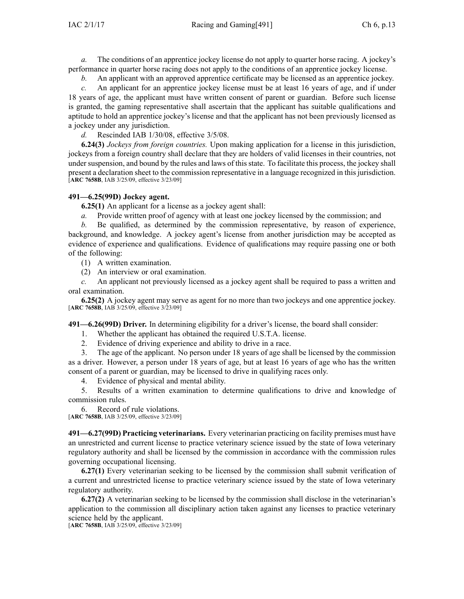*a.* The conditions of an apprentice jockey license do not apply to quarter horse racing. A jockey's performance in quarter horse racing does not apply to the conditions of an apprentice jockey license.

*b.* An applicant with an approved apprentice certificate may be licensed as an apprentice jockey.

*c.* An applicant for an apprentice jockey license must be at least 16 years of age, and if under 18 years of age, the applicant must have written consent of paren<sup>t</sup> or guardian. Before such license is granted, the gaming representative shall ascertain that the applicant has suitable qualifications and aptitude to hold an apprentice jockey's license and that the applicant has not been previously licensed as <sup>a</sup> jockey under any jurisdiction.

*d.* Rescinded IAB [1/30/08](https://www.legis.iowa.gov/docs/aco/bulletin/01-30-2008.pdf), effective 3/5/08.

**6.24(3)** *Jockeys from foreign countries.* Upon making application for <sup>a</sup> license in this jurisdiction, jockeys from <sup>a</sup> foreign country shall declare that they are holders of valid licenses in their countries, not under suspension, and bound by the rules and laws of this state. To facilitate this process, the jockey shall presen<sup>t</sup> <sup>a</sup> declaration sheet to the commission representative in <sup>a</sup> language recognized in this jurisdiction. [**ARC [7658B](https://www.legis.iowa.gov/docs/aco/arc/7658B.pdf)**, IAB 3/25/09, effective 3/23/09]

### **491—6.25(99D) Jockey agent.**

**6.25(1)** An applicant for <sup>a</sup> license as <sup>a</sup> jockey agen<sup>t</sup> shall:

*a.* Provide written proof of agency with at least one jockey licensed by the commission; and

*b.* Be qualified, as determined by the commission representative, by reason of experience, background, and knowledge. A jockey agent's license from another jurisdiction may be accepted as evidence of experience and qualifications. Evidence of qualifications may require passing one or both of the following:

(1) A written examination.

(2) An interview or oral examination.

*c.* An applicant not previously licensed as <sup>a</sup> jockey agen<sup>t</sup> shall be required to pass <sup>a</sup> written and oral examination.

**6.25(2)** A jockey agen<sup>t</sup> may serve as agen<sup>t</sup> for no more than two jockeys and one apprentice jockey. [**ARC [7658B](https://www.legis.iowa.gov/docs/aco/arc/7658B.pdf)**, IAB 3/25/09, effective 3/23/09]

**491—6.26(99D) Driver.** In determining eligibility for <sup>a</sup> driver's license, the board shall consider:

1. Whether the applicant has obtained the required U.S.T.A. license.

2. Evidence of driving experience and ability to drive in <sup>a</sup> race.

3. The age of the applicant. No person under 18 years of age shall be licensed by the commission as <sup>a</sup> driver. However, <sup>a</sup> person under 18 years of age, but at least 16 years of age who has the written consent of <sup>a</sup> paren<sup>t</sup> or guardian, may be licensed to drive in qualifying races only.

4. Evidence of physical and mental ability.

5. Results of <sup>a</sup> written examination to determine qualifications to drive and knowledge of commission rules.

6. Record of rule violations. [**ARC [7658B](https://www.legis.iowa.gov/docs/aco/arc/7658B.pdf)**, IAB 3/25/09, effective 3/23/09]

**491—6.27(99D) Practicing veterinarians.** Every veterinarian practicing on facility premises must have an unrestricted and current license to practice veterinary science issued by the state of Iowa veterinary regulatory authority and shall be licensed by the commission in accordance with the commission rules governing occupational licensing.

**6.27(1)** Every veterinarian seeking to be licensed by the commission shall submit verification of <sup>a</sup> current and unrestricted license to practice veterinary science issued by the state of Iowa veterinary regulatory authority.

**6.27(2)** A veterinarian seeking to be licensed by the commission shall disclose in the veterinarian's application to the commission all disciplinary action taken against any licenses to practice veterinary science held by the applicant.

[**ARC [7658B](https://www.legis.iowa.gov/docs/aco/arc/7658B.pdf)**, IAB 3/25/09, effective 3/23/09]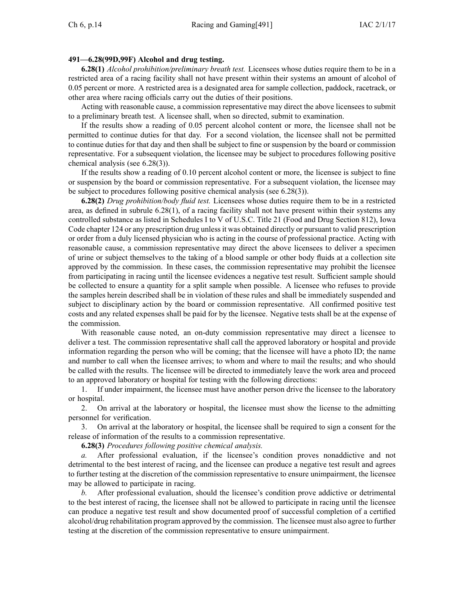### **491—6.28(99D,99F) Alcohol and drug testing.**

**6.28(1)** *Alcohol prohibition/preliminary breath test.* Licensees whose duties require them to be in <sup>a</sup> restricted area of <sup>a</sup> racing facility shall not have presen<sup>t</sup> within their systems an amount of alcohol of 0.05 percen<sup>t</sup> or more. A restricted area is <sup>a</sup> designated area for sample collection, paddock, racetrack, or other area where racing officials carry out the duties of their positions.

Acting with reasonable cause, <sup>a</sup> commission representative may direct the above licensees to submit to <sup>a</sup> preliminary breath test. A licensee shall, when so directed, submit to examination.

If the results show <sup>a</sup> reading of 0.05 percen<sup>t</sup> alcohol content or more, the licensee shall not be permitted to continue duties for that day. For <sup>a</sup> second violation, the licensee shall not be permitted to continue duties for that day and then shall be subject to fine or suspension by the board or commission representative. For <sup>a</sup> subsequent violation, the licensee may be subject to procedures following positive chemical analysis (see [6.28\(3\)](https://www.legis.iowa.gov/docs/iac/rule/491.6.28.pdf)).

If the results show <sup>a</sup> reading of 0.10 percen<sup>t</sup> alcohol content or more, the licensee is subject to fine or suspension by the board or commission representative. For <sup>a</sup> subsequent violation, the licensee may be subject to procedures following positive chemical analysis (see [6.28\(3\)\)](https://www.legis.iowa.gov/docs/iac/rule/491.6.28.pdf).

**6.28(2)** *Drug prohibition/body fluid test.* Licensees whose duties require them to be in <sup>a</sup> restricted area, as defined in subrule [6.28\(1\)](https://www.legis.iowa.gov/docs/iac/rule/491.6.28.pdf), of <sup>a</sup> racing facility shall not have presen<sup>t</sup> within their systems any controlled substance as listed in Schedules I to V of U.S.C. Title 21 (Food and Drug Section 812), Iowa Code chapter [124](https://www.legis.iowa.gov/docs/ico/chapter/124.pdf) or any prescription drug unlessit was obtained directly or pursuan<sup>t</sup> to valid prescription or order from <sup>a</sup> duly licensed physician who is acting in the course of professional practice. Acting with reasonable cause, <sup>a</sup> commission representative may direct the above licensees to deliver <sup>a</sup> specimen of urine or subject themselves to the taking of <sup>a</sup> blood sample or other body fluids at <sup>a</sup> collection site approved by the commission. In these cases, the commission representative may prohibit the licensee from participating in racing until the licensee evidences <sup>a</sup> negative test result. Sufficient sample should be collected to ensure <sup>a</sup> quantity for <sup>a</sup> split sample when possible. A licensee who refuses to provide the samples herein described shall be in violation of these rules and shall be immediately suspended and subject to disciplinary action by the board or commission representative. All confirmed positive test costs and any related expenses shall be paid for by the licensee. Negative tests shall be at the expense of the commission.

With reasonable cause noted, an on-duty commission representative may direct <sup>a</sup> licensee to deliver <sup>a</sup> test. The commission representative shall call the approved laboratory or hospital and provide information regarding the person who will be coming; that the licensee will have <sup>a</sup> photo ID; the name and number to call when the licensee arrives; to whom and where to mail the results; and who should be called with the results. The licensee will be directed to immediately leave the work area and proceed to an approved laboratory or hospital for testing with the following directions:

1. If under impairment, the licensee must have another person drive the licensee to the laboratory or hospital.

2. On arrival at the laboratory or hospital, the licensee must show the license to the admitting personnel for verification.

3. On arrival at the laboratory or hospital, the licensee shall be required to sign <sup>a</sup> consent for the release of information of the results to <sup>a</sup> commission representative.

**6.28(3)** *Procedures following positive chemical analysis.*

*a.* After professional evaluation, if the licensee's condition proves nonaddictive and not detrimental to the best interest of racing, and the licensee can produce <sup>a</sup> negative test result and agrees to further testing at the discretion of the commission representative to ensure unimpairment, the licensee may be allowed to participate in racing.

*b.* After professional evaluation, should the licensee's condition prove addictive or detrimental to the best interest of racing, the licensee shall not be allowed to participate in racing until the licensee can produce <sup>a</sup> negative test result and show documented proof of successful completion of <sup>a</sup> certified alcohol/drug rehabilitation program approved by the commission. The licensee must also agree to further testing at the discretion of the commission representative to ensure unimpairment.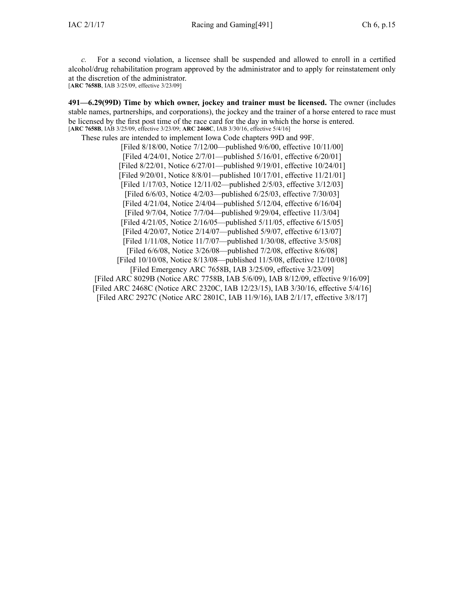*c.* For <sup>a</sup> second violation, <sup>a</sup> licensee shall be suspended and allowed to enroll in <sup>a</sup> certified alcohol/drug rehabilitation program approved by the administrator and to apply for reinstatement only at the discretion of the administrator.

[**ARC [7658B](https://www.legis.iowa.gov/docs/aco/arc/7658B.pdf)**, IAB 3/25/09, effective 3/23/09]

**491—6.29(99D) Time by which owner, jockey and trainer must be licensed.** The owner (includes stable names, partnerships, and corporations), the jockey and the trainer of <sup>a</sup> horse entered to race must be licensed by the first pos<sup>t</sup> time of the race card for the day in which the horse is entered. [**ARC [7658B](https://www.legis.iowa.gov/docs/aco/arc/7658B.pdf)**, IAB 3/25/09, effective 3/23/09; **ARC [2468C](https://www.legis.iowa.gov/docs/aco/arc/2468C.pdf)**, IAB 3/30/16, effective 5/4/16]

These rules are intended to implement Iowa Code chapters [99D](https://www.legis.iowa.gov/docs/ico/chapter/99D.pdf) and [99F](https://www.legis.iowa.gov/docs/ico/chapter/99F.pdf).

[Filed 8/18/00, Notice 7/12/00—published 9/6/00, effective 10/11/00] [Filed 4/24/01, Notice 2/7/01—published 5/16/01, effective 6/20/01] [Filed 8/22/01, Notice 6/27/01—published 9/19/01, effective 10/24/01] [Filed 9/20/01, Notice 8/8/01—published 10/17/01, effective 11/21/01] [Filed 1/17/03, Notice 12/11/02—published 2/5/03, effective 3/12/03] [Filed 6/6/03, Notice 4/2/03—published 6/25/03, effective 7/30/03] [Filed 4/21/04, Notice 2/4/04—published 5/12/04, effective 6/16/04] [Filed 9/7/04, Notice 7/7/04—published 9/29/04, effective 11/3/04] [Filed 4/21/05, Notice 2/16/05—published 5/11/05, effective 6/15/05] [Filed 4/20/07, Notice 2/14/07—published 5/9/07, effective 6/13/07] [Filed 1/11/08, Notice 11/7/07—published 1/30/08, effective 3/5/08] [Filed 6/6/08, Notice 3/26/08—published 7/2/08, effective 8/6/08] [Filed 10/10/08, Notice 8/13/08—published 11/5/08, effective 12/10/08] [Filed [Emergency](https://www.legis.iowa.gov/docs/aco/arc/7658B.pdf) ARC 7658B, IAB 3/25/09, effective 3/23/09] [[Filed](https://www.legis.iowa.gov/docs/aco/arc/8029B.pdf) ARC 8029B (Notice ARC [7758B](https://www.legis.iowa.gov/docs/aco/arc/7758B.pdf), IAB 5/6/09), IAB 8/12/09, effective 9/16/09] [Filed ARC [2468C](https://www.legis.iowa.gov/docs/aco/arc/2468C.pdf) ([Notice](https://www.legis.iowa.gov/docs/aco/arc/2320C.pdf) ARC 2320C, IAB 12/23/15), IAB 3/30/16, effective 5/4/16] [Filed ARC [2927C](https://www.legis.iowa.gov/docs/aco/arc/2927C.pdf) ([Notice](https://www.legis.iowa.gov/docs/aco/arc/2801C.pdf) ARC 2801C, IAB 11/9/16), IAB 2/1/17, effective 3/8/17]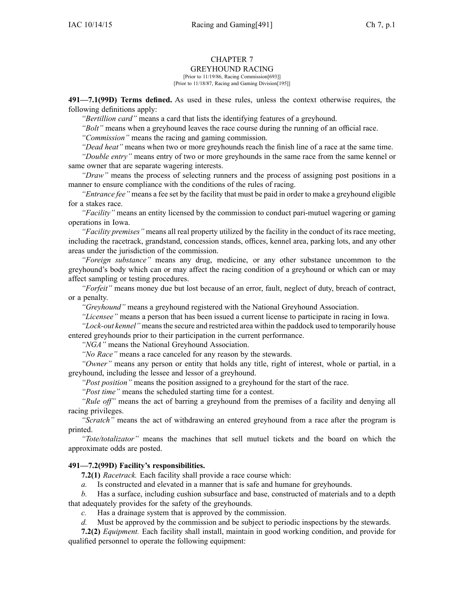# CHAPTER 7

# GREYHOUND RACING

[Prior to 11/19/86, Racing Commission[693]] [Prior to 11/18/87, Racing and Gaming Division[195]]

**491—7.1(99D) Terms defined.** As used in these rules, unless the context otherwise requires, the following definitions apply:

*"Bertillion card"* means <sup>a</sup> card that lists the identifying features of <sup>a</sup> greyhound.

*"Bolt"* means when <sup>a</sup> greyhound leaves the race course during the running of an official race.

*"Commission"* means the racing and gaming commission.

*"Dead heat"* means when two or more greyhounds reach the finish line of <sup>a</sup> race at the same time.

*"Double entry"* means entry of two or more greyhounds in the same race from the same kennel or same owner that are separate wagering interests.

*"Draw"* means the process of selecting runners and the process of assigning pos<sup>t</sup> positions in <sup>a</sup> manner to ensure compliance with the conditions of the rules of racing.

*"Entrance fee"* means <sup>a</sup> fee set by the facility that must be paid in order to make <sup>a</sup> greyhound eligible for <sup>a</sup> stakes race.

*"Facility"* means an entity licensed by the commission to conduct pari-mutuel wagering or gaming operations in Iowa.

*"Facility premises"* means all real property utilized by the facility in the conduct of its race meeting, including the racetrack, grandstand, concession stands, offices, kennel area, parking lots, and any other areas under the jurisdiction of the commission.

*"Foreign substance"* means any drug, medicine, or any other substance uncommon to the greyhound's body which can or may affect the racing condition of <sup>a</sup> greyhound or which can or may affect sampling or testing procedures.

*"Forfeit"* means money due but lost because of an error, fault, neglect of duty, breach of contract, or <sup>a</sup> penalty.

*"Greyhound"* means <sup>a</sup> greyhound registered with the National Greyhound Association.

*"Licensee"* means <sup>a</sup> person that has been issued <sup>a</sup> current license to participate in racing in Iowa.

*"Lock-out kennel"* means the secure and restricted area within the paddock used to temporarily house entered greyhounds prior to their participation in the current performance.

*"NGA"* means the National Greyhound Association.

*"No Race"* means <sup>a</sup> race canceled for any reason by the stewards.

*"Owner"* means any person or entity that holds any title, right of interest, whole or partial, in <sup>a</sup> greyhound, including the lessee and lessor of <sup>a</sup> greyhound.

*"Post position"* means the position assigned to <sup>a</sup> greyhound for the start of the race.

*"Post time"* means the scheduled starting time for <sup>a</sup> contest.

*"Rule off"* means the act of barring <sup>a</sup> greyhound from the premises of <sup>a</sup> facility and denying all racing privileges.

*"Scratch"* means the act of withdrawing an entered greyhound from <sup>a</sup> race after the program is printed.

*"Tote/totalizator"* means the machines that sell mutuel tickets and the board on which the approximate odds are posted.

# **491—7.2(99D) Facility's responsibilities.**

**7.2(1)** *Racetrack.* Each facility shall provide <sup>a</sup> race course which:

*a.* Is constructed and elevated in <sup>a</sup> manner that is safe and humane for greyhounds.

*b.* Has <sup>a</sup> surface, including cushion subsurface and base, constructed of materials and to <sup>a</sup> depth that adequately provides for the safety of the greyhounds.

*c.* Has <sup>a</sup> drainage system that is approved by the commission.

*d.* Must be approved by the commission and be subject to periodic inspections by the stewards.

**7.2(2)** *Equipment.* Each facility shall install, maintain in good working condition, and provide for qualified personnel to operate the following equipment: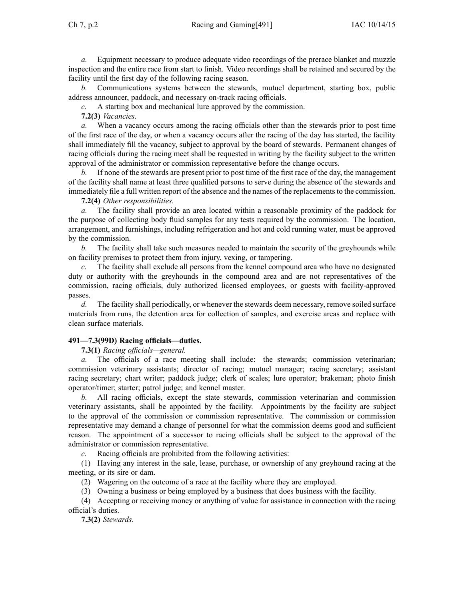Ch 7, p.2 Racing and Gaming[491] IAC 10/14/15

*a.* Equipment necessary to produce adequate video recordings of the prerace blanket and muzzle inspection and the entire race from start to finish. Video recordings shall be retained and secured by the facility until the first day of the following racing season.

*b.* Communications systems between the stewards, mutuel department, starting box, public address announcer, paddock, and necessary on-track racing officials.

*c.* A starting box and mechanical lure approved by the commission.

**7.2(3)** *Vacancies.*

*a.* When <sup>a</sup> vacancy occurs among the racing officials other than the stewards prior to pos<sup>t</sup> time of the first race of the day, or when <sup>a</sup> vacancy occurs after the racing of the day has started, the facility shall immediately fill the vacancy, subject to approval by the board of stewards. Permanent changes of racing officials during the racing meet shall be requested in writing by the facility subject to the written approval of the administrator or commission representative before the change occurs.

*b.* If none of the stewards are presen<sup>t</sup> prior to pos<sup>t</sup> time of the first race of the day, the managemen<sup>t</sup> of the facility shall name at least three qualified persons to serve during the absence of the stewards and immediately file a full written report of the absence and the names of the replacements to the commission.

**7.2(4)** *Other responsibilities.*

*a.* The facility shall provide an area located within <sup>a</sup> reasonable proximity of the paddock for the purpose of collecting body fluid samples for any tests required by the commission. The location, arrangement, and furnishings, including refrigeration and hot and cold running water, must be approved by the commission.

*b.* The facility shall take such measures needed to maintain the security of the greyhounds while on facility premises to protect them from injury, vexing, or tampering.

*c.* The facility shall exclude all persons from the kennel compound area who have no designated duty or authority with the greyhounds in the compound area and are not representatives of the commission, racing officials, duly authorized licensed employees, or guests with facility-approved passes.

*d.* The facility shall periodically, or whenever the stewards deem necessary, remove soiled surface materials from runs, the detention area for collection of samples, and exercise areas and replace with clean surface materials.

# **491—7.3(99D) Racing officials—duties.**

**7.3(1)** *Racing officials—general.*

*a.* The officials of <sup>a</sup> race meeting shall include: the stewards; commission veterinarian; commission veterinary assistants; director of racing; mutuel manager; racing secretary; assistant racing secretary; chart writer; paddock judge; clerk of scales; lure operator; brakeman; photo finish operator/timer; starter; patrol judge; and kennel master.

*b.* All racing officials, excep<sup>t</sup> the state stewards, commission veterinarian and commission veterinary assistants, shall be appointed by the facility. Appointments by the facility are subject to the approval of the commission or commission representative. The commission or commission representative may demand <sup>a</sup> change of personnel for what the commission deems good and sufficient reason. The appointment of <sup>a</sup> successor to racing officials shall be subject to the approval of the administrator or commission representative.

*c.* Racing officials are prohibited from the following activities:

(1) Having any interest in the sale, lease, purchase, or ownership of any greyhound racing at the meeting, or its sire or dam.

(2) Wagering on the outcome of <sup>a</sup> race at the facility where they are employed.

(3) Owning <sup>a</sup> business or being employed by <sup>a</sup> business that does business with the facility.

(4) Accepting or receiving money or anything of value for assistance in connection with the racing official's duties.

**7.3(2)** *Stewards.*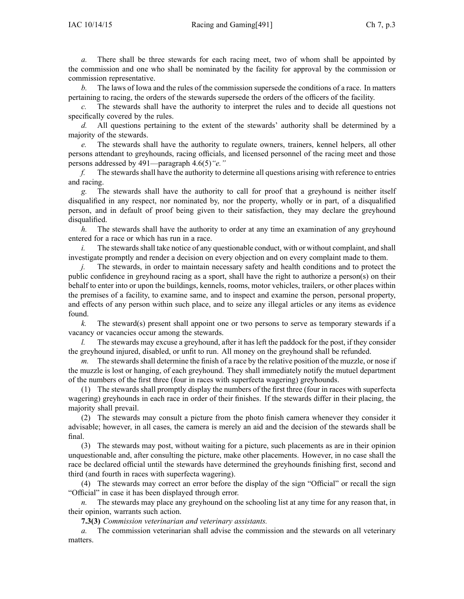*a.* There shall be three stewards for each racing meet, two of whom shall be appointed by the commission and one who shall be nominated by the facility for approval by the commission or commission representative.

*b.* The laws of Iowa and the rules of the commission supersede the conditions of <sup>a</sup> race. In matters pertaining to racing, the orders of the stewards supersede the orders of the officers of the facility.

*c.* The stewards shall have the authority to interpret the rules and to decide all questions not specifically covered by the rules.

*d.* All questions pertaining to the extent of the stewards' authority shall be determined by <sup>a</sup> majority of the stewards.

*e.* The stewards shall have the authority to regulate owners, trainers, kennel helpers, all other persons attendant to greyhounds, racing officials, and licensed personnel of the racing meet and those persons addressed by 491—paragraph [4.6\(5\)](https://www.legis.iowa.gov/docs/iac/rule/491.4.6.pdf)*"e."*

*f.* The stewards shall have the authority to determine all questions arising with reference to entries and racing.

*g.* The stewards shall have the authority to call for proof that <sup>a</sup> greyhound is neither itself disqualified in any respect, nor nominated by, nor the property, wholly or in part, of <sup>a</sup> disqualified person, and in default of proof being given to their satisfaction, they may declare the greyhound disqualified.

*h.* The stewards shall have the authority to order at any time an examination of any greyhound entered for <sup>a</sup> race or which has run in <sup>a</sup> race.

 $i.$  The stewards shall take notice of any questionable conduct, with or without complaint, and shall investigate promptly and render <sup>a</sup> decision on every objection and on every complaint made to them.

*j.* The stewards, in order to maintain necessary safety and health conditions and to protect the public confidence in greyhound racing as <sup>a</sup> sport, shall have the right to authorize <sup>a</sup> person(s) on their behalf to enter into or upon the buildings, kennels, rooms, motor vehicles, trailers, or other places within the premises of <sup>a</sup> facility, to examine same, and to inspect and examine the person, personal property, and effects of any person within such place, and to seize any illegal articles or any items as evidence found.

*k.* The steward(s) presen<sup>t</sup> shall appoint one or two persons to serve as temporary stewards if <sup>a</sup> vacancy or vacancies occur among the stewards.

*l.* The stewards may excuse a greyhound, after it has left the paddock for the post, if they consider the greyhound injured, disabled, or unfit to run. All money on the greyhound shall be refunded.

*m.* The stewards shall determine the finish of a race by the relative position of the muzzle, or nose if the muzzle is lost or hanging, of each greyhound. They shall immediately notify the mutuel department of the numbers of the first three (four in races with superfecta wagering) greyhounds.

(1) The stewards shall promptly display the numbers of the first three (four in races with superfecta wagering) greyhounds in each race in order of their finishes. If the stewards differ in their placing, the majority shall prevail.

(2) The stewards may consult <sup>a</sup> picture from the photo finish camera whenever they consider it advisable; however, in all cases, the camera is merely an aid and the decision of the stewards shall be final.

(3) The stewards may post, without waiting for <sup>a</sup> picture, such placements as are in their opinion unquestionable and, after consulting the picture, make other placements. However, in no case shall the race be declared official until the stewards have determined the greyhounds finishing first, second and third (and fourth in races with superfecta wagering).

(4) The stewards may correct an error before the display of the sign "Official" or recall the sign "Official" in case it has been displayed through error.

*n.* The stewards may place any greyhound on the schooling list at any time for any reason that, in their opinion, warrants such action.

**7.3(3)** *Commission veterinarian and veterinary assistants.*

*a.* The commission veterinarian shall advise the commission and the stewards on all veterinary matters.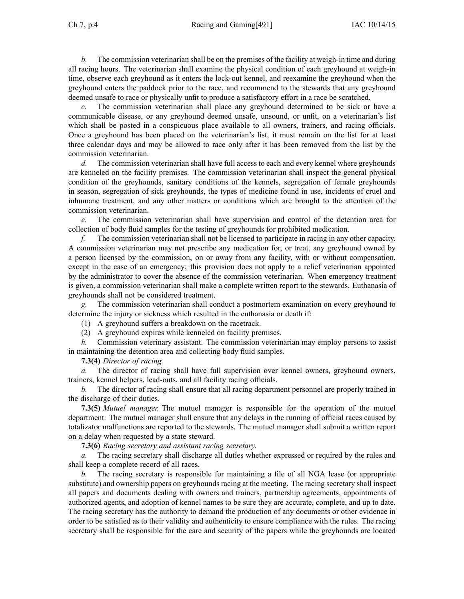*b.* The commission veterinarian shall be on the premises of the facility at weigh-in time and during all racing hours. The veterinarian shall examine the physical condition of each greyhound at weigh-in time, observe each greyhound as it enters the lock-out kennel, and reexamine the greyhound when the greyhound enters the paddock prior to the race, and recommend to the stewards that any greyhound deemed unsafe to race or physically unfit to produce <sup>a</sup> satisfactory effort in <sup>a</sup> race be scratched.

*c.* The commission veterinarian shall place any greyhound determined to be sick or have <sup>a</sup> communicable disease, or any greyhound deemed unsafe, unsound, or unfit, on <sup>a</sup> veterinarian's list which shall be posted in a conspicuous place available to all owners, trainers, and racing officials. Once <sup>a</sup> greyhound has been placed on the veterinarian's list, it must remain on the list for at least three calendar days and may be allowed to race only after it has been removed from the list by the commission veterinarian.

*d.* The commission veterinarian shall have full access to each and every kennel where greyhounds are kenneled on the facility premises. The commission veterinarian shall inspect the general physical condition of the greyhounds, sanitary conditions of the kennels, segregation of female greyhounds in season, segregation of sick greyhounds, the types of medicine found in use, incidents of cruel and inhumane treatment, and any other matters or conditions which are brought to the attention of the commission veterinarian.

*e.* The commission veterinarian shall have supervision and control of the detention area for collection of body fluid samples for the testing of greyhounds for prohibited medication.

*f.* The commission veterinarian shall not be licensed to participate in racing in any other capacity. A commission veterinarian may not prescribe any medication for, or treat, any greyhound owned by <sup>a</sup> person licensed by the commission, on or away from any facility, with or without compensation, excep<sup>t</sup> in the case of an emergency; this provision does not apply to <sup>a</sup> relief veterinarian appointed by the administrator to cover the absence of the commission veterinarian. When emergency treatment is given, <sup>a</sup> commission veterinarian shall make <sup>a</sup> complete written repor<sup>t</sup> to the stewards. Euthanasia of greyhounds shall not be considered treatment.

*g.* The commission veterinarian shall conduct <sup>a</sup> postmortem examination on every greyhound to determine the injury or sickness which resulted in the euthanasia or death if:

(1) A greyhound suffers <sup>a</sup> breakdown on the racetrack.

(2) A greyhound expires while kenneled on facility premises.

*h.* Commission veterinary assistant. The commission veterinarian may employ persons to assist in maintaining the detention area and collecting body fluid samples.

**7.3(4)** *Director of racing.*

*a.* The director of racing shall have full supervision over kennel owners, greyhound owners, trainers, kennel helpers, lead-outs, and all facility racing officials.

*b.* The director of racing shall ensure that all racing department personnel are properly trained in the discharge of their duties.

**7.3(5)** *Mutuel manager.* The mutuel manager is responsible for the operation of the mutuel department. The mutuel manager shall ensure that any delays in the running of official races caused by totalizator malfunctions are reported to the stewards. The mutuel manager shall submit <sup>a</sup> written repor<sup>t</sup> on <sup>a</sup> delay when requested by <sup>a</sup> state steward.

**7.3(6)** *Racing secretary and assistant racing secretary.*

*a.* The racing secretary shall discharge all duties whether expressed or required by the rules and shall keep <sup>a</sup> complete record of all races.

*b.* The racing secretary is responsible for maintaining <sup>a</sup> file of all NGA lease (or appropriate substitute) and ownership papers on greyhounds racing at the meeting. The racing secretary shall inspect all papers and documents dealing with owners and trainers, partnership agreements, appointments of authorized agents, and adoption of kennel names to be sure they are accurate, complete, and up to date. The racing secretary has the authority to demand the production of any documents or other evidence in order to be satisfied as to their validity and authenticity to ensure compliance with the rules. The racing secretary shall be responsible for the care and security of the papers while the greyhounds are located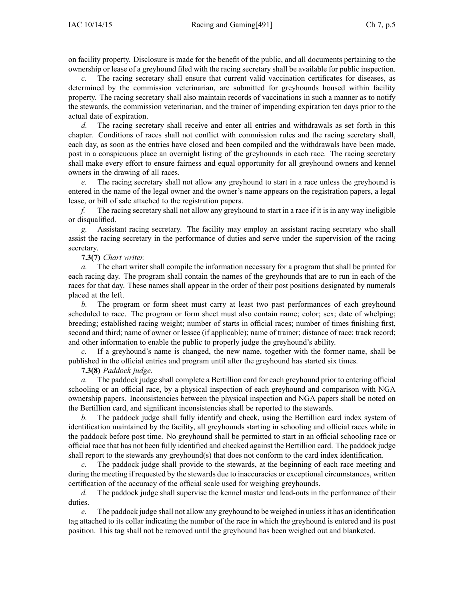on facility property. Disclosure is made for the benefit of the public, and all documents pertaining to the ownership or lease of <sup>a</sup> greyhound filed with the racing secretary shall be available for public inspection.

The racing secretary shall ensure that current valid vaccination certificates for diseases, as determined by the commission veterinarian, are submitted for greyhounds housed within facility property. The racing secretary shall also maintain records of vaccinations in such <sup>a</sup> manner as to notify the stewards, the commission veterinarian, and the trainer of impending expiration ten days prior to the actual date of expiration.

*d.* The racing secretary shall receive and enter all entries and withdrawals as set forth in this chapter. Conditions of races shall not conflict with commission rules and the racing secretary shall, each day, as soon as the entries have closed and been compiled and the withdrawals have been made, pos<sup>t</sup> in <sup>a</sup> conspicuous place an overnight listing of the greyhounds in each race. The racing secretary shall make every effort to ensure fairness and equal opportunity for all greyhound owners and kennel owners in the drawing of all races.

*e.* The racing secretary shall not allow any greyhound to start in <sup>a</sup> race unless the greyhound is entered in the name of the legal owner and the owner's name appears on the registration papers, <sup>a</sup> legal lease, or bill of sale attached to the registration papers.

*f.* The racing secretary shall not allow any greyhound to start in a race if it is in any way ineligible or disqualified.

*g.* Assistant racing secretary. The facility may employ an assistant racing secretary who shall assist the racing secretary in the performance of duties and serve under the supervision of the racing secretary.

**7.3(7)** *Chart writer.*

*a.* The chart writer shall compile the information necessary for <sup>a</sup> program that shall be printed for each racing day. The program shall contain the names of the greyhounds that are to run in each of the races for that day. These names shall appear in the order of their pos<sup>t</sup> positions designated by numerals placed at the left.

*b.* The program or form sheet must carry at least two pas<sup>t</sup> performances of each greyhound scheduled to race. The program or form sheet must also contain name; color; sex; date of whelping; breeding; established racing weight; number of starts in official races; number of times finishing first, second and third; name of owner or lessee (if applicable); name of trainer; distance of race; track record; and other information to enable the public to properly judge the greyhound's ability.

*c.* If <sup>a</sup> greyhound's name is changed, the new name, together with the former name, shall be published in the official entries and program until after the greyhound has started six times.

**7.3(8)** *Paddock judge.*

*a.* The paddock judge shall complete <sup>a</sup> Bertillion card for each greyhound prior to entering official schooling or an official race, by <sup>a</sup> physical inspection of each greyhound and comparison with NGA ownership papers. Inconsistencies between the physical inspection and NGA papers shall be noted on the Bertillion card, and significant inconsistencies shall be reported to the stewards.

*b.* The paddock judge shall fully identify and check, using the Bertillion card index system of identification maintained by the facility, all greyhounds starting in schooling and official races while in the paddock before pos<sup>t</sup> time. No greyhound shall be permitted to start in an official schooling race or official race that has not been fully identified and checked against the Bertillion card. The paddock judge shall repor<sup>t</sup> to the stewards any greyhound(s) that does not conform to the card index identification.

*c.* The paddock judge shall provide to the stewards, at the beginning of each race meeting and during the meeting if requested by the stewards due to inaccuracies or exceptional circumstances, written certification of the accuracy of the official scale used for weighing greyhounds.

*d.* The paddock judge shall supervise the kennel master and lead-outs in the performance of their duties.

*e.* The paddock judge shall not allow any greyhound to be weighed in unlessit has an identification tag attached to its collar indicating the number of the race in which the greyhound is entered and its pos<sup>t</sup> position. This tag shall not be removed until the greyhound has been weighed out and blanketed.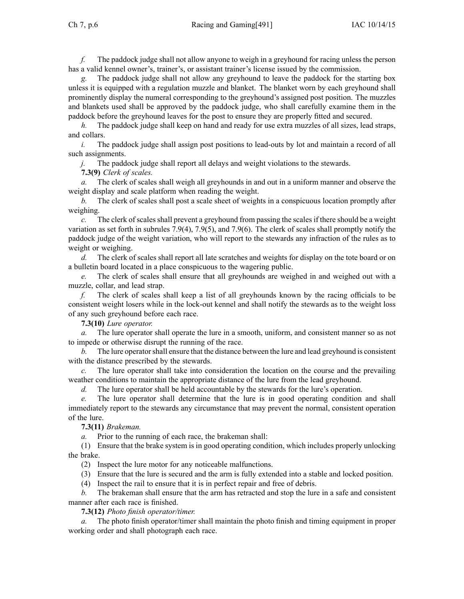*f.* The paddock judge shall not allow anyone to weigh in <sup>a</sup> greyhound for racing unless the person has <sup>a</sup> valid kennel owner's, trainer's, or assistant trainer's license issued by the commission.

The paddock judge shall not allow any greyhound to leave the paddock for the starting box unless it is equipped with <sup>a</sup> regulation muzzle and blanket. The blanket worn by each greyhound shall prominently display the numeral corresponding to the greyhound's assigned pos<sup>t</sup> position. The muzzles and blankets used shall be approved by the paddock judge, who shall carefully examine them in the paddock before the greyhound leaves for the pos<sup>t</sup> to ensure they are properly fitted and secured.

*h.* The paddock judge shall keep on hand and ready for use extra muzzles of all sizes, lead straps, and collars.

*i.* The paddock judge shall assign post positions to lead-outs by lot and maintain a record of all such assignments.

*j.* The paddock judge shall repor<sup>t</sup> all delays and weight violations to the stewards.

**7.3(9)** *Clerk of scales.*

*a.* The clerk of scales shall weigh all greyhounds in and out in <sup>a</sup> uniform manner and observe the weight display and scale platform when reading the weight.

*b.* The clerk of scales shall pos<sup>t</sup> <sup>a</sup> scale sheet of weights in <sup>a</sup> conspicuous location promptly after weighing.

*c.* The clerk of scales shall preven<sup>t</sup> <sup>a</sup> greyhound from passing the scales if there should be <sup>a</sup> weight variation as set forth in subrules [7.9\(4\)](https://www.legis.iowa.gov/docs/iac/rule/491.7.9.pdf), [7.9\(5\)](https://www.legis.iowa.gov/docs/iac/rule/491.7.9.pdf), and [7.9\(6\)](https://www.legis.iowa.gov/docs/iac/rule/491.7.9.pdf). The clerk of scales shall promptly notify the paddock judge of the weight variation, who will repor<sup>t</sup> to the stewards any infraction of the rules as to weight or weighing.

*d.* The clerk of scales shall repor<sup>t</sup> all late scratches and weights for display on the tote board or on <sup>a</sup> bulletin board located in <sup>a</sup> place conspicuous to the wagering public.

*e.* The clerk of scales shall ensure that all greyhounds are weighed in and weighed out with <sup>a</sup> muzzle, collar, and lead strap.

*f.* The clerk of scales shall keep <sup>a</sup> list of all greyhounds known by the racing officials to be consistent weight losers while in the lock-out kennel and shall notify the stewards as to the weight loss of any such greyhound before each race.

**7.3(10)** *Lure operator.*

*a.* The lure operator shall operate the lure in <sup>a</sup> smooth, uniform, and consistent manner so as not to impede or otherwise disrupt the running of the race.

*b.* The lure operator shall ensure that the distance between the lure and lead greyhound is consistent with the distance prescribed by the stewards.

*c.* The lure operator shall take into consideration the location on the course and the prevailing weather conditions to maintain the appropriate distance of the lure from the lead greyhound.

*d.* The lure operator shall be held accountable by the stewards for the lure's operation.

The lure operator shall determine that the lure is in good operating condition and shall immediately repor<sup>t</sup> to the stewards any circumstance that may preven<sup>t</sup> the normal, consistent operation of the lure.

**7.3(11)** *Brakeman.*

*a.* Prior to the running of each race, the brakeman shall:

(1) Ensure that the brake system is in good operating condition, which includes properly unlocking the brake.

(2) Inspect the lure motor for any noticeable malfunctions.

(3) Ensure that the lure is secured and the arm is fully extended into <sup>a</sup> stable and locked position.

(4) Inspect the rail to ensure that it is in perfect repair and free of debris.

*b.* The brakeman shall ensure that the arm has retracted and stop the lure in <sup>a</sup> safe and consistent manner after each race is finished.

**7.3(12)** *Photo finish operator/timer.*

*a.* The photo finish operator/timer shall maintain the photo finish and timing equipment in proper working order and shall photograph each race.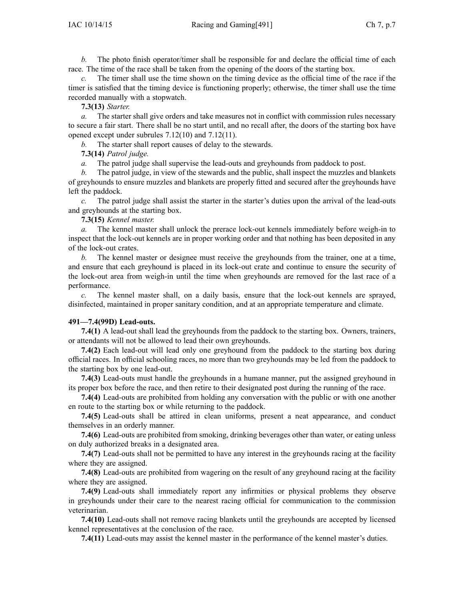The photo finish operator/timer shall be responsible for and declare the official time of each race. The time of the race shall be taken from the opening of the doors of the starting box.

*c.* The timer shall use the time shown on the timing device as the official time of the race if the timer is satisfied that the timing device is functioning properly; otherwise, the timer shall use the time recorded manually with <sup>a</sup> stopwatch.

**7.3(13)** *Starter.*

*a.* The starter shall give orders and take measures not in conflict with commission rules necessary to secure <sup>a</sup> fair start. There shall be no start until, and no recall after, the doors of the starting box have opened excep<sup>t</sup> under subrules [7.12\(10\)](https://www.legis.iowa.gov/docs/iac/rule/491.7.12.pdf) and [7.12\(11\)](https://www.legis.iowa.gov/docs/iac/rule/491.7.12.pdf).

*b.* The starter shall repor<sup>t</sup> causes of delay to the stewards.

### **7.3(14)** *Patrol judge.*

*a.* The patrol judge shall supervise the lead-outs and greyhounds from paddock to post.

*b.* The patrol judge, in view of the stewards and the public, shall inspect the muzzles and blankets of greyhounds to ensure muzzles and blankets are properly fitted and secured after the greyhounds have left the paddock.

*c.* The patrol judge shall assist the starter in the starter's duties upon the arrival of the lead-outs and greyhounds at the starting box.

**7.3(15)** *Kennel master.*

*a.* The kennel master shall unlock the prerace lock-out kennels immediately before weigh-in to inspect that the lock-out kennels are in proper working order and that nothing has been deposited in any of the lock-out crates.

*b.* The kennel master or designee must receive the greyhounds from the trainer, one at <sup>a</sup> time, and ensure that each greyhound is placed in its lock-out crate and continue to ensure the security of the lock-out area from weigh-in until the time when greyhounds are removed for the last race of <sup>a</sup> performance.

*c.* The kennel master shall, on <sup>a</sup> daily basis, ensure that the lock-out kennels are sprayed, disinfected, maintained in proper sanitary condition, and at an appropriate temperature and climate.

# **491—7.4(99D) Lead-outs.**

**7.4(1)** A lead-out shall lead the greyhounds from the paddock to the starting box. Owners, trainers, or attendants will not be allowed to lead their own greyhounds.

**7.4(2)** Each lead-out will lead only one greyhound from the paddock to the starting box during official races. In official schooling races, no more than two greyhounds may be led from the paddock to the starting box by one lead-out.

**7.4(3)** Lead-outs must handle the greyhounds in <sup>a</sup> humane manner, pu<sup>t</sup> the assigned greyhound in its proper box before the race, and then retire to their designated pos<sup>t</sup> during the running of the race.

**7.4(4)** Lead-outs are prohibited from holding any conversation with the public or with one another en route to the starting box or while returning to the paddock.

**7.4(5)** Lead-outs shall be attired in clean uniforms, presen<sup>t</sup> <sup>a</sup> neat appearance, and conduct themselves in an orderly manner.

**7.4(6)** Lead-outs are prohibited from smoking, drinking beverages other than water, or eating unless on duly authorized breaks in <sup>a</sup> designated area.

**7.4(7)** Lead-outs shall not be permitted to have any interest in the greyhounds racing at the facility where they are assigned.

**7.4(8)** Lead-outs are prohibited from wagering on the result of any greyhound racing at the facility where they are assigned.

**7.4(9)** Lead-outs shall immediately repor<sup>t</sup> any infirmities or physical problems they observe in greyhounds under their care to the nearest racing official for communication to the commission veterinarian.

**7.4(10)** Lead-outs shall not remove racing blankets until the greyhounds are accepted by licensed kennel representatives at the conclusion of the race.

**7.4(11)** Lead-outs may assist the kennel master in the performance of the kennel master's duties.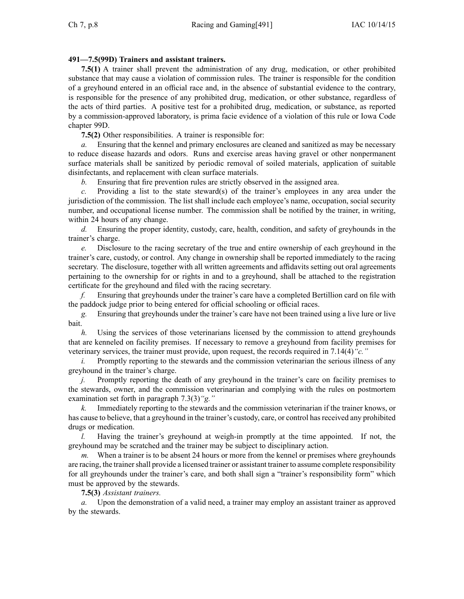# **491—7.5(99D) Trainers and assistant trainers.**

**7.5(1)** A trainer shall preven<sup>t</sup> the administration of any drug, medication, or other prohibited substance that may cause <sup>a</sup> violation of commission rules. The trainer is responsible for the condition of <sup>a</sup> greyhound entered in an official race and, in the absence of substantial evidence to the contrary, is responsible for the presence of any prohibited drug, medication, or other substance, regardless of the acts of third parties. A positive test for <sup>a</sup> prohibited drug, medication, or substance, as reported by <sup>a</sup> commission-approved laboratory, is prima facie evidence of <sup>a</sup> violation of this rule or Iowa Code chapter [99D](https://www.legis.iowa.gov/docs/ico/chapter/99D.pdf).

**7.5(2)** Other responsibilities. A trainer is responsible for:

*a.* Ensuring that the kennel and primary enclosures are cleaned and sanitized as may be necessary to reduce disease hazards and odors. Runs and exercise areas having gravel or other nonpermanen<sup>t</sup> surface materials shall be sanitized by periodic removal of soiled materials, application of suitable disinfectants, and replacement with clean surface materials.

*b.* Ensuring that fire prevention rules are strictly observed in the assigned area.

*c.* Providing <sup>a</sup> list to the state steward(s) of the trainer's employees in any area under the jurisdiction of the commission. The list shall include each employee's name, occupation, social security number, and occupational license number. The commission shall be notified by the trainer, in writing, within 24 hours of any change.

*d.* Ensuring the proper identity, custody, care, health, condition, and safety of greyhounds in the trainer's charge.

*e.* Disclosure to the racing secretary of the true and entire ownership of each greyhound in the trainer's care, custody, or control. Any change in ownership shall be reported immediately to the racing secretary. The disclosure, together with all written agreements and affidavits setting out oral agreements pertaining to the ownership for or rights in and to <sup>a</sup> greyhound, shall be attached to the registration certificate for the greyhound and filed with the racing secretary.

*f.* Ensuring that greyhounds under the trainer's care have <sup>a</sup> completed Bertillion card on file with the paddock judge prior to being entered for official schooling or official races.

*g.* Ensuring that greyhounds under the trainer's care have not been trained using <sup>a</sup> live lure or live bait.

*h.* Using the services of those veterinarians licensed by the commission to attend greyhounds that are kenneled on facility premises. If necessary to remove <sup>a</sup> greyhound from facility premises for veterinary services, the trainer must provide, upon request, the records required in [7.14\(4\)](https://www.legis.iowa.gov/docs/iac/rule/491.7.14.pdf)*"c."*

Promptly reporting to the stewards and the commission veterinarian the serious illness of any greyhound in the trainer's charge.

*j.* Promptly reporting the death of any greyhound in the trainer's care on facility premises to the stewards, owner, and the commission veterinarian and complying with the rules on postmortem examination set forth in paragraph [7.3\(3\)](https://www.legis.iowa.gov/docs/iac/rule/491.7.3.pdf)*"g."*

*k.* Immediately reporting to the stewards and the commission veterinarian if the trainer knows, or has cause to believe, that a greyhound in the trainer's custody, care, or control has received any prohibited drugs or medication.

*l.* Having the trainer's greyhound at weigh-in promptly at the time appointed. If not, the greyhound may be scratched and the trainer may be subject to disciplinary action.

*m.* When <sup>a</sup> trainer is to be absent 24 hours or more from the kennel or premises where greyhounds are racing, the trainer shall provide a licensed trainer or assistant trainer to assume complete responsibility for all greyhounds under the trainer's care, and both shall sign <sup>a</sup> "trainer's responsibility form" which must be approved by the stewards.

**7.5(3)** *Assistant trainers.*

*a.* Upon the demonstration of <sup>a</sup> valid need, <sup>a</sup> trainer may employ an assistant trainer as approved by the stewards.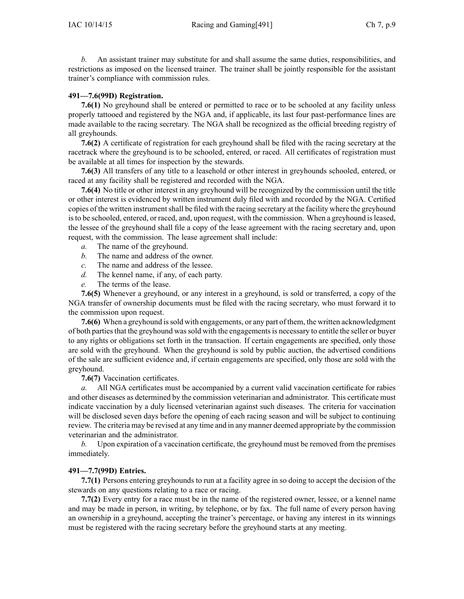*b.* An assistant trainer may substitute for and shall assume the same duties, responsibilities, and restrictions as imposed on the licensed trainer. The trainer shall be jointly responsible for the assistant trainer's compliance with commission rules.

### **491—7.6(99D) Registration.**

**7.6(1)** No greyhound shall be entered or permitted to race or to be schooled at any facility unless properly tattooed and registered by the NGA and, if applicable, its last four past-performance lines are made available to the racing secretary. The NGA shall be recognized as the official breeding registry of all greyhounds.

**7.6(2)** A certificate of registration for each greyhound shall be filed with the racing secretary at the racetrack where the greyhound is to be schooled, entered, or raced. All certificates of registration must be available at all times for inspection by the stewards.

**7.6(3)** All transfers of any title to <sup>a</sup> leasehold or other interest in greyhounds schooled, entered, or raced at any facility shall be registered and recorded with the NGA.

**7.6(4)** No title or other interest in any greyhound will be recognized by the commission until the title or other interest is evidenced by written instrument duly filed with and recorded by the NGA. Certified copies of the written instrumentshall be filed with the racing secretary at the facility where the greyhound isto be schooled, entered, or raced, and, upon request, with the commission. When <sup>a</sup> greyhound isleased, the lessee of the greyhound shall file <sup>a</sup> copy of the lease agreemen<sup>t</sup> with the racing secretary and, upon request, with the commission. The lease agreemen<sup>t</sup> shall include:

- *a.* The name of the greyhound.
- *b.* The name and address of the owner.
- *c.* The name and address of the lessee.
- *d.* The kennel name, if any, of each party.
- *e.* The terms of the lease.

**7.6(5)** Whenever <sup>a</sup> greyhound, or any interest in <sup>a</sup> greyhound, is sold or transferred, <sup>a</sup> copy of the NGA transfer of ownership documents must be filed with the racing secretary, who must forward it to the commission upon request.

**7.6(6)** When <sup>a</sup> greyhound issold with engagements, or any par<sup>t</sup> of them, the written acknowledgment of both partiesthat the greyhound wassold with the engagementsis necessary to entitle the seller or buyer to any rights or obligations set forth in the transaction. If certain engagements are specified, only those are sold with the greyhound. When the greyhound is sold by public auction, the advertised conditions of the sale are sufficient evidence and, if certain engagements are specified, only those are sold with the greyhound.

**7.6(7)** Vaccination certificates.

*a.* All NGA certificates must be accompanied by <sup>a</sup> current valid vaccination certificate for rabies and other diseases as determined by the commission veterinarian and administrator. This certificate must indicate vaccination by <sup>a</sup> duly licensed veterinarian against such diseases. The criteria for vaccination will be disclosed seven days before the opening of each racing season and will be subject to continuing review. The criteria may be revised at any time and in any manner deemed appropriate by the commission veterinarian and the administrator.

*b.* Upon expiration of <sup>a</sup> vaccination certificate, the greyhound must be removed from the premises immediately.

# **491—7.7(99D) Entries.**

**7.7(1)** Persons entering greyhounds to run at <sup>a</sup> facility agree in so doing to accep<sup>t</sup> the decision of the stewards on any questions relating to <sup>a</sup> race or racing.

**7.7(2)** Every entry for <sup>a</sup> race must be in the name of the registered owner, lessee, or <sup>a</sup> kennel name and may be made in person, in writing, by telephone, or by fax. The full name of every person having an ownership in <sup>a</sup> greyhound, accepting the trainer's percentage, or having any interest in its winnings must be registered with the racing secretary before the greyhound starts at any meeting.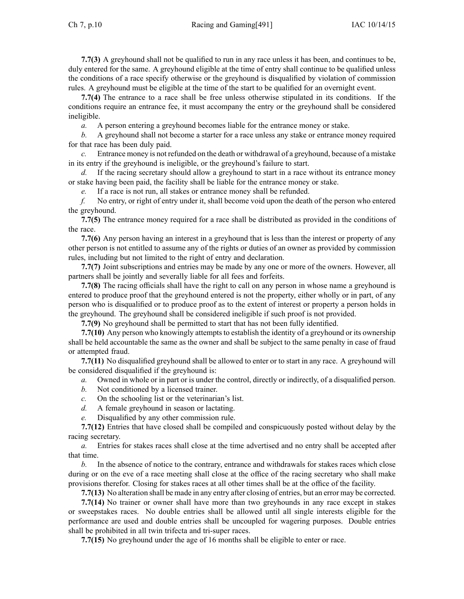**7.7(3)** A greyhound shall not be qualified to run in any race unless it has been, and continues to be, duly entered for the same. A greyhound eligible at the time of entry shall continue to be qualified unless the conditions of <sup>a</sup> race specify otherwise or the greyhound is disqualified by violation of commission rules. A greyhound must be eligible at the time of the start to be qualified for an overnight event.

**7.7(4)** The entrance to <sup>a</sup> race shall be free unless otherwise stipulated in its conditions. If the conditions require an entrance fee, it must accompany the entry or the greyhound shall be considered ineligible.

*a.* A person entering <sup>a</sup> greyhound becomes liable for the entrance money or stake.

*b.* A greyhound shall not become <sup>a</sup> starter for <sup>a</sup> race unless any stake or entrance money required for that race has been duly paid.

*c.* Entrance money is not refunded on the death or withdrawal of <sup>a</sup> greyhound, because of <sup>a</sup> mistake in its entry if the greyhound is ineligible, or the greyhound's failure to start.

*d.* If the racing secretary should allow a greyhound to start in a race without its entrance money or stake having been paid, the facility shall be liable for the entrance money or stake.

*e.* If <sup>a</sup> race is not run, all stakes or entrance money shall be refunded.

*f.* No entry, or right of entry under it, shall become void upon the death of the person who entered the greyhound.

**7.7(5)** The entrance money required for <sup>a</sup> race shall be distributed as provided in the conditions of the race.

**7.7(6)** Any person having an interest in <sup>a</sup> greyhound that is less than the interest or property of any other person is not entitled to assume any of the rights or duties of an owner as provided by commission rules, including but not limited to the right of entry and declaration.

**7.7(7)** Joint subscriptions and entries may be made by any one or more of the owners. However, all partners shall be jointly and severally liable for all fees and forfeits.

**7.7(8)** The racing officials shall have the right to call on any person in whose name <sup>a</sup> greyhound is entered to produce proof that the greyhound entered is not the property, either wholly or in part, of any person who is disqualified or to produce proof as to the extent of interest or property <sup>a</sup> person holds in the greyhound. The greyhound shall be considered ineligible if such proof is not provided.

**7.7(9)** No greyhound shall be permitted to start that has not been fully identified.

**7.7(10)** Any person who knowingly attempts to establish the identity of a greyhound or its ownership shall be held accountable the same as the owner and shall be subject to the same penalty in case of fraud or attempted fraud.

**7.7(11)** No disqualified greyhound shall be allowed to enter or to start in any race. A greyhound will be considered disqualified if the greyhound is:

*a.* Owned in whole or in par<sup>t</sup> or is under the control, directly or indirectly, of <sup>a</sup> disqualified person.

- *b.* Not conditioned by <sup>a</sup> licensed trainer.
- *c.* On the schooling list or the veterinarian's list.
- *d.* A female greyhound in season or lactating.
- *e.* Disqualified by any other commission rule.

**7.7(12)** Entries that have closed shall be compiled and conspicuously posted without delay by the racing secretary.

*a.* Entries for stakes races shall close at the time advertised and no entry shall be accepted after that time.

*b.* In the absence of notice to the contrary, entrance and withdrawals for stakes races which close during or on the eve of <sup>a</sup> race meeting shall close at the office of the racing secretary who shall make provisions therefor. Closing for stakes races at all other times shall be at the office of the facility.

**7.7(13)** No alteration shall be made in any entry after closing of entries, but an error may be corrected.

**7.7(14)** No trainer or owner shall have more than two greyhounds in any race excep<sup>t</sup> in stakes or sweepstakes races. No double entries shall be allowed until all single interests eligible for the performance are used and double entries shall be uncoupled for wagering purposes. Double entries shall be prohibited in all twin trifecta and tri-super races.

**7.7(15)** No greyhound under the age of 16 months shall be eligible to enter or race.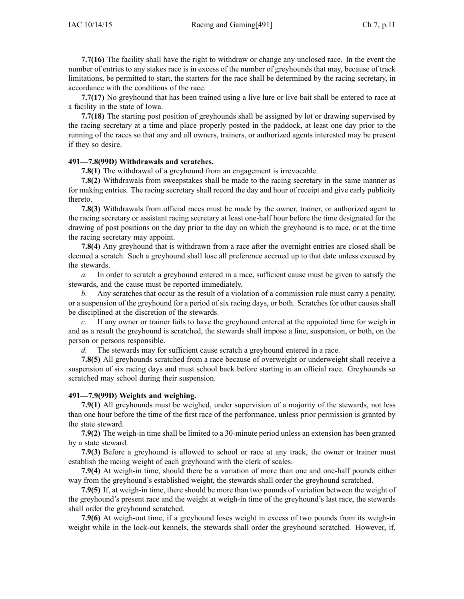**7.7(16)** The facility shall have the right to withdraw or change any unclosed race. In the event the number of entries to any stakes race is in excess of the number of greyhounds that may, because of track limitations, be permitted to start, the starters for the race shall be determined by the racing secretary, in accordance with the conditions of the race.

**7.7(17)** No greyhound that has been trained using <sup>a</sup> live lure or live bait shall be entered to race at <sup>a</sup> facility in the state of Iowa.

**7.7(18)** The starting pos<sup>t</sup> position of greyhounds shall be assigned by lot or drawing supervised by the racing secretary at <sup>a</sup> time and place properly posted in the paddock, at least one day prior to the running of the races so that any and all owners, trainers, or authorized agents interested may be presen<sup>t</sup> if they so desire.

### **491—7.8(99D) Withdrawals and scratches.**

**7.8(1)** The withdrawal of <sup>a</sup> greyhound from an engagemen<sup>t</sup> is irrevocable.

**7.8(2)** Withdrawals from sweepstakes shall be made to the racing secretary in the same manner as for making entries. The racing secretary shall record the day and hour of receipt and give early publicity thereto.

**7.8(3)** Withdrawals from official races must be made by the owner, trainer, or authorized agen<sup>t</sup> to the racing secretary or assistant racing secretary at least one-half hour before the time designated for the drawing of pos<sup>t</sup> positions on the day prior to the day on which the greyhound is to race, or at the time the racing secretary may appoint.

**7.8(4)** Any greyhound that is withdrawn from <sup>a</sup> race after the overnight entries are closed shall be deemed <sup>a</sup> scratch. Such <sup>a</sup> greyhound shall lose all preference accrued up to that date unless excused by the stewards.

*a.* In order to scratch <sup>a</sup> greyhound entered in <sup>a</sup> race, sufficient cause must be given to satisfy the stewards, and the cause must be reported immediately.

*b.* Any scratches that occur as the result of <sup>a</sup> violation of <sup>a</sup> commission rule must carry <sup>a</sup> penalty, or <sup>a</sup> suspension of the greyhound for <sup>a</sup> period of six racing days, or both. Scratches for other causes shall be disciplined at the discretion of the stewards.

*c.* If any owner or trainer fails to have the greyhound entered at the appointed time for weigh in and as <sup>a</sup> result the greyhound is scratched, the stewards shall impose <sup>a</sup> fine, suspension, or both, on the person or persons responsible.

*d.* The stewards may for sufficient cause scratch <sup>a</sup> greyhound entered in <sup>a</sup> race.

**7.8(5)** All greyhounds scratched from <sup>a</sup> race because of overweight or underweight shall receive <sup>a</sup> suspension of six racing days and must school back before starting in an official race. Greyhounds so scratched may school during their suspension.

#### **491—7.9(99D) Weights and weighing.**

**7.9(1)** All greyhounds must be weighed, under supervision of <sup>a</sup> majority of the stewards, not less than one hour before the time of the first race of the performance, unless prior permission is granted by the state steward.

**7.9(2)** The weigh-in time shall be limited to <sup>a</sup> 30-minute period unless an extension has been granted by <sup>a</sup> state steward.

**7.9(3)** Before <sup>a</sup> greyhound is allowed to school or race at any track, the owner or trainer must establish the racing weight of each greyhound with the clerk of scales.

**7.9(4)** At weigh-in time, should there be <sup>a</sup> variation of more than one and one-half pounds either way from the greyhound's established weight, the stewards shall order the greyhound scratched.

**7.9(5)** If, at weigh-in time, there should be more than two pounds of variation between the weight of the greyhound's presen<sup>t</sup> race and the weight at weigh-in time of the greyhound's last race, the stewards shall order the greyhound scratched.

**7.9(6)** At weigh-out time, if <sup>a</sup> greyhound loses weight in excess of two pounds from its weigh-in weight while in the lock-out kennels, the stewards shall order the greyhound scratched. However, if,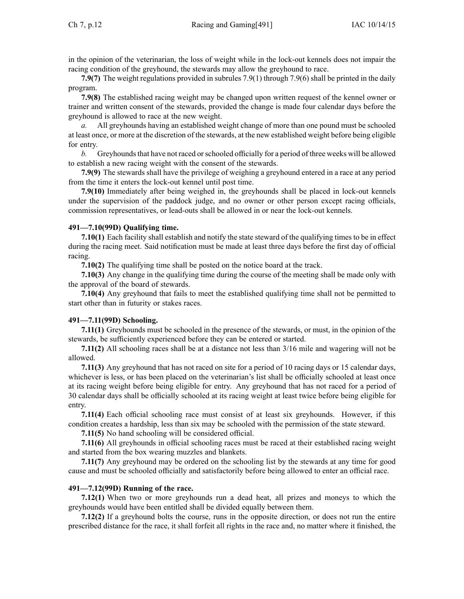in the opinion of the veterinarian, the loss of weight while in the lock-out kennels does not impair the racing condition of the greyhound, the stewards may allow the greyhound to race.

**7.9(7)** The weight regulations provided in subrules [7.9\(1\)](https://www.legis.iowa.gov/docs/iac/rule/491.7.9.pdf) through [7.9\(6\)](https://www.legis.iowa.gov/docs/iac/rule/491.7.9.pdf) shall be printed in the daily program.

**7.9(8)** The established racing weight may be changed upon written reques<sup>t</sup> of the kennel owner or trainer and written consent of the stewards, provided the change is made four calendar days before the greyhound is allowed to race at the new weight.

All greyhounds having an established weight change of more than one pound must be schooled at least once, or more at the discretion of the stewards, at the new established weight before being eligible for entry.

*b.* Greyhounds that have not raced or schooled officially for a period of three weeks will be allowed to establish <sup>a</sup> new racing weight with the consent of the stewards.

**7.9(9)** The stewards shall have the privilege of weighing <sup>a</sup> greyhound entered in <sup>a</sup> race at any period from the time it enters the lock-out kennel until pos<sup>t</sup> time.

**7.9(10)** Immediately after being weighed in, the greyhounds shall be placed in lock-out kennels under the supervision of the paddock judge, and no owner or other person excep<sup>t</sup> racing officials, commission representatives, or lead-outs shall be allowed in or near the lock-out kennels.

### **491—7.10(99D) Qualifying time.**

**7.10(1)** Each facility shall establish and notify the state steward of the qualifying times to be in effect during the racing meet. Said notification must be made at least three days before the first day of official racing.

**7.10(2)** The qualifying time shall be posted on the notice board at the track.

**7.10(3)** Any change in the qualifying time during the course of the meeting shall be made only with the approval of the board of stewards.

**7.10(4)** Any greyhound that fails to meet the established qualifying time shall not be permitted to start other than in futurity or stakes races.

### **491—7.11(99D) Schooling.**

**7.11(1)** Greyhounds must be schooled in the presence of the stewards, or must, in the opinion of the stewards, be sufficiently experienced before they can be entered or started.

**7.11(2)** All schooling races shall be at <sup>a</sup> distance not less than 3/16 mile and wagering will not be allowed.

**7.11(3)** Any greyhound that has not raced on site for <sup>a</sup> period of 10 racing days or 15 calendar days, whichever is less, or has been placed on the veterinarian's list shall be officially schooled at least once at its racing weight before being eligible for entry. Any greyhound that has not raced for <sup>a</sup> period of 30 calendar days shall be officially schooled at its racing weight at least twice before being eligible for entry.

**7.11(4)** Each official schooling race must consist of at least six greyhounds. However, if this condition creates <sup>a</sup> hardship, less than six may be schooled with the permission of the state steward.

**7.11(5)** No hand schooling will be considered official.

**7.11(6)** All greyhounds in official schooling races must be raced at their established racing weight and started from the box wearing muzzles and blankets.

**7.11(7)** Any greyhound may be ordered on the schooling list by the stewards at any time for good cause and must be schooled officially and satisfactorily before being allowed to enter an official race.

# **491—7.12(99D) Running of the race.**

**7.12(1)** When two or more greyhounds run <sup>a</sup> dead heat, all prizes and moneys to which the greyhounds would have been entitled shall be divided equally between them.

**7.12(2)** If <sup>a</sup> greyhound bolts the course, runs in the opposite direction, or does not run the entire prescribed distance for the race, it shall forfeit all rights in the race and, no matter where it finished, the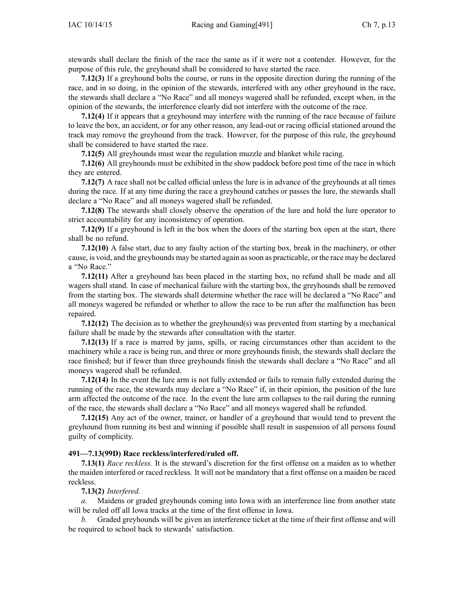stewards shall declare the finish of the race the same as if it were not <sup>a</sup> contender. However, for the purpose of this rule, the greyhound shall be considered to have started the race.

**7.12(3)** If <sup>a</sup> greyhound bolts the course, or runs in the opposite direction during the running of the race, and in so doing, in the opinion of the stewards, interfered with any other greyhound in the race, the stewards shall declare <sup>a</sup> "No Race" and all moneys wagered shall be refunded, excep<sup>t</sup> when, in the opinion of the stewards, the interference clearly did not interfere with the outcome of the race.

**7.12(4)** If it appears that <sup>a</sup> greyhound may interfere with the running of the race because of failure to leave the box, an accident, or for any other reason, any lead-out or racing official stationed around the track may remove the greyhound from the track. However, for the purpose of this rule, the greyhound shall be considered to have started the race.

**7.12(5)** All greyhounds must wear the regulation muzzle and blanket while racing.

**7.12(6)** All greyhounds must be exhibited in the show paddock before pos<sup>t</sup> time of the race in which they are entered.

**7.12(7)** A race shall not be called official unless the lure is in advance of the greyhounds at all times during the race. If at any time during the race <sup>a</sup> greyhound catches or passes the lure, the stewards shall declare <sup>a</sup> "No Race" and all moneys wagered shall be refunded.

**7.12(8)** The stewards shall closely observe the operation of the lure and hold the lure operator to strict accountability for any inconsistency of operation.

**7.12(9)** If <sup>a</sup> greyhound is left in the box when the doors of the starting box open at the start, there shall be no refund.

**7.12(10)** A false start, due to any faulty action of the starting box, break in the machinery, or other cause, is void, and the greyhounds may be started again assoon as practicable, or the race may be declared <sup>a</sup> "No Race."

**7.12(11)** After <sup>a</sup> greyhound has been placed in the starting box, no refund shall be made and all wagers shall stand. In case of mechanical failure with the starting box, the greyhounds shall be removed from the starting box. The stewards shall determine whether the race will be declared <sup>a</sup> "No Race" and all moneys wagered be refunded or whether to allow the race to be run after the malfunction has been repaired.

**7.12(12)** The decision as to whether the greyhound(s) was prevented from starting by <sup>a</sup> mechanical failure shall be made by the stewards after consultation with the starter.

**7.12(13)** If <sup>a</sup> race is marred by jams, spills, or racing circumstances other than accident to the machinery while <sup>a</sup> race is being run, and three or more greyhounds finish, the stewards shall declare the race finished; but if fewer than three greyhounds finish the stewards shall declare <sup>a</sup> "No Race" and all moneys wagered shall be refunded.

**7.12(14)** In the event the lure arm is not fully extended or fails to remain fully extended during the running of the race, the stewards may declare <sup>a</sup> "No Race" if, in their opinion, the position of the lure arm affected the outcome of the race. In the event the lure arm collapses to the rail during the running of the race, the stewards shall declare <sup>a</sup> "No Race" and all moneys wagered shall be refunded.

**7.12(15)** Any act of the owner, trainer, or handler of <sup>a</sup> greyhound that would tend to preven<sup>t</sup> the greyhound from running its best and winning if possible shall result in suspension of all persons found guilty of complicity.

#### **491—7.13(99D) Race reckless/interfered/ruled off.**

**7.13(1)** *Race reckless.* It is the steward's discretion for the first offense on <sup>a</sup> maiden as to whether the maiden interfered or raced reckless. It will not be mandatory that <sup>a</sup> first offense on <sup>a</sup> maiden be raced reckless.

### **7.13(2)** *Interfered.*

*a.* Maidens or graded greyhounds coming into Iowa with an interference line from another state will be ruled off all Iowa tracks at the time of the first offense in Iowa.

*b.* Graded greyhounds will be given an interference ticket at the time of their first offense and will be required to school back to stewards' satisfaction.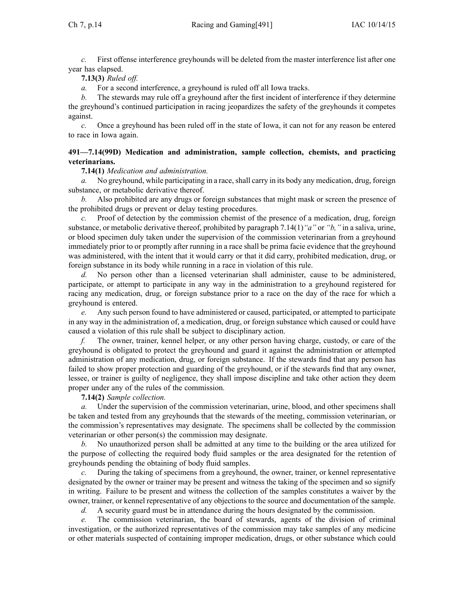*c.* First offense interference greyhounds will be deleted from the master interference list after one year has elapsed.

# **7.13(3)** *Ruled off.*

*a.* For <sup>a</sup> second interference, <sup>a</sup> greyhound is ruled off all Iowa tracks.

*b.* The stewards may rule off <sup>a</sup> greyhound after the first incident of interference if they determine the greyhound's continued participation in racing jeopardizes the safety of the greyhounds it competes against.

*c.* Once <sup>a</sup> greyhound has been ruled off in the state of Iowa, it can not for any reason be entered to race in Iowa again.

### **491—7.14(99D) Medication and administration, sample collection, chemists, and practicing veterinarians.**

**7.14(1)** *Medication and administration.*

*a.* No greyhound, while participating in a race, shall carry in its body any medication, drug, foreign substance, or metabolic derivative thereof.

*b.* Also prohibited are any drugs or foreign substances that might mask or screen the presence of the prohibited drugs or preven<sup>t</sup> or delay testing procedures.

*c.* Proof of detection by the commission chemist of the presence of <sup>a</sup> medication, drug, foreign substance, or metabolic derivative thereof, prohibited by paragraph [7.14\(1\)](https://www.legis.iowa.gov/docs/iac/rule/491.7.14.pdf)*"a"* or *"b,"* in <sup>a</sup> saliva, urine, or blood specimen duly taken under the supervision of the commission veterinarian from <sup>a</sup> greyhound immediately prior to or promptly after running in <sup>a</sup> race shall be prima facie evidence that the greyhound was administered, with the intent that it would carry or that it did carry, prohibited medication, drug, or foreign substance in its body while running in <sup>a</sup> race in violation of this rule.

*d.* No person other than <sup>a</sup> licensed veterinarian shall administer, cause to be administered, participate, or attempt to participate in any way in the administration to <sup>a</sup> greyhound registered for racing any medication, drug, or foreign substance prior to <sup>a</sup> race on the day of the race for which <sup>a</sup> greyhound is entered.

*e.* Any such person found to have administered or caused, participated, or attempted to participate in any way in the administration of, <sup>a</sup> medication, drug, or foreign substance which caused or could have caused <sup>a</sup> violation of this rule shall be subject to disciplinary action.

*f.* The owner, trainer, kennel helper, or any other person having charge, custody, or care of the greyhound is obligated to protect the greyhound and guard it against the administration or attempted administration of any medication, drug, or foreign substance. If the stewards find that any person has failed to show proper protection and guarding of the greyhound, or if the stewards find that any owner, lessee, or trainer is guilty of negligence, they shall impose discipline and take other action they deem proper under any of the rules of the commission.

**7.14(2)** *Sample collection.*

*a.* Under the supervision of the commission veterinarian, urine, blood, and other specimens shall be taken and tested from any greyhounds that the stewards of the meeting, commission veterinarian, or the commission's representatives may designate. The specimens shall be collected by the commission veterinarian or other person(s) the commission may designate.

*b.* No unauthorized person shall be admitted at any time to the building or the area utilized for the purpose of collecting the required body fluid samples or the area designated for the retention of greyhounds pending the obtaining of body fluid samples.

*c.* During the taking of specimens from <sup>a</sup> greyhound, the owner, trainer, or kennel representative designated by the owner or trainer may be presen<sup>t</sup> and witness the taking of the specimen and so signify in writing. Failure to be presen<sup>t</sup> and witness the collection of the samples constitutes <sup>a</sup> waiver by the owner, trainer, or kennel representative of any objections to the source and documentation of the sample.

*d.* A security guard must be in attendance during the hours designated by the commission.

*e.* The commission veterinarian, the board of stewards, agents of the division of criminal investigation, or the authorized representatives of the commission may take samples of any medicine or other materials suspected of containing improper medication, drugs, or other substance which could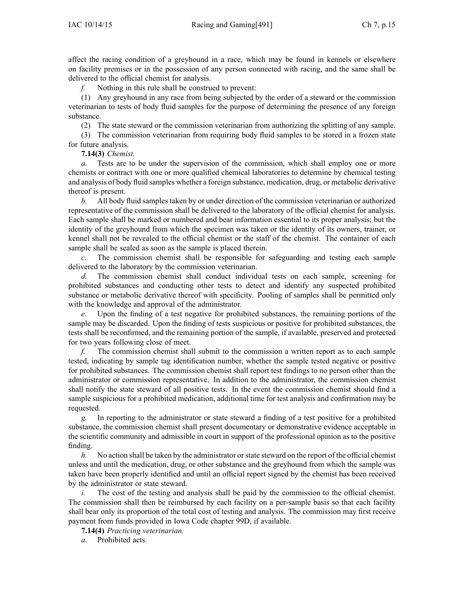affect the racing condition of <sup>a</sup> greyhound in <sup>a</sup> race, which may be found in kennels or elsewhere on facility premises or in the possession of any person connected with racing, and the same shall be delivered to the official chemist for analysis.

*f.* Nothing in this rule shall be construed to prevent:

(1) Any greyhound in any race from being subjected by the order of <sup>a</sup> steward or the commission veterinarian to tests of body fluid samples for the purpose of determining the presence of any foreign substance.

(2) The state steward or the commission veterinarian from authorizing the splitting of any sample.

(3) The commission veterinarian from requiring body fluid samples to be stored in <sup>a</sup> frozen state for future analysis.

**7.14(3)** *Chemist.*

*a.* Tests are to be under the supervision of the commission, which shall employ one or more chemists or contract with one or more qualified chemical laboratories to determine by chemical testing and analysis of body fluid samples whether <sup>a</sup> foreign substance, medication, drug, or metabolic derivative thereof is present.

*b.* All body fluid samples taken by or under direction of the commission veterinarian or authorized representative of the commission shall be delivered to the laboratory of the official chemist for analysis. Each sample shall be marked or numbered and bear information essential to its proper analysis; but the identity of the greyhound from which the specimen was taken or the identity of its owners, trainer, or kennel shall not be revealed to the official chemist or the staff of the chemist. The container of each sample shall be sealed as soon as the sample is placed therein.

*c.* The commission chemist shall be responsible for safeguarding and testing each sample delivered to the laboratory by the commission veterinarian.

*d.* The commission chemist shall conduct individual tests on each sample, screening for prohibited substances and conducting other tests to detect and identify any suspected prohibited substance or metabolic derivative thereof with specificity. Pooling of samples shall be permitted only with the knowledge and approval of the administrator.

*e.* Upon the finding of <sup>a</sup> test negative for prohibited substances, the remaining portions of the sample may be discarded. Upon the finding of tests suspicious or positive for prohibited substances, the tests shall be reconfirmed, and the remaining portion of the sample, if available, preserved and protected for two years following close of meet.

*f.* The commission chemist shall submit to the commission <sup>a</sup> written repor<sup>t</sup> as to each sample tested, indicating by sample tag identification number, whether the sample tested negative or positive for prohibited substances. The commission chemist shall repor<sup>t</sup> test findings to no person other than the administrator or commission representative. In addition to the administrator, the commission chemist shall notify the state steward of all positive tests. In the event the commission chemist should find <sup>a</sup> sample suspicious for <sup>a</sup> prohibited medication, additional time for test analysis and confirmation may be requested.

*g.* In reporting to the administrator or state steward <sup>a</sup> finding of <sup>a</sup> test positive for <sup>a</sup> prohibited substance, the commission chemist shall presen<sup>t</sup> documentary or demonstrative evidence acceptable in the scientific community and admissible in court in suppor<sup>t</sup> of the professional opinion as to the positive finding.

*h.* No action shall be taken by the administrator or state steward on the report of the official chemist unless and until the medication, drug, or other substance and the greyhound from which the sample was taken have been properly identified and until an official repor<sup>t</sup> signed by the chemist has been received by the administrator or state steward.

*i.* The cost of the testing and analysis shall be paid by the commission to the official chemist. The commission shall then be reimbursed by each facility on <sup>a</sup> per-sample basis so that each facility shall bear only its proportion of the total cost of testing and analysis. The commission may first receive paymen<sup>t</sup> from funds provided in Iowa Code chapter [99D](https://www.legis.iowa.gov/docs/ico/chapter/99D.pdf), if available.

**7.14(4)** *Practicing veterinarian.*

*a.* Prohibited acts.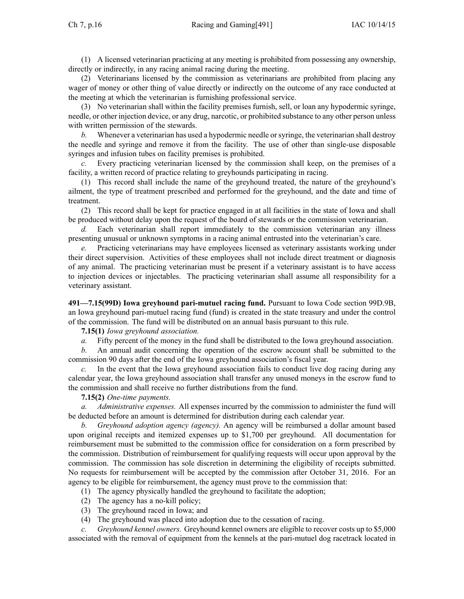(1) A licensed veterinarian practicing at any meeting is prohibited from possessing any ownership, directly or indirectly, in any racing animal racing during the meeting.

(2) Veterinarians licensed by the commission as veterinarians are prohibited from placing any wager of money or other thing of value directly or indirectly on the outcome of any race conducted at the meeting at which the veterinarian is furnishing professional service.

(3) No veterinarian shall within the facility premises furnish, sell, or loan any hypodermic syringe, needle, or other injection device, or any drug, narcotic, or prohibited substance to any other person unless with written permission of the stewards.

*b.* Whenever a veterinarian has used a hypodermic needle or syringe, the veterinarian shall destroy the needle and syringe and remove it from the facility. The use of other than single-use disposable syringes and infusion tubes on facility premises is prohibited.

*c.* Every practicing veterinarian licensed by the commission shall keep, on the premises of <sup>a</sup> facility, <sup>a</sup> written record of practice relating to greyhounds participating in racing.

(1) This record shall include the name of the greyhound treated, the nature of the greyhound's ailment, the type of treatment prescribed and performed for the greyhound, and the date and time of treatment.

(2) This record shall be kept for practice engaged in at all facilities in the state of Iowa and shall be produced without delay upon the reques<sup>t</sup> of the board of stewards or the commission veterinarian.

*d.* Each veterinarian shall repor<sup>t</sup> immediately to the commission veterinarian any illness presenting unusual or unknown symptoms in <sup>a</sup> racing animal entrusted into the veterinarian's care.

*e.* Practicing veterinarians may have employees licensed as veterinary assistants working under their direct supervision. Activities of these employees shall not include direct treatment or diagnosis of any animal. The practicing veterinarian must be presen<sup>t</sup> if <sup>a</sup> veterinary assistant is to have access to injection devices or injectables. The practicing veterinarian shall assume all responsibility for <sup>a</sup> veterinary assistant.

**491—7.15(99D) Iowa greyhound pari-mutuel racing fund.** Pursuant to Iowa Code section [99D.9B](https://www.legis.iowa.gov/docs/ico/section/99D.9B.pdf), an Iowa greyhound pari-mutuel racing fund (fund) is created in the state treasury and under the control of the commission. The fund will be distributed on an annual basis pursuan<sup>t</sup> to this rule.

### **7.15(1)** *Iowa greyhound association.*

*a.* Fifty percen<sup>t</sup> of the money in the fund shall be distributed to the Iowa greyhound association.

*b.* An annual audit concerning the operation of the escrow account shall be submitted to the commission 90 days after the end of the Iowa greyhound association's fiscal year.

*c.* In the event that the Iowa greyhound association fails to conduct live dog racing during any calendar year, the Iowa greyhound association shall transfer any unused moneys in the escrow fund to the commission and shall receive no further distributions from the fund.

### **7.15(2)** *One-time payments.*

*a. Administrative expenses.* All expenses incurred by the commission to administer the fund will be deducted before an amount is determined for distribution during each calendar year.

*b. Greyhound adoption agency (agency).* An agency will be reimbursed <sup>a</sup> dollar amount based upon original receipts and itemized expenses up to \$1,700 per greyhound. All documentation for reimbursement must be submitted to the commission office for consideration on <sup>a</sup> form prescribed by the commission. Distribution of reimbursement for qualifying requests will occur upon approval by the commission. The commission has sole discretion in determining the eligibility of receipts submitted. No requests for reimbursement will be accepted by the commission after October 31, 2016. For an agency to be eligible for reimbursement, the agency must prove to the commission that:

(1) The agency physically handled the greyhound to facilitate the adoption;

- (2) The agency has <sup>a</sup> no-kill policy;
- (3) The greyhound raced in Iowa; and
- (4) The greyhound was placed into adoption due to the cessation of racing.

*c. Greyhound kennel owners.* Greyhound kennel owners are eligible to recover costs up to \$5,000 associated with the removal of equipment from the kennels at the pari-mutuel dog racetrack located in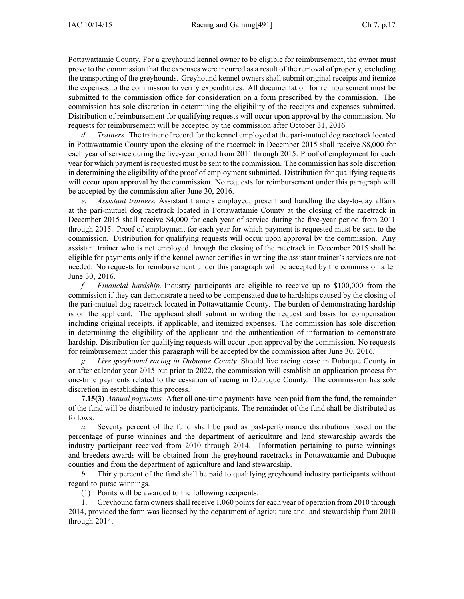Pottawattamie County. For <sup>a</sup> greyhound kennel owner to be eligible for reimbursement, the owner must prove to the commission that the expenses were incurred as <sup>a</sup> result of the removal of property, excluding the transporting of the greyhounds. Greyhound kennel owners shall submit original receipts and itemize the expenses to the commission to verify expenditures. All documentation for reimbursement must be submitted to the commission office for consideration on <sup>a</sup> form prescribed by the commission. The commission has sole discretion in determining the eligibility of the receipts and expenses submitted. Distribution of reimbursement for qualifying requests will occur upon approval by the commission. No requests for reimbursement will be accepted by the commission after October 31, 2016.

*d. Trainers.* The trainer of record for the kennel employed at the pari-mutuel dog racetrack located in Pottawattamie County upon the closing of the racetrack in December 2015 shall receive \$8,000 for each year of service during the five-year period from 2011 through 2015. Proof of employment for each year for which payment is requested must be sent to the commission. The commission has sole discretion in determining the eligibility of the proof of employment submitted. Distribution for qualifying requests will occur upon approval by the commission. No requests for reimbursement under this paragraph will be accepted by the commission after June 30, 2016.

*e. Assistant trainers.* Assistant trainers employed, presen<sup>t</sup> and handling the day-to-day affairs at the pari-mutuel dog racetrack located in Pottawattamie County at the closing of the racetrack in December 2015 shall receive \$4,000 for each year of service during the five-year period from 2011 through 2015. Proof of employment for each year for which paymen<sup>t</sup> is requested must be sent to the commission. Distribution for qualifying requests will occur upon approval by the commission. Any assistant trainer who is not employed through the closing of the racetrack in December 2015 shall be eligible for payments only if the kennel owner certifies in writing the assistant trainer's services are not needed. No requests for reimbursement under this paragraph will be accepted by the commission after June 30, 2016.

*f. Financial hardship.* Industry participants are eligible to receive up to \$100,000 from the commission if they can demonstrate <sup>a</sup> need to be compensated due to hardships caused by the closing of the pari-mutuel dog racetrack located in Pottawattamie County. The burden of demonstrating hardship is on the applicant. The applicant shall submit in writing the reques<sup>t</sup> and basis for compensation including original receipts, if applicable, and itemized expenses. The commission has sole discretion in determining the eligibility of the applicant and the authentication of information to demonstrate hardship. Distribution for qualifying requests will occur upon approval by the commission. No requests for reimbursement under this paragraph will be accepted by the commission after June 30, 2016.

*g. Live greyhound racing in Dubuque County.* Should live racing cease in Dubuque County in or after calendar year 2015 but prior to 2022, the commission will establish an application process for one-time payments related to the cessation of racing in Dubuque County. The commission has sole discretion in establishing this process.

**7.15(3)** *Annual payments.* After all one-time payments have been paid from the fund, the remainder of the fund will be distributed to industry participants. The remainder of the fund shall be distributed as follows:

*a.* Seventy percen<sup>t</sup> of the fund shall be paid as past-performance distributions based on the percentage of purse winnings and the department of agriculture and land stewardship awards the industry participant received from 2010 through 2014. Information pertaining to purse winnings and breeders awards will be obtained from the greyhound racetracks in Pottawattamie and Dubuque counties and from the department of agriculture and land stewardship.

*b.* Thirty percen<sup>t</sup> of the fund shall be paid to qualifying greyhound industry participants without regard to purse winnings.

(1) Points will be awarded to the following recipients:

1. Greyhound farm ownersshall receive 1,060 pointsfor each year of operation from 2010 through 2014, provided the farm was licensed by the department of agriculture and land stewardship from 2010 through 2014.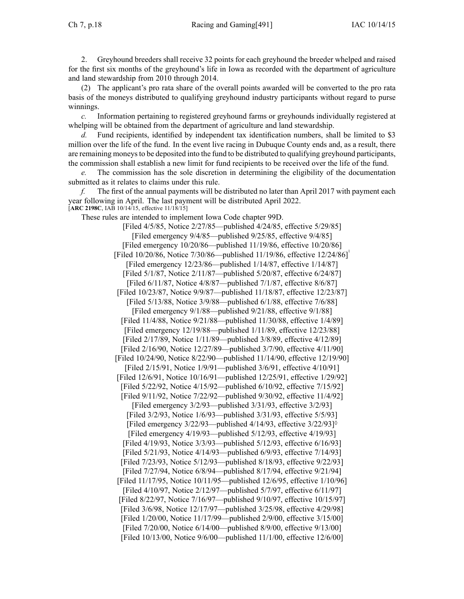Ch 7, p.18 Racing and Gaming[491] IAC 10/14/15

2. Greyhound breeders shall receive 32 points for each greyhound the breeder whelped and raised for the first six months of the greyhound's life in Iowa as recorded with the department of agriculture and land stewardship from 2010 through 2014.

(2) The applicant's pro rata share of the overall points awarded will be converted to the pro rata basis of the moneys distributed to qualifying greyhound industry participants without regard to purse winnings.

*c.* Information pertaining to registered greyhound farms or greyhounds individually registered at whelping will be obtained from the department of agriculture and land stewardship.

*d.* Fund recipients, identified by independent tax identification numbers, shall be limited to \$3 million over the life of the fund. In the event live racing in Dubuque County ends and, as <sup>a</sup> result, there are remaining moneysto be deposited into the fund to be distributed to qualifying greyhound participants, the commission shall establish <sup>a</sup> new limit for fund recipients to be received over the life of the fund.

*e.* The commission has the sole discretion in determining the eligibility of the documentation submitted as it relates to claims under this rule.

*f.* The first of the annual payments will be distributed no later than April 2017 with paymen<sup>t</sup> each year following in April. The last paymen<sup>t</sup> will be distributed April 2022. [**ARC [2198C](https://www.legis.iowa.gov/docs/aco/arc/2198C.pdf)**, IAB 10/14/15, effective 11/18/15]

These rules are intended to implement Iowa Code chapter [99D](https://www.legis.iowa.gov/docs/ico/chapter/99D.pdf).

[Filed 4/5/85, Notice 2/27/85—published 4/24/85, effective 5/29/85] [Filed emergency 9/4/85—published 9/25/85, effective 9/4/85] [Filed emergency 10/20/86—published 11/19/86, effective 10/20/86] [Filed 10/20/86, Notice 7/30/86—published 11/19/86, effective 12/24/86] [Filed emergency 12/23/86—published 1/14/87, effective 1/14/87] [Filed 5/1/87, Notice 2/11/87—published 5/20/87, effective 6/24/87] [Filed 6/11/87, Notice 4/8/87—published 7/1/87, effective 8/6/87] [Filed 10/23/87, Notice 9/9/87—published 11/18/87, effective 12/23/87] [Filed 5/13/88, Notice 3/9/88—published 6/1/88, effective 7/6/88] [Filed emergency 9/1/88—published 9/21/88, effective 9/1/88] [Filed 11/4/88, Notice 9/21/88—published 11/30/88, effective 1/4/89] [Filed emergency 12/19/88—published 1/11/89, effective 12/23/88] [Filed 2/17/89, Notice 1/11/89—published 3/8/89, effective 4/12/89] [Filed 2/16/90, Notice 12/27/89—published 3/7/90, effective 4/11/90] [Filed 10/24/90, Notice 8/22/90—published 11/14/90, effective 12/19/90] [Filed 2/15/91, Notice 1/9/91—published 3/6/91, effective 4/10/91] [Filed 12/6/91, Notice 10/16/91—published 12/25/91, effective 1/29/92] [Filed 5/22/92, Notice 4/15/92—published 6/10/92, effective 7/15/92] [Filed 9/11/92, Notice 7/22/92—published 9/30/92, effective 11/4/92] [Filed emergency 3/2/93—published 3/31/93, effective 3/2/93] [Filed 3/2/93, Notice 1/6/93—published 3/31/93, effective 5/5/93] [Filed emergency  $3/22/93$ —published  $4/14/93$ , effective  $3/22/93$ ]<sup> $\diamond$ </sup> [Filed emergency 4/19/93—published 5/12/93, effective 4/19/93] [Filed 4/19/93, Notice 3/3/93—published 5/12/93, effective 6/16/93] [Filed 5/21/93, Notice 4/14/93—published 6/9/93, effective 7/14/93] [Filed 7/23/93, Notice 5/12/93—published 8/18/93, effective 9/22/93] [Filed 7/27/94, Notice 6/8/94—published 8/17/94, effective 9/21/94] [Filed 11/17/95, Notice 10/11/95—published 12/6/95, effective 1/10/96] [Filed 4/10/97, Notice 2/12/97—published 5/7/97, effective 6/11/97] [Filed 8/22/97, Notice 7/16/97—published 9/10/97, effective 10/15/97] [Filed 3/6/98, Notice 12/17/97—published 3/25/98, effective 4/29/98] [Filed 1/20/00, Notice 11/17/99—published 2/9/00, effective 3/15/00] [Filed 7/20/00, Notice 6/14/00—published 8/9/00, effective 9/13/00] [Filed 10/13/00, Notice 9/6/00—published 11/1/00, effective 12/6/00]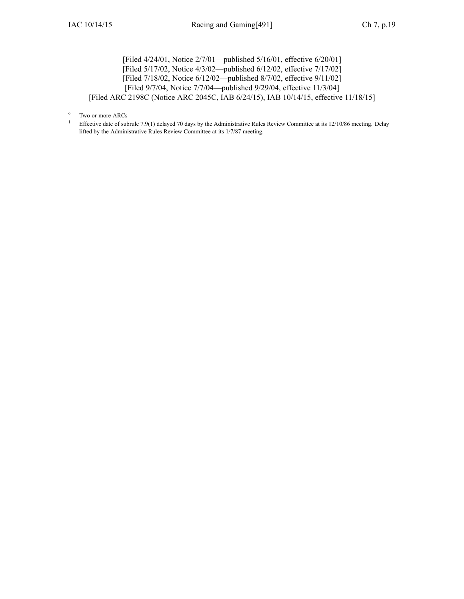[Filed 4/24/01, Notice 2/7/01—published 5/16/01, effective 6/20/01] [Filed 5/17/02, Notice 4/3/02—published 6/12/02, effective 7/17/02] [Filed 7/18/02, Notice 6/12/02—published 8/7/02, effective 9/11/02] [Filed 9/7/04, Notice 7/7/04—published 9/29/04, effective 11/3/04] [Filed ARC [2198C](https://www.legis.iowa.gov/docs/aco/arc/2198C.pdf) ([Notice](https://www.legis.iowa.gov/docs/aco/arc/2045C.pdf) ARC 2045C, IAB 6/24/15), IAB 10/14/15, effective 11/18/15]

1 Effective date of subrule 7.9(1) delayed 70 days by the Administrative Rules Review Committee at its 12/10/86 meeting. Delay lifted by the Administrative Rules Review Committee at its 1/7/87 meeting.

<sup>◊</sup> Two or more ARCs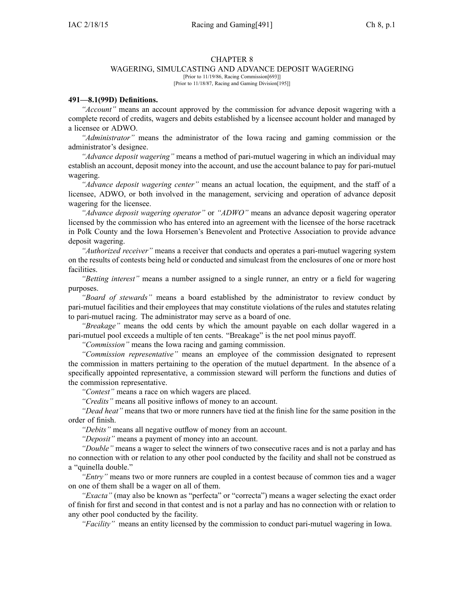#### CHAPTER 8

#### WAGERING, SIMULCASTING AND ADVANCE DEPOSIT WAGERING

[Prior to 11/19/86, Racing Commission[693]] [Prior to 11/18/87, Racing and Gaming Division[195]]

#### **491—8.1(99D) Definitions.**

*"Account"* means an account approved by the commission for advance deposit wagering with <sup>a</sup> complete record of credits, wagers and debits established by <sup>a</sup> licensee account holder and managed by <sup>a</sup> licensee or ADWO.

*"Administrator"* means the administrator of the Iowa racing and gaming commission or the administrator's designee.

*"Advance deposit wagering"* means <sup>a</sup> method of pari-mutuel wagering in which an individual may establish an account, deposit money into the account, and use the account balance to pay for pari-mutuel wagering.

*"Advance deposit wagering center"* means an actual location, the equipment, and the staff of <sup>a</sup> licensee, ADWO, or both involved in the management, servicing and operation of advance deposit wagering for the licensee.

*"Advance deposit wagering operator"* or *"ADWO"* means an advance deposit wagering operator licensed by the commission who has entered into an agreemen<sup>t</sup> with the licensee of the horse racetrack in Polk County and the Iowa Horsemen's Benevolent and Protective Association to provide advance deposit wagering.

*"Authorized receiver"* means <sup>a</sup> receiver that conducts and operates <sup>a</sup> pari-mutuel wagering system on the results of contests being held or conducted and simulcast from the enclosures of one or more host facilities.

*"Betting interest"* means <sup>a</sup> number assigned to <sup>a</sup> single runner, an entry or <sup>a</sup> field for wagering purposes.

*"Board of stewards"* means <sup>a</sup> board established by the administrator to review conduct by pari-mutuel facilities and their employees that may constitute violations of the rules and statutes relating to pari-mutuel racing. The administrator may serve as <sup>a</sup> board of one.

*"Breakage"* means the odd cents by which the amount payable on each dollar wagered in <sup>a</sup> pari-mutuel pool exceeds <sup>a</sup> multiple of ten cents. "Breakage" is the net pool minus payoff.

*"Commission"* means the Iowa racing and gaming commission.

*"Commission representative"* means an employee of the commission designated to represen<sup>t</sup> the commission in matters pertaining to the operation of the mutuel department. In the absence of <sup>a</sup> specifically appointed representative, <sup>a</sup> commission steward will perform the functions and duties of the commission representative.

*"Contest"* means <sup>a</sup> race on which wagers are placed.

*"Credits"* means all positive inflows of money to an account.

*"Dead heat"* means that two or more runners have tied at the finish line for the same position in the order of finish.

*"Debits"* means all negative outflow of money from an account.

*"Deposit"* means <sup>a</sup> paymen<sup>t</sup> of money into an account.

*"Double"* means <sup>a</sup> wager to select the winners of two consecutive races and is not <sup>a</sup> parlay and has no connection with or relation to any other pool conducted by the facility and shall not be construed as <sup>a</sup> "quinella double."

*"Entry"* means two or more runners are coupled in <sup>a</sup> contest because of common ties and <sup>a</sup> wager on one of them shall be <sup>a</sup> wager on all of them.

*"Exacta"* (may also be known as "perfecta" or "correcta") means <sup>a</sup> wager selecting the exact order of finish for first and second in that contest and is not <sup>a</sup> parlay and has no connection with or relation to any other pool conducted by the facility.

*"Facility"* means an entity licensed by the commission to conduct pari-mutuel wagering in Iowa.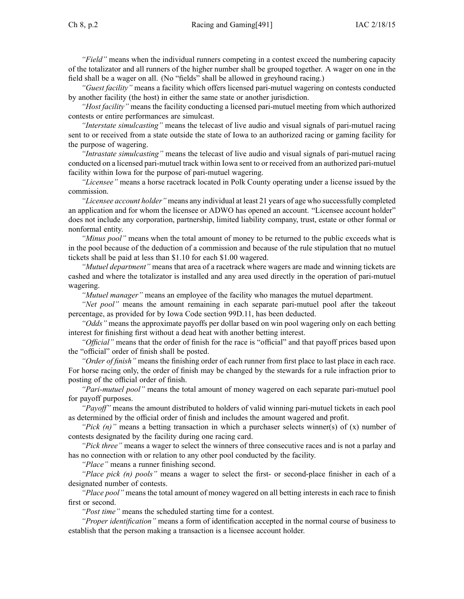*"Field"* means when the individual runners competing in <sup>a</sup> contest exceed the numbering capacity of the totalizator and all runners of the higher number shall be grouped together. A wager on one in the field shall be <sup>a</sup> wager on all. (No "fields" shall be allowed in greyhound racing.)

*"Guest facility"* means <sup>a</sup> facility which offers licensed pari-mutuel wagering on contests conducted by another facility (the host) in either the same state or another jurisdiction.

*"Host facility"* means the facility conducting <sup>a</sup> licensed pari-mutuel meeting from which authorized contests or entire performances are simulcast.

*"Interstate simulcasting"* means the telecast of live audio and visual signals of pari-mutuel racing sent to or received from <sup>a</sup> state outside the state of Iowa to an authorized racing or gaming facility for the purpose of wagering.

*"Intrastate simulcasting"* means the telecast of live audio and visual signals of pari-mutuel racing conducted on <sup>a</sup> licensed pari-mutuel track within Iowa sent to or received from an authorized pari-mutuel facility within Iowa for the purpose of pari-mutuel wagering.

*"Licensee"* means <sup>a</sup> horse racetrack located in Polk County operating under <sup>a</sup> license issued by the commission.

*"Licensee account holder"* means any individual at least 21 years of age who successfully completed an application and for whom the licensee or ADWO has opened an account. "Licensee account holder" does not include any corporation, partnership, limited liability company, trust, estate or other formal or nonformal entity.

*"Minus pool"* means when the total amount of money to be returned to the public exceeds what is in the pool because of the deduction of <sup>a</sup> commission and because of the rule stipulation that no mutuel tickets shall be paid at less than \$1.10 for each \$1.00 wagered.

*"Mutuel department"* means that area of <sup>a</sup> racetrack where wagers are made and winning tickets are cashed and where the totalizator is installed and any area used directly in the operation of pari-mutuel wagering.

*"Mutuel manager"* means an employee of the facility who manages the mutuel department.

*"Net pool"* means the amount remaining in each separate pari-mutuel pool after the takeout percentage, as provided for by Iowa Code section [99D.11](https://www.legis.iowa.gov/docs/ico/section/99D.11.pdf), has been deducted.

*"Odds"* means the approximate payoffs per dollar based on win pool wagering only on each betting interest for finishing first without <sup>a</sup> dead heat with another betting interest.

*"Official"* means that the order of finish for the race is "official" and that payoff prices based upon the "official" order of finish shall be posted.

*"Order of finish"* means the finishing order of each runner from first place to last place in each race. For horse racing only, the order of finish may be changed by the stewards for <sup>a</sup> rule infraction prior to posting of the official order of finish.

*"Pari-mutuel pool"* means the total amount of money wagered on each separate pari-mutuel pool for payoff purposes.

*"Payoff"* means the amount distributed to holders of valid winning pari-mutuel tickets in each pool as determined by the official order of finish and includes the amount wagered and profit.

*"Pick (n)"* means <sup>a</sup> betting transaction in which <sup>a</sup> purchaser selects winner(s) of (x) number of contests designated by the facility during one racing card.

*"Pick three"* means <sup>a</sup> wager to select the winners of three consecutive races and is not <sup>a</sup> parlay and has no connection with or relation to any other pool conducted by the facility.

*"Place"* means <sup>a</sup> runner finishing second.

*"Place pick (n) pools"* means <sup>a</sup> wager to select the first- or second-place finisher in each of <sup>a</sup> designated number of contests.

*"Place pool"* means the total amount of money wagered on all betting interests in each race to finish first or second.

*"Post time"* means the scheduled starting time for <sup>a</sup> contest.

*"Proper identification"* means <sup>a</sup> form of identification accepted in the normal course of business to establish that the person making <sup>a</sup> transaction is <sup>a</sup> licensee account holder.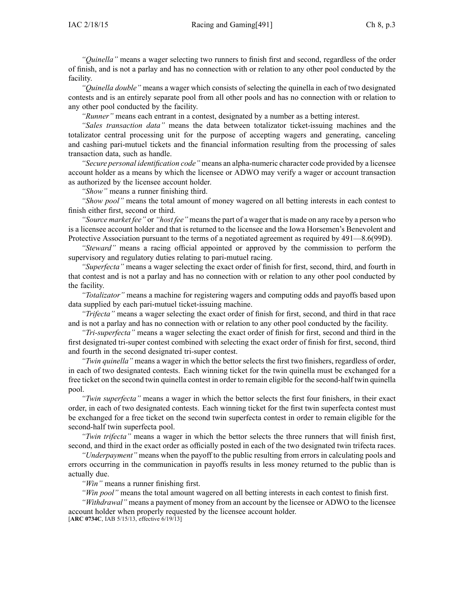*"Quinella"* means <sup>a</sup> wager selecting two runners to finish first and second, regardless of the order of finish, and is not <sup>a</sup> parlay and has no connection with or relation to any other pool conducted by the facility.

*"Quinella double"* means <sup>a</sup> wager which consists of selecting the quinella in each of two designated contests and is an entirely separate pool from all other pools and has no connection with or relation to any other pool conducted by the facility.

*"Runner"* means each entrant in <sup>a</sup> contest, designated by <sup>a</sup> number as <sup>a</sup> betting interest.

*"Sales transaction data"* means the data between totalizator ticket-issuing machines and the totalizator central processing unit for the purpose of accepting wagers and generating, canceling and cashing pari-mutuel tickets and the financial information resulting from the processing of sales transaction data, such as handle.

*"Secure personal identification code"* means an alpha-numeric character code provided by <sup>a</sup> licensee account holder as <sup>a</sup> means by which the licensee or ADWO may verify <sup>a</sup> wager or account transaction as authorized by the licensee account holder.

*"Show"* means <sup>a</sup> runner finishing third.

*"Show pool"* means the total amount of money wagered on all betting interests in each contest to finish either first, second or third.

*"Source market fee"* or *"host fee"* means the part of a wager that is made on any race by a person who is <sup>a</sup> licensee account holder and that is returned to the licensee and the Iowa Horsemen's Benevolent and Protective Association pursuan<sup>t</sup> to the terms of <sup>a</sup> negotiated agreemen<sup>t</sup> as required by [491—8.6](https://www.legis.iowa.gov/docs/iac/rule/491.8.6.pdf)(99D).

*"Steward"* means <sup>a</sup> racing official appointed or approved by the commission to perform the supervisory and regulatory duties relating to pari-mutuel racing.

*"Superfecta"* means <sup>a</sup> wager selecting the exact order of finish for first, second, third, and fourth in that contest and is not <sup>a</sup> parlay and has no connection with or relation to any other pool conducted by the facility.

*"Totalizator"* means <sup>a</sup> machine for registering wagers and computing odds and payoffs based upon data supplied by each pari-mutuel ticket-issuing machine.

*"Trifecta"* means <sup>a</sup> wager selecting the exact order of finish for first, second, and third in that race and is not <sup>a</sup> parlay and has no connection with or relation to any other pool conducted by the facility.

*"Tri-superfecta"* means <sup>a</sup> wager selecting the exact order of finish for first, second and third in the first designated tri-super contest combined with selecting the exact order of finish for first, second, third and fourth in the second designated tri-super contest.

*"Twin quinella"* means <sup>a</sup> wager in which the bettor selects the first two finishers, regardless of order, in each of two designated contests. Each winning ticket for the twin quinella must be exchanged for <sup>a</sup> free ticket on the second twin quinella contest in order to remain eligible for the second-half twin quinella pool.

*"Twin superfecta"* means <sup>a</sup> wager in which the bettor selects the first four finishers, in their exact order, in each of two designated contests. Each winning ticket for the first twin superfecta contest must be exchanged for <sup>a</sup> free ticket on the second twin superfecta contest in order to remain eligible for the second-half twin superfecta pool.

*"Twin trifecta"* means <sup>a</sup> wager in which the bettor selects the three runners that will finish first, second, and third in the exact order as officially posted in each of the two designated twin trifecta races.

*"Underpayment"* means when the payoff to the public resulting from errors in calculating pools and errors occurring in the communication in payoffs results in less money returned to the public than is actually due.

*"Win"* means <sup>a</sup> runner finishing first.

*"Win pool"* means the total amount wagered on all betting interests in each contest to finish first.

*"Withdrawal"* means <sup>a</sup> paymen<sup>t</sup> of money from an account by the licensee or ADWO to the licensee account holder when properly requested by the licensee account holder.

[**ARC [0734C](https://www.legis.iowa.gov/docs/aco/arc/0734C.pdf)**, IAB 5/15/13, effective 6/19/13]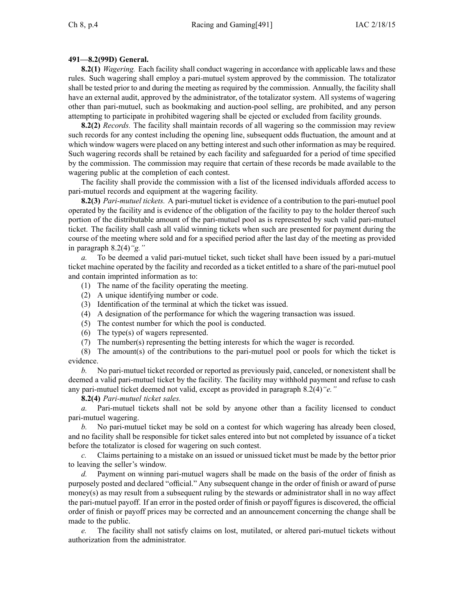# **491—8.2(99D) General.**

**8.2(1)** *Wagering.* Each facility shall conduct wagering in accordance with applicable laws and these rules. Such wagering shall employ <sup>a</sup> pari-mutuel system approved by the commission. The totalizator shall be tested prior to and during the meeting as required by the commission. Annually, the facility shall have an external audit, approved by the administrator, of the totalizator system. All systems of wagering other than pari-mutuel, such as bookmaking and auction-pool selling, are prohibited, and any person attempting to participate in prohibited wagering shall be ejected or excluded from facility grounds.

**8.2(2)** *Records.* The facility shall maintain records of all wagering so the commission may review such records for any contest including the opening line, subsequent odds fluctuation, the amount and at which window wagers were placed on any betting interest and such other information as may be required. Such wagering records shall be retained by each facility and safeguarded for <sup>a</sup> period of time specified by the commission. The commission may require that certain of these records be made available to the wagering public at the completion of each contest.

The facility shall provide the commission with <sup>a</sup> list of the licensed individuals afforded access to pari-mutuel records and equipment at the wagering facility.

**8.2(3)** *Pari-mutuel tickets.* A pari-mutuel ticket is evidence of <sup>a</sup> contribution to the pari-mutuel pool operated by the facility and is evidence of the obligation of the facility to pay to the holder thereof such portion of the distributable amount of the pari-mutuel pool as is represented by such valid pari-mutuel ticket. The facility shall cash all valid winning tickets when such are presented for paymen<sup>t</sup> during the course of the meeting where sold and for <sup>a</sup> specified period after the last day of the meeting as provided in paragraph [8.2\(4\)](https://www.legis.iowa.gov/docs/iac/rule/491.8.2.pdf)*"g."*

*a.* To be deemed <sup>a</sup> valid pari-mutuel ticket, such ticket shall have been issued by <sup>a</sup> pari-mutuel ticket machine operated by the facility and recorded as <sup>a</sup> ticket entitled to <sup>a</sup> share of the pari-mutuel pool and contain imprinted information as to:

- (1) The name of the facility operating the meeting.
- (2) A unique identifying number or code.
- (3) Identification of the terminal at which the ticket was issued.
- (4) A designation of the performance for which the wagering transaction was issued.
- (5) The contest number for which the pool is conducted.
- (6) The type(s) of wagers represented.
- (7) The number(s) representing the betting interests for which the wager is recorded.

(8) The amount(s) of the contributions to the pari-mutuel pool or pools for which the ticket is evidence.

*b.* No pari-mutuel ticket recorded or reported as previously paid, canceled, or nonexistent shall be deemed <sup>a</sup> valid pari-mutuel ticket by the facility. The facility may withhold paymen<sup>t</sup> and refuse to cash any pari-mutuel ticket deemed not valid, excep<sup>t</sup> as provided in paragraph [8.2\(4\)](https://www.legis.iowa.gov/docs/iac/rule/491.8.2.pdf)*"e."*

### **8.2(4)** *Pari-mutuel ticket sales.*

*a.* Pari-mutuel tickets shall not be sold by anyone other than <sup>a</sup> facility licensed to conduct pari-mutuel wagering.

*b.* No pari-mutuel ticket may be sold on <sup>a</sup> contest for which wagering has already been closed, and no facility shall be responsible for ticket sales entered into but not completed by issuance of <sup>a</sup> ticket before the totalizator is closed for wagering on such contest.

*c.* Claims pertaining to <sup>a</sup> mistake on an issued or unissued ticket must be made by the bettor prior to leaving the seller's window.

*d.* Payment on winning pari-mutuel wagers shall be made on the basis of the order of finish as purposely posted and declared "official." Any subsequent change in the order of finish or award of purse money(s) as may result from <sup>a</sup> subsequent ruling by the stewards or administrator shall in no way affect the pari-mutuel payoff. If an error in the posted order of finish or payoff figures is discovered, the official order of finish or payoff prices may be corrected and an announcement concerning the change shall be made to the public.

*e.* The facility shall not satisfy claims on lost, mutilated, or altered pari-mutuel tickets without authorization from the administrator.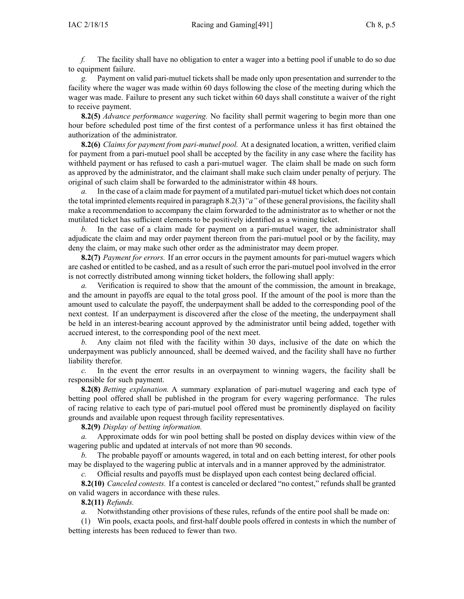*f.* The facility shall have no obligation to enter <sup>a</sup> wager into <sup>a</sup> betting pool if unable to do so due to equipment failure.

*g.* Payment on valid pari-mutuel tickets shall be made only upon presentation and surrender to the facility where the wager was made within 60 days following the close of the meeting during which the wager was made. Failure to presen<sup>t</sup> any such ticket within 60 days shall constitute <sup>a</sup> waiver of the right to receive payment.

**8.2(5)** *Advance performance wagering.* No facility shall permit wagering to begin more than one hour before scheduled pos<sup>t</sup> time of the first contest of <sup>a</sup> performance unless it has first obtained the authorization of the administrator.

**8.2(6)** *Claims for paymen<sup>t</sup> from pari-mutuel pool.* At <sup>a</sup> designated location, <sup>a</sup> written, verified claim for paymen<sup>t</sup> from <sup>a</sup> pari-mutuel pool shall be accepted by the facility in any case where the facility has withheld paymen<sup>t</sup> or has refused to cash <sup>a</sup> pari-mutuel wager. The claim shall be made on such form as approved by the administrator, and the claimant shall make such claim under penalty of perjury. The original of such claim shall be forwarded to the administrator within 48 hours.

*a.* In the case of <sup>a</sup> claim made for paymen<sup>t</sup> of <sup>a</sup> mutilated pari-mutuel ticket which does not contain the total imprinted elements required in paragraph [8.2\(3\)](https://www.legis.iowa.gov/docs/iac/rule/491.8.2.pdf) "*a*" of these general provisions, the facility shall make <sup>a</sup> recommendation to accompany the claim forwarded to the administrator as to whether or not the mutilated ticket has sufficient elements to be positively identified as <sup>a</sup> winning ticket.

*b.* In the case of <sup>a</sup> claim made for paymen<sup>t</sup> on <sup>a</sup> pari-mutuel wager, the administrator shall adjudicate the claim and may order paymen<sup>t</sup> thereon from the pari-mutuel pool or by the facility, may deny the claim, or may make such other order as the administrator may deem proper.

**8.2(7)** *Payment for errors.* If an error occurs in the paymen<sup>t</sup> amounts for pari-mutuel wagers which are cashed or entitled to be cashed, and as <sup>a</sup> result of such error the pari-mutuel pool involved in the error is not correctly distributed among winning ticket holders, the following shall apply:

*a.* Verification is required to show that the amount of the commission, the amount in breakage, and the amount in payoffs are equal to the total gross pool. If the amount of the pool is more than the amount used to calculate the payoff, the underpayment shall be added to the corresponding pool of the next contest. If an underpayment is discovered after the close of the meeting, the underpayment shall be held in an interest-bearing account approved by the administrator until being added, together with accrued interest, to the corresponding pool of the next meet.

*b.* Any claim not filed with the facility within 30 days, inclusive of the date on which the underpayment was publicly announced, shall be deemed waived, and the facility shall have no further liability therefor.

*c.* In the event the error results in an overpaymen<sup>t</sup> to winning wagers, the facility shall be responsible for such payment.

**8.2(8)** *Betting explanation.* A summary explanation of pari-mutuel wagering and each type of betting pool offered shall be published in the program for every wagering performance. The rules of racing relative to each type of pari-mutuel pool offered must be prominently displayed on facility grounds and available upon reques<sup>t</sup> through facility representatives.

**8.2(9)** *Display of betting information.*

*a.* Approximate odds for win pool betting shall be posted on display devices within view of the wagering public and updated at intervals of not more than 90 seconds.

*b.* The probable payoff or amounts wagered, in total and on each betting interest, for other pools may be displayed to the wagering public at intervals and in <sup>a</sup> manner approved by the administrator.

*c.* Official results and payoffs must be displayed upon each contest being declared official.

**8.2(10)** *Canceled contests.* If <sup>a</sup> contest is canceled or declared "no contest," refunds shall be granted on valid wagers in accordance with these rules.

### **8.2(11)** *Refunds.*

*a.* Notwithstanding other provisions of these rules, refunds of the entire pool shall be made on:

(1) Win pools, exacta pools, and first-half double pools offered in contests in which the number of betting interests has been reduced to fewer than two.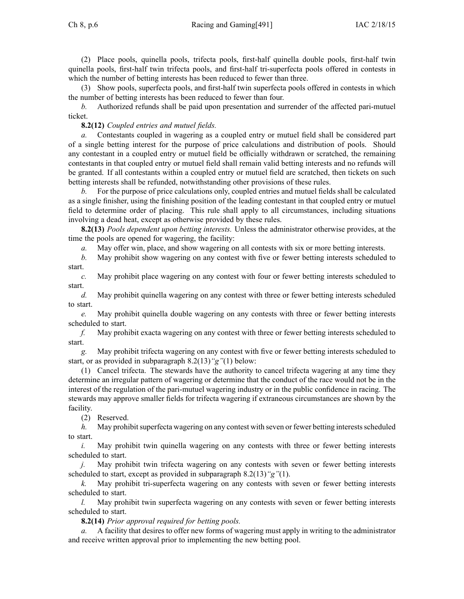(2) Place pools, quinella pools, trifecta pools, first-half quinella double pools, first-half twin quinella pools, first-half twin trifecta pools, and first-half tri-superfecta pools offered in contests in which the number of betting interests has been reduced to fewer than three.

(3) Show pools, superfecta pools, and first-half twin superfecta pools offered in contests in which the number of betting interests has been reduced to fewer than four.

*b.* Authorized refunds shall be paid upon presentation and surrender of the affected pari-mutuel ticket.

### **8.2(12)** *Coupled entries and mutuel fields.*

*a.* Contestants coupled in wagering as <sup>a</sup> coupled entry or mutuel field shall be considered par<sup>t</sup> of <sup>a</sup> single betting interest for the purpose of price calculations and distribution of pools. Should any contestant in <sup>a</sup> coupled entry or mutuel field be officially withdrawn or scratched, the remaining contestants in that coupled entry or mutuel field shall remain valid betting interests and no refunds will be granted. If all contestants within <sup>a</sup> coupled entry or mutuel field are scratched, then tickets on such betting interests shall be refunded, notwithstanding other provisions of these rules.

*b.* For the purpose of price calculations only, coupled entries and mutuel fields shall be calculated as <sup>a</sup> single finisher, using the finishing position of the leading contestant in that coupled entry or mutuel field to determine order of placing. This rule shall apply to all circumstances, including situations involving <sup>a</sup> dead heat, excep<sup>t</sup> as otherwise provided by these rules.

**8.2(13)** *Pools dependent upon betting interests.* Unless the administrator otherwise provides, at the time the pools are opened for wagering, the facility:

*a.* May offer win, place, and show wagering on all contests with six or more betting interests.

*b.* May prohibit show wagering on any contest with five or fewer betting interests scheduled to start.

*c.* May prohibit place wagering on any contest with four or fewer betting interests scheduled to start.

*d.* May prohibit quinella wagering on any contest with three or fewer betting interests scheduled to start.

*e.* May prohibit quinella double wagering on any contests with three or fewer betting interests scheduled to start.

*f.* May prohibit exacta wagering on any contest with three or fewer betting interests scheduled to start.

*g.* May prohibit trifecta wagering on any contest with five or fewer betting interests scheduled to start, or as provided in subparagraph [8.2\(13\)](https://www.legis.iowa.gov/docs/iac/rule/491.8.2.pdf)*"g"*(1) below:

(1) Cancel trifecta. The stewards have the authority to cancel trifecta wagering at any time they determine an irregular pattern of wagering or determine that the conduct of the race would not be in the interest of the regulation of the pari-mutuel wagering industry or in the public confidence in racing. The stewards may approve smaller fields for trifecta wagering if extraneous circumstances are shown by the facility.

(2) Reserved.

*h.* May prohibit superfecta wagering on any contest with seven or fewer betting interests scheduled to start.

*i.* May prohibit twin quinella wagering on any contests with three or fewer betting interests scheduled to start.

*j.* May prohibit twin trifecta wagering on any contests with seven or fewer betting interests scheduled to start, excep<sup>t</sup> as provided in subparagraph [8.2\(13\)](https://www.legis.iowa.gov/docs/iac/rule/491.8.2.pdf)*"g"*(1).

*k.* May prohibit tri-superfecta wagering on any contests with seven or fewer betting interests scheduled to start.

*l.* May prohibit twin superfecta wagering on any contests with seven or fewer betting interests scheduled to start.

**8.2(14)** *Prior approval required for betting pools.*

*a.* A facility that desires to offer new forms of wagering must apply in writing to the administrator and receive written approval prior to implementing the new betting pool.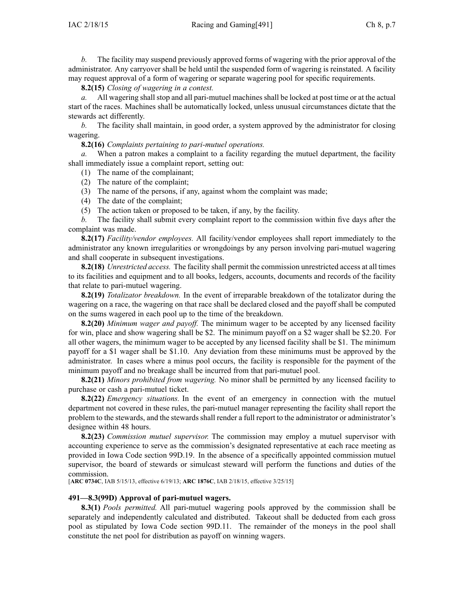**8.2(15)** *Closing of wagering in <sup>a</sup> contest.*

*a.* All wagering shall stop and all pari-mutuel machines shall be locked at pos<sup>t</sup> time or at the actual start of the races. Machines shall be automatically locked, unless unusual circumstances dictate that the stewards act differently.

*b.* The facility shall maintain, in good order, <sup>a</sup> system approved by the administrator for closing wagering.

**8.2(16)** *Complaints pertaining to pari-mutuel operations.*

*a.* When <sup>a</sup> patron makes <sup>a</sup> complaint to <sup>a</sup> facility regarding the mutuel department, the facility shall immediately issue <sup>a</sup> complaint report, setting out:

- (1) The name of the complainant;
- (2) The nature of the complaint;
- (3) The name of the persons, if any, against whom the complaint was made;
- (4) The date of the complaint;
- (5) The action taken or proposed to be taken, if any, by the facility.

*b.* The facility shall submit every complaint repor<sup>t</sup> to the commission within five days after the complaint was made.

**8.2(17)** *Facility/vendor employees.* All facility/vendor employees shall repor<sup>t</sup> immediately to the administrator any known irregularities or wrongdoings by any person involving pari-mutuel wagering and shall cooperate in subsequent investigations.

**8.2(18)** *Unrestricted access.* The facility shall permit the commission unrestricted access at all times to its facilities and equipment and to all books, ledgers, accounts, documents and records of the facility that relate to pari-mutuel wagering.

**8.2(19)** *Totalizator breakdown.* In the event of irreparable breakdown of the totalizator during the wagering on <sup>a</sup> race, the wagering on that race shall be declared closed and the payoff shall be computed on the sums wagered in each pool up to the time of the breakdown.

**8.2(20)** *Minimum wager and payoff.* The minimum wager to be accepted by any licensed facility for win, place and show wagering shall be \$2. The minimum payoff on <sup>a</sup> \$2 wager shall be \$2.20. For all other wagers, the minimum wager to be accepted by any licensed facility shall be \$1. The minimum payoff for <sup>a</sup> \$1 wager shall be \$1.10. Any deviation from these minimums must be approved by the administrator. In cases where <sup>a</sup> minus pool occurs, the facility is responsible for the paymen<sup>t</sup> of the minimum payoff and no breakage shall be incurred from that pari-mutuel pool.

**8.2(21)** *Minors prohibited from wagering.* No minor shall be permitted by any licensed facility to purchase or cash <sup>a</sup> pari-mutuel ticket.

**8.2(22)** *Emergency situations.* In the event of an emergency in connection with the mutuel department not covered in these rules, the pari-mutuel manager representing the facility shall repor<sup>t</sup> the problem to the stewards, and the stewards shall render <sup>a</sup> full repor<sup>t</sup> to the administrator or administrator's designee within 48 hours.

**8.2(23)** *Commission mutuel supervisor.* The commission may employ <sup>a</sup> mutuel supervisor with accounting experience to serve as the commission's designated representative at each race meeting as provided in Iowa Code section [99D.19](https://www.legis.iowa.gov/docs/ico/section/99D.19.pdf). In the absence of <sup>a</sup> specifically appointed commission mutuel supervisor, the board of stewards or simulcast steward will perform the functions and duties of the commission.

[**ARC [0734C](https://www.legis.iowa.gov/docs/aco/arc/0734C.pdf)**, IAB 5/15/13, effective 6/19/13; **ARC [1876C](https://www.legis.iowa.gov/docs/aco/arc/1876C.pdf)**, IAB 2/18/15, effective 3/25/15]

#### **491—8.3(99D) Approval of pari-mutuel wagers.**

**8.3(1)** *Pools permitted.* All pari-mutuel wagering pools approved by the commission shall be separately and independently calculated and distributed. Takeout shall be deducted from each gross pool as stipulated by Iowa Code section [99D.11](https://www.legis.iowa.gov/docs/ico/section/99D.11.pdf). The remainder of the moneys in the pool shall constitute the net pool for distribution as payoff on winning wagers.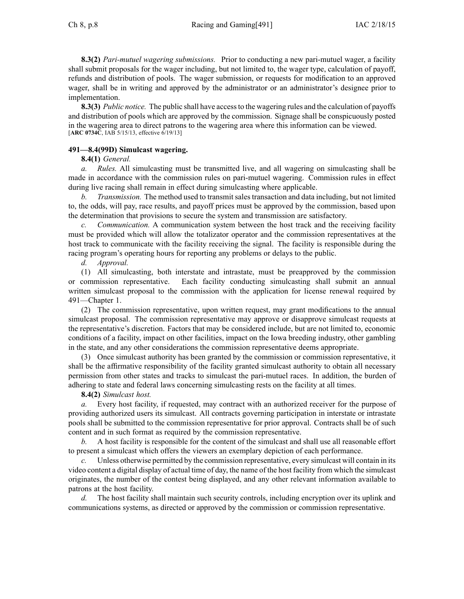**8.3(2)** *Pari-mutuel wagering submissions.* Prior to conducting <sup>a</sup> new pari-mutuel wager, <sup>a</sup> facility shall submit proposals for the wager including, but not limited to, the wager type, calculation of payoff, refunds and distribution of pools. The wager submission, or requests for modification to an approved wager, shall be in writing and approved by the administrator or an administrator's designee prior to implementation.

**8.3(3)** *Public notice.* The public shall have accessto the wagering rules and the calculation of payoffs and distribution of pools which are approved by the commission. Signage shall be conspicuously posted in the wagering area to direct patrons to the wagering area where this information can be viewed. [**ARC [0734C](https://www.legis.iowa.gov/docs/aco/arc/0734C.pdf)**, IAB 5/15/13, effective 6/19/13]

# **491—8.4(99D) Simulcast wagering.**

### **8.4(1)** *General.*

*a. Rules.* All simulcasting must be transmitted live, and all wagering on simulcasting shall be made in accordance with the commission rules on pari-mutuel wagering. Commission rules in effect during live racing shall remain in effect during simulcasting where applicable.

*b. Transmission.* The method used to transmit sales transaction and data including, but not limited to, the odds, will pay, race results, and payoff prices must be approved by the commission, based upon the determination that provisions to secure the system and transmission are satisfactory.

*c. Communication.* A communication system between the host track and the receiving facility must be provided which will allow the totalizator operator and the commission representatives at the host track to communicate with the facility receiving the signal. The facility is responsible during the racing program's operating hours for reporting any problems or delays to the public.

*d. Approval.*

(1) All simulcasting, both interstate and intrastate, must be preapproved by the commission or commission representative. Each facility conducting simulcasting shall submit an annual written simulcast proposal to the commission with the application for license renewal required by [491—Chapter](https://www.legis.iowa.gov/docs/iac/chapter/491.1.pdf) 1.

(2) The commission representative, upon written request, may gran<sup>t</sup> modifications to the annual simulcast proposal. The commission representative may approve or disapprove simulcast requests at the representative's discretion. Factors that may be considered include, but are not limited to, economic conditions of <sup>a</sup> facility, impact on other facilities, impact on the Iowa breeding industry, other gambling in the state, and any other considerations the commission representative deems appropriate.

(3) Once simulcast authority has been granted by the commission or commission representative, it shall be the affirmative responsibility of the facility granted simulcast authority to obtain all necessary permission from other states and tracks to simulcast the pari-mutuel races. In addition, the burden of adhering to state and federal laws concerning simulcasting rests on the facility at all times.

### **8.4(2)** *Simulcast host.*

*a.* Every host facility, if requested, may contract with an authorized receiver for the purpose of providing authorized users its simulcast. All contracts governing participation in interstate or intrastate pools shall be submitted to the commission representative for prior approval. Contracts shall be of such content and in such format as required by the commission representative.

*b.* A host facility is responsible for the content of the simulcast and shall use all reasonable effort to presen<sup>t</sup> <sup>a</sup> simulcast which offers the viewers an exemplary depiction of each performance.

*c.* Unless otherwise permitted by the commission representative, every simulcast will contain in its video content <sup>a</sup> digital display of actual time of day, the name of the host facility from which the simulcast originates, the number of the contest being displayed, and any other relevant information available to patrons at the host facility.

*d.* The host facility shall maintain such security controls, including encryption over its uplink and communications systems, as directed or approved by the commission or commission representative.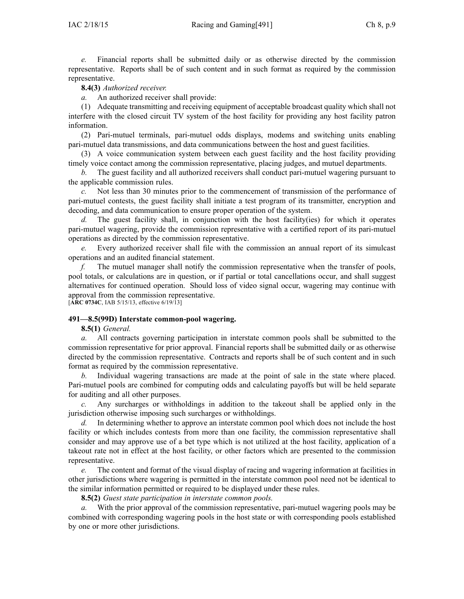*e.* Financial reports shall be submitted daily or as otherwise directed by the commission representative. Reports shall be of such content and in such format as required by the commission representative.

### **8.4(3)** *Authorized receiver.*

*a.* An authorized receiver shall provide:

(1) Adequate transmitting and receiving equipment of acceptable broadcast quality which shall not interfere with the closed circuit TV system of the host facility for providing any host facility patron information.

(2) Pari-mutuel terminals, pari-mutuel odds displays, modems and switching units enabling pari-mutuel data transmissions, and data communications between the host and gues<sup>t</sup> facilities.

(3) A voice communication system between each gues<sup>t</sup> facility and the host facility providing timely voice contact among the commission representative, placing judges, and mutuel departments.

*b.* The gues<sup>t</sup> facility and all authorized receivers shall conduct pari-mutuel wagering pursuan<sup>t</sup> to the applicable commission rules.

*c.* Not less than 30 minutes prior to the commencement of transmission of the performance of pari-mutuel contests, the gues<sup>t</sup> facility shall initiate <sup>a</sup> test program of its transmitter, encryption and decoding, and data communication to ensure proper operation of the system.

The guest facility shall, in conjunction with the host facility(ies) for which it operates pari-mutuel wagering, provide the commission representative with <sup>a</sup> certified repor<sup>t</sup> of its pari-mutuel operations as directed by the commission representative.

*e.* Every authorized receiver shall file with the commission an annual repor<sup>t</sup> of its simulcast operations and an audited financial statement.

*f.* The mutuel manager shall notify the commission representative when the transfer of pools, pool totals, or calculations are in question, or if partial or total cancellations occur, and shall sugges<sup>t</sup> alternatives for continued operation. Should loss of video signal occur, wagering may continue with approval from the commission representative.

[**ARC [0734C](https://www.legis.iowa.gov/docs/aco/arc/0734C.pdf)**, IAB 5/15/13, effective 6/19/13]

#### **491—8.5(99D) Interstate common-pool wagering.**

**8.5(1)** *General.*

*a.* All contracts governing participation in interstate common pools shall be submitted to the commission representative for prior approval. Financial reports shall be submitted daily or as otherwise directed by the commission representative. Contracts and reports shall be of such content and in such format as required by the commission representative.

*b.* Individual wagering transactions are made at the point of sale in the state where placed. Pari-mutuel pools are combined for computing odds and calculating payoffs but will be held separate for auditing and all other purposes.

*c.* Any surcharges or withholdings in addition to the takeout shall be applied only in the jurisdiction otherwise imposing such surcharges or withholdings.

*d.* In determining whether to approve an interstate common pool which does not include the host facility or which includes contests from more than one facility, the commission representative shall consider and may approve use of <sup>a</sup> bet type which is not utilized at the host facility, application of <sup>a</sup> takeout rate not in effect at the host facility, or other factors which are presented to the commission representative.

*e.* The content and format of the visual display of racing and wagering information at facilities in other jurisdictions where wagering is permitted in the interstate common pool need not be identical to the similar information permitted or required to be displayed under these rules.

**8.5(2)** *Guest state participation in interstate common pools.*

*a.* With the prior approval of the commission representative, pari-mutuel wagering pools may be combined with corresponding wagering pools in the host state or with corresponding pools established by one or more other jurisdictions.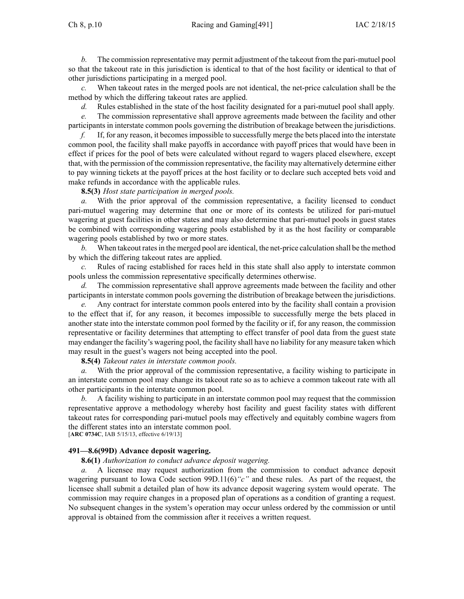Ch 8, p.10 Racing and Gaming[491] IAC  $2/18/15$ 

*b.* The commission representative may permit adjustment of the takeout from the pari-mutuel pool so that the takeout rate in this jurisdiction is identical to that of the host facility or identical to that of other jurisdictions participating in <sup>a</sup> merged pool.

*c.* When takeout rates in the merged pools are not identical, the net-price calculation shall be the method by which the differing takeout rates are applied.

*d.* Rules established in the state of the host facility designated for <sup>a</sup> pari-mutuel pool shall apply.

*e.* The commission representative shall approve agreements made between the facility and other participants in interstate common pools governing the distribution of breakage between the jurisdictions.

*f.* If, for any reason, it becomesimpossible to successfully merge the bets placed into the interstate common pool, the facility shall make payoffs in accordance with payoff prices that would have been in effect if prices for the pool of bets were calculated without regard to wagers placed elsewhere, excep<sup>t</sup> that, with the permission of the commission representative, the facility may alternatively determine either to pay winning tickets at the payoff prices at the host facility or to declare such accepted bets void and make refunds in accordance with the applicable rules.

**8.5(3)** *Host state participation in merged pools.*

*a.* With the prior approval of the commission representative, <sup>a</sup> facility licensed to conduct pari-mutuel wagering may determine that one or more of its contests be utilized for pari-mutuel wagering at gues<sup>t</sup> facilities in other states and may also determine that pari-mutuel pools in gues<sup>t</sup> states be combined with corresponding wagering pools established by it as the host facility or comparable wagering pools established by two or more states.

*b.* When takeout ratesin the merged pool are identical, the net-price calculation shall be the method by which the differing takeout rates are applied.

Rules of racing established for races held in this state shall also apply to interstate common pools unless the commission representative specifically determines otherwise.

The commission representative shall approve agreements made between the facility and other participants in interstate common pools governing the distribution of breakage between the jurisdictions.

*e.* Any contract for interstate common pools entered into by the facility shall contain <sup>a</sup> provision to the effect that if, for any reason, it becomes impossible to successfully merge the bets placed in another state into the interstate common pool formed by the facility or if, for any reason, the commission representative or facility determines that attempting to effect transfer of pool data from the gues<sup>t</sup> state may endanger the facility's wagering pool, the facility shall have no liability for any measure taken which may result in the guest's wagers not being accepted into the pool.

**8.5(4)** *Takeout rates in interstate common pools.*

*a.* With the prior approval of the commission representative, <sup>a</sup> facility wishing to participate in an interstate common pool may change its takeout rate so as to achieve <sup>a</sup> common takeout rate with all other participants in the interstate common pool.

*b.* A facility wishing to participate in an interstate common pool may reques<sup>t</sup> that the commission representative approve <sup>a</sup> methodology whereby host facility and gues<sup>t</sup> facility states with different takeout rates for corresponding pari-mutuel pools may effectively and equitably combine wagers from the different states into an interstate common pool.

[**ARC [0734C](https://www.legis.iowa.gov/docs/aco/arc/0734C.pdf)**, IAB 5/15/13, effective 6/19/13]

### **491—8.6(99D) Advance deposit wagering.**

**8.6(1)** *Authorization to conduct advance deposit wagering.*

*a.* A licensee may reques<sup>t</sup> authorization from the commission to conduct advance deposit wagering pursuan<sup>t</sup> to Iowa Code section [99D.11\(6\)](https://www.legis.iowa.gov/docs/ico/section/99D.11.pdf)*"c"* and these rules. As par<sup>t</sup> of the request, the licensee shall submit <sup>a</sup> detailed plan of how its advance deposit wagering system would operate. The commission may require changes in <sup>a</sup> proposed plan of operations as <sup>a</sup> condition of granting <sup>a</sup> request. No subsequent changes in the system's operation may occur unless ordered by the commission or until approval is obtained from the commission after it receives <sup>a</sup> written request.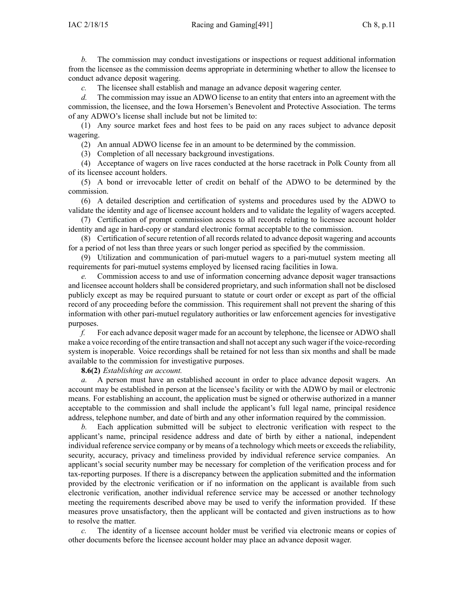*b.* The commission may conduct investigations or inspections or reques<sup>t</sup> additional information from the licensee as the commission deems appropriate in determining whether to allow the licensee to conduct advance deposit wagering.

*c.* The licensee shall establish and manage an advance deposit wagering center.

*d.* The commission may issue an ADWO license to an entity that enters into an agreemen<sup>t</sup> with the commission, the licensee, and the Iowa Horsemen's Benevolent and Protective Association. The terms of any ADWO's license shall include but not be limited to:

(1) Any source market fees and host fees to be paid on any races subject to advance deposit wagering.

(2) An annual ADWO license fee in an amount to be determined by the commission.

(3) Completion of all necessary background investigations.

(4) Acceptance of wagers on live races conducted at the horse racetrack in Polk County from all of its licensee account holders.

(5) A bond or irrevocable letter of credit on behalf of the ADWO to be determined by the commission.

(6) A detailed description and certification of systems and procedures used by the ADWO to validate the identity and age of licensee account holders and to validate the legality of wagers accepted.

(7) Certification of promp<sup>t</sup> commission access to all records relating to licensee account holder identity and age in hard-copy or standard electronic format acceptable to the commission.

(8) Certification of secure retention of all records related to advance deposit wagering and accounts for <sup>a</sup> period of not less than three years or such longer period as specified by the commission.

(9) Utilization and communication of pari-mutuel wagers to <sup>a</sup> pari-mutuel system meeting all requirements for pari-mutuel systems employed by licensed racing facilities in Iowa.

*e.* Commission access to and use of information concerning advance deposit wager transactions and licensee account holders shall be considered proprietary, and such information shall not be disclosed publicly excep<sup>t</sup> as may be required pursuan<sup>t</sup> to statute or court order or excep<sup>t</sup> as par<sup>t</sup> of the official record of any proceeding before the commission. This requirement shall not preven<sup>t</sup> the sharing of this information with other pari-mutuel regulatory authorities or law enforcement agencies for investigative purposes.

*f.* For each advance deposit wager made for an account by telephone, the licensee or ADWO shall make <sup>a</sup> voice recording of the entire transaction and shall not accep<sup>t</sup> any such wager if the voice-recording system is inoperable. Voice recordings shall be retained for not less than six months and shall be made available to the commission for investigative purposes.

**8.6(2)** *Establishing an account.*

*a.* A person must have an established account in order to place advance deposit wagers. An account may be established in person at the licensee's facility or with the ADWO by mail or electronic means. For establishing an account, the application must be signed or otherwise authorized in <sup>a</sup> manner acceptable to the commission and shall include the applicant's full legal name, principal residence address, telephone number, and date of birth and any other information required by the commission.

*b.* Each application submitted will be subject to electronic verification with respec<sup>t</sup> to the applicant's name, principal residence address and date of birth by either <sup>a</sup> national, independent individual reference service company or by means of a technology which meets or exceeds the reliability, security, accuracy, privacy and timeliness provided by individual reference service companies. An applicant's social security number may be necessary for completion of the verification process and for tax-reporting purposes. If there is <sup>a</sup> discrepancy between the application submitted and the information provided by the electronic verification or if no information on the applicant is available from such electronic verification, another individual reference service may be accessed or another technology meeting the requirements described above may be used to verify the information provided. If these measures prove unsatisfactory, then the applicant will be contacted and given instructions as to how to resolve the matter.

*c.* The identity of <sup>a</sup> licensee account holder must be verified via electronic means or copies of other documents before the licensee account holder may place an advance deposit wager.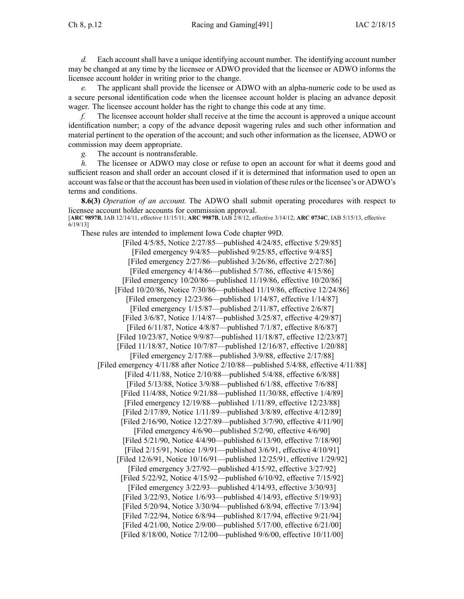Ch 8, p.12 Racing and Gaming[491] IAC 2/18/15

*d.* Each account shall have <sup>a</sup> unique identifying account number. The identifying account number may be changed at any time by the licensee or ADWO provided that the licensee or ADWO informs the licensee account holder in writing prior to the change.

*e.* The applicant shall provide the licensee or ADWO with an alpha-numeric code to be used as <sup>a</sup> secure personal identification code when the licensee account holder is placing an advance deposit wager. The licensee account holder has the right to change this code at any time.

*f.* The licensee account holder shall receive at the time the account is approved <sup>a</sup> unique account identification number; <sup>a</sup> copy of the advance deposit wagering rules and such other information and material pertinent to the operation of the account; and such other information as the licensee, ADWO or commission may deem appropriate.

*g.* The account is nontransferable.

*h.* The licensee or ADWO may close or refuse to open an account for what it deems good and sufficient reason and shall order an account closed if it is determined that information used to open an account wasfalse or that the account has been used in violation of these rules or the licensee's or ADWO's terms and conditions.

**8.6(3)** *Operation of an account.* The ADWO shall submit operating procedures with respec<sup>t</sup> to licensee account holder accounts for commission approval. [**ARC [9897B](https://www.legis.iowa.gov/docs/aco/arc/9897B.pdf)**, IAB 12/14/11, effective 11/15/11; **ARC [9987B](https://www.legis.iowa.gov/docs/aco/arc/9987B.pdf)**, IAB 2/8/12, effective 3/14/12; **ARC [0734C](https://www.legis.iowa.gov/docs/aco/arc/0734C.pdf)**, IAB 5/15/13, effective

6/19/13]

These rules are intended to implement Iowa Code chapter [99D](https://www.legis.iowa.gov/docs/ico/chapter/99D.pdf).

[Filed 4/5/85, Notice 2/27/85—published 4/24/85, effective 5/29/85] [Filed emergency 9/4/85—published 9/25/85, effective 9/4/85] [Filed emergency 2/27/86—published 3/26/86, effective 2/27/86] [Filed emergency 4/14/86—published 5/7/86, effective 4/15/86] [Filed emergency 10/20/86—published 11/19/86, effective 10/20/86] [Filed 10/20/86, Notice 7/30/86—published 11/19/86, effective 12/24/86] [Filed emergency 12/23/86—published 1/14/87, effective 1/14/87] [Filed emergency 1/15/87—published 2/11/87, effective 2/6/87] [Filed 3/6/87, Notice 1/14/87—published 3/25/87, effective 4/29/87] [Filed 6/11/87, Notice 4/8/87—published 7/1/87, effective 8/6/87] [Filed 10/23/87, Notice 9/9/87—published 11/18/87, effective 12/23/87] [Filed 11/18/87, Notice 10/7/87—published 12/16/87, effective 1/20/88] [Filed emergency 2/17/88—published 3/9/88, effective 2/17/88] [Filed emergency 4/11/88 after Notice 2/10/88—published 5/4/88, effective 4/11/88] [Filed 4/11/88, Notice 2/10/88—published 5/4/88, effective 6/8/88] [Filed 5/13/88, Notice 3/9/88—published 6/1/88, effective 7/6/88] [Filed 11/4/88, Notice 9/21/88—published 11/30/88, effective 1/4/89] [Filed emergency 12/19/88—published 1/11/89, effective 12/23/88] [Filed 2/17/89, Notice 1/11/89—published 3/8/89, effective 4/12/89] [Filed 2/16/90, Notice 12/27/89—published 3/7/90, effective 4/11/90] [Filed emergency 4/6/90—published 5/2/90, effective 4/6/90] [Filed 5/21/90, Notice 4/4/90—published 6/13/90, effective 7/18/90] [Filed 2/15/91, Notice 1/9/91—published 3/6/91, effective 4/10/91] [Filed 12/6/91, Notice 10/16/91—published 12/25/91, effective 1/29/92] [Filed emergency 3/27/92—published 4/15/92, effective 3/27/92] [Filed 5/22/92, Notice 4/15/92—published 6/10/92, effective 7/15/92] [Filed emergency 3/22/93—published 4/14/93, effective 3/30/93] [Filed 3/22/93, Notice 1/6/93—published 4/14/93, effective 5/19/93] [Filed 5/20/94, Notice 3/30/94—published 6/8/94, effective 7/13/94] [Filed 7/22/94, Notice 6/8/94—published 8/17/94, effective 9/21/94] [Filed 4/21/00, Notice 2/9/00—published 5/17/00, effective 6/21/00] [Filed 8/18/00, Notice 7/12/00—published 9/6/00, effective 10/11/00]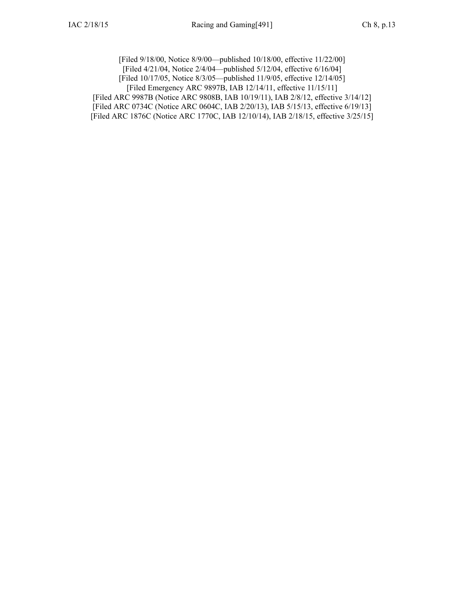[Filed 9/18/00, Notice 8/9/00—published 10/18/00, effective 11/22/00] [Filed 4/21/04, Notice 2/4/04—published 5/12/04, effective 6/16/04] [Filed 10/17/05, Notice 8/3/05—published 11/9/05, effective 12/14/05] [Filed [Emergency](https://www.legis.iowa.gov/docs/aco/arc/9897B.pdf) ARC 9897B, IAB 12/14/11, effective 11/15/11] [Filed ARC [9987B](https://www.legis.iowa.gov/docs/aco/arc/9987B.pdf) [\(Notice](https://www.legis.iowa.gov/docs/aco/arc/9808B.pdf) ARC 9808B, IAB 10/19/11), IAB 2/8/12, effective 3/14/12]

[[Filed](https://www.legis.iowa.gov/docs/aco/arc/0734C.pdf) ARC 0734C ([Notice](https://www.legis.iowa.gov/docs/aco/arc/0604C.pdf) ARC 0604C, IAB 2/20/13), IAB 5/15/13, effective 6/19/13] [[Filed](https://www.legis.iowa.gov/docs/aco/arc/1876C.pdf) ARC 1876C ([Notice](https://www.legis.iowa.gov/docs/aco/arc/1770C.pdf) ARC 1770C, IAB 12/10/14), IAB 2/18/15, effective 3/25/15]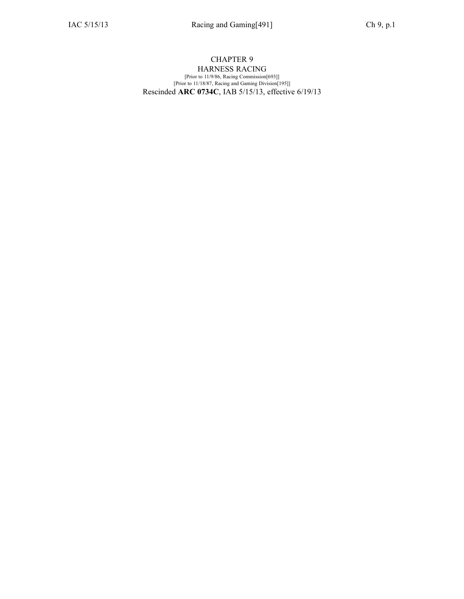#### CHAPTER 9 HARNESS RACING [Prior to 11/9/86, Racing Commission[693]] [Prior to 11/18/87, Racing and Gaming Division[195]] Rescinded **ARC 0734C**, IAB [5/15/13](https://www.legis.iowa.gov/docs/aco/bulletin/05-15-2013.pdf), effective 6/19/13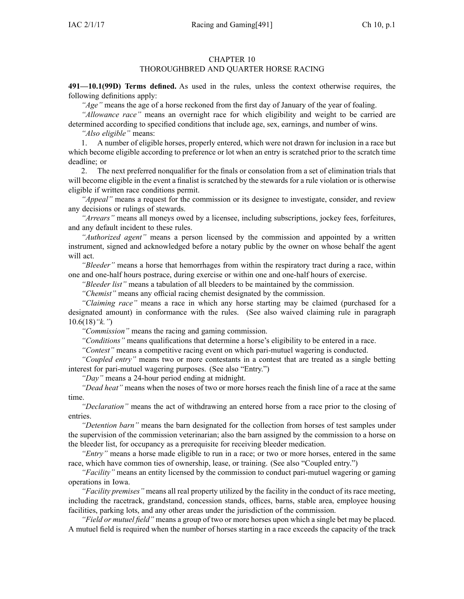### CHAPTER 10

## THOROUGHBRED AND QUARTER HORSE RACING

**491—10.1(99D) Terms defined.** As used in the rules, unless the context otherwise requires, the following definitions apply:

*"Age"* means the age of <sup>a</sup> horse reckoned from the first day of January of the year of foaling.

*"Allowance race"* means an overnight race for which eligibility and weight to be carried are determined according to specified conditions that include age, sex, earnings, and number of wins.

*"Also eligible"* means:

1. A number of eligible horses, properly entered, which were not drawn for inclusion in <sup>a</sup> race but which become eligible according to preference or lot when an entry is scratched prior to the scratch time deadline; or

2. The next preferred nonqualifier for the finals or consolation from <sup>a</sup> set of elimination trials that will become eligible in the event <sup>a</sup> finalist is scratched by the stewards for <sup>a</sup> rule violation or is otherwise eligible if written race conditions permit.

*"Appeal"* means <sup>a</sup> reques<sup>t</sup> for the commission or its designee to investigate, consider, and review any decisions or rulings of stewards.

*"Arrears"* means all moneys owed by <sup>a</sup> licensee, including subscriptions, jockey fees, forfeitures, and any default incident to these rules.

*"Authorized agent"* means <sup>a</sup> person licensed by the commission and appointed by <sup>a</sup> written instrument, signed and acknowledged before <sup>a</sup> notary public by the owner on whose behalf the agen<sup>t</sup> will act.

*"Bleeder"* means <sup>a</sup> horse that hemorrhages from within the respiratory tract during <sup>a</sup> race, within one and one-half hours postrace, during exercise or within one and one-half hours of exercise.

*"Bleeder list"* means <sup>a</sup> tabulation of all bleeders to be maintained by the commission.

*"Chemist"* means any official racing chemist designated by the commission.

*"Claiming race"* means <sup>a</sup> race in which any horse starting may be claimed (purchased for <sup>a</sup> designated amount) in conformance with the rules. (See also waived claiming rule in paragraph [10.6\(18\)](https://www.legis.iowa.gov/docs/iac/rule/491.10.6.pdf)*"k."*)

*"Commission"* means the racing and gaming commission.

*"Conditions"* means qualifications that determine <sup>a</sup> horse's eligibility to be entered in <sup>a</sup> race.

*"Contest"* means <sup>a</sup> competitive racing event on which pari-mutuel wagering is conducted.

*"Coupled entry"* means two or more contestants in <sup>a</sup> contest that are treated as <sup>a</sup> single betting interest for pari-mutuel wagering purposes. (See also "Entry.")

*"Day"* means <sup>a</sup> 24-hour period ending at midnight.

*"Dead heat"* means when the noses of two or more horses reach the finish line of <sup>a</sup> race at the same time.

*"Declaration"* means the act of withdrawing an entered horse from <sup>a</sup> race prior to the closing of entries.

*"Detention barn"* means the barn designated for the collection from horses of test samples under the supervision of the commission veterinarian; also the barn assigned by the commission to <sup>a</sup> horse on the bleeder list, for occupancy as <sup>a</sup> prerequisite for receiving bleeder medication.

*"Entry"* means <sup>a</sup> horse made eligible to run in <sup>a</sup> race; or two or more horses, entered in the same race, which have common ties of ownership, lease, or training. (See also "Coupled entry.")

*"Facility"* means an entity licensed by the commission to conduct pari-mutuel wagering or gaming operations in Iowa.

*"Facility premises"* means all real property utilized by the facility in the conduct of its race meeting, including the racetrack, grandstand, concession stands, offices, barns, stable area, employee housing facilities, parking lots, and any other areas under the jurisdiction of the commission.

*"Field or mutuel field"* means <sup>a</sup> group of two or more horses upon which <sup>a</sup> single bet may be placed. A mutuel field is required when the number of horses starting in <sup>a</sup> race exceeds the capacity of the track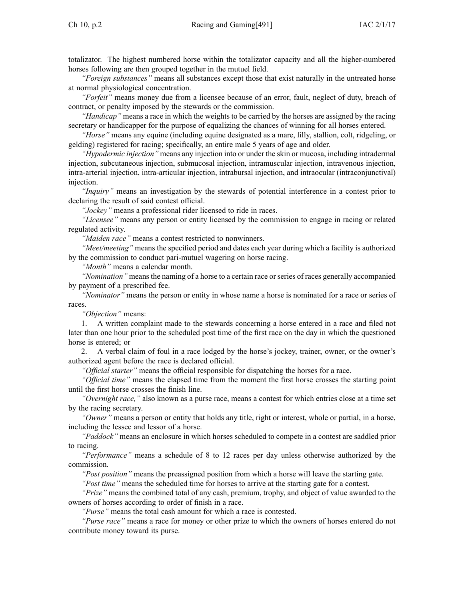totalizator. The highest numbered horse within the totalizator capacity and all the higher-numbered horses following are then grouped together in the mutuel field.

*"Foreign substances"* means all substances excep<sup>t</sup> those that exist naturally in the untreated horse at normal physiological concentration.

*"Forfeit"* means money due from <sup>a</sup> licensee because of an error, fault, neglect of duty, breach of contract, or penalty imposed by the stewards or the commission.

*"Handicap"* means <sup>a</sup> race in which the weights to be carried by the horses are assigned by the racing secretary or handicapper for the purpose of equalizing the chances of winning for all horses entered.

*"Horse"* means any equine (including equine designated as <sup>a</sup> mare, filly, stallion, colt, ridgeling, or gelding) registered for racing; specifically, an entire male 5 years of age and older.

*"Hypodermic injection"* means any injection into or under the skin or mucosa, including intradermal injection, subcutaneous injection, submucosal injection, intramuscular injection, intravenous injection, intra-arterial injection, intra-articular injection, intrabursal injection, and intraocular (intraconjunctival) injection.

*"Inquiry"* means an investigation by the stewards of potential interference in <sup>a</sup> contest prior to declaring the result of said contest official.

*"Jockey"* means <sup>a</sup> professional rider licensed to ride in races.

*"Licensee"* means any person or entity licensed by the commission to engage in racing or related regulated activity.

*"Maiden race"* means <sup>a</sup> contest restricted to nonwinners.

*"Meet/meeting"* means the specified period and dates each year during which <sup>a</sup> facility is authorized by the commission to conduct pari-mutuel wagering on horse racing.

*"Month"* means <sup>a</sup> calendar month.

"Nomination" means the naming of a horse to a certain race or series of races generally accompanied by paymen<sup>t</sup> of <sup>a</sup> prescribed fee.

*"Nominator"* means the person or entity in whose name <sup>a</sup> horse is nominated for <sup>a</sup> race or series of races.

*"Objection"* means:

1. A written complaint made to the stewards concerning <sup>a</sup> horse entered in <sup>a</sup> race and filed not later than one hour prior to the scheduled pos<sup>t</sup> time of the first race on the day in which the questioned horse is entered; or

2. A verbal claim of foul in <sup>a</sup> race lodged by the horse's jockey, trainer, owner, or the owner's authorized agen<sup>t</sup> before the race is declared official.

*"Official starter"* means the official responsible for dispatching the horses for <sup>a</sup> race.

*"Official time"* means the elapsed time from the moment the first horse crosses the starting point until the first horse crosses the finish line.

*"Overnight race,"* also known as <sup>a</sup> purse race, means <sup>a</sup> contest for which entries close at <sup>a</sup> time set by the racing secretary.

*"Owner"* means <sup>a</sup> person or entity that holds any title, right or interest, whole or partial, in <sup>a</sup> horse, including the lessee and lessor of <sup>a</sup> horse.

*"Paddock"* means an enclosure in which horses scheduled to compete in <sup>a</sup> contest are saddled prior to racing.

*"Performance"* means <sup>a</sup> schedule of 8 to 12 races per day unless otherwise authorized by the commission.

*"Post position"* means the preassigned position from which <sup>a</sup> horse will leave the starting gate.

*"Post time"* means the scheduled time for horses to arrive at the starting gate for <sup>a</sup> contest.

*"Prize"* means the combined total of any cash, premium, trophy, and object of value awarded to the owners of horses according to order of finish in <sup>a</sup> race.

*"Purse"* means the total cash amount for which <sup>a</sup> race is contested.

*"Purse race"* means <sup>a</sup> race for money or other prize to which the owners of horses entered do not contribute money toward its purse.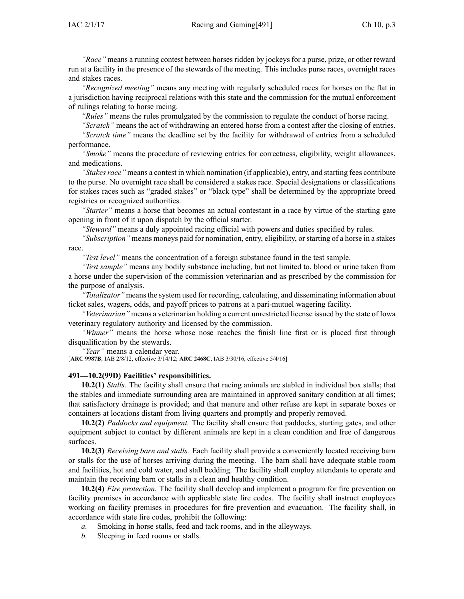*"Race"* means <sup>a</sup> running contest between horses ridden by jockeys for <sup>a</sup> purse, prize, or other reward run at <sup>a</sup> facility in the presence of the stewards of the meeting. This includes purse races, overnight races and stakes races.

*"Recognized meeting"* means any meeting with regularly scheduled races for horses on the flat in <sup>a</sup> jurisdiction having reciprocal relations with this state and the commission for the mutual enforcement of rulings relating to horse racing.

*"Rules"* means the rules promulgated by the commission to regulate the conduct of horse racing.

*"Scratch"* means the act of withdrawing an entered horse from <sup>a</sup> contest after the closing of entries. *"Scratch time"* means the deadline set by the facility for withdrawal of entries from <sup>a</sup> scheduled performance.

*"Smoke"* means the procedure of reviewing entries for correctness, eligibility, weight allowances, and medications.

*"Stakesrace"* means <sup>a</sup> contest in which nomination (if applicable), entry, and starting fees contribute to the purse. No overnight race shall be considered <sup>a</sup> stakes race. Special designations or classifications for stakes races such as "graded stakes" or "black type" shall be determined by the appropriate breed registries or recognized authorities.

*"Starter"* means <sup>a</sup> horse that becomes an actual contestant in <sup>a</sup> race by virtue of the starting gate opening in front of it upon dispatch by the official starter.

*"Steward"* means <sup>a</sup> duly appointed racing official with powers and duties specified by rules.

*"Subscription"* means moneys paid for nomination, entry, eligibility, orstarting of <sup>a</sup> horse in <sup>a</sup> stakes race.

*"Test level"* means the concentration of <sup>a</sup> foreign substance found in the test sample.

*"Test sample"* means any bodily substance including, but not limited to, blood or urine taken from <sup>a</sup> horse under the supervision of the commission veterinarian and as prescribed by the commission for the purpose of analysis.

*"Totalizator"* means the system used for recording, calculating, and disseminating information about ticket sales, wagers, odds, and payoff prices to patrons at <sup>a</sup> pari-mutuel wagering facility.

*"Veterinarian"* means <sup>a</sup> veterinarian holding <sup>a</sup> current unrestricted license issued by the state of Iowa veterinary regulatory authority and licensed by the commission.

*"Winner"* means the horse whose nose reaches the finish line first or is placed first through disqualification by the stewards.

*"Year"* means <sup>a</sup> calendar year.

[**ARC [9987B](https://www.legis.iowa.gov/docs/aco/arc/9987B.pdf)**, IAB 2/8/12, effective 3/14/12; **ARC [2468C](https://www.legis.iowa.gov/docs/aco/arc/2468C.pdf)**, IAB 3/30/16, effective 5/4/16]

### **491—10.2(99D) Facilities' responsibilities.**

**10.2(1)** *Stalls.* The facility shall ensure that racing animals are stabled in individual box stalls; that the stables and immediate surrounding area are maintained in approved sanitary condition at all times; that satisfactory drainage is provided; and that manure and other refuse are kept in separate boxes or containers at locations distant from living quarters and promptly and properly removed.

**10.2(2)** *Paddocks and equipment.* The facility shall ensure that paddocks, starting gates, and other equipment subject to contact by different animals are kept in <sup>a</sup> clean condition and free of dangerous surfaces.

**10.2(3)** *Receiving barn and stalls.* Each facility shall provide <sup>a</sup> conveniently located receiving barn or stalls for the use of horses arriving during the meeting. The barn shall have adequate stable room and facilities, hot and cold water, and stall bedding. The facility shall employ attendants to operate and maintain the receiving barn or stalls in <sup>a</sup> clean and healthy condition.

**10.2(4)** *Fire protection.* The facility shall develop and implement <sup>a</sup> program for fire prevention on facility premises in accordance with applicable state fire codes. The facility shall instruct employees working on facility premises in procedures for fire prevention and evacuation. The facility shall, in accordance with state fire codes, prohibit the following:

- *a.* Smoking in horse stalls, feed and tack rooms, and in the alleyways.
- *b.* Sleeping in feed rooms or stalls.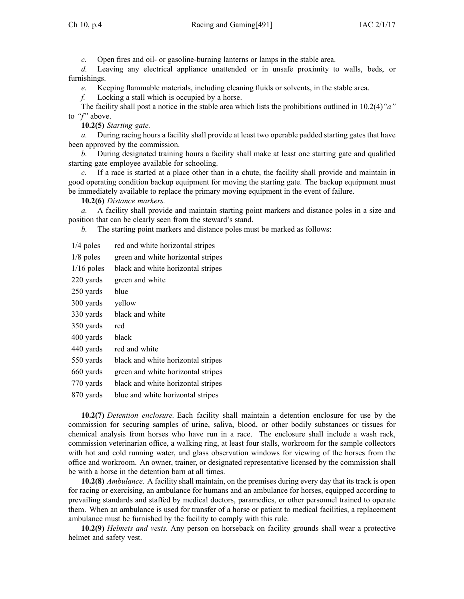*c.* Open fires and oil- or gasoline-burning lanterns or lamps in the stable area.

*d.* Leaving any electrical appliance unattended or in unsafe proximity to walls, beds, or furnishings.

*e.* Keeping flammable materials, including cleaning fluids or solvents, in the stable area.

*f.* Locking <sup>a</sup> stall which is occupied by <sup>a</sup> horse.

The facility shall pos<sup>t</sup> <sup>a</sup> notice in the stable area which lists the prohibitions outlined in [10.2\(4\)](https://www.legis.iowa.gov/docs/iac/rule/491.10.2.pdf)*"a"* to *"f"* above.

**10.2(5)** *Starting gate.*

*a.* During racing hours <sup>a</sup> facility shall provide at least two operable padded starting gates that have been approved by the commission.

*b.* During designated training hours <sup>a</sup> facility shall make at least one starting gate and qualified starting gate employee available for schooling.

*c.* If <sup>a</sup> race is started at <sup>a</sup> place other than in <sup>a</sup> chute, the facility shall provide and maintain in good operating condition backup equipment for moving the starting gate. The backup equipment must be immediately available to replace the primary moving equipment in the event of failure.

**10.2(6)** *Distance markers.*

*a.* A facility shall provide and maintain starting point markers and distance poles in <sup>a</sup> size and position that can be clearly seen from the steward's stand.

*b.* The starting point markers and distance poles must be marked as follows:

| $1/4$ poles  | red and white horizontal stripes   |
|--------------|------------------------------------|
| $1/8$ poles  | green and white horizontal stripes |
| $1/16$ poles | black and white horizontal stripes |
| 220 yards    | green and white                    |
| 250 yards    | blue                               |
| 300 yards    | yellow                             |
| 330 yards    | black and white                    |
| 350 yards    | red                                |
| 400 yards    | black                              |
| 440 yards    | red and white                      |
| 550 yards    | black and white horizontal stripes |
| 660 yards    | green and white horizontal stripes |
| 770 yards    | black and white horizontal stripes |
| 870 yards    | blue and white horizontal stripes  |
|              |                                    |

**10.2(7)** *Detention enclosure.* Each facility shall maintain <sup>a</sup> detention enclosure for use by the commission for securing samples of urine, saliva, blood, or other bodily substances or tissues for chemical analysis from horses who have run in <sup>a</sup> race. The enclosure shall include <sup>a</sup> wash rack, commission veterinarian office, <sup>a</sup> walking ring, at least four stalls, workroom for the sample collectors with hot and cold running water, and glass observation windows for viewing of the horses from the office and workroom. An owner, trainer, or designated representative licensed by the commission shall be with <sup>a</sup> horse in the detention barn at all times.

**10.2(8)** *Ambulance.* A facility shall maintain, on the premises during every day that its track is open for racing or exercising, an ambulance for humans and an ambulance for horses, equipped according to prevailing standards and staffed by medical doctors, paramedics, or other personnel trained to operate them. When an ambulance is used for transfer of <sup>a</sup> horse or patient to medical facilities, <sup>a</sup> replacement ambulance must be furnished by the facility to comply with this rule.

**10.2(9)** *Helmets and vests.* Any person on horseback on facility grounds shall wear <sup>a</sup> protective helmet and safety vest.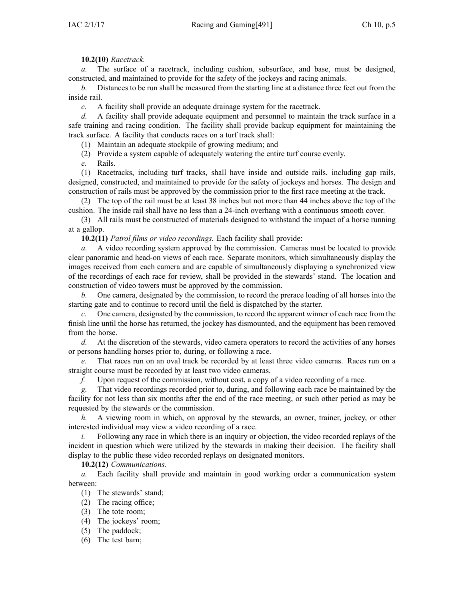## **10.2(10)** *Racetrack.*

*a.* The surface of <sup>a</sup> racetrack, including cushion, subsurface, and base, must be designed, constructed, and maintained to provide for the safety of the jockeys and racing animals.

*b.* Distances to be run shall be measured from the starting line at <sup>a</sup> distance three feet out from the inside rail.

*c.* A facility shall provide an adequate drainage system for the racetrack.

*d.* A facility shall provide adequate equipment and personnel to maintain the track surface in <sup>a</sup> safe training and racing condition. The facility shall provide backup equipment for maintaining the track surface. A facility that conducts races on <sup>a</sup> turf track shall:

(1) Maintain an adequate stockpile of growing medium; and

(2) Provide <sup>a</sup> system capable of adequately watering the entire turf course evenly.

*e.* Rails.

(1) Racetracks, including turf tracks, shall have inside and outside rails, including gap rails, designed, constructed, and maintained to provide for the safety of jockeys and horses. The design and construction of rails must be approved by the commission prior to the first race meeting at the track.

(2) The top of the rail must be at least 38 inches but not more than 44 inches above the top of the cushion. The inside rail shall have no less than <sup>a</sup> 24-inch overhang with <sup>a</sup> continuous smooth cover.

(3) All rails must be constructed of materials designed to withstand the impact of <sup>a</sup> horse running at <sup>a</sup> gallop.

**10.2(11)** *Patrol films or video recordings.* Each facility shall provide:

*a.* A video recording system approved by the commission. Cameras must be located to provide clear panoramic and head-on views of each race. Separate monitors, which simultaneously display the images received from each camera and are capable of simultaneously displaying <sup>a</sup> synchronized view of the recordings of each race for review, shall be provided in the stewards' stand. The location and construction of video towers must be approved by the commission.

*b.* One camera, designated by the commission, to record the prerace loading of all horses into the starting gate and to continue to record until the field is dispatched by the starter.

*c.* One camera, designated by the commission, to record the apparen<sup>t</sup> winner of each race from the finish line until the horse has returned, the jockey has dismounted, and the equipment has been removed from the horse.

*d.* At the discretion of the stewards, video camera operators to record the activities of any horses or persons handling horses prior to, during, or following <sup>a</sup> race.

*e.* That races run on an oval track be recorded by at least three video cameras. Races run on <sup>a</sup> straight course must be recorded by at least two video cameras.

*f.* Upon reques<sup>t</sup> of the commission, without cost, <sup>a</sup> copy of <sup>a</sup> video recording of <sup>a</sup> race.

*g.* That video recordings recorded prior to, during, and following each race be maintained by the facility for not less than six months after the end of the race meeting, or such other period as may be requested by the stewards or the commission.

*h.* A viewing room in which, on approval by the stewards, an owner, trainer, jockey, or other interested individual may view <sup>a</sup> video recording of <sup>a</sup> race.

*i.* Following any race in which there is an inquiry or objection, the video recorded replays of the incident in question which were utilized by the stewards in making their decision. The facility shall display to the public these video recorded replays on designated monitors.

**10.2(12)** *Communications.*

*a.* Each facility shall provide and maintain in good working order <sup>a</sup> communication system between:

- (1) The stewards' stand;
- (2) The racing office;
- (3) The tote room;
- (4) The jockeys' room;
- (5) The paddock;
- (6) The test barn;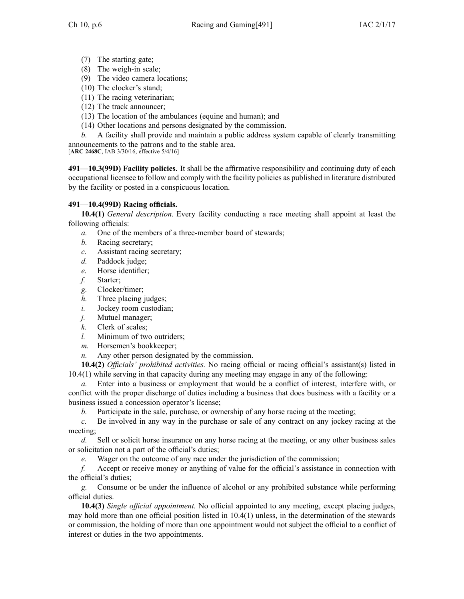- (7) The starting gate;
- (8) The weigh-in scale;
- (9) The video camera locations;
- (10) The clocker's stand;
- (11) The racing veterinarian;
- (12) The track announcer;
- (13) The location of the ambulances (equine and human); and
- (14) Other locations and persons designated by the commission.
- *b.* A facility shall provide and maintain <sup>a</sup> public address system capable of clearly transmitting announcements to the patrons and to the stable area.

[**ARC [2468C](https://www.legis.iowa.gov/docs/aco/arc/2468C.pdf)**, IAB 3/30/16, effective 5/4/16]

**491—10.3(99D) Facility policies.** It shall be the affirmative responsibility and continuing duty of each occupational licensee to follow and comply with the facility policies as published in literature distributed by the facility or posted in <sup>a</sup> conspicuous location.

# **491—10.4(99D) Racing officials.**

**10.4(1)** *General description.* Every facility conducting <sup>a</sup> race meeting shall appoint at least the following officials:

- *a.* One of the members of <sup>a</sup> three-member board of stewards;
- *b.* Racing secretary;
- *c.* Assistant racing secretary;
- *d.* Paddock judge;
- *e.* Horse identifier;
- *f.* Starter;
- *g.* Clocker/timer;
- *h.* Three placing judges;
- *i.* Jockey room custodian;
- 
- *j.* Mutuel manager;<br>*k.* Clerk of scales: Clerk of scales;
- *l.* Minimum of two outriders;
- *m.* Horsemen's bookkeeper;
- *n.* Any other person designated by the commission.

**10.4(2)** *Officials' prohibited activities.* No racing official or racing official's assistant(s) listed in [10.4\(1\)](https://www.legis.iowa.gov/docs/iac/rule/491.10.4.pdf) while serving in that capacity during any meeting may engage in any of the following:

*a.* Enter into <sup>a</sup> business or employment that would be <sup>a</sup> conflict of interest, interfere with, or conflict with the proper discharge of duties including <sup>a</sup> business that does business with <sup>a</sup> facility or <sup>a</sup> business issued <sup>a</sup> concession operator's license;

*b.* Participate in the sale, purchase, or ownership of any horse racing at the meeting;

*c.* Be involved in any way in the purchase or sale of any contract on any jockey racing at the meeting;

*d.* Sell or solicit horse insurance on any horse racing at the meeting, or any other business sales or solicitation not <sup>a</sup> par<sup>t</sup> of the official's duties;

*e.* Wager on the outcome of any race under the jurisdiction of the commission;

*f.* Accept or receive money or anything of value for the official's assistance in connection with the official's duties;

*g.* Consume or be under the influence of alcohol or any prohibited substance while performing official duties.

**10.4(3)** *Single official appointment.* No official appointed to any meeting, excep<sup>t</sup> placing judges, may hold more than one official position listed in [10.4\(1\)](https://www.legis.iowa.gov/docs/iac/rule/491.10.4.pdf) unless, in the determination of the stewards or commission, the holding of more than one appointment would not subject the official to <sup>a</sup> conflict of interest or duties in the two appointments.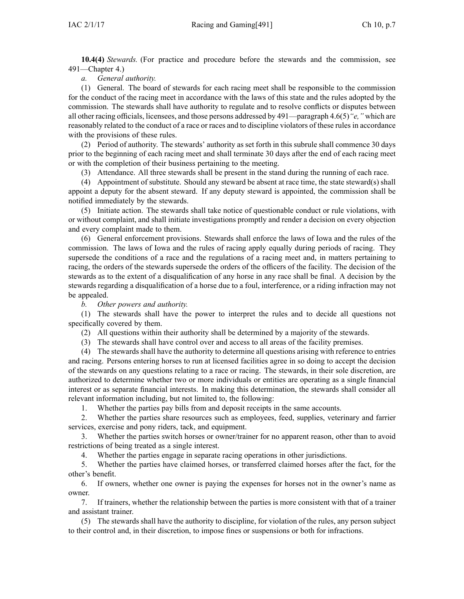**10.4(4)** *Stewards.* (For practice and procedure before the stewards and the commission, see [491—Chapter](https://www.legis.iowa.gov/docs/iac/chapter/491.4.pdf) 4.)

*a. General authority.*

(1) General. The board of stewards for each racing meet shall be responsible to the commission for the conduct of the racing meet in accordance with the laws of this state and the rules adopted by the commission. The stewards shall have authority to regulate and to resolve conflicts or disputes between all other racing officials, licensees, and those persons addressed by [491—paragraph](https://www.legis.iowa.gov/docs/iac/rule/491.4.6.pdf) 4.6(5)*"e,"* which are reasonably related to the conduct of <sup>a</sup> race or races and to discipline violators of these rules in accordance with the provisions of these rules.

(2) Period of authority. The stewards' authority as set forth in this subrule shall commence 30 days prior to the beginning of each racing meet and shall terminate 30 days after the end of each racing meet or with the completion of their business pertaining to the meeting.

(3) Attendance. All three stewards shall be presen<sup>t</sup> in the stand during the running of each race.

(4) Appointment of substitute. Should any steward be absent at race time, the state steward(s) shall appoint <sup>a</sup> deputy for the absent steward. If any deputy steward is appointed, the commission shall be notified immediately by the stewards.

(5) Initiate action. The stewards shall take notice of questionable conduct or rule violations, with or without complaint, and shall initiate investigations promptly and render <sup>a</sup> decision on every objection and every complaint made to them.

(6) General enforcement provisions. Stewards shall enforce the laws of Iowa and the rules of the commission. The laws of Iowa and the rules of racing apply equally during periods of racing. They supersede the conditions of <sup>a</sup> race and the regulations of <sup>a</sup> racing meet and, in matters pertaining to racing, the orders of the stewards supersede the orders of the officers of the facility. The decision of the stewards as to the extent of <sup>a</sup> disqualification of any horse in any race shall be final. A decision by the stewards regarding <sup>a</sup> disqualification of <sup>a</sup> horse due to <sup>a</sup> foul, interference, or <sup>a</sup> riding infraction may not be appealed.

*b. Other powers and authority.*

(1) The stewards shall have the power to interpret the rules and to decide all questions not specifically covered by them.

(2) All questions within their authority shall be determined by <sup>a</sup> majority of the stewards.

(3) The stewards shall have control over and access to all areas of the facility premises.

(4) The stewards shall have the authority to determine all questions arising with reference to entries and racing. Persons entering horses to run at licensed facilities agree in so doing to accep<sup>t</sup> the decision of the stewards on any questions relating to <sup>a</sup> race or racing. The stewards, in their sole discretion, are authorized to determine whether two or more individuals or entities are operating as <sup>a</sup> single financial interest or as separate financial interests. In making this determination, the stewards shall consider all relevant information including, but not limited to, the following:

1. Whether the parties pay bills from and deposit receipts in the same accounts.

2. Whether the parties share resources such as employees, feed, supplies, veterinary and farrier services, exercise and pony riders, tack, and equipment.

3. Whether the parties switch horses or owner/trainer for no apparen<sup>t</sup> reason, other than to avoid restrictions of being treated as <sup>a</sup> single interest.

4. Whether the parties engage in separate racing operations in other jurisdictions.

5. Whether the parties have claimed horses, or transferred claimed horses after the fact, for the other's benefit.

6. If owners, whether one owner is paying the expenses for horses not in the owner's name as owner.

7. If trainers, whether the relationship between the parties is more consistent with that of <sup>a</sup> trainer and assistant trainer.

(5) The stewards shall have the authority to discipline, for violation of the rules, any person subject to their control and, in their discretion, to impose fines or suspensions or both for infractions.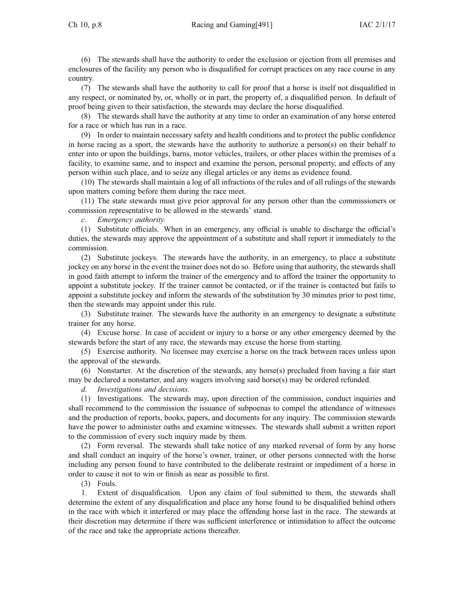Ch 10, p.8 Racing and Gaming[491]  $\left[40\right]$   $\left[40\right]$   $\left[40\right]$ 

(6) The stewards shall have the authority to order the exclusion or ejection from all premises and enclosures of the facility any person who is disqualified for corrup<sup>t</sup> practices on any race course in any country.

(7) The stewards shall have the authority to call for proof that <sup>a</sup> horse is itself not disqualified in any respect, or nominated by, or, wholly or in part, the property of, <sup>a</sup> disqualified person. In default of proof being given to their satisfaction, the stewards may declare the horse disqualified.

(8) The stewards shall have the authority at any time to order an examination of any horse entered for <sup>a</sup> race or which has run in <sup>a</sup> race.

(9) In order to maintain necessary safety and health conditions and to protect the public confidence in horse racing as <sup>a</sup> sport, the stewards have the authority to authorize <sup>a</sup> person(s) on their behalf to enter into or upon the buildings, barns, motor vehicles, trailers, or other places within the premises of <sup>a</sup> facility, to examine same, and to inspect and examine the person, personal property, and effects of any person within such place, and to seize any illegal articles or any items as evidence found.

(10) The stewards shall maintain <sup>a</sup> log of all infractions of the rules and of all rulings of the stewards upon matters coming before them during the race meet.

(11) The state stewards must give prior approval for any person other than the commissioners or commission representative to be allowed in the stewards' stand.

*c. Emergency authority.*

(1) Substitute officials. When in an emergency, any official is unable to discharge the official's duties, the stewards may approve the appointment of <sup>a</sup> substitute and shall repor<sup>t</sup> it immediately to the commission.

(2) Substitute jockeys. The stewards have the authority, in an emergency, to place <sup>a</sup> substitute jockey on any horse in the event the trainer does not do so. Before using that authority, the stewards shall in good faith attempt to inform the trainer of the emergency and to afford the trainer the opportunity to appoint <sup>a</sup> substitute jockey. If the trainer cannot be contacted, or if the trainer is contacted but fails to appoint <sup>a</sup> substitute jockey and inform the stewards of the substitution by 30 minutes prior to pos<sup>t</sup> time, then the stewards may appoint under this rule.

(3) Substitute trainer. The stewards have the authority in an emergency to designate <sup>a</sup> substitute trainer for any horse.

(4) Excuse horse. In case of accident or injury to <sup>a</sup> horse or any other emergency deemed by the stewards before the start of any race, the stewards may excuse the horse from starting.

(5) Exercise authority. No licensee may exercise <sup>a</sup> horse on the track between races unless upon the approval of the stewards.

(6) Nonstarter. At the discretion of the stewards, any horse(s) precluded from having <sup>a</sup> fair start may be declared <sup>a</sup> nonstarter, and any wagers involving said horse(s) may be ordered refunded.

*d. Investigations and decisions.*

(1) Investigations. The stewards may, upon direction of the commission, conduct inquiries and shall recommend to the commission the issuance of subpoenas to compel the attendance of witnesses and the production of reports, books, papers, and documents for any inquiry. The commission stewards have the power to administer oaths and examine witnesses. The stewards shall submit <sup>a</sup> written repor<sup>t</sup> to the commission of every such inquiry made by them.

(2) Form reversal. The stewards shall take notice of any marked reversal of form by any horse and shall conduct an inquiry of the horse's owner, trainer, or other persons connected with the horse including any person found to have contributed to the deliberate restraint or impediment of <sup>a</sup> horse in order to cause it not to win or finish as near as possible to first.

(3) Fouls.

1. Extent of disqualification. Upon any claim of foul submitted to them, the stewards shall determine the extent of any disqualification and place any horse found to be disqualified behind others in the race with which it interfered or may place the offending horse last in the race. The stewards at their discretion may determine if there was sufficient interference or intimidation to affect the outcome of the race and take the appropriate actions thereafter.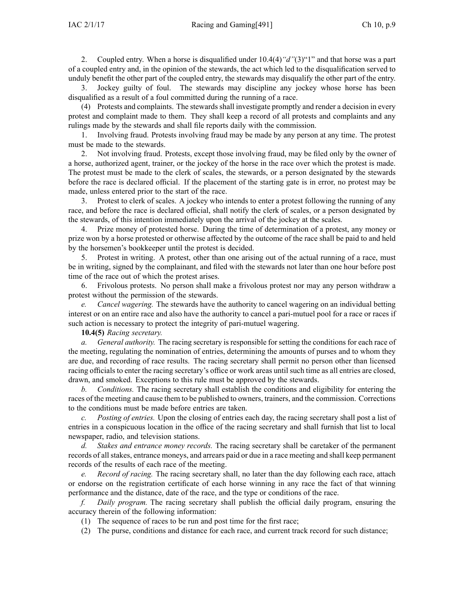2. Coupled entry. When <sup>a</sup> horse is disqualified under 10.4(4)*"d"*(3)"1" and that horse was <sup>a</sup> par<sup>t</sup> of <sup>a</sup> coupled entry and, in the opinion of the stewards, the act which led to the disqualification served to unduly benefit the other par<sup>t</sup> of the coupled entry, the stewards may disqualify the other par<sup>t</sup> of the entry.

3. Jockey guilty of foul. The stewards may discipline any jockey whose horse has been disqualified as <sup>a</sup> result of <sup>a</sup> foul committed during the running of <sup>a</sup> race.

(4) Protests and complaints. The stewards shall investigate promptly and render <sup>a</sup> decision in every protest and complaint made to them. They shall keep <sup>a</sup> record of all protests and complaints and any rulings made by the stewards and shall file reports daily with the commission.

1. Involving fraud. Protests involving fraud may be made by any person at any time. The protest must be made to the stewards.

2. Not involving fraud. Protests, excep<sup>t</sup> those involving fraud, may be filed only by the owner of <sup>a</sup> horse, authorized agent, trainer, or the jockey of the horse in the race over which the protest is made. The protest must be made to the clerk of scales, the stewards, or <sup>a</sup> person designated by the stewards before the race is declared official. If the placement of the starting gate is in error, no protest may be made, unless entered prior to the start of the race.

3. Protest to clerk of scales. A jockey who intends to enter <sup>a</sup> protest following the running of any race, and before the race is declared official, shall notify the clerk of scales, or <sup>a</sup> person designated by the stewards, of this intention immediately upon the arrival of the jockey at the scales.

4. Prize money of protested horse. During the time of determination of <sup>a</sup> protest, any money or prize won by <sup>a</sup> horse protested or otherwise affected by the outcome of the race shall be paid to and held by the horsemen's bookkeeper until the protest is decided.

5. Protest in writing. A protest, other than one arising out of the actual running of <sup>a</sup> race, must be in writing, signed by the complainant, and filed with the stewards not later than one hour before pos<sup>t</sup> time of the race out of which the protest arises.

6. Frivolous protests. No person shall make <sup>a</sup> frivolous protest nor may any person withdraw <sup>a</sup> protest without the permission of the stewards.

*e. Cancel wagering.* The stewards have the authority to cancel wagering on an individual betting interest or on an entire race and also have the authority to cancel <sup>a</sup> pari-mutuel pool for <sup>a</sup> race or races if such action is necessary to protect the integrity of pari-mutuel wagering.

### **10.4(5)** *Racing secretary.*

*a. General authority.* The racing secretary is responsible for setting the conditions for each race of the meeting, regulating the nomination of entries, determining the amounts of purses and to whom they are due, and recording of race results. The racing secretary shall permit no person other than licensed racing officials to enter the racing secretary's office or work areas until such time as all entries are closed, drawn, and smoked. Exceptions to this rule must be approved by the stewards.

*b. Conditions.* The racing secretary shall establish the conditions and eligibility for entering the races of the meeting and cause them to be published to owners, trainers, and the commission. Corrections to the conditions must be made before entries are taken.

*c. Posting of entries.* Upon the closing of entries each day, the racing secretary shall pos<sup>t</sup> <sup>a</sup> list of entries in <sup>a</sup> conspicuous location in the office of the racing secretary and shall furnish that list to local newspaper, radio, and television stations.

*d. Stakes and entrance money records.* The racing secretary shall be caretaker of the permanen<sup>t</sup> records of all stakes, entrance moneys, and arrears paid or due in a race meeting and shall keep permanent records of the results of each race of the meeting.

*e. Record of racing.* The racing secretary shall, no later than the day following each race, attach or endorse on the registration certificate of each horse winning in any race the fact of that winning performance and the distance, date of the race, and the type or conditions of the race.

*f. Daily program.* The racing secretary shall publish the official daily program, ensuring the accuracy therein of the following information:

(1) The sequence of races to be run and pos<sup>t</sup> time for the first race;

(2) The purse, conditions and distance for each race, and current track record for such distance;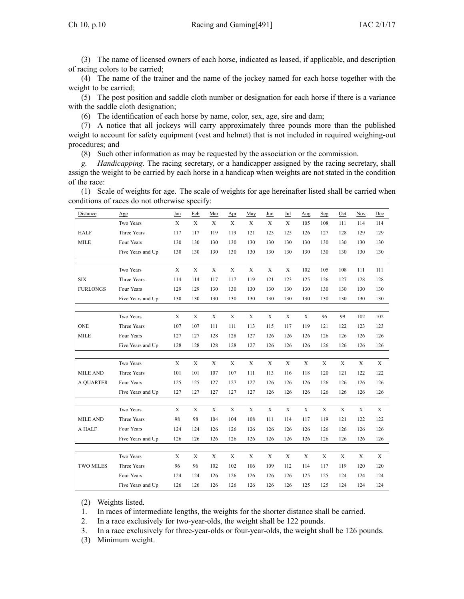(3) The name of licensed owners of each horse, indicated as leased, if applicable, and description of racing colors to be carried;

(4) The name of the trainer and the name of the jockey named for each horse together with the weight to be carried;

(5) The pos<sup>t</sup> position and saddle cloth number or designation for each horse if there is <sup>a</sup> variance with the saddle cloth designation;

(6) The identification of each horse by name, color, sex, age, sire and dam;

(7) A notice that all jockeys will carry approximately three pounds more than the published weight to account for safety equipment (vest and helmet) that is not included in required weighing-out procedures; and

(8) Such other information as may be requested by the association or the commission.

*g. Handicapping.* The racing secretary, or <sup>a</sup> handicapper assigned by the racing secretary, shall assign the weight to be carried by each horse in <sup>a</sup> handicap when weights are not stated in the condition of the race:

(1) Scale of weights for age. The scale of weights for age hereinafter listed shall be carried when conditions of races do not otherwise specify:

| Distance         | Age               | Jan         | Feb         | Mar          | Apr          | May         | Jun         | Jul         | Aug         | Sep         | Oct         | Nov | Dec |
|------------------|-------------------|-------------|-------------|--------------|--------------|-------------|-------------|-------------|-------------|-------------|-------------|-----|-----|
|                  | Two Years         | X           | X           | $\mathbf{x}$ | $\mathbf{x}$ | X           | X           | $\mathbf X$ | 105         | 108         | 111         | 114 | 114 |
| <b>HALF</b>      | Three Years       | 117         | 117         | 119          | 119          | 121         | 123         | 125         | 126         | 127         | 128         | 129 | 129 |
| <b>MILE</b>      | Four Years        | 130         | 130         | 130          | 130          | 130         | 130         | 130         | 130         | 130         | 130         | 130 | 130 |
|                  | Five Years and Up | 130         | 130         | 130          | 130          | 130         | 130         | 130         | 130         | 130         | 130         | 130 | 130 |
|                  |                   |             |             |              |              |             |             |             |             |             |             |     |     |
|                  | Two Years         | X           | X           | $\mathbf X$  | $\mathbf X$  | X           | X           | X           | 102         | 105         | 108         | 111 | 111 |
| <b>SIX</b>       | Three Years       | 114         | 114         | 117          | 117          | 119         | 121         | 123         | 125         | 126         | 127         | 128 | 128 |
| <b>FURLONGS</b>  | Four Years        | 129         | 129         | 130          | 130          | 130         | 130         | 130         | 130         | 130         | 130         | 130 | 130 |
|                  | Five Years and Up | 130         | 130         | 130          | 130          | 130         | 130         | 130         | 130         | 130         | 130         | 130 | 130 |
|                  |                   |             |             |              |              |             |             |             |             |             |             |     |     |
|                  | Two Years         | $\mathbf X$ | $\mathbf X$ | $\mathbf X$  | $\mathbf X$  | $\mathbf X$ | $\mathbf X$ | $\mathbf X$ | $\mathbf X$ | 96          | 99          | 102 | 102 |
| <b>ONE</b>       | Three Years       | 107         | 107         | 111          | 111          | 113         | 115         | 117         | 119         | 121         | 122         | 123 | 123 |
| <b>MILE</b>      | Four Years        | 127         | 127         | 128          | 128          | 127         | 126         | 126         | 126         | 126         | 126         | 126 | 126 |
|                  | Five Years and Up | 128         | 128         | 128          | 128          | 127         | 126         | 126         | 126         | 126         | 126         | 126 | 126 |
|                  |                   |             |             |              |              |             |             |             |             |             |             |     |     |
|                  | Two Years         | $\mathbf X$ | X           | $\mathbf X$  | $\mathbf X$  | $\mathbf X$ | $\mathbf X$ | X           | X           | X           | $\mathbf X$ | X   | X   |
| <b>MILE AND</b>  | Three Years       | 101         | 101         | 107          | 107          | 111         | 113         | 116         | 118         | 120         | 121         | 122 | 122 |
| <b>A QUARTER</b> | Four Years        | 125         | 125         | 127          | 127          | 127         | 126         | 126         | 126         | 126         | 126         | 126 | 126 |
|                  | Five Years and Up | 127         | 127         | 127          | 127          | 127         | 126         | 126         | 126         | 126         | 126         | 126 | 126 |
|                  |                   |             |             |              |              |             |             |             |             |             |             |     |     |
|                  | Two Years         | X           | X           | X            | X            | X           | X           | X           | X           | X           | X           | X   | X   |
| <b>MILE AND</b>  | Three Years       | 98          | 98          | 104          | 104          | 108         | 111         | 114         | 117         | 119         | 121         | 122 | 122 |
| A HALF           | Four Years        | 124         | 124         | 126          | 126          | 126         | 126         | 126         | 126         | 126         | 126         | 126 | 126 |
|                  | Five Years and Up | 126         | 126         | 126          | 126          | 126         | 126         | 126         | 126         | 126         | 126         | 126 | 126 |
|                  |                   |             |             |              |              |             |             |             |             |             |             |     |     |
|                  | Two Years         | X           | X           | $\mathbf X$  | $\mathbf X$  | $\mathbf X$ | $\mathbf X$ | $\mathbf X$ | $\mathbf X$ | $\mathbf X$ | $\mathbf X$ | X   | X   |
| <b>TWO MILES</b> | Three Years       | 96          | 96          | 102          | 102          | 106         | 109         | 112         | 114         | 117         | 119         | 120 | 120 |
|                  | Four Years        | 124         | 124         | 126          | 126          | 126         | 126         | 126         | 125         | 125         | 124         | 124 | 124 |
|                  | Five Years and Up | 126         | 126         | 126          | 126          | 126         | 126         | 126         | 125         | 125         | 124         | 124 | 124 |

(2) Weights listed.

1. In races of intermediate lengths, the weights for the shorter distance shall be carried.

2. In <sup>a</sup> race exclusively for two-year-olds, the weight shall be 122 pounds.

3. In <sup>a</sup> race exclusively for three-year-olds or four-year-olds, the weight shall be 126 pounds.

(3) Minimum weight.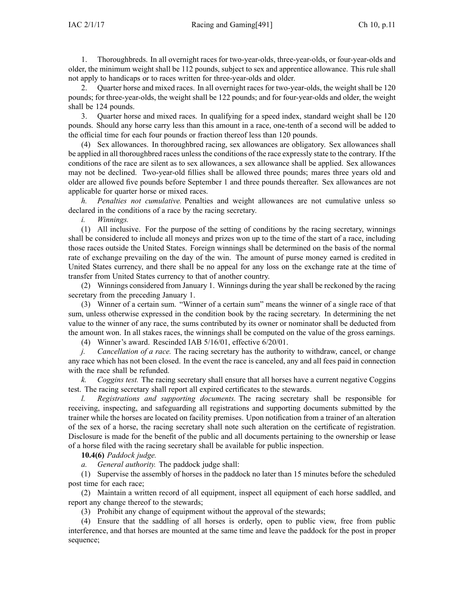1. Thoroughbreds. In all overnight races for two-year-olds, three-year-olds, or four-year-olds and older, the minimum weight shall be 112 pounds, subject to sex and apprentice allowance. This rule shall not apply to handicaps or to races written for three-year-olds and older.

2. Quarter horse and mixed races. In all overnight races for two-year-olds, the weight shall be 120 pounds; for three-year-olds, the weight shall be 122 pounds; and for four-year-olds and older, the weight shall be 124 pounds.

3. Quarter horse and mixed races. In qualifying for <sup>a</sup> speed index, standard weight shall be 120 pounds. Should any horse carry less than this amount in <sup>a</sup> race, one-tenth of <sup>a</sup> second will be added to the official time for each four pounds or fraction thereof less than 120 pounds.

(4) Sex allowances. In thoroughbred racing, sex allowances are obligatory. Sex allowances shall be applied in all thoroughbred races unlessthe conditions of the race expressly state to the contrary. If the conditions of the race are silent as to sex allowances, <sup>a</sup> sex allowance shall be applied. Sex allowances may not be declined. Two-year-old fillies shall be allowed three pounds; mares three years old and older are allowed five pounds before September 1 and three pounds thereafter. Sex allowances are not applicable for quarter horse or mixed races.

*h. Penalties not cumulative.* Penalties and weight allowances are not cumulative unless so declared in the conditions of <sup>a</sup> race by the racing secretary.

*i. Winnings.*

(1) All inclusive. For the purpose of the setting of conditions by the racing secretary, winnings shall be considered to include all moneys and prizes won up to the time of the start of <sup>a</sup> race, including those races outside the United States. Foreign winnings shall be determined on the basis of the normal rate of exchange prevailing on the day of the win. The amount of purse money earned is credited in United States currency, and there shall be no appeal for any loss on the exchange rate at the time of transfer from United States currency to that of another country.

(2) Winnings considered from January 1. Winnings during the year shall be reckoned by the racing secretary from the preceding January 1.

(3) Winner of <sup>a</sup> certain sum. "Winner of <sup>a</sup> certain sum" means the winner of <sup>a</sup> single race of that sum, unless otherwise expressed in the condition book by the racing secretary. In determining the net value to the winner of any race, the sums contributed by its owner or nominator shall be deducted from the amount won. In all stakes races, the winnings shall be computed on the value of the gross earnings.

(4) Winner's award. Rescinded IAB [5/16/01](https://www.legis.iowa.gov/docs/aco/bulletin/05-16-2001.pdf), effective 6/20/01.

*j. Cancellation of <sup>a</sup> race.* The racing secretary has the authority to withdraw, cancel, or change any race which has not been closed. In the event the race is canceled, any and all fees paid in connection with the race shall be refunded.

*k. Coggins test.* The racing secretary shall ensure that all horses have <sup>a</sup> current negative Coggins test. The racing secretary shall repor<sup>t</sup> all expired certificates to the stewards.

*l. Registrations and supporting documents.* The racing secretary shall be responsible for receiving, inspecting, and safeguarding all registrations and supporting documents submitted by the trainer while the horses are located on facility premises. Upon notification from <sup>a</sup> trainer of an alteration of the sex of <sup>a</sup> horse, the racing secretary shall note such alteration on the certificate of registration. Disclosure is made for the benefit of the public and all documents pertaining to the ownership or lease of <sup>a</sup> horse filed with the racing secretary shall be available for public inspection.

**10.4(6)** *Paddock judge.*

*a. General authority.* The paddock judge shall:

(1) Supervise the assembly of horses in the paddock no later than 15 minutes before the scheduled pos<sup>t</sup> time for each race;

(2) Maintain <sup>a</sup> written record of all equipment, inspect all equipment of each horse saddled, and repor<sup>t</sup> any change thereof to the stewards;

(3) Prohibit any change of equipment without the approval of the stewards;

(4) Ensure that the saddling of all horses is orderly, open to public view, free from public interference, and that horses are mounted at the same time and leave the paddock for the pos<sup>t</sup> in proper sequence;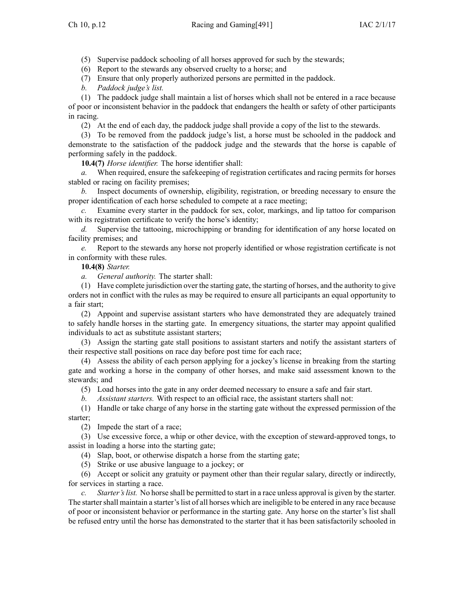(5) Supervise paddock schooling of all horses approved for such by the stewards;

(6) Report to the stewards any observed cruelty to <sup>a</sup> horse; and

(7) Ensure that only properly authorized persons are permitted in the paddock.

*b. Paddock judge's list.*

(1) The paddock judge shall maintain <sup>a</sup> list of horses which shall not be entered in <sup>a</sup> race because of poor or inconsistent behavior in the paddock that endangers the health or safety of other participants in racing.

(2) At the end of each day, the paddock judge shall provide <sup>a</sup> copy of the list to the stewards.

(3) To be removed from the paddock judge's list, <sup>a</sup> horse must be schooled in the paddock and demonstrate to the satisfaction of the paddock judge and the stewards that the horse is capable of performing safely in the paddock.

**10.4(7)** *Horse identifier.* The horse identifier shall:

*a.* When required, ensure the safekeepin*g* of registration certificates and racing permits for horses stabled or racing on facility premises;

*b.* Inspect documents of ownership, eligibility, registration, or breeding necessary to ensure the proper identification of each horse scheduled to compete at <sup>a</sup> race meeting;

*c.* Examine every starter in the paddock for sex, color, markings, and lip tattoo for comparison with its registration certificate to verify the horse's identity;

*d.* Supervise the tattooing, microchipping or branding for identification of any horse located on facility premises; and

*e.* Report to the stewards any horse not properly identified or whose registration certificate is not in conformity with these rules.

**10.4(8)** *Starter.*

*a. General authority.* The starter shall:

(1) Have complete jurisdiction over the starting gate, the starting of horses, and the authority to give orders not in conflict with the rules as may be required to ensure all participants an equal opportunity to <sup>a</sup> fair start;

(2) Appoint and supervise assistant starters who have demonstrated they are adequately trained to safely handle horses in the starting gate. In emergency situations, the starter may appoint qualified individuals to act as substitute assistant starters;

(3) Assign the starting gate stall positions to assistant starters and notify the assistant starters of their respective stall positions on race day before pos<sup>t</sup> time for each race;

(4) Assess the ability of each person applying for <sup>a</sup> jockey's license in breaking from the starting gate and working <sup>a</sup> horse in the company of other horses, and make said assessment known to the stewards; and

(5) Load horses into the gate in any order deemed necessary to ensure <sup>a</sup> safe and fair start.

*b. Assistant starters.* With respec<sup>t</sup> to an official race, the assistant starters shall not:

(1) Handle or take charge of any horse in the starting gate without the expressed permission of the starter;

(2) Impede the start of <sup>a</sup> race;

(3) Use excessive force, <sup>a</sup> whip or other device, with the exception of steward-approved tongs, to assist in loading <sup>a</sup> horse into the starting gate;

(4) Slap, boot, or otherwise dispatch <sup>a</sup> horse from the starting gate;

(5) Strike or use abusive language to <sup>a</sup> jockey; or

(6) Accept or solicit any gratuity or paymen<sup>t</sup> other than their regular salary, directly or indirectly, for services in starting <sup>a</sup> race.

*c. Starter'slist.* No horse shall be permitted to start in <sup>a</sup> race unless approval is given by the starter. The starter shall maintain a starter's list of all horses which are ineligible to be entered in any race because of poor or inconsistent behavior or performance in the starting gate. Any horse on the starter's list shall be refused entry until the horse has demonstrated to the starter that it has been satisfactorily schooled in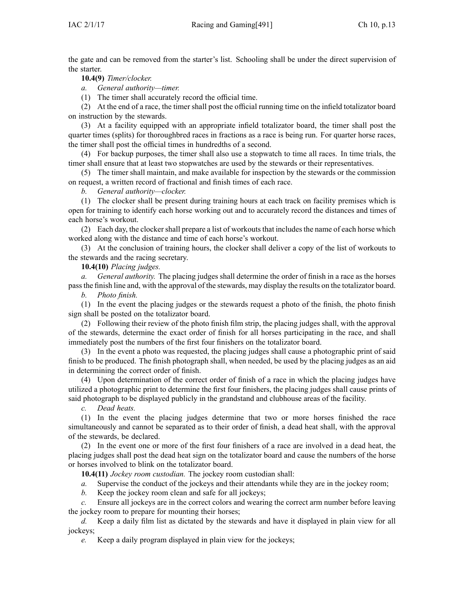the gate and can be removed from the starter's list. Schooling shall be under the direct supervision of the starter.

**10.4(9)** *Timer/clocker.*

*a. General authority—timer.*

(1) The timer shall accurately record the official time.

(2) At the end of <sup>a</sup> race, the timer shall pos<sup>t</sup> the official running time on the infield totalizator board on instruction by the stewards.

(3) At <sup>a</sup> facility equipped with an appropriate infield totalizator board, the timer shall pos<sup>t</sup> the quarter times (splits) for thoroughbred races in fractions as <sup>a</sup> race is being run. For quarter horse races, the timer shall pos<sup>t</sup> the official times in hundredths of <sup>a</sup> second.

(4) For backup purposes, the timer shall also use <sup>a</sup> stopwatch to time all races. In time trials, the timer shall ensure that at least two stopwatches are used by the stewards or their representatives.

(5) The timer shall maintain, and make available for inspection by the stewards or the commission on request, <sup>a</sup> written record of fractional and finish times of each race.

*b. General authority—clocker.*

(1) The clocker shall be presen<sup>t</sup> during training hours at each track on facility premises which is open for training to identify each horse working out and to accurately record the distances and times of each horse's workout.

(2) Each day, the clocker shall prepare a list of workouts that includes the name of each horse which worked along with the distance and time of each horse's workout.

(3) At the conclusion of training hours, the clocker shall deliver <sup>a</sup> copy of the list of workouts to the stewards and the racing secretary.

**10.4(10)** *Placing judges.*

*a. General authority.* The placing judges shall determine the order of finish in <sup>a</sup> race as the horses passthe finish line and, with the approval of the stewards, may display the results on the totalizator board.

*b. Photo finish.*

(1) In the event the placing judges or the stewards reques<sup>t</sup> <sup>a</sup> photo of the finish, the photo finish sign shall be posted on the totalizator board.

(2) Following their review of the photo finish film strip, the placing judges shall, with the approval of the stewards, determine the exact order of finish for all horses participating in the race, and shall immediately pos<sup>t</sup> the numbers of the first four finishers on the totalizator board.

(3) In the event <sup>a</sup> photo was requested, the placing judges shall cause <sup>a</sup> photographic print of said finish to be produced. The finish photograph shall, when needed, be used by the placing judges as an aid in determining the correct order of finish.

(4) Upon determination of the correct order of finish of <sup>a</sup> race in which the placing judges have utilized <sup>a</sup> photographic print to determine the first four finishers, the placing judges shall cause prints of said photograph to be displayed publicly in the grandstand and clubhouse areas of the facility.

*c. Dead heats.*

(1) In the event the placing judges determine that two or more horses finished the race simultaneously and cannot be separated as to their order of finish, <sup>a</sup> dead heat shall, with the approval of the stewards, be declared.

(2) In the event one or more of the first four finishers of <sup>a</sup> race are involved in <sup>a</sup> dead heat, the placing judges shall pos<sup>t</sup> the dead heat sign on the totalizator board and cause the numbers of the horse or horses involved to blink on the totalizator board.

**10.4(11)** *Jockey room custodian.* The jockey room custodian shall:

*a.* Supervise the conduct of the jockeys and their attendants while they are in the jockey room;

*b.* Keep the jockey room clean and safe for all jockeys;

*c.* Ensure all jockeys are in the correct colors and wearing the correct arm number before leaving the jockey room to prepare for mounting their horses;

*d.* Keep <sup>a</sup> daily film list as dictated by the stewards and have it displayed in plain view for all jockeys;

*e.* Keep <sup>a</sup> daily program displayed in plain view for the jockeys;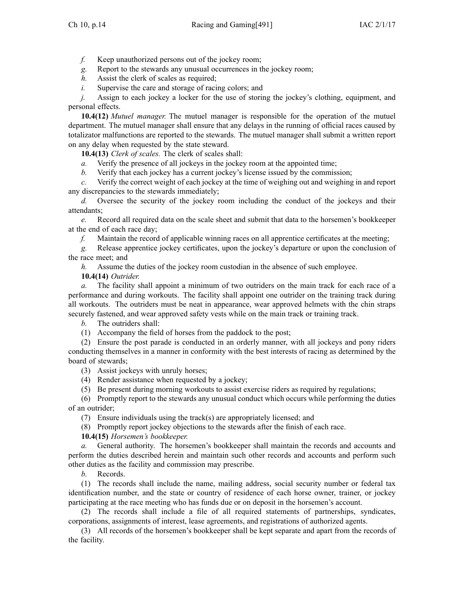*f.* Keep unauthorized persons out of the jockey room;

*g.* Report to the stewards any unusual occurrences in the jockey room;

*h.* Assist the clerk of scales as required;

*i.* Supervise the care and storage of racing colors; and

*j.* Assign to each jockey a locker for the use of storing the jockey's clothing, equipment, and personal effects.

**10.4(12)** *Mutuel manager.* The mutuel manager is responsible for the operation of the mutuel department. The mutuel manager shall ensure that any delays in the running of official races caused by totalizator malfunctions are reported to the stewards. The mutuel manager shall submit <sup>a</sup> written repor<sup>t</sup> on any delay when requested by the state steward.

**10.4(13)** *Clerk of scales.* The clerk of scales shall:

*a.* Verify the presence of all jockeys in the jockey room at the appointed time;

*b.* Verify that each jockey has <sup>a</sup> current jockey's license issued by the commission;

*c.* Verify the correct weight of each jockey at the time of weighing out and weighing in and repor<sup>t</sup> any discrepancies to the stewards immediately;

*d.* Oversee the security of the jockey room including the conduct of the jockeys and their attendants;

*e.* Record all required data on the scale sheet and submit that data to the horsemen's bookkeeper at the end of each race day;

*f.* Maintain the record of applicable winning races on all apprentice certificates at the meeting;

*g.* Release apprentice jockey certificates, upon the jockey's departure or upon the conclusion of the race meet; and

*h.* Assume the duties of the jockey room custodian in the absence of such employee.

## **10.4(14)** *Outrider.*

*a.* The facility shall appoint <sup>a</sup> minimum of two outriders on the main track for each race of <sup>a</sup> performance and during workouts. The facility shall appoint one outrider on the training track during all workouts. The outriders must be neat in appearance, wear approved helmets with the chin straps securely fastened, and wear approved safety vests while on the main track or training track.

*b.* The outriders shall:

(1) Accompany the field of horses from the paddock to the post;

(2) Ensure the pos<sup>t</sup> parade is conducted in an orderly manner, with all jockeys and pony riders conducting themselves in <sup>a</sup> manner in conformity with the best interests of racing as determined by the board of stewards;

(3) Assist jockeys with unruly horses;

- (4) Render assistance when requested by <sup>a</sup> jockey;
- (5) Be presen<sup>t</sup> during morning workouts to assist exercise riders as required by regulations;

(6) Promptly repor<sup>t</sup> to the stewards any unusual conduct which occurs while performing the duties of an outrider;

(7) Ensure individuals using the track(s) are appropriately licensed; and

(8) Promptly repor<sup>t</sup> jockey objections to the stewards after the finish of each race.

**10.4(15)** *Horsemen's bookkeeper.*

*a.* General authority. The horsemen's bookkeeper shall maintain the records and accounts and perform the duties described herein and maintain such other records and accounts and perform such other duties as the facility and commission may prescribe.

*b.* Records.

(1) The records shall include the name, mailing address, social security number or federal tax identification number, and the state or country of residence of each horse owner, trainer, or jockey participating at the race meeting who has funds due or on deposit in the horsemen's account.

(2) The records shall include <sup>a</sup> file of all required statements of partnerships, syndicates, corporations, assignments of interest, lease agreements, and registrations of authorized agents.

(3) All records of the horsemen's bookkeeper shall be kept separate and apar<sup>t</sup> from the records of the facility.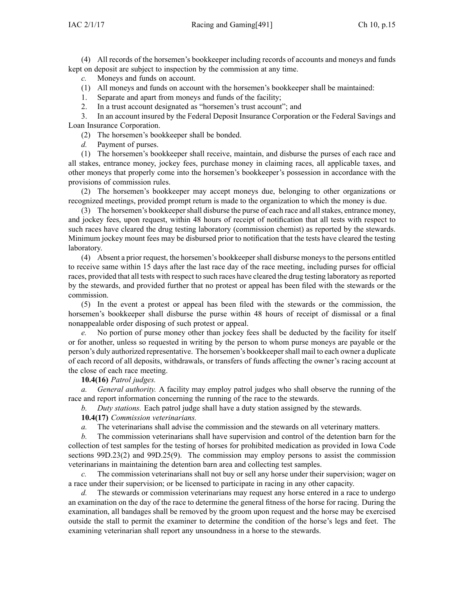(4) All records of the horsemen's bookkeeper including records of accounts and moneys and funds kept on deposit are subject to inspection by the commission at any time.

*c.* Moneys and funds on account.

- (1) All moneys and funds on account with the horsemen's bookkeeper shall be maintained:
- 1. Separate and apar<sup>t</sup> from moneys and funds of the facility;
- 2. In <sup>a</sup> trust account designated as "horsemen's trust account"; and

3. In an account insured by the Federal Deposit Insurance Corporation or the Federal Savings and Loan Insurance Corporation.

(2) The horsemen's bookkeeper shall be bonded.

*d.* Payment of purses.

(1) The horsemen's bookkeeper shall receive, maintain, and disburse the purses of each race and all stakes, entrance money, jockey fees, purchase money in claiming races, all applicable taxes, and other moneys that properly come into the horsemen's bookkeeper's possession in accordance with the provisions of commission rules.

(2) The horsemen's bookkeeper may accep<sup>t</sup> moneys due, belonging to other organizations or recognized meetings, provided promp<sup>t</sup> return is made to the organization to which the money is due.

(3) The horsemen's bookkeepershall disburse the purse of each race and allstakes, entrance money, and jockey fees, upon request, within 48 hours of receipt of notification that all tests with respec<sup>t</sup> to such races have cleared the drug testing laboratory (commission chemist) as reported by the stewards. Minimum jockey mount fees may be disbursed prior to notification that the tests have cleared the testing laboratory.

(4) Absent <sup>a</sup> prior request, the horsemen's bookkeepershall disburse moneysto the persons entitled to receive same within 15 days after the last race day of the race meeting, including purses for official races, provided that all tests with respec<sup>t</sup> to such races have cleared the drug testing laboratory asreported by the stewards, and provided further that no protest or appeal has been filed with the stewards or the commission.

(5) In the event <sup>a</sup> protest or appeal has been filed with the stewards or the commission, the horsemen's bookkeeper shall disburse the purse within 48 hours of receipt of dismissal or <sup>a</sup> final nonappealable order disposing of such protest or appeal.

*e.* No portion of purse money other than jockey fees shall be deducted by the facility for itself or for another, unless so requested in writing by the person to whom purse moneys are payable or the person's duly authorized representative. The horsemen's bookkeepershall mail to each owner <sup>a</sup> duplicate of each record of all deposits, withdrawals, or transfers of funds affecting the owner's racing account at the close of each race meeting.

**10.4(16)** *Patrol judges.*

*a. General authority.* A facility may employ patrol judges who shall observe the running of the race and repor<sup>t</sup> information concerning the running of the race to the stewards.

*b. Duty stations.* Each patrol judge shall have <sup>a</sup> duty station assigned by the stewards.

**10.4(17)** *Commission veterinarians.*

*a.* The veterinarians shall advise the commission and the stewards on all veterinary matters.

*b.* The commission veterinarians shall have supervision and control of the detention barn for the collection of test samples for the testing of horses for prohibited medication as provided in Iowa Code sections [99D.23\(2\)](https://www.legis.iowa.gov/docs/ico/section/99D.23.pdf) and [99D.25\(9\)](https://www.legis.iowa.gov/docs/ico/section/99D.25.pdf). The commission may employ persons to assist the commission veterinarians in maintaining the detention barn area and collecting test samples.

*c.* The commission veterinarians shall not buy or sell any horse under their supervision; wager on <sup>a</sup> race under their supervision; or be licensed to participate in racing in any other capacity.

*d.* The stewards or commission veterinarians may reques<sup>t</sup> any horse entered in <sup>a</sup> race to undergo an examination on the day of the race to determine the general fitness of the horse for racing. During the examination, all bandages shall be removed by the groom upon reques<sup>t</sup> and the horse may be exercised outside the stall to permit the examiner to determine the condition of the horse's legs and feet. The examining veterinarian shall repor<sup>t</sup> any unsoundness in <sup>a</sup> horse to the stewards.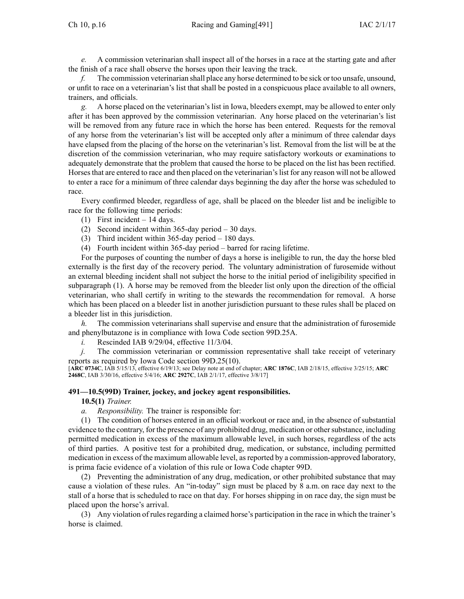Ch 10, p.16 Racing and Gaming[491] IAC  $2/1/17$ 

*e.* A commission veterinarian shall inspect all of the horses in <sup>a</sup> race at the starting gate and after the finish of <sup>a</sup> race shall observe the horses upon their leaving the track.

*f.* The commission veterinarian shall place any horse determined to be sick or too unsafe, unsound, or unfit to race on <sup>a</sup> veterinarian's list that shall be posted in <sup>a</sup> conspicuous place available to all owners, trainers, and officials.

*g.* A horse placed on the veterinarian's list in Iowa, bleeders exempt, may be allowed to enter only after it has been approved by the commission veterinarian. Any horse placed on the veterinarian's list will be removed from any future race in which the horse has been entered. Requests for the removal of any horse from the veterinarian's list will be accepted only after <sup>a</sup> minimum of three calendar days have elapsed from the placing of the horse on the veterinarian's list. Removal from the list will be at the discretion of the commission veterinarian, who may require satisfactory workouts or examinations to adequately demonstrate that the problem that caused the horse to be placed on the list has been rectified. Horsesthat are entered to race and then placed on the veterinarian'slist for any reason will not be allowed to enter <sup>a</sup> race for <sup>a</sup> minimum of three calendar days beginning the day after the horse was scheduled to race.

Every confirmed bleeder, regardless of age, shall be placed on the bleeder list and be ineligible to race for the following time periods:

- (1) First incident 14 days.
- (2) Second incident within 365-day period 30 days.
- (3) Third incident within 365-day period 180 days.
- (4) Fourth incident within 365-day period barred for racing lifetime.

For the purposes of counting the number of days <sup>a</sup> horse is ineligible to run, the day the horse bled externally is the first day of the recovery period. The voluntary administration of furosemide without an external bleeding incident shall not subject the horse to the initial period of ineligibility specified in subparagraph (1). A horse may be removed from the bleeder list only upon the direction of the official veterinarian, who shall certify in writing to the stewards the recommendation for removal. A horse which has been placed on <sup>a</sup> bleeder list in another jurisdiction pursuan<sup>t</sup> to these rules shall be placed on <sup>a</sup> bleeder list in this jurisdiction.

*h.* The commission veterinarians shall supervise and ensure that the administration of furosemide and phenylbutazone is in compliance with Iowa Code section [99D.25A](https://www.legis.iowa.gov/docs/ico/section/99D.25A.pdf).

*i.* Rescinded IAB [9/29/04](https://www.legis.iowa.gov/docs/aco/bulletin/09-29-2004.pdf), effective 11/3/04.

*j.* The commission veterinarian or commission representative shall take receipt of veterinary reports as required by Iowa Code section [99D.25\(10\)](https://www.legis.iowa.gov/docs/ico/section/99D.25.pdf).

[**ARC [0734C](https://www.legis.iowa.gov/docs/aco/arc/0734C.pdf)**, IAB 5/15/13, effective 6/19/13; see Delay note at end of chapter; **ARC [1876C](https://www.legis.iowa.gov/docs/aco/arc/1876C.pdf)**, IAB 2/18/15, effective 3/25/15; **[ARC](https://www.legis.iowa.gov/docs/aco/arc/2468C.pdf) [2468C](https://www.legis.iowa.gov/docs/aco/arc/2468C.pdf)**, IAB 3/30/16, effective 5/4/16; **ARC [2927C](https://www.legis.iowa.gov/docs/aco/arc/2927C.pdf)**, IAB 2/1/17, effective 3/8/17]

#### **491—10.5(99D) Trainer, jockey, and jockey agent responsibilities.**

**10.5(1)** *Trainer.*

*a. Responsibility.* The trainer is responsible for:

(1) The condition of horses entered in an official workout or race and, in the absence of substantial evidence to the contrary, for the presence of any prohibited drug, medication or othersubstance, including permitted medication in excess of the maximum allowable level, in such horses, regardless of the acts of third parties. A positive test for <sup>a</sup> prohibited drug, medication, or substance, including permitted medication in excess of the maximum allowable level, asreported by <sup>a</sup> commission-approved laboratory, is prima facie evidence of <sup>a</sup> violation of this rule or Iowa Code chapter [99D](https://www.legis.iowa.gov/docs/ico/chapter/99D.pdf).

(2) Preventing the administration of any drug, medication, or other prohibited substance that may cause <sup>a</sup> violation of these rules. An "in-today" sign must be placed by 8 a.m. on race day next to the stall of <sup>a</sup> horse that is scheduled to race on that day. For horses shipping in on race day, the sign must be placed upon the horse's arrival.

(3) Any violation of rulesregarding <sup>a</sup> claimed horse's participation in the race in which the trainer's horse is claimed.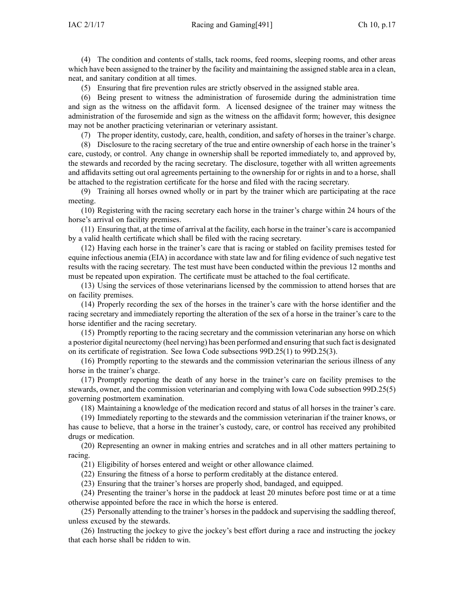(4) The condition and contents of stalls, tack rooms, feed rooms, sleeping rooms, and other areas which have been assigned to the trainer by the facility and maintaining the assigned stable area in <sup>a</sup> clean, neat, and sanitary condition at all times.

(5) Ensuring that fire prevention rules are strictly observed in the assigned stable area.

(6) Being presen<sup>t</sup> to witness the administration of furosemide during the administration time and sign as the witness on the affidavit form. A licensed designee of the trainer may witness the administration of the furosemide and sign as the witness on the affidavit form; however, this designee may not be another practicing veterinarian or veterinary assistant.

(7) The proper identity, custody, care, health, condition, and safety of horses in the trainer's charge.

(8) Disclosure to the racing secretary of the true and entire ownership of each horse in the trainer's care, custody, or control. Any change in ownership shall be reported immediately to, and approved by, the stewards and recorded by the racing secretary. The disclosure, together with all written agreements and affidavits setting out oral agreements pertaining to the ownership for or rights in and to <sup>a</sup> horse, shall be attached to the registration certificate for the horse and filed with the racing secretary.

(9) Training all horses owned wholly or in par<sup>t</sup> by the trainer which are participating at the race meeting.

(10) Registering with the racing secretary each horse in the trainer's charge within 24 hours of the horse's arrival on facility premises.

(11) Ensuring that, at the time of arrival at the facility, each horse in the trainer's care is accompanied by <sup>a</sup> valid health certificate which shall be filed with the racing secretary.

(12) Having each horse in the trainer's care that is racing or stabled on facility premises tested for equine infectious anemia (EIA) in accordance with state law and for filing evidence of such negative test results with the racing secretary. The test must have been conducted within the previous 12 months and must be repeated upon expiration. The certificate must be attached to the foal certificate.

(13) Using the services of those veterinarians licensed by the commission to attend horses that are on facility premises.

(14) Properly recording the sex of the horses in the trainer's care with the horse identifier and the racing secretary and immediately reporting the alteration of the sex of <sup>a</sup> horse in the trainer's care to the horse identifier and the racing secretary.

(15) Promptly reporting to the racing secretary and the commission veterinarian any horse on which a posterior digital neurectomy (heel nerving) has been performed and ensuring that such fact is designated on its certificate of registration. See Iowa Code subsections 99D.25(1) to [99D.25\(3\)](https://www.legis.iowa.gov/docs/ico/section/99D.25.pdf).

(16) Promptly reporting to the stewards and the commission veterinarian the serious illness of any horse in the trainer's charge.

(17) Promptly reporting the death of any horse in the trainer's care on facility premises to the stewards, owner, and the commission veterinarian and complying with Iowa Code subsection [99D.25\(5\)](https://www.legis.iowa.gov/docs/ico/section/99D.25.pdf) governing postmortem examination.

(18) Maintaining <sup>a</sup> knowledge of the medication record and status of all horses in the trainer's care.

(19) Immediately reporting to the stewards and the commission veterinarian if the trainer knows, or has cause to believe, that <sup>a</sup> horse in the trainer's custody, care, or control has received any prohibited drugs or medication.

(20) Representing an owner in making entries and scratches and in all other matters pertaining to racing.

(21) Eligibility of horses entered and weight or other allowance claimed.

(22) Ensuring the fitness of <sup>a</sup> horse to perform creditably at the distance entered.

(23) Ensuring that the trainer's horses are properly shod, bandaged, and equipped.

(24) Presenting the trainer's horse in the paddock at least 20 minutes before pos<sup>t</sup> time or at <sup>a</sup> time otherwise appointed before the race in which the horse is entered.

(25) Personally attending to the trainer's horses in the paddock and supervising the saddling thereof, unless excused by the stewards.

(26) Instructing the jockey to give the jockey's best effort during <sup>a</sup> race and instructing the jockey that each horse shall be ridden to win.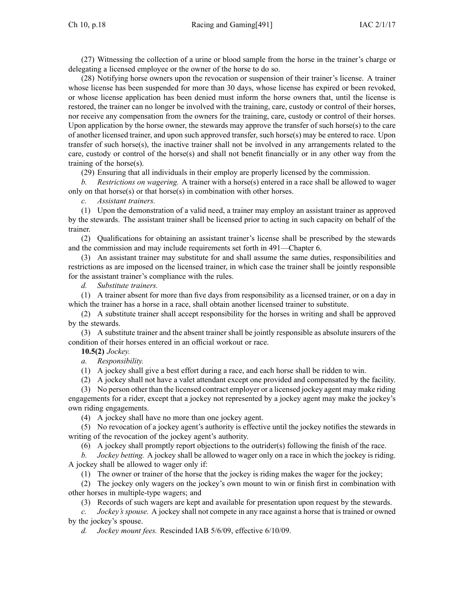(27) Witnessing the collection of <sup>a</sup> urine or blood sample from the horse in the trainer's charge or delegating <sup>a</sup> licensed employee or the owner of the horse to do so.

(28) Notifying horse owners upon the revocation or suspension of their trainer's license. A trainer whose license has been suspended for more than 30 days, whose license has expired or been revoked, or whose license application has been denied must inform the horse owners that, until the license is restored, the trainer can no longer be involved with the training, care, custody or control of their horses, nor receive any compensation from the owners for the training, care, custody or control of their horses. Upon application by the horse owner, the stewards may approve the transfer of such horse(s) to the care of another licensed trainer, and upon such approved transfer, such horse(s) may be entered to race. Upon transfer of such horse(s), the inactive trainer shall not be involved in any arrangements related to the care, custody or control of the horse(s) and shall not benefit financially or in any other way from the training of the horse(s).

(29) Ensuring that all individuals in their employ are properly licensed by the commission.

*b. Restrictions on wagering.* A trainer with <sup>a</sup> horse(s) entered in <sup>a</sup> race shall be allowed to wager only on that horse(s) or that horse(s) in combination with other horses.

*c. Assistant trainers.*

(1) Upon the demonstration of <sup>a</sup> valid need, <sup>a</sup> trainer may employ an assistant trainer as approved by the stewards. The assistant trainer shall be licensed prior to acting in such capacity on behalf of the trainer.

(2) Qualifications for obtaining an assistant trainer's license shall be prescribed by the stewards and the commission and may include requirements set forth in [491—Chapter](https://www.legis.iowa.gov/docs/iac/chapter/491.6.pdf) 6.

(3) An assistant trainer may substitute for and shall assume the same duties, responsibilities and restrictions as are imposed on the licensed trainer, in which case the trainer shall be jointly responsible for the assistant trainer's compliance with the rules.

*d. Substitute trainers.*

(1) A trainer absent for more than five days from responsibility as <sup>a</sup> licensed trainer, or on <sup>a</sup> day in which the trainer has a horse in a race, shall obtain another licensed trainer to substitute.

(2) A substitute trainer shall accep<sup>t</sup> responsibility for the horses in writing and shall be approved by the stewards.

(3) A substitute trainer and the absent trainer shall be jointly responsible as absolute insurers of the condition of their horses entered in an official workout or race.

**10.5(2)** *Jockey.*

*a. Responsibility.*

(1) A jockey shall give <sup>a</sup> best effort during <sup>a</sup> race, and each horse shall be ridden to win.

(2) A jockey shall not have <sup>a</sup> valet attendant excep<sup>t</sup> one provided and compensated by the facility.

(3) No person other than the licensed contract employer or <sup>a</sup> licensed jockey agen<sup>t</sup> may make riding engagements for <sup>a</sup> rider, excep<sup>t</sup> that <sup>a</sup> jockey not represented by <sup>a</sup> jockey agen<sup>t</sup> may make the jockey's own riding engagements.

(4) A jockey shall have no more than one jockey agent.

(5) No revocation of <sup>a</sup> jockey agent's authority is effective until the jockey notifies the stewards in writing of the revocation of the jockey agent's authority.

(6) A jockey shall promptly repor<sup>t</sup> objections to the outrider(s) following the finish of the race.

*b. Jockey betting.* A jockey shall be allowed to wager only on <sup>a</sup> race in which the jockey is riding. A jockey shall be allowed to wager only if:

(1) The owner or trainer of the horse that the jockey is riding makes the wager for the jockey;

(2) The jockey only wagers on the jockey's own mount to win or finish first in combination with other horses in multiple-type wagers; and

(3) Records of such wagers are kept and available for presentation upon reques<sup>t</sup> by the stewards.

*c. Jockey's spouse.* A jockey shall not compete in any race against <sup>a</sup> horse that is trained or owned by the jockey's spouse.

*d. Jockey mount fees.* Rescinded IAB [5/6/09](https://www.legis.iowa.gov/docs/aco/bulletin/05-06-2009.pdf), effective 6/10/09.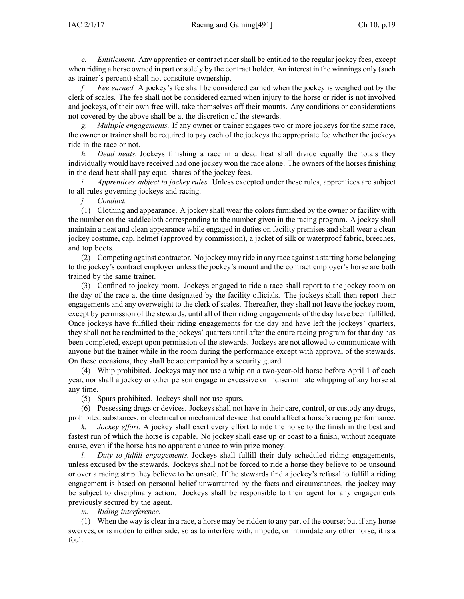*e. Entitlement.* Any apprentice or contract rider shall be entitled to the regular jockey fees, excep<sup>t</sup> when riding a horse owned in part or solely by the contract holder. An interest in the winnings only (such as trainer's percent) shall not constitute ownership.

*f. Fee earned.* A jockey's fee shall be considered earned when the jockey is weighed out by the clerk of scales. The fee shall not be considered earned when injury to the horse or rider is not involved and jockeys, of their own free will, take themselves off their mounts. Any conditions or considerations not covered by the above shall be at the discretion of the stewards.

*g. Multiple engagements.* If any owner or trainer engages two or more jockeys for the same race, the owner or trainer shall be required to pay each of the jockeys the appropriate fee whether the jockeys ride in the race or not.

*h. Dead heats.* Jockeys finishing <sup>a</sup> race in <sup>a</sup> dead heat shall divide equally the totals they individually would have received had one jockey won the race alone. The owners of the horses finishing in the dead heat shall pay equal shares of the jockey fees.

*i. Apprentices subject to jockey rules.* Unless excepted under these rules, apprentices are subject to all rules governing jockeys and racing.

*j. Conduct.*

(1) Clothing and appearance. A jockey shall wear the colors furnished by the owner or facility with the number on the saddlecloth corresponding to the number given in the racing program. A jockey shall maintain <sup>a</sup> neat and clean appearance while engaged in duties on facility premises and shall wear <sup>a</sup> clean jockey costume, cap, helmet (approved by commission), <sup>a</sup> jacket of silk or waterproof fabric, breeches, and top boots.

(2) Competing against contractor. No jockey may ride in any race against <sup>a</sup> starting horse belonging to the jockey's contract employer unless the jockey's mount and the contract employer's horse are both trained by the same trainer.

(3) Confined to jockey room. Jockeys engaged to ride <sup>a</sup> race shall repor<sup>t</sup> to the jockey room on the day of the race at the time designated by the facility officials. The jockeys shall then repor<sup>t</sup> their engagements and any overweight to the clerk of scales. Thereafter, they shall not leave the jockey room, excep<sup>t</sup> by permission of the stewards, until all of their riding engagements of the day have been fulfilled. Once jockeys have fulfilled their riding engagements for the day and have left the jockeys' quarters, they shall not be readmitted to the jockeys' quarters until after the entire racing program for that day has been completed, excep<sup>t</sup> upon permission of the stewards. Jockeys are not allowed to communicate with anyone but the trainer while in the room during the performance excep<sup>t</sup> with approval of the stewards. On these occasions, they shall be accompanied by <sup>a</sup> security guard.

(4) Whip prohibited. Jockeys may not use <sup>a</sup> whip on <sup>a</sup> two-year-old horse before April 1 of each year, nor shall <sup>a</sup> jockey or other person engage in excessive or indiscriminate whipping of any horse at any time.

(5) Spurs prohibited. Jockeys shall not use spurs.

(6) Possessing drugs or devices. Jockeys shall not have in their care, control, or custody any drugs, prohibited substances, or electrical or mechanical device that could affect <sup>a</sup> horse's racing performance.

*Jockey effort*. A jockey shall exert every effort to ride the horse to the finish in the best and fastest run of which the horse is capable. No jockey shall ease up or coast to <sup>a</sup> finish, without adequate cause, even if the horse has no apparen<sup>t</sup> chance to win prize money.

*l. Duty to fulfill engagements.* Jockeys shall fulfill their duly scheduled riding engagements, unless excused by the stewards. Jockeys shall not be forced to ride <sup>a</sup> horse they believe to be unsound or over <sup>a</sup> racing strip they believe to be unsafe. If the stewards find <sup>a</sup> jockey's refusal to fulfill <sup>a</sup> riding engagemen<sup>t</sup> is based on personal belief unwarranted by the facts and circumstances, the jockey may be subject to disciplinary action. Jockeys shall be responsible to their agen<sup>t</sup> for any engagements previously secured by the agent.

*m. Riding interference.*

(1) When the way is clear in <sup>a</sup> race, <sup>a</sup> horse may be ridden to any par<sup>t</sup> of the course; but if any horse swerves, or is ridden to either side, so as to interfere with, impede, or intimidate any other horse, it is <sup>a</sup> foul.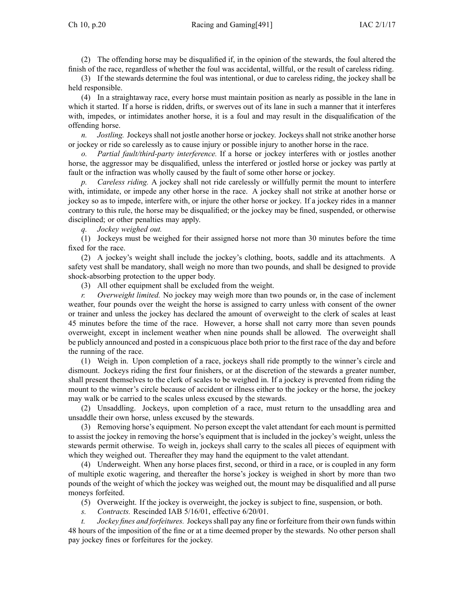(2) The offending horse may be disqualified if, in the opinion of the stewards, the foul altered the finish of the race, regardless of whether the foul was accidental, willful, or the result of careless riding.

(3) If the stewards determine the foul was intentional, or due to careless riding, the jockey shall be held responsible.

(4) In <sup>a</sup> straightaway race, every horse must maintain position as nearly as possible in the lane in which it started. If <sup>a</sup> horse is ridden, drifts, or swerves out of its lane in such <sup>a</sup> manner that it interferes with, impedes, or intimidates another horse, it is <sup>a</sup> foul and may result in the disqualification of the offending horse.

*n. Jostling.* Jockeys shall not jostle another horse or jockey. Jockeys shall not strike another horse or jockey or ride so carelessly as to cause injury or possible injury to another horse in the race.

*o. Partial fault/third-party interference.* If <sup>a</sup> horse or jockey interferes with or jostles another horse, the aggressor may be disqualified, unless the interfered or jostled horse or jockey was partly at fault or the infraction was wholly caused by the fault of some other horse or jockey.

*p. Careless riding.* A jockey shall not ride carelessly or willfully permit the mount to interfere with, intimidate, or impede any other horse in the race. A jockey shall not strike at another horse or jockey so as to impede, interfere with, or injure the other horse or jockey. If <sup>a</sup> jockey rides in <sup>a</sup> manner contrary to this rule, the horse may be disqualified; or the jockey may be fined, suspended, or otherwise disciplined; or other penalties may apply.

*q. Jockey weighed out.*

(1) Jockeys must be weighed for their assigned horse not more than 30 minutes before the time fixed for the race.

(2) A jockey's weight shall include the jockey's clothing, boots, saddle and its attachments. A safety vest shall be mandatory, shall weigh no more than two pounds, and shall be designed to provide shock-absorbing protection to the upper body.

(3) All other equipment shall be excluded from the weight.

*r. Overweight limited.* No jockey may weigh more than two pounds or, in the case of inclement weather, four pounds over the weight the horse is assigned to carry unless with consent of the owner or trainer and unless the jockey has declared the amount of overweight to the clerk of scales at least 45 minutes before the time of the race. However, <sup>a</sup> horse shall not carry more than seven pounds overweight, excep<sup>t</sup> in inclement weather when nine pounds shall be allowed. The overweight shall be publicly announced and posted in <sup>a</sup> conspicuous place both prior to the first race of the day and before the running of the race.

(1) Weigh in. Upon completion of <sup>a</sup> race, jockeys shall ride promptly to the winner's circle and dismount. Jockeys riding the first four finishers, or at the discretion of the stewards <sup>a</sup> greater number, shall presen<sup>t</sup> themselves to the clerk of scales to be weighed in. If <sup>a</sup> jockey is prevented from riding the mount to the winner's circle because of accident or illness either to the jockey or the horse, the jockey may walk or be carried to the scales unless excused by the stewards.

(2) Unsaddling. Jockeys, upon completion of <sup>a</sup> race, must return to the unsaddling area and unsaddle their own horse, unless excused by the stewards.

(3) Removing horse's equipment. No person excep<sup>t</sup> the valet attendant for each mount is permitted to assist the jockey in removing the horse's equipment that is included in the jockey's weight, unless the stewards permit otherwise. To weigh in, jockeys shall carry to the scales all pieces of equipment with which they weighed out. Thereafter they may hand the equipment to the valet attendant.

(4) Underweight. When any horse places first, second, or third in <sup>a</sup> race, or is coupled in any form of multiple exotic wagering, and thereafter the horse's jockey is weighed in short by more than two pounds of the weight of which the jockey was weighed out, the mount may be disqualified and all purse moneys forfeited.

(5) Overweight. If the jockey is overweight, the jockey is subject to fine, suspension, or both.

*s. Contracts.* Rescinded IAB [5/16/01](https://www.legis.iowa.gov/docs/aco/bulletin/05-16-2001.pdf), effective 6/20/01.

*t. Jockey fines and forfeitures.* Jockeysshall pay any fine or forfeiture from their own funds within 48 hours of the imposition of the fine or at <sup>a</sup> time deemed proper by the stewards. No other person shall pay jockey fines or forfeitures for the jockey.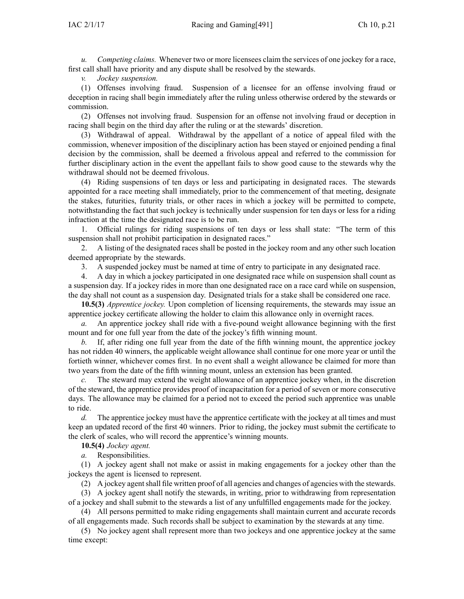*u. Competing claims.* Whenever two or more licensees claim the services of one jockey for <sup>a</sup> race, first call shall have priority and any dispute shall be resolved by the stewards.

*v. Jockey suspension.*

(1) Offenses involving fraud. Suspension of <sup>a</sup> licensee for an offense involving fraud or deception in racing shall begin immediately after the ruling unless otherwise ordered by the stewards or commission.

(2) Offenses not involving fraud. Suspension for an offense not involving fraud or deception in racing shall begin on the third day after the ruling or at the stewards' discretion.

(3) Withdrawal of appeal. Withdrawal by the appellant of <sup>a</sup> notice of appeal filed with the commission, whenever imposition of the disciplinary action has been stayed or enjoined pending <sup>a</sup> final decision by the commission, shall be deemed <sup>a</sup> frivolous appeal and referred to the commission for further disciplinary action in the event the appellant fails to show good cause to the stewards why the withdrawal should not be deemed frivolous.

(4) Riding suspensions of ten days or less and participating in designated races. The stewards appointed for <sup>a</sup> race meeting shall immediately, prior to the commencement of that meeting, designate the stakes, futurities, futurity trials, or other races in which <sup>a</sup> jockey will be permitted to compete, notwithstanding the fact that such jockey is technically under suspension for ten days or less for <sup>a</sup> riding infraction at the time the designated race is to be run.

1. Official rulings for riding suspensions of ten days or less shall state: "The term of this suspension shall not prohibit participation in designated races."

2. A listing of the designated races shall be posted in the jockey room and any other such location deemed appropriate by the stewards.

3. A suspended jockey must be named at time of entry to participate in any designated race.

4. A day in which <sup>a</sup> jockey participated in one designated race while on suspension shall count as <sup>a</sup> suspension day. If <sup>a</sup> jockey rides in more than one designated race on <sup>a</sup> race card while on suspension, the day shall not count as <sup>a</sup> suspension day. Designated trials for <sup>a</sup> stake shall be considered one race.

**10.5(3)** *Apprentice jockey.* Upon completion of licensing requirements, the stewards may issue an apprentice jockey certificate allowing the holder to claim this allowance only in overnight races.

*a.* An apprentice jockey shall ride with <sup>a</sup> five-pound weight allowance beginning with the first mount and for one full year from the date of the jockey's fifth winning mount.

*b.* If, after riding one full year from the date of the fifth winning mount, the apprentice jockey has not ridden 40 winners, the applicable weight allowance shall continue for one more year or until the fortieth winner, whichever comes first. In no event shall <sup>a</sup> weight allowance be claimed for more than two years from the date of the fifth winning mount, unless an extension has been granted.

*c.* The steward may extend the weight allowance of an apprentice jockey when, in the discretion of the steward, the apprentice provides proof of incapacitation for <sup>a</sup> period of seven or more consecutive days. The allowance may be claimed for <sup>a</sup> period not to exceed the period such apprentice was unable to ride.

*d.* The apprentice jockey must have the apprentice certificate with the jockey at all times and must keep an updated record of the first 40 winners. Prior to riding, the jockey must submit the certificate to the clerk of scales, who will record the apprentice's winning mounts.

**10.5(4)** *Jockey agent.*

*a.* Responsibilities.

(1) A jockey agen<sup>t</sup> shall not make or assist in making engagements for <sup>a</sup> jockey other than the jockeys the agen<sup>t</sup> is licensed to represent.

(2) A jockey agent shall file written proof of all agencies and changes of agencies with the stewards.

(3) A jockey agen<sup>t</sup> shall notify the stewards, in writing, prior to withdrawing from representation of <sup>a</sup> jockey and shall submit to the stewards <sup>a</sup> list of any unfulfilled engagements made for the jockey.

(4) All persons permitted to make riding engagements shall maintain current and accurate records of all engagements made. Such records shall be subject to examination by the stewards at any time.

(5) No jockey agen<sup>t</sup> shall represen<sup>t</sup> more than two jockeys and one apprentice jockey at the same time except: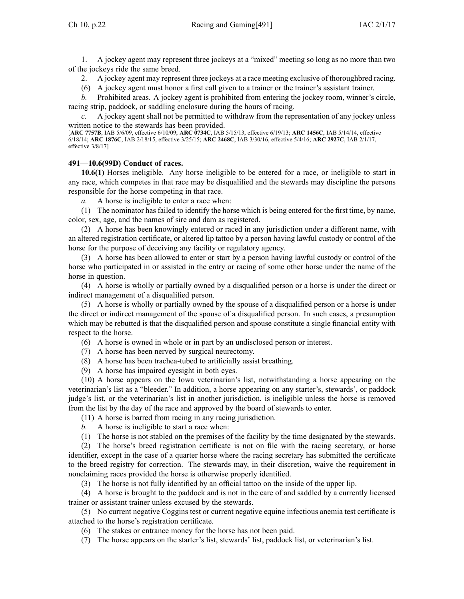1. A jockey agen<sup>t</sup> may represen<sup>t</sup> three jockeys at <sup>a</sup> "mixed" meeting so long as no more than two of the jockeys ride the same breed.

2. A jockey agen<sup>t</sup> may represen<sup>t</sup> three jockeys at <sup>a</sup> race meeting exclusive of thoroughbred racing.

(6) A jockey agen<sup>t</sup> must honor <sup>a</sup> first call given to <sup>a</sup> trainer or the trainer's assistant trainer.

*b.* Prohibited areas. A jockey agen<sup>t</sup> is prohibited from entering the jockey room, winner's circle, racing strip, paddock, or saddling enclosure during the hours of racing.

*c.* A jockey agen<sup>t</sup> shall not be permitted to withdraw from the representation of any jockey unless written notice to the stewards has been provided.

[**ARC [7757B](https://www.legis.iowa.gov/docs/aco/arc/7757B.pdf)**, IAB 5/6/09, effective 6/10/09; **ARC [0734C](https://www.legis.iowa.gov/docs/aco/arc/0734C.pdf)**, IAB 5/15/13, effective 6/19/13; **ARC [1456C](https://www.legis.iowa.gov/docs/aco/arc/1456C.pdf)**, IAB 5/14/14, effective 6/18/14; **ARC [1876C](https://www.legis.iowa.gov/docs/aco/arc/1876C.pdf)**, IAB 2/18/15, effective 3/25/15; **ARC [2468C](https://www.legis.iowa.gov/docs/aco/arc/2468C.pdf)**, IAB 3/30/16, effective 5/4/16; **ARC [2927C](https://www.legis.iowa.gov/docs/aco/arc/2927C.pdf)**, IAB 2/1/17, effective 3/8/17]

### **491—10.6(99D) Conduct of races.**

**10.6(1)** Horses ineligible. Any horse ineligible to be entered for <sup>a</sup> race, or ineligible to start in any race, which competes in that race may be disqualified and the stewards may discipline the persons responsible for the horse competing in that race.

*a.* A horse is ineligible to enter <sup>a</sup> race when:

(1) The nominator has failed to identify the horse which is being entered for the first time, by name, color, sex, age, and the names of sire and dam as registered.

(2) A horse has been knowingly entered or raced in any jurisdiction under <sup>a</sup> different name, with an altered registration certificate, or altered lip tattoo by <sup>a</sup> person having lawful custody or control of the horse for the purpose of deceiving any facility or regulatory agency.

(3) A horse has been allowed to enter or start by <sup>a</sup> person having lawful custody or control of the horse who participated in or assisted in the entry or racing of some other horse under the name of the horse in question.

(4) A horse is wholly or partially owned by <sup>a</sup> disqualified person or <sup>a</sup> horse is under the direct or indirect managemen<sup>t</sup> of <sup>a</sup> disqualified person.

(5) A horse is wholly or partially owned by the spouse of <sup>a</sup> disqualified person or <sup>a</sup> horse is under the direct or indirect managemen<sup>t</sup> of the spouse of <sup>a</sup> disqualified person. In such cases, <sup>a</sup> presumption which may be rebutted is that the disqualified person and spouse constitute <sup>a</sup> single financial entity with respec<sup>t</sup> to the horse.

- (6) A horse is owned in whole or in par<sup>t</sup> by an undisclosed person or interest.
- (7) A horse has been nerved by surgical neurectomy.
- (8) A horse has been trachea-tubed to artificially assist breathing.
- (9) A horse has impaired eyesight in both eyes.

(10) A horse appears on the Iowa veterinarian's list, notwithstanding <sup>a</sup> horse appearing on the veterinarian's list as <sup>a</sup> "bleeder." In addition, <sup>a</sup> horse appearing on any starter's, stewards', or paddock judge's list, or the veterinarian's list in another jurisdiction, is ineligible unless the horse is removed from the list by the day of the race and approved by the board of stewards to enter.

(11) A horse is barred from racing in any racing jurisdiction.

*b.* A horse is ineligible to start <sup>a</sup> race when:

(1) The horse is not stabled on the premises of the facility by the time designated by the stewards.

(2) The horse's breed registration certificate is not on file with the racing secretary, or horse identifier, excep<sup>t</sup> in the case of <sup>a</sup> quarter horse where the racing secretary has submitted the certificate to the breed registry for correction. The stewards may, in their discretion, waive the requirement in nonclaiming races provided the horse is otherwise properly identified.

(3) The horse is not fully identified by an official tattoo on the inside of the upper lip.

(4) A horse is brought to the paddock and is not in the care of and saddled by <sup>a</sup> currently licensed trainer or assistant trainer unless excused by the stewards.

(5) No current negative Coggins test or current negative equine infectious anemia test certificate is attached to the horse's registration certificate.

(6) The stakes or entrance money for the horse has not been paid.

(7) The horse appears on the starter's list, stewards' list, paddock list, or veterinarian's list.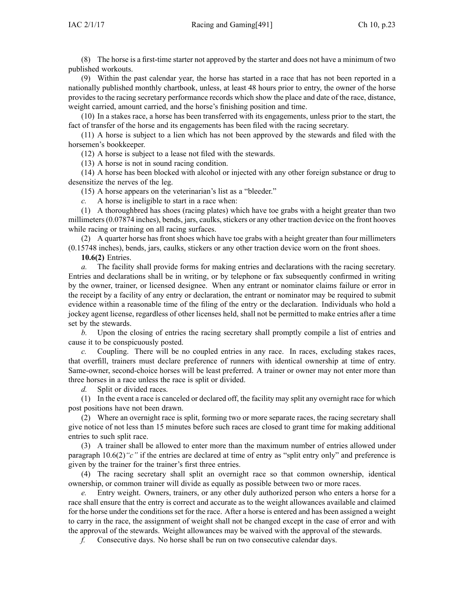(8) The horse is <sup>a</sup> first-time starter not approved by the starter and does not have <sup>a</sup> minimum of two published workouts.

(9) Within the pas<sup>t</sup> calendar year, the horse has started in <sup>a</sup> race that has not been reported in <sup>a</sup> nationally published monthly chartbook, unless, at least 48 hours prior to entry, the owner of the horse provides to the racing secretary performance records which show the place and date of the race, distance, weight carried, amount carried, and the horse's finishing position and time.

(10) In <sup>a</sup> stakes race, <sup>a</sup> horse has been transferred with its engagements, unless prior to the start, the fact of transfer of the horse and its engagements has been filed with the racing secretary.

(11) A horse is subject to <sup>a</sup> lien which has not been approved by the stewards and filed with the horsemen's bookkeeper.

(12) A horse is subject to <sup>a</sup> lease not filed with the stewards.

(13) A horse is not in sound racing condition.

(14) A horse has been blocked with alcohol or injected with any other foreign substance or drug to desensitize the nerves of the leg.

(15) A horse appears on the veterinarian's list as <sup>a</sup> "bleeder."

*c.* A horse is ineligible to start in <sup>a</sup> race when:

(1) A thoroughbred has shoes (racing plates) which have toe grabs with <sup>a</sup> height greater than two millimeters(0.07874 inches), bends, jars, caulks, stickers or any other traction device on the front hooves while racing or training on all racing surfaces.

(2) A quarter horse has front shoes which have toe grabs with <sup>a</sup> height greater than four millimeters (0.15748 inches), bends, jars, caulks, stickers or any other traction device worn on the front shoes.

**10.6(2)** Entries.

*a.* The facility shall provide forms for making entries and declarations with the racing secretary. Entries and declarations shall be in writing, or by telephone or fax subsequently confirmed in writing by the owner, trainer, or licensed designee. When any entrant or nominator claims failure or error in the receipt by <sup>a</sup> facility of any entry or declaration, the entrant or nominator may be required to submit evidence within <sup>a</sup> reasonable time of the filing of the entry or the declaration. Individuals who hold <sup>a</sup> jockey agen<sup>t</sup> license, regardless of other licenses held, shall not be permitted to make entries after <sup>a</sup> time set by the stewards.

*b.* Upon the closing of entries the racing secretary shall promptly compile <sup>a</sup> list of entries and cause it to be conspicuously posted.

*c.* Coupling. There will be no coupled entries in any race. In races, excluding stakes races, that overfill, trainers must declare preference of runners with identical ownership at time of entry. Same-owner, second-choice horses will be least preferred. A trainer or owner may not enter more than three horses in <sup>a</sup> race unless the race is split or divided.

*d.* Split or divided races.

(1) In the event <sup>a</sup> race is canceled or declared off, the facility may split any overnight race for which pos<sup>t</sup> positions have not been drawn.

(2) Where an overnight race is split, forming two or more separate races, the racing secretary shall give notice of not less than 15 minutes before such races are closed to gran<sup>t</sup> time for making additional entries to such split race.

(3) A trainer shall be allowed to enter more than the maximum number of entries allowed under paragraph [10.6\(2\)](https://www.legis.iowa.gov/docs/iac/rule/491.10.6.pdf)*"c"* if the entries are declared at time of entry as "split entry only" and preference is given by the trainer for the trainer's first three entries.

(4) The racing secretary shall split an overnight race so that common ownership, identical ownership, or common trainer will divide as equally as possible between two or more races.

Entry weight. Owners, trainers, or any other duly authorized person who enters a horse for a race shall ensure that the entry is correct and accurate as to the weight allowances available and claimed for the horse under the conditions set for the race. After <sup>a</sup> horse is entered and has been assigned <sup>a</sup> weight to carry in the race, the assignment of weight shall not be changed excep<sup>t</sup> in the case of error and with the approval of the stewards. Weight allowances may be waived with the approval of the stewards.

*f.* Consecutive days. No horse shall be run on two consecutive calendar days.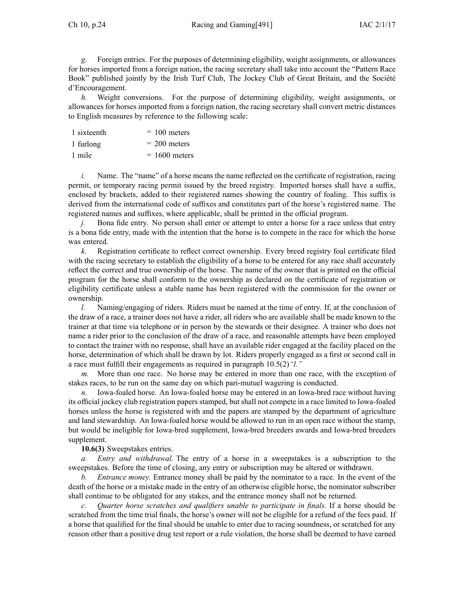*g.* Foreign entries. For the purposes of determining eligibility, weight assignments, or allowances for horses imported from <sup>a</sup> foreign nation, the racing secretary shall take into account the "Pattern Race Book" published jointly by the Irish Turf Club, The Jockey Club of Great Britain, and the Société d'Encouragement.

*h.* Weight conversions. For the purpose of determining eligibility, weight assignments, or allowances for horses imported from <sup>a</sup> foreign nation, the racing secretary shall convert metric distances to English measures by reference to the following scale:

| 1 sixteenth | $= 100$ meters  |
|-------------|-----------------|
| 1 furlong   | $= 200$ meters  |
| 1 mile      | $= 1600$ meters |

*i.* Name. The "name" of a horse means the name reflected on the certificate of registration, racing permit, or temporary racing permit issued by the breed registry. Imported horses shall have <sup>a</sup> suffix, enclosed by brackets, added to their registered names showing the country of foaling. This suffix is derived from the international code of suffixes and constitutes par<sup>t</sup> of the horse's registered name. The registered names and suffixes, where applicable, shall be printed in the official program.

*j.* Bona fide entry. No person shall enter or attempt to enter a horse for a race unless that entry is <sup>a</sup> bona fide entry, made with the intention that the horse is to compete in the race for which the horse was entered.

*k.* Registration certificate to reflect correct ownership. Every breed registry foal certificate filed with the racing secretary to establish the eligibility of <sup>a</sup> horse to be entered for any race shall accurately reflect the correct and true ownership of the horse. The name of the owner that is printed on the official program for the horse shall conform to the ownership as declared on the certificate of registration or eligibility certificate unless <sup>a</sup> stable name has been registered with the commission for the owner or ownership.

*l.* Naming/engaging of riders. Riders must be named at the time of entry. If, at the conclusion of the draw of <sup>a</sup> race, <sup>a</sup> trainer does not have <sup>a</sup> rider, all riders who are available shall be made known to the trainer at that time via telephone or in person by the stewards or their designee. A trainer who does not name <sup>a</sup> rider prior to the conclusion of the draw of <sup>a</sup> race, and reasonable attempts have been employed to contact the trainer with no response, shall have an available rider engaged at the facility placed on the horse, determination of which shall be drawn by lot. Riders properly engaged as <sup>a</sup> first or second call in <sup>a</sup> race must fulfill their engagements as required in paragraph [10.5\(2\)](https://www.legis.iowa.gov/docs/iac/rule/491.10.5.pdf)*"l."*

*m.* More than one race. No horse may be entered in more than one race, with the exception of stakes races, to be run on the same day on which pari-mutuel wagering is conducted.

*n.* Iowa-foaled horse. An Iowa-foaled horse may be entered in an Iowa-bred race without having its official jockey club registration papers stamped, but shall not compete in <sup>a</sup> race limited to Iowa-foaled horses unless the horse is registered with and the papers are stamped by the department of agriculture and land stewardship. An Iowa-foaled horse would be allowed to run in an open race without the stamp, but would be ineligible for Iowa-bred supplement, Iowa-bred breeders awards and Iowa-bred breeders supplement.

## **10.6(3)** Sweepstakes entries.

*a. Entry and withdrawal.* The entry of <sup>a</sup> horse in <sup>a</sup> sweepstakes is <sup>a</sup> subscription to the sweepstakes. Before the time of closing, any entry or subscription may be altered or withdrawn.

*b. Entrance money.* Entrance money shall be paid by the nominator to <sup>a</sup> race. In the event of the death of the horse or <sup>a</sup> mistake made in the entry of an otherwise eligible horse, the nominator subscriber shall continue to be obligated for any stakes, and the entrance money shall not be returned.

*c. Quarter horse scratches and qualifiers unable to participate in finals.* If <sup>a</sup> horse should be scratched from the time trial finals, the horse's owner will not be eligible for <sup>a</sup> refund of the fees paid. If <sup>a</sup> horse that qualified for the final should be unable to enter due to racing soundness, or scratched for any reason other than <sup>a</sup> positive drug test repor<sup>t</sup> or <sup>a</sup> rule violation, the horse shall be deemed to have earned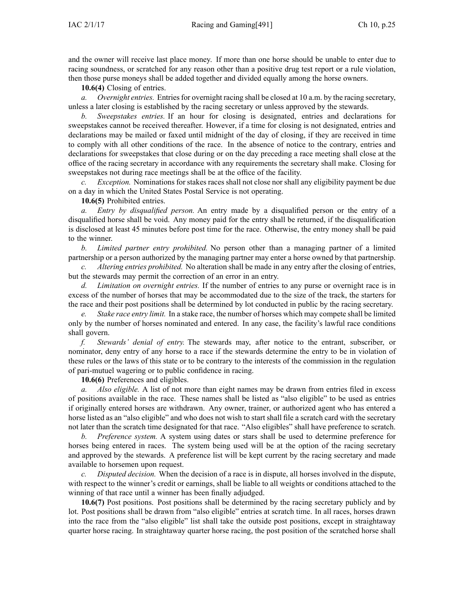and the owner will receive last place money. If more than one horse should be unable to enter due to racing soundness, or scratched for any reason other than <sup>a</sup> positive drug test repor<sup>t</sup> or <sup>a</sup> rule violation, then those purse moneys shall be added together and divided equally among the horse owners.

**10.6(4)** Closing of entries.

*a. Overnight entries.* Entries for overnight racing shall be closed at 10 a.m. by the racing secretary, unless <sup>a</sup> later closing is established by the racing secretary or unless approved by the stewards.

*b. Sweepstakes entries.* If an hour for closing is designated, entries and declarations for sweepstakes cannot be received thereafter. However, if <sup>a</sup> time for closing is not designated, entries and declarations may be mailed or faxed until midnight of the day of closing, if they are received in time to comply with all other conditions of the race. In the absence of notice to the contrary, entries and declarations for sweepstakes that close during or on the day preceding <sup>a</sup> race meeting shall close at the office of the racing secretary in accordance with any requirements the secretary shall make. Closing for sweepstakes not during race meetings shall be at the office of the facility.

*c. Exception.* Nominations for stakes races shall not close nor shall any eligibility paymen<sup>t</sup> be due on <sup>a</sup> day in which the United States Postal Service is not operating.

**10.6(5)** Prohibited entries.

*a. Entry by disqualified person.* An entry made by <sup>a</sup> disqualified person or the entry of <sup>a</sup> disqualified horse shall be void. Any money paid for the entry shall be returned, if the disqualification is disclosed at least 45 minutes before pos<sup>t</sup> time for the race. Otherwise, the entry money shall be paid to the winner.

*b. Limited partner entry prohibited.* No person other than <sup>a</sup> managing partner of <sup>a</sup> limited partnership or <sup>a</sup> person authorized by the managing partner may enter <sup>a</sup> horse owned by that partnership.

*c. Altering entries prohibited.* No alteration shall be made in any entry after the closing of entries, but the stewards may permit the correction of an error in an entry.

*d. Limitation on overnight entries.* If the number of entries to any purse or overnight race is in excess of the number of horses that may be accommodated due to the size of the track, the starters for the race and their pos<sup>t</sup> positions shall be determined by lot conducted in public by the racing secretary.

*e. Stake race entry limit.* In <sup>a</sup> stake race, the number of horses which may compete shall be limited only by the number of horses nominated and entered. In any case, the facility's lawful race conditions shall govern.

*f. Stewards' denial of entry.* The stewards may, after notice to the entrant, subscriber, or nominator, deny entry of any horse to <sup>a</sup> race if the stewards determine the entry to be in violation of these rules or the laws of this state or to be contrary to the interests of the commission in the regulation of pari-mutuel wagering or to public confidence in racing.

**10.6(6)** Preferences and eligibles.

*a. Also eligible.* A list of not more than eight names may be drawn from entries filed in excess of positions available in the race. These names shall be listed as "also eligible" to be used as entries if originally entered horses are withdrawn. Any owner, trainer, or authorized agen<sup>t</sup> who has entered <sup>a</sup> horse listed as an "also eligible" and who does not wish to start shall file a scratch card with the secretary not later than the scratch time designated for that race. "Also eligibles" shall have preference to scratch.

*b. Preference system.* A system using dates or stars shall be used to determine preference for horses being entered in races. The system being used will be at the option of the racing secretary and approved by the stewards. A preference list will be kept current by the racing secretary and made available to horsemen upon request.

*c. Disputed decision.* When the decision of <sup>a</sup> race is in dispute, all horses involved in the dispute, with respec<sup>t</sup> to the winner's credit or earnings, shall be liable to all weights or conditions attached to the winning of that race until <sup>a</sup> winner has been finally adjudged.

**10.6(7)** Post positions. Post positions shall be determined by the racing secretary publicly and by lot. Post positions shall be drawn from "also eligible" entries at scratch time. In all races, horses drawn into the race from the "also eligible" list shall take the outside pos<sup>t</sup> positions, excep<sup>t</sup> in straightaway quarter horse racing. In straightaway quarter horse racing, the pos<sup>t</sup> position of the scratched horse shall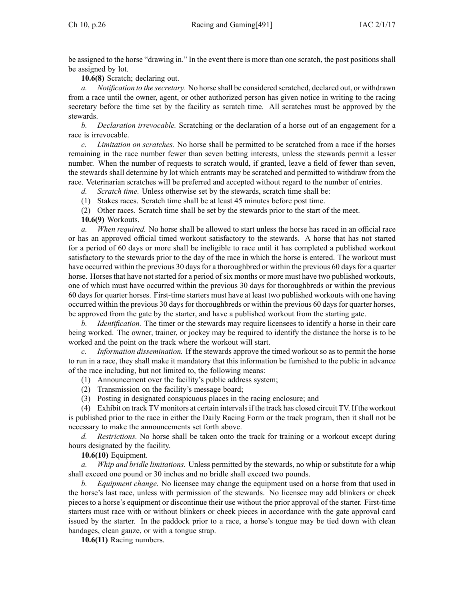be assigned to the horse "drawing in." In the event there is more than one scratch, the pos<sup>t</sup> positions shall be assigned by lot.

**10.6(8)** Scratch; declaring out.

*a. Notification to the secretary.* No horse shall be considered scratched, declared out, or withdrawn from <sup>a</sup> race until the owner, agent, or other authorized person has given notice in writing to the racing secretary before the time set by the facility as scratch time. All scratches must be approved by the stewards.

*b. Declaration irrevocable.* Scratching or the declaration of <sup>a</sup> horse out of an engagemen<sup>t</sup> for <sup>a</sup> race is irrevocable.

*c. Limitation on scratches.* No horse shall be permitted to be scratched from <sup>a</sup> race if the horses remaining in the race number fewer than seven betting interests, unless the stewards permit <sup>a</sup> lesser number. When the number of requests to scratch would, if granted, leave <sup>a</sup> field of fewer than seven, the stewards shall determine by lot which entrants may be scratched and permitted to withdraw from the race. Veterinarian scratches will be preferred and accepted without regard to the number of entries.

*d. Scratch time.* Unless otherwise set by the stewards, scratch time shall be:

(1) Stakes races. Scratch time shall be at least 45 minutes before pos<sup>t</sup> time.

(2) Other races. Scratch time shall be set by the stewards prior to the start of the meet. **10.6(9)** Workouts.

*a. When required.* No horse shall be allowed to start unless the horse has raced in an official race or has an approved official timed workout satisfactory to the stewards. A horse that has not started for <sup>a</sup> period of 60 days or more shall be ineligible to race until it has completed <sup>a</sup> published workout satisfactory to the stewards prior to the day of the race in which the horse is entered. The workout must have occurred within the previous 30 days for <sup>a</sup> thoroughbred or within the previous 60 days for <sup>a</sup> quarter horse. Horses that have not started for a period of six months or more must have two published workouts, one of which must have occurred within the previous 30 days for thoroughbreds or within the previous 60 days for quarter horses. First-time starters must have at least two published workouts with one having occurred within the previous 30 days for thoroughbreds or within the previous 60 days for quarter horses, be approved from the gate by the starter, and have <sup>a</sup> published workout from the starting gate.

*b. Identification.* The timer or the stewards may require licensees to identify <sup>a</sup> horse in their care being worked. The owner, trainer, or jockey may be required to identify the distance the horse is to be worked and the point on the track where the workout will start.

*c. Information dissemination.* If the stewards approve the timed workout so as to permit the horse to run in <sup>a</sup> race, they shall make it mandatory that this information be furnished to the public in advance of the race including, but not limited to, the following means:

(1) Announcement over the facility's public address system;

- (2) Transmission on the facility's message board;
- (3) Posting in designated conspicuous places in the racing enclosure; and

(4) Exhibit on track TV monitors at certain intervalsif the track has closed circuit TV. If the workout is published prior to the race in either the Daily Racing Form or the track program, then it shall not be necessary to make the announcements set forth above.

*d. Restrictions.* No horse shall be taken onto the track for training or <sup>a</sup> workout excep<sup>t</sup> during hours designated by the facility.

**10.6(10)** Equipment.

*a. Whip and bridle limitations.* Unless permitted by the stewards, no whip or substitute for <sup>a</sup> whip shall exceed one pound or 30 inches and no bridle shall exceed two pounds.

*b. Equipment change.* No licensee may change the equipment used on <sup>a</sup> horse from that used in the horse's last race, unless with permission of the stewards. No licensee may add blinkers or cheek pieces to <sup>a</sup> horse's equipment or discontinue their use without the prior approval of the starter. First-time starters must race with or without blinkers or cheek pieces in accordance with the gate approval card issued by the starter. In the paddock prior to <sup>a</sup> race, <sup>a</sup> horse's tongue may be tied down with clean bandages, clean gauze, or with <sup>a</sup> tongue strap.

**10.6(11)** Racing numbers.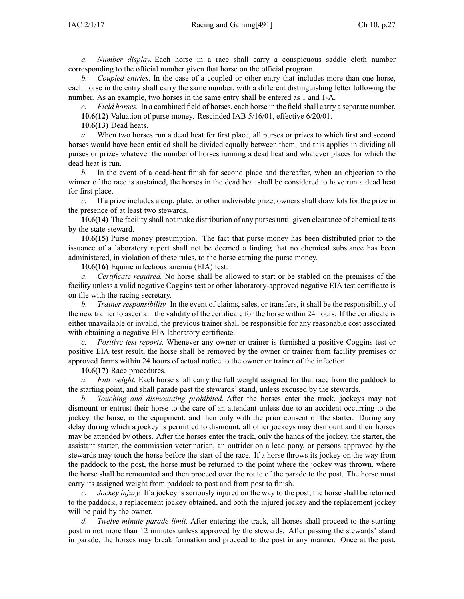*a. Number display.* Each horse in <sup>a</sup> race shall carry <sup>a</sup> conspicuous saddle cloth number corresponding to the official number given that horse on the official program.

*b. Coupled entries.* In the case of <sup>a</sup> coupled or other entry that includes more than one horse, each horse in the entry shall carry the same number, with <sup>a</sup> different distinguishing letter following the number. As an example, two horses in the same entry shall be entered as 1 and 1-A.

*c. Field horses.* In <sup>a</sup> combined field of horses, each horse in the field shall carry <sup>a</sup> separate number. **10.6(12)** Valuation of purse money. Rescinded IAB [5/16/01](https://www.legis.iowa.gov/docs/aco/bulletin/05-16-2001.pdf), effective 6/20/01.

**10.6(13)** Dead heats.

*a.* When two horses run <sup>a</sup> dead heat for first place, all purses or prizes to which first and second horses would have been entitled shall be divided equally between them; and this applies in dividing all purses or prizes whatever the number of horses running <sup>a</sup> dead heat and whatever places for which the dead heat is run.

*b.* In the event of <sup>a</sup> dead-heat finish for second place and thereafter, when an objection to the winner of the race is sustained, the horses in the dead heat shall be considered to have run <sup>a</sup> dead heat for first place.

*c.* If <sup>a</sup> prize includes <sup>a</sup> cup, plate, or other indivisible prize, owners shall draw lots for the prize in the presence of at least two stewards.

**10.6(14)** The facility shall not make distribution of any purses until given clearance of chemical tests by the state steward.

**10.6(15)** Purse money presumption. The fact that purse money has been distributed prior to the issuance of <sup>a</sup> laboratory repor<sup>t</sup> shall not be deemed <sup>a</sup> finding that no chemical substance has been administered, in violation of these rules, to the horse earning the purse money.

**10.6(16)** Equine infectious anemia (EIA) test.

*a. Certificate required.* No horse shall be allowed to start or be stabled on the premises of the facility unless <sup>a</sup> valid negative Coggins test or other laboratory-approved negative EIA test certificate is on file with the racing secretary.

*b. Trainer responsibility.* In the event of claims, sales, or transfers, it shall be the responsibility of the new trainer to ascertain the validity of the certificate for the horse within 24 hours. If the certificate is either unavailable or invalid, the previous trainer shall be responsible for any reasonable cost associated with obtaining <sup>a</sup> negative EIA laboratory certificate.

*c. Positive test reports.* Whenever any owner or trainer is furnished <sup>a</sup> positive Coggins test or positive EIA test result, the horse shall be removed by the owner or trainer from facility premises or approved farms within 24 hours of actual notice to the owner or trainer of the infection.

**10.6(17)** Race procedures.

*a. Full weight.* Each horse shall carry the full weight assigned for that race from the paddock to the starting point, and shall parade pas<sup>t</sup> the stewards' stand, unless excused by the stewards.

*b. Touching and dismounting prohibited.* After the horses enter the track, jockeys may not dismount or entrust their horse to the care of an attendant unless due to an accident occurring to the jockey, the horse, or the equipment, and then only with the prior consent of the starter. During any delay during which <sup>a</sup> jockey is permitted to dismount, all other jockeys may dismount and their horses may be attended by others. After the horses enter the track, only the hands of the jockey, the starter, the assistant starter, the commission veterinarian, an outrider on <sup>a</sup> lead pony, or persons approved by the stewards may touch the horse before the start of the race. If <sup>a</sup> horse throws its jockey on the way from the paddock to the post, the horse must be returned to the point where the jockey was thrown, where the horse shall be remounted and then proceed over the route of the parade to the post. The horse must carry its assigned weight from paddock to pos<sup>t</sup> and from pos<sup>t</sup> to finish.

*c. Jockey injury.* If <sup>a</sup> jockey is seriously injured on the way to the post, the horse shall be returned to the paddock, <sup>a</sup> replacement jockey obtained, and both the injured jockey and the replacement jockey will be paid by the owner.

*d. Twelve-minute parade limit.* After entering the track, all horses shall proceed to the starting pos<sup>t</sup> in not more than 12 minutes unless approved by the stewards. After passing the stewards' stand in parade, the horses may break formation and proceed to the pos<sup>t</sup> in any manner. Once at the post,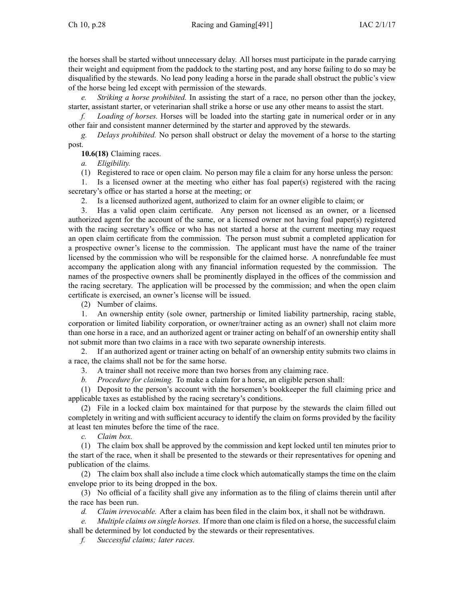the horses shall be started without unnecessary delay. All horses must participate in the parade carrying their weight and equipment from the paddock to the starting post, and any horse failing to do so may be disqualified by the stewards. No lead pony leading <sup>a</sup> horse in the parade shall obstruct the public's view of the horse being led excep<sup>t</sup> with permission of the stewards.

*e. Striking <sup>a</sup> horse prohibited.* In assisting the start of <sup>a</sup> race, no person other than the jockey, starter, assistant starter, or veterinarian shall strike <sup>a</sup> horse or use any other means to assist the start.

*f. Loading of horses.* Horses will be loaded into the starting gate in numerical order or in any other fair and consistent manner determined by the starter and approved by the stewards.

*g. Delays prohibited.* No person shall obstruct or delay the movement of <sup>a</sup> horse to the starting post.

**10.6(18)** Claiming races.

*a. Eligibility.*

(1) Registered to race or open claim. No person may file <sup>a</sup> claim for any horse unless the person:

1. Is <sup>a</sup> licensed owner at the meeting who either has foal paper(s) registered with the racing secretary's office or has started <sup>a</sup> horse at the meeting; or

2. Is <sup>a</sup> licensed authorized agent, authorized to claim for an owner eligible to claim; or

3. Has <sup>a</sup> valid open claim certificate. Any person not licensed as an owner, or <sup>a</sup> licensed authorized agen<sup>t</sup> for the account of the same, or <sup>a</sup> licensed owner not having foal paper(s) registered with the racing secretary's office or who has not started a horse at the current meeting may request an open claim certificate from the commission. The person must submit <sup>a</sup> completed application for <sup>a</sup> prospective owner's license to the commission. The applicant must have the name of the trainer licensed by the commission who will be responsible for the claimed horse. A nonrefundable fee must accompany the application along with any financial information requested by the commission. The names of the prospective owners shall be prominently displayed in the offices of the commission and the racing secretary. The application will be processed by the commission; and when the open claim certificate is exercised, an owner's license will be issued.

(2) Number of claims.

1. An ownership entity (sole owner, partnership or limited liability partnership, racing stable, corporation or limited liability corporation, or owner/trainer acting as an owner) shall not claim more than one horse in <sup>a</sup> race, and an authorized agen<sup>t</sup> or trainer acting on behalf of an ownership entity shall not submit more than two claims in <sup>a</sup> race with two separate ownership interests.

2. If an authorized agen<sup>t</sup> or trainer acting on behalf of an ownership entity submits two claims in <sup>a</sup> race, the claims shall not be for the same horse.

3. A trainer shall not receive more than two horses from any claiming race.

*b. Procedure for claiming.* To make <sup>a</sup> claim for <sup>a</sup> horse, an eligible person shall:

(1) Deposit to the person's account with the horsemen's bookkeeper the full claiming price and applicable taxes as established by the racing secretary's conditions.

(2) File in <sup>a</sup> locked claim box maintained for that purpose by the stewards the claim filled out completely in writing and with sufficient accuracy to identify the claim on forms provided by the facility at least ten minutes before the time of the race.

*c. Claim box.*

(1) The claim box shall be approved by the commission and kept locked until ten minutes prior to the start of the race, when it shall be presented to the stewards or their representatives for opening and publication of the claims.

(2) The claim box shall also include <sup>a</sup> time clock which automatically stamps the time on the claim envelope prior to its being dropped in the box.

(3) No official of <sup>a</sup> facility shall give any information as to the filing of claims therein until after the race has been run.

*d. Claim irrevocable.* After <sup>a</sup> claim has been filed in the claim box, it shall not be withdrawn.

*e. Multiple claims on single horses.* If more than one claim is filed on <sup>a</sup> horse, the successful claim shall be determined by lot conducted by the stewards or their representatives.

*f. Successful claims; later races.*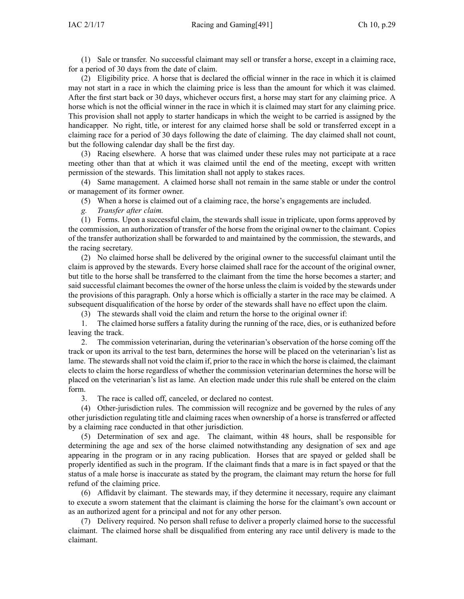(1) Sale or transfer. No successful claimant may sell or transfer <sup>a</sup> horse, excep<sup>t</sup> in <sup>a</sup> claiming race, for <sup>a</sup> period of 30 days from the date of claim.

(2) Eligibility price. A horse that is declared the official winner in the race in which it is claimed may not start in <sup>a</sup> race in which the claiming price is less than the amount for which it was claimed. After the first start back or 30 days, whichever occurs first, <sup>a</sup> horse may start for any claiming price. A horse which is not the official winner in the race in which it is claimed may start for any claiming price. This provision shall not apply to starter handicaps in which the weight to be carried is assigned by the handicapper. No right, title, or interest for any claimed horse shall be sold or transferred excep<sup>t</sup> in <sup>a</sup> claiming race for <sup>a</sup> period of 30 days following the date of claiming. The day claimed shall not count, but the following calendar day shall be the first day.

(3) Racing elsewhere. A horse that was claimed under these rules may not participate at <sup>a</sup> race meeting other than that at which it was claimed until the end of the meeting, excep<sup>t</sup> with written permission of the stewards. This limitation shall not apply to stakes races.

(4) Same management. A claimed horse shall not remain in the same stable or under the control or managemen<sup>t</sup> of its former owner.

- (5) When <sup>a</sup> horse is claimed out of <sup>a</sup> claiming race, the horse's engagements are included.
- *g. Transfer after claim.*

(1) Forms. Upon <sup>a</sup> successful claim, the stewards shall issue in triplicate, upon forms approved by the commission, an authorization of transfer of the horse from the original owner to the claimant. Copies of the transfer authorization shall be forwarded to and maintained by the commission, the stewards, and the racing secretary.

(2) No claimed horse shall be delivered by the original owner to the successful claimant until the claim is approved by the stewards. Every horse claimed shall race for the account of the original owner, but title to the horse shall be transferred to the claimant from the time the horse becomes <sup>a</sup> starter; and said successful claimant becomes the owner of the horse unless the claim is voided by the stewards under the provisions of this paragraph. Only <sup>a</sup> horse which is officially <sup>a</sup> starter in the race may be claimed. A subsequent disqualification of the horse by order of the stewards shall have no effect upon the claim.

(3) The stewards shall void the claim and return the horse to the original owner if:

1. The claimed horse suffers <sup>a</sup> fatality during the running of the race, dies, or is euthanized before leaving the track.

2. The commission veterinarian, during the veterinarian's observation of the horse coming off the track or upon its arrival to the test barn, determines the horse will be placed on the veterinarian's list as lame. The stewards shall not void the claim if, prior to the race in which the horse is claimed, the claimant elects to claim the horse regardless of whether the commission veterinarian determines the horse will be placed on the veterinarian's list as lame. An election made under this rule shall be entered on the claim form.

3. The race is called off, canceled, or declared no contest.

(4) Other-jurisdiction rules. The commission will recognize and be governed by the rules of any other jurisdiction regulating title and claiming races when ownership of <sup>a</sup> horse is transferred or affected by <sup>a</sup> claiming race conducted in that other jurisdiction.

(5) Determination of sex and age. The claimant, within 48 hours, shall be responsible for determining the age and sex of the horse claimed notwithstanding any designation of sex and age appearing in the program or in any racing publication. Horses that are spayed or gelded shall be properly identified as such in the program. If the claimant finds that <sup>a</sup> mare is in fact spayed or that the status of <sup>a</sup> male horse is inaccurate as stated by the program, the claimant may return the horse for full refund of the claiming price.

(6) Affidavit by claimant. The stewards may, if they determine it necessary, require any claimant to execute <sup>a</sup> sworn statement that the claimant is claiming the horse for the claimant's own account or as an authorized agen<sup>t</sup> for <sup>a</sup> principal and not for any other person.

(7) Delivery required. No person shall refuse to deliver <sup>a</sup> properly claimed horse to the successful claimant. The claimed horse shall be disqualified from entering any race until delivery is made to the claimant.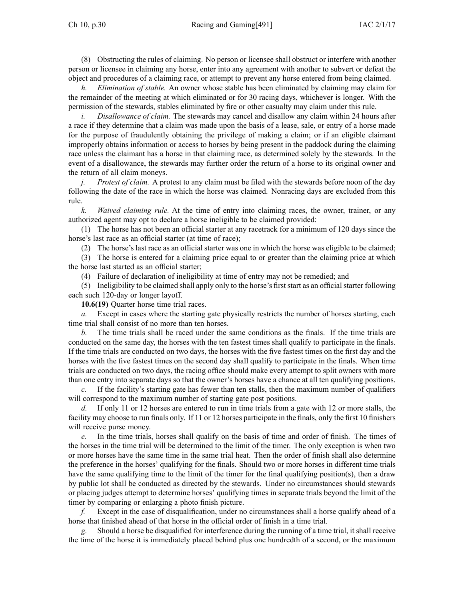(8) Obstructing the rules of claiming. No person or licensee shall obstruct or interfere with another person or licensee in claiming any horse, enter into any agreemen<sup>t</sup> with another to subvert or defeat the object and procedures of <sup>a</sup> claiming race, or attempt to preven<sup>t</sup> any horse entered from being claimed.

*h. Elimination of stable.* An owner whose stable has been eliminated by claiming may claim for the remainder of the meeting at which eliminated or for 30 racing days, whichever is longer. With the permission of the stewards, stables eliminated by fire or other casualty may claim under this rule.

*i. Disallowance of claim.* The stewards may cancel and disallow any claim within 24 hours after <sup>a</sup> race if they determine that <sup>a</sup> claim was made upon the basis of <sup>a</sup> lease, sale, or entry of <sup>a</sup> horse made for the purpose of fraudulently obtaining the privilege of making <sup>a</sup> claim; or if an eligible claimant improperly obtains information or access to horses by being presen<sup>t</sup> in the paddock during the claiming race unless the claimant has <sup>a</sup> horse in that claiming race, as determined solely by the stewards. In the event of <sup>a</sup> disallowance, the stewards may further order the return of <sup>a</sup> horse to its original owner and the return of all claim moneys.

*j. Protest of claim.* A protest to any claim must be filed with the stewards before noon of the day following the date of the race in which the horse was claimed. Nonracing days are excluded from this rule.

*k. Waived claiming rule.* At the time of entry into claiming races, the owner, trainer, or any authorized agen<sup>t</sup> may op<sup>t</sup> to declare <sup>a</sup> horse ineligible to be claimed provided:

(1) The horse has not been an official starter at any racetrack for <sup>a</sup> minimum of 120 days since the horse's last race as an official starter (at time of race);

(2) The horse's last race as an official starter was one in which the horse was eligible to be claimed;

(3) The horse is entered for <sup>a</sup> claiming price equal to or greater than the claiming price at which the horse last started as an official starter;

(4) Failure of declaration of ineligibility at time of entry may not be remedied; and

(5) Ineligibility to be claimed shall apply only to the horse's first start as an official starter following each such 120-day or longer layoff.

**10.6(19)** Quarter horse time trial races.

*a.* Except in cases where the starting gate physically restricts the number of horses starting, each time trial shall consist of no more than ten horses.

*b.* The time trials shall be raced under the same conditions as the finals. If the time trials are conducted on the same day, the horses with the ten fastest times shall qualify to participate in the finals. If the time trials are conducted on two days, the horses with the five fastest times on the first day and the horses with the five fastest times on the second day shall qualify to participate in the finals. When time trials are conducted on two days, the racing office should make every attempt to split owners with more than one entry into separate days so that the owner's horses have <sup>a</sup> chance at all ten qualifying positions.

*c.* If the facility's starting gate has fewer than ten stalls, then the maximum number of qualifiers will correspond to the maximum number of starting gate post positions.

*d.* If only 11 or 12 horses are entered to run in time trials from <sup>a</sup> gate with 12 or more stalls, the facility may choose to run finals only. If 11 or 12 horses participate in the finals, only the first 10 finishers will receive purse money.

*e.* In the time trials, horses shall qualify on the basis of time and order of finish. The times of the horses in the time trial will be determined to the limit of the timer. The only exception is when two or more horses have the same time in the same trial heat. Then the order of finish shall also determine the preference in the horses' qualifying for the finals. Should two or more horses in different time trials have the same qualifying time to the limit of the timer for the final qualifying position(s), then <sup>a</sup> draw by public lot shall be conducted as directed by the stewards. Under no circumstances should stewards or placing judges attempt to determine horses' qualifying times in separate trials beyond the limit of the timer by comparing or enlarging <sup>a</sup> photo finish picture.

*f.* Except in the case of disqualification, under no circumstances shall <sup>a</sup> horse qualify ahead of <sup>a</sup> horse that finished ahead of that horse in the official order of finish in <sup>a</sup> time trial.

Should a horse be disqualified for interference during the running of a time trial, it shall receive the time of the horse it is immediately placed behind plus one hundredth of <sup>a</sup> second, or the maximum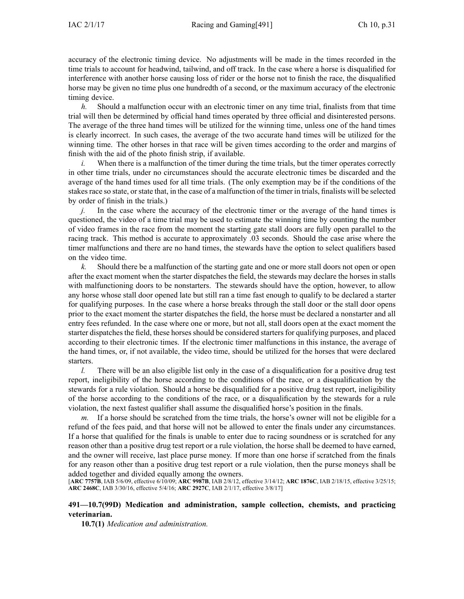accuracy of the electronic timing device. No adjustments will be made in the times recorded in the time trials to account for headwind, tailwind, and off track. In the case where <sup>a</sup> horse is disqualified for interference with another horse causing loss of rider or the horse not to finish the race, the disqualified horse may be given no time plus one hundredth of <sup>a</sup> second, or the maximum accuracy of the electronic timing device.

*h.* Should <sup>a</sup> malfunction occur with an electronic timer on any time trial, finalists from that time trial will then be determined by official hand times operated by three official and disinterested persons. The average of the three hand times will be utilized for the winning time, unless one of the hand times is clearly incorrect. In such cases, the average of the two accurate hand times will be utilized for the winning time. The other horses in that race will be given times according to the order and margins of finish with the aid of the photo finish strip, if available.

*i.* When there is a malfunction of the timer during the time trials, but the timer operates correctly in other time trials, under no circumstances should the accurate electronic times be discarded and the average of the hand times used for all time trials. (The only exemption may be if the conditions of the stakes race so state, or state that, in the case of a malfunction of the timer in trials, finalists will be selected by order of finish in the trials.)

*j.* In the case where the accuracy of the electronic timer or the average of the hand times is questioned, the video of <sup>a</sup> time trial may be used to estimate the winning time by counting the number of video frames in the race from the moment the starting gate stall doors are fully open parallel to the racing track. This method is accurate to approximately .03 seconds. Should the case arise where the timer malfunctions and there are no hand times, the stewards have the option to select qualifiers based on the video time.

*k.* Should there be <sup>a</sup> malfunction of the starting gate and one or more stall doors not open or open after the exact moment when the starter dispatches the field, the stewards may declare the horses in stalls with malfunctioning doors to be nonstarters. The stewards should have the option, however, to allow any horse whose stall door opened late but still ran <sup>a</sup> time fast enough to qualify to be declared <sup>a</sup> starter for qualifying purposes. In the case where <sup>a</sup> horse breaks through the stall door or the stall door opens prior to the exact moment the starter dispatches the field, the horse must be declared <sup>a</sup> nonstarter and all entry fees refunded. In the case where one or more, but not all, stall doors open at the exact moment the starter dispatches the field, these horses should be considered starters for qualifying purposes, and placed according to their electronic times. If the electronic timer malfunctions in this instance, the average of the hand times, or, if not available, the video time, should be utilized for the horses that were declared starters.

*l.* There will be an also eligible list only in the case of a disqualification for a positive drug test report, ineligibility of the horse according to the conditions of the race, or <sup>a</sup> disqualification by the stewards for <sup>a</sup> rule violation. Should <sup>a</sup> horse be disqualified for <sup>a</sup> positive drug test report, ineligibility of the horse according to the conditions of the race, or <sup>a</sup> disqualification by the stewards for <sup>a</sup> rule violation, the next fastest qualifier shall assume the disqualified horse's position in the finals.

*m.* If <sup>a</sup> horse should be scratched from the time trials, the horse's owner will not be eligible for <sup>a</sup> refund of the fees paid, and that horse will not be allowed to enter the finals under any circumstances. If <sup>a</sup> horse that qualified for the finals is unable to enter due to racing soundness or is scratched for any reason other than <sup>a</sup> positive drug test repor<sup>t</sup> or <sup>a</sup> rule violation, the horse shall be deemed to have earned, and the owner will receive, last place purse money. If more than one horse if scratched from the finals for any reason other than <sup>a</sup> positive drug test repor<sup>t</sup> or <sup>a</sup> rule violation, then the purse moneys shall be added together and divided equally among the owners.

[**ARC [7757B](https://www.legis.iowa.gov/docs/aco/arc/7757B.pdf)**, IAB 5/6/09, effective 6/10/09; **ARC [9987B](https://www.legis.iowa.gov/docs/aco/arc/9987B.pdf)**, IAB 2/8/12, effective 3/14/12; **ARC [1876C](https://www.legis.iowa.gov/docs/aco/arc/1876C.pdf)**, IAB 2/18/15, effective 3/25/15; **ARC [2468C](https://www.legis.iowa.gov/docs/aco/arc/2468C.pdf)**, IAB 3/30/16, effective 5/4/16; **ARC [2927C](https://www.legis.iowa.gov/docs/aco/arc/2927C.pdf)**, IAB 2/1/17, effective 3/8/17]

# **491—10.7(99D) Medication and administration, sample collection, chemists, and practicing veterinarian.**

**10.7(1)** *Medication and administration.*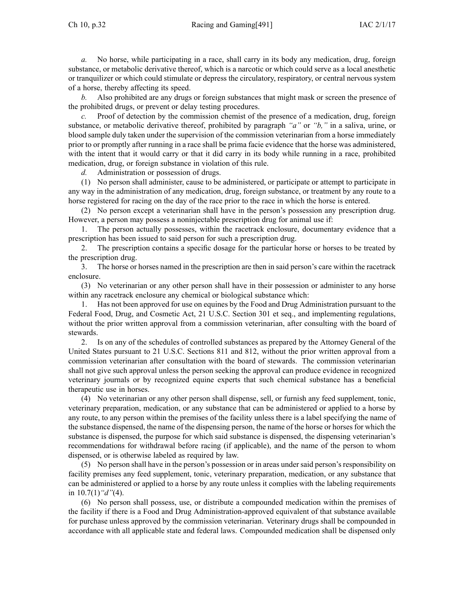*a.* No horse, while participating in <sup>a</sup> race, shall carry in its body any medication, drug, foreign substance, or metabolic derivative thereof, which is <sup>a</sup> narcotic or which could serve as <sup>a</sup> local anesthetic or tranquilizer or which could stimulate or depress the circulatory, respiratory, or central nervous system of <sup>a</sup> horse, thereby affecting its speed.

*b.* Also prohibited are any drugs or foreign substances that might mask or screen the presence of the prohibited drugs, or preven<sup>t</sup> or delay testing procedures.

*c.* Proof of detection by the commission chemist of the presence of <sup>a</sup> medication, drug, foreign substance, or metabolic derivative thereof, prohibited by paragraph *"a"* or *"b,"* in <sup>a</sup> saliva, urine, or blood sample duly taken under the supervision of the commission veterinarian from <sup>a</sup> horse immediately prior to or promptly after running in <sup>a</sup> race shall be prima facie evidence that the horse was administered, with the intent that it would carry or that it did carry in its body while running in <sup>a</sup> race, prohibited medication, drug, or foreign substance in violation of this rule.

*d.* Administration or possession of drugs.

(1) No person shall administer, cause to be administered, or participate or attempt to participate in any way in the administration of any medication, drug, foreign substance, or treatment by any route to <sup>a</sup> horse registered for racing on the day of the race prior to the race in which the horse is entered.

(2) No person excep<sup>t</sup> <sup>a</sup> veterinarian shall have in the person's possession any prescription drug. However, <sup>a</sup> person may possess <sup>a</sup> noninjectable prescription drug for animal use if:

1. The person actually possesses, within the racetrack enclosure, documentary evidence that <sup>a</sup> prescription has been issued to said person for such <sup>a</sup> prescription drug.

2. The prescription contains <sup>a</sup> specific dosage for the particular horse or horses to be treated by the prescription drug.

3. The horse or horses named in the prescription are then in said person's care within the racetrack enclosure.

(3) No veterinarian or any other person shall have in their possession or administer to any horse within any racetrack enclosure any chemical or biological substance which:

1. Has not been approved for use on equines by the Food and Drug Administration pursuan<sup>t</sup> to the Federal Food, Drug, and Cosmetic Act, 21 U.S.C. Section 301 et seq., and implementing regulations, without the prior written approval from <sup>a</sup> commission veterinarian, after consulting with the board of stewards.

2. Is on any of the schedules of controlled substances as prepared by the Attorney General of the United States pursuan<sup>t</sup> to 21 U.S.C. Sections 811 and 812, without the prior written approval from <sup>a</sup> commission veterinarian after consultation with the board of stewards. The commission veterinarian shall not give such approval unless the person seeking the approval can produce evidence in recognized veterinary journals or by recognized equine experts that such chemical substance has <sup>a</sup> beneficial therapeutic use in horses.

(4) No veterinarian or any other person shall dispense, sell, or furnish any feed supplement, tonic, veterinary preparation, medication, or any substance that can be administered or applied to <sup>a</sup> horse by any route, to any person within the premises of the facility unless there is <sup>a</sup> label specifying the name of the substance dispensed, the name of the dispensing person, the name of the horse or horses for which the substance is dispensed, the purpose for which said substance is dispensed, the dispensing veterinarian's recommendations for withdrawal before racing (if applicable), and the name of the person to whom dispensed, or is otherwise labeled as required by law.

(5) No person shall have in the person's possession or in areas under said person's responsibility on facility premises any feed supplement, tonic, veterinary preparation, medication, or any substance that can be administered or applied to <sup>a</sup> horse by any route unless it complies with the labeling requirements in [10.7\(1\)](https://www.legis.iowa.gov/docs/iac/rule/491.10.7.pdf)*"d"*(4).

(6) No person shall possess, use, or distribute <sup>a</sup> compounded medication within the premises of the facility if there is <sup>a</sup> Food and Drug Administration-approved equivalent of that substance available for purchase unless approved by the commission veterinarian. Veterinary drugs shall be compounded in accordance with all applicable state and federal laws. Compounded medication shall be dispensed only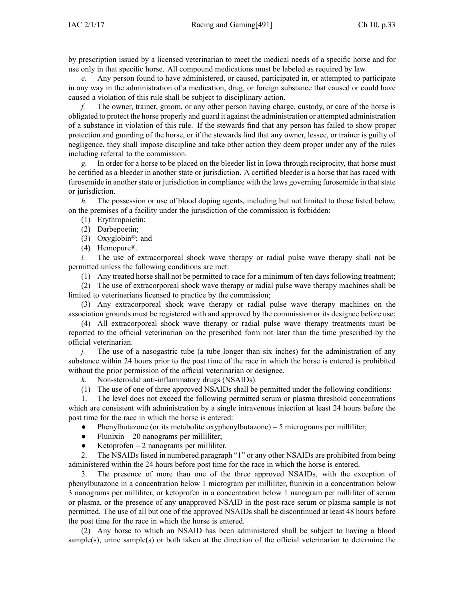by prescription issued by <sup>a</sup> licensed veterinarian to meet the medical needs of <sup>a</sup> specific horse and for use only in that specific horse. All compound medications must be labeled as required by law.

Any person found to have administered, or caused, participated in, or attempted to participate in any way in the administration of <sup>a</sup> medication, drug, or foreign substance that caused or could have caused <sup>a</sup> violation of this rule shall be subject to disciplinary action.

*f.* The owner, trainer, groom, or any other person having charge, custody, or care of the horse is obligated to protect the horse properly and guard it against the administration or attempted administration of <sup>a</sup> substance in violation of this rule. If the stewards find that any person has failed to show proper protection and guarding of the horse, or if the stewards find that any owner, lessee, or trainer is guilty of negligence, they shall impose discipline and take other action they deem proper under any of the rules including referral to the commission.

*g.* In order for <sup>a</sup> horse to be placed on the bleeder list in Iowa through reciprocity, that horse must be certified as <sup>a</sup> bleeder in another state or jurisdiction. A certified bleeder is <sup>a</sup> horse that has raced with furosemide in another state or jurisdiction in compliance with the laws governing furosemide in that state or jurisdiction.

*h.* The possession or use of blood doping agents, including but not limited to those listed below, on the premises of <sup>a</sup> facility under the jurisdiction of the commission is forbidden:

- (1) Erythropoietin;
- (2) Darbepoetin;
- (3) Oxyglobin®; and
- (4) Hemopure®.

*i.* The use of extracorporeal shock wave therapy or radial pulse wave therapy shall not be permitted unless the following conditions are met:

(1) Any treated horse shall not be permitted to race for <sup>a</sup> minimum of ten days following treatment;

(2) The use of extracorporeal shock wave therapy or radial pulse wave therapy machines shall be limited to veterinarians licensed to practice by the commission;

(3) Any extracorporeal shock wave therapy or radial pulse wave therapy machines on the association grounds must be registered with and approved by the commission or its designee before use;

(4) All extracorporeal shock wave therapy or radial pulse wave therapy treatments must be reported to the official veterinarian on the prescribed form not later than the time prescribed by the official veterinarian.

*j.* The use of a nasogastric tube (a tube longer than six inches) for the administration of any substance within 24 hours prior to the pos<sup>t</sup> time of the race in which the horse is entered is prohibited without the prior permission of the official veterinarian or designee.

*k.* Non-steroidal anti-inflammatory drugs (NSAIDs).

(1) The use of one of three approved NSAIDs shall be permitted under the following conditions:

1. The level does not exceed the following permitted serum or plasma threshold concentrations which are consistent with administration by <sup>a</sup> single intravenous injection at least 24 hours before the pos<sup>t</sup> time for the race in which the horse is entered:

●Phenylbutazone (or its metabolite oxyphenylbutazone) – 5 micrograms per milliliter;

- $\bullet$ Flunixin – 20 nanograms per milliliter;
- $\bullet$ Ketoprofen – 2 nanograms per milliliter.

2. The NSAIDs listed in numbered paragraph "1" or any other NSAIDs are prohibited from being administered within the 24 hours before pos<sup>t</sup> time for the race in which the horse is entered.

3. The presence of more than one of the three approved NSAIDs, with the exception of phenylbutazone in <sup>a</sup> concentration below 1 microgram per milliliter, flunixin in <sup>a</sup> concentration below 3 nanograms per milliliter, or ketoprofen in <sup>a</sup> concentration below 1 nanogram per milliliter of serum or plasma, or the presence of any unapproved NSAID in the post-race serum or plasma sample is not permitted. The use of all but one of the approved NSAIDs shall be discontinued at least 48 hours before the pos<sup>t</sup> time for the race in which the horse is entered.

(2) Any horse to which an NSAID has been administered shall be subject to having <sup>a</sup> blood sample(s), urine sample(s) or both taken at the direction of the official veterinarian to determine the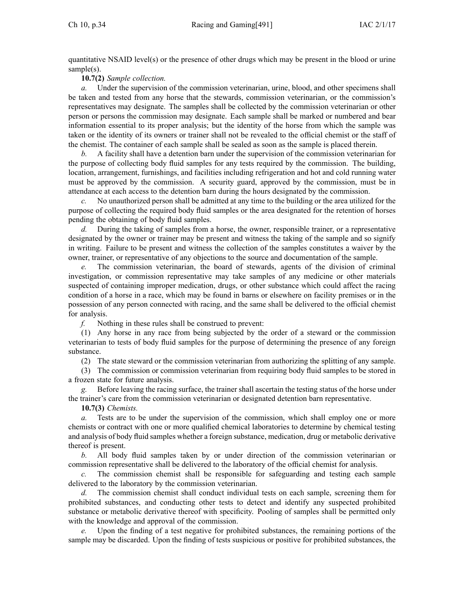quantitative NSAID level(s) or the presence of other drugs which may be presen<sup>t</sup> in the blood or urine sample(s).

**10.7(2)** *Sample collection.*

*a.* Under the supervision of the commission veterinarian, urine, blood, and other specimens shall be taken and tested from any horse that the stewards, commission veterinarian, or the commission's representatives may designate. The samples shall be collected by the commission veterinarian or other person or persons the commission may designate. Each sample shall be marked or numbered and bear information essential to its proper analysis; but the identity of the horse from which the sample was taken or the identity of its owners or trainer shall not be revealed to the official chemist or the staff of the chemist. The container of each sample shall be sealed as soon as the sample is placed therein.

*b.* A facility shall have <sup>a</sup> detention barn under the supervision of the commission veterinarian for the purpose of collecting body fluid samples for any tests required by the commission. The building, location, arrangement, furnishings, and facilities including refrigeration and hot and cold running water must be approved by the commission. A security guard, approved by the commission, must be in attendance at each access to the detention barn during the hours designated by the commission.

*c.* No unauthorized person shall be admitted at any time to the building or the area utilized for the purpose of collecting the required body fluid samples or the area designated for the retention of horses pending the obtaining of body fluid samples.

*d.* During the taking of samples from a horse, the owner, responsible trainer, or a representative designated by the owner or trainer may be presen<sup>t</sup> and witness the taking of the sample and so signify in writing. Failure to be presen<sup>t</sup> and witness the collection of the samples constitutes <sup>a</sup> waiver by the owner, trainer, or representative of any objections to the source and documentation of the sample.

*e.* The commission veterinarian, the board of stewards, agents of the division of criminal investigation, or commission representative may take samples of any medicine or other materials suspected of containing improper medication, drugs, or other substance which could affect the racing condition of <sup>a</sup> horse in <sup>a</sup> race, which may be found in barns or elsewhere on facility premises or in the possession of any person connected with racing, and the same shall be delivered to the official chemist for analysis.

*f.* Nothing in these rules shall be construed to prevent:

(1) Any horse in any race from being subjected by the order of <sup>a</sup> steward or the commission veterinarian to tests of body fluid samples for the purpose of determining the presence of any foreign substance.

(2) The state steward or the commission veterinarian from authorizing the splitting of any sample.

(3) The commission or commission veterinarian from requiring body fluid samples to be stored in <sup>a</sup> frozen state for future analysis.

*g.* Before leaving the racing surface, the trainer shall ascertain the testing status of the horse under the trainer's care from the commission veterinarian or designated detention barn representative.

**10.7(3)** *Chemists.*

*a.* Tests are to be under the supervision of the commission, which shall employ one or more chemists or contract with one or more qualified chemical laboratories to determine by chemical testing and analysis of body fluid samples whether <sup>a</sup> foreign substance, medication, drug or metabolic derivative thereof is present.

*b.* All body fluid samples taken by or under direction of the commission veterinarian or commission representative shall be delivered to the laboratory of the official chemist for analysis.

*c.* The commission chemist shall be responsible for safeguarding and testing each sample delivered to the laboratory by the commission veterinarian.

*d.* The commission chemist shall conduct individual tests on each sample, screening them for prohibited substances, and conducting other tests to detect and identify any suspected prohibited substance or metabolic derivative thereof with specificity. Pooling of samples shall be permitted only with the knowledge and approval of the commission.

*e.* Upon the finding of <sup>a</sup> test negative for prohibited substances, the remaining portions of the sample may be discarded. Upon the finding of tests suspicious or positive for prohibited substances, the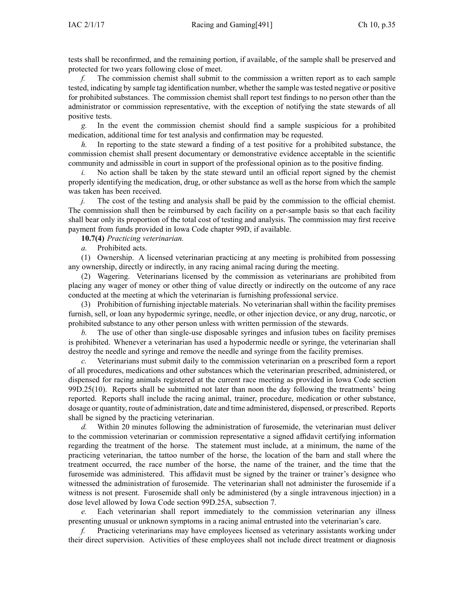tests shall be reconfirmed, and the remaining portion, if available, of the sample shall be preserved and protected for two years following close of meet.

*f.* The commission chemist shall submit to the commission <sup>a</sup> written repor<sup>t</sup> as to each sample tested, indicating by sample tag identification number, whether the sample wastested negative or positive for prohibited substances. The commission chemist shall repor<sup>t</sup> test findings to no person other than the administrator or commission representative, with the exception of notifying the state stewards of all positive tests.

*g.* In the event the commission chemist should find <sup>a</sup> sample suspicious for <sup>a</sup> prohibited medication, additional time for test analysis and confirmation may be requested.

*h.* In reporting to the state steward <sup>a</sup> finding of <sup>a</sup> test positive for <sup>a</sup> prohibited substance, the commission chemist shall presen<sup>t</sup> documentary or demonstrative evidence acceptable in the scientific community and admissible in court in suppor<sup>t</sup> of the professional opinion as to the positive finding.

*i.* No action shall be taken by the state steward until an official report signed by the chemist properly identifying the medication, drug, or other substance as well as the horse from which the sample was taken has been received.

*j.* The cost of the testing and analysis shall be paid by the commission to the official chemist. The commission shall then be reimbursed by each facility on <sup>a</sup> per-sample basis so that each facility shall bear only its proportion of the total cost of testing and analysis. The commission may first receive paymen<sup>t</sup> from funds provided in Iowa Code chapter [99D](https://www.legis.iowa.gov/docs/ico/chapter/99D.pdf), if available.

**10.7(4)** *Practicing veterinarian.*

*a.* Prohibited acts.

(1) Ownership. A licensed veterinarian practicing at any meeting is prohibited from possessing any ownership, directly or indirectly, in any racing animal racing during the meeting.

(2) Wagering. Veterinarians licensed by the commission as veterinarians are prohibited from placing any wager of money or other thing of value directly or indirectly on the outcome of any race conducted at the meeting at which the veterinarian is furnishing professional service.

(3) Prohibition of furnishing injectable materials. No veterinarian shall within the facility premises furnish, sell, or loan any hypodermic syringe, needle, or other injection device, or any drug, narcotic, or prohibited substance to any other person unless with written permission of the stewards.

*b.* The use of other than single-use disposable syringes and infusion tubes on facility premises is prohibited. Whenever <sup>a</sup> veterinarian has used <sup>a</sup> hypodermic needle or syringe, the veterinarian shall destroy the needle and syringe and remove the needle and syringe from the facility premises.

*c.* Veterinarians must submit daily to the commission veterinarian on <sup>a</sup> prescribed form <sup>a</sup> repor<sup>t</sup> of all procedures, medications and other substances which the veterinarian prescribed, administered, or dispensed for racing animals registered at the current race meeting as provided in Iowa Code section [99D.25\(10\)](https://www.legis.iowa.gov/docs/ico/section/99D.25.pdf). Reports shall be submitted not later than noon the day following the treatments' being reported. Reports shall include the racing animal, trainer, procedure, medication or other substance, dosage or quantity, route of administration, date and time administered, dispensed, or prescribed. Reports shall be signed by the practicing veterinarian.

*d.* Within 20 minutes following the administration of furosemide, the veterinarian must deliver to the commission veterinarian or commission representative <sup>a</sup> signed affidavit certifying information regarding the treatment of the horse. The statement must include, at <sup>a</sup> minimum, the name of the practicing veterinarian, the tattoo number of the horse, the location of the barn and stall where the treatment occurred, the race number of the horse, the name of the trainer, and the time that the furosemide was administered. This affidavit must be signed by the trainer or trainer's designee who witnessed the administration of furosemide. The veterinarian shall not administer the furosemide if <sup>a</sup> witness is not present. Furosemide shall only be administered (by <sup>a</sup> single intravenous injection) in <sup>a</sup> dose level allowed by Iowa Code section [99D.25A,](https://www.legis.iowa.gov/docs/ico/section/99D.25A.pdf) subsection 7.

*e.* Each veterinarian shall repor<sup>t</sup> immediately to the commission veterinarian any illness presenting unusual or unknown symptoms in <sup>a</sup> racing animal entrusted into the veterinarian's care.

*f.* Practicing veterinarians may have employees licensed as veterinary assistants working under their direct supervision. Activities of these employees shall not include direct treatment or diagnosis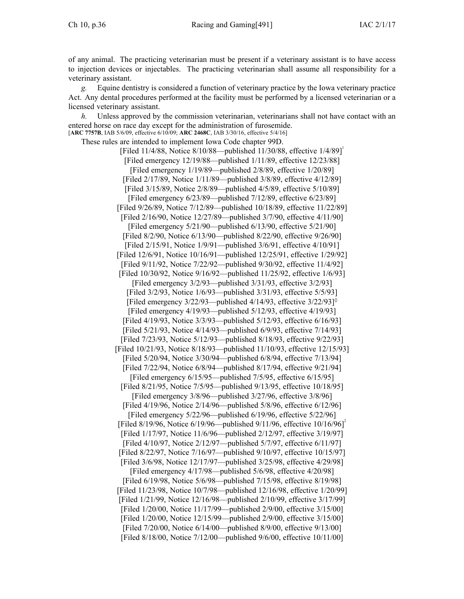of any animal. The practicing veterinarian must be presen<sup>t</sup> if <sup>a</sup> veterinary assistant is to have access to injection devices or injectables. The practicing veterinarian shall assume all responsibility for <sup>a</sup> veterinary assistant.

*g.* Equine dentistry is considered <sup>a</sup> function of veterinary practice by the Iowa veterinary practice Act. Any dental procedures performed at the facility must be performed by <sup>a</sup> licensed veterinarian or <sup>a</sup> licensed veterinary assistant.

*h.* Unless approved by the commission veterinarian, veterinarians shall not have contact with an entered horse on race day excep<sup>t</sup> for the administration of furosemide.

[**ARC [7757B](https://www.legis.iowa.gov/docs/aco/arc/7757B.pdf)**, IAB 5/6/09, effective 6/10/09; **ARC [2468C](https://www.legis.iowa.gov/docs/aco/arc/2468C.pdf)**, IAB 3/30/16, effective 5/4/16] These rules are intended to implement Iowa Code chapter [99D](https://www.legis.iowa.gov/docs/ico/chapter/99D.pdf).

[Filed 11/4/88, Notice 8/10/88—published 11/30/88, effective 1/4/89] [Filed emergency 12/19/88—published 1/11/89, effective 12/23/88] [Filed emergency 1/19/89—published 2/8/89, effective 1/20/89] [Filed 2/17/89, Notice 1/11/89—published 3/8/89, effective 4/12/89] [Filed 3/15/89, Notice 2/8/89—published 4/5/89, effective 5/10/89] [Filed emergency 6/23/89—published 7/12/89, effective 6/23/89] [Filed 9/26/89, Notice 7/12/89—published 10/18/89, effective 11/22/89] [Filed 2/16/90, Notice 12/27/89—published 3/7/90, effective 4/11/90] [Filed emergency 5/21/90—published 6/13/90, effective 5/21/90] [Filed 8/2/90, Notice 6/13/90—published 8/22/90, effective 9/26/90] [Filed 2/15/91, Notice 1/9/91—published 3/6/91, effective 4/10/91] [Filed 12/6/91, Notice 10/16/91—published 12/25/91, effective 1/29/92] [Filed 9/11/92, Notice 7/22/92—published 9/30/92, effective 11/4/92] [Filed 10/30/92, Notice 9/16/92—published 11/25/92, effective 1/6/93] [Filed emergency 3/2/93—published 3/31/93, effective 3/2/93] [Filed 3/2/93, Notice 1/6/93—published 3/31/93, effective 5/5/93] [Filed emergency  $3/22/93$ —published  $4/14/93$ , effective  $3/22/93$ ]<sup> $\circ$ </sup> [Filed emergency 4/19/93—published 5/12/93, effective 4/19/93] [Filed 4/19/93, Notice 3/3/93—published 5/12/93, effective 6/16/93] [Filed 5/21/93, Notice 4/14/93—published 6/9/93, effective 7/14/93] [Filed 7/23/93, Notice 5/12/93—published 8/18/93, effective 9/22/93] [Filed 10/21/93, Notice 8/18/93—published 11/10/93, effective 12/15/93] [Filed 5/20/94, Notice 3/30/94—published 6/8/94, effective 7/13/94] [Filed 7/22/94, Notice 6/8/94—published 8/17/94, effective 9/21/94] [Filed emergency 6/15/95—published 7/5/95, effective 6/15/95] [Filed 8/21/95, Notice 7/5/95—published 9/13/95, effective 10/18/95] [Filed emergency 3/8/96—published 3/27/96, effective 3/8/96] [Filed 4/19/96, Notice 2/14/96—published 5/8/96, effective 6/12/96] [Filed emergency 5/22/96—published 6/19/96, effective 5/22/96] [Filed 8/19/96, Notice 6/19/96—published 9/11/96, effective 10/16/96]<sup>2</sup> [Filed 1/17/97, Notice 11/6/96—published 2/12/97, effective 3/19/97] [Filed 4/10/97, Notice 2/12/97—published 5/7/97, effective 6/11/97] [Filed 8/22/97, Notice 7/16/97—published 9/10/97, effective 10/15/97] [Filed 3/6/98, Notice 12/17/97—published 3/25/98, effective 4/29/98] [Filed emergency 4/17/98—published 5/6/98, effective 4/20/98] [Filed 6/19/98, Notice 5/6/98—published 7/15/98, effective 8/19/98] [Filed 11/23/98, Notice 10/7/98—published 12/16/98, effective 1/20/99] [Filed 1/21/99, Notice 12/16/98—published 2/10/99, effective 3/17/99] [Filed 1/20/00, Notice 11/17/99—published 2/9/00, effective 3/15/00] [Filed 1/20/00, Notice 12/15/99—published 2/9/00, effective 3/15/00] [Filed 7/20/00, Notice 6/14/00—published 8/9/00, effective 9/13/00] [Filed 8/18/00, Notice 7/12/00—published 9/6/00, effective 10/11/00]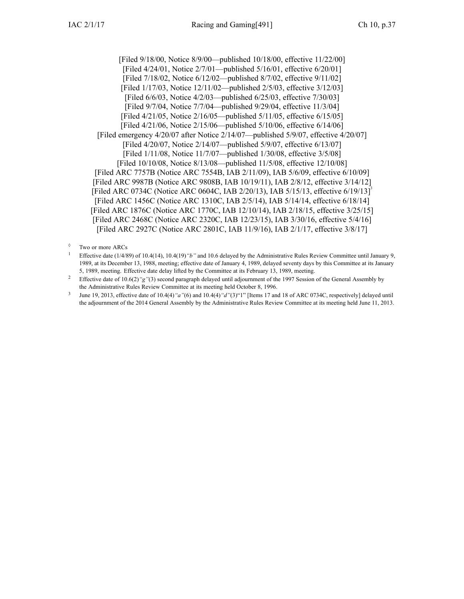[Filed 9/18/00, Notice 8/9/00—published 10/18/00, effective 11/22/00] [Filed 4/24/01, Notice 2/7/01—published 5/16/01, effective 6/20/01] [Filed 7/18/02, Notice 6/12/02—published 8/7/02, effective 9/11/02] [Filed 1/17/03, Notice 12/11/02—published 2/5/03, effective 3/12/03] [Filed 6/6/03, Notice 4/2/03—published 6/25/03, effective 7/30/03] [Filed 9/7/04, Notice 7/7/04—published 9/29/04, effective 11/3/04] [Filed 4/21/05, Notice 2/16/05—published 5/11/05, effective 6/15/05] [Filed 4/21/06, Notice 2/15/06—published 5/10/06, effective 6/14/06] [Filed emergency 4/20/07 after Notice 2/14/07—published 5/9/07, effective 4/20/07] [Filed 4/20/07, Notice 2/14/07—published 5/9/07, effective 6/13/07] [Filed 1/11/08, Notice 11/7/07—published 1/30/08, effective 3/5/08] [Filed 10/10/08, Notice 8/13/08—published 11/5/08, effective 12/10/08] [\[Filed](https://www.legis.iowa.gov/docs/aco/arc/7757B.pdf) ARC 7757B ([Notice](https://www.legis.iowa.gov/docs/aco/arc/7554B.pdf) ARC 7554B, IAB 2/11/09), IAB 5/6/09, effective 6/10/09] [Filed ARC [9987B](https://www.legis.iowa.gov/docs/aco/arc/9987B.pdf) [\(Notice](https://www.legis.iowa.gov/docs/aco/arc/9808B.pdf) ARC 9808B, IAB 10/19/11), IAB 2/8/12, effective 3/14/12] [\[Filed](https://www.legis.iowa.gov/docs/aco/arc/0734C.pdf) ARC 0734C ([Notice](https://www.legis.iowa.gov/docs/aco/arc/0604C.pdf) ARC 0604C, IAB 2/20/13), IAB 5/15/13, effective 6/19/13]<sup>3</sup> [[Filed](https://www.legis.iowa.gov/docs/aco/arc/1456C.pdf) ARC 1456C ([Notice](https://www.legis.iowa.gov/docs/aco/arc/1310C.pdf) ARC 1310C, IAB 2/5/14), IAB 5/14/14, effective 6/18/14] [[Filed](https://www.legis.iowa.gov/docs/aco/arc/1876C.pdf) ARC 1876C ([Notice](https://www.legis.iowa.gov/docs/aco/arc/1770C.pdf) ARC 1770C, IAB 12/10/14), IAB 2/18/15, effective 3/25/15] [Filed ARC [2468C](https://www.legis.iowa.gov/docs/aco/arc/2468C.pdf) ([Notice](https://www.legis.iowa.gov/docs/aco/arc/2320C.pdf) ARC 2320C, IAB 12/23/15), IAB 3/30/16, effective 5/4/16] [Filed ARC [2927C](https://www.legis.iowa.gov/docs/aco/arc/2927C.pdf) ([Notice](https://www.legis.iowa.gov/docs/aco/arc/2801C.pdf) ARC 2801C, IAB 11/9/16), IAB 2/1/17, effective 3/8/17]

<sup>◊</sup> Two or more ARCs

<sup>1</sup> Effective date (1/4/89) of 10.4(14), 10.4(19)*"b"* and 10.6 delayed by the Administrative Rules Review Committee until January 9, 1989, at its December 13, 1988, meeting; effective date of January 4, 1989, delayed seventy days by this Committee at its January 5, 1989, meeting. Effective date delay lifted by the Committee at its February 13, 1989, meeting.

<sup>2</sup> Effective date of 10.6(2)*"g"*(3) second paragraph delayed until adjournment of the 1997 Session of the General Assembly by the Administrative Rules Review Committee at its meeting held October 8, 1996.

<sup>3</sup> June 19, 2013, effective date of 10.4(4)*"a"*(6) and 10.4(4)*"d"*(3)"1" [Items 17 and 18 of ARC 0734C, respectively] delayed until the adjournment of the 2014 General Assembly by the Administrative Rules Review Committee at its meeting held June 11, 2013.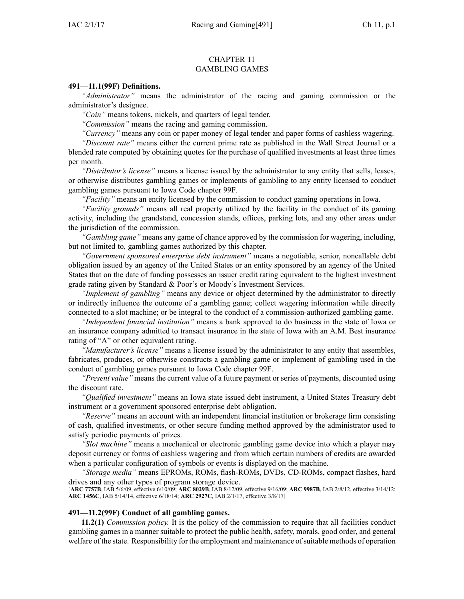#### CHAPTER 11 GAMBLING GAMES

#### **491—11.1(99F) Definitions.**

*"Administrator"* means the administrator of the racing and gaming commission or the administrator's designee.

*"Coin"* means tokens, nickels, and quarters of legal tender.

*"Commission"* means the racing and gaming commission.

*"Currency"* means any coin or paper money of legal tender and paper forms of cashless wagering.

*"Discount rate"* means either the current prime rate as published in the Wall Street Journal or <sup>a</sup> blended rate computed by obtaining quotes for the purchase of qualified investments at least three times per month.

*"Distributor's license"* means <sup>a</sup> license issued by the administrator to any entity that sells, leases, or otherwise distributes gambling games or implements of gambling to any entity licensed to conduct gambling games pursuan<sup>t</sup> to Iowa Code chapter [99F](https://www.legis.iowa.gov/docs/ico/chapter/99F.pdf).

*"Facility"* means an entity licensed by the commission to conduct gaming operations in Iowa.

*"Facility grounds"* means all real property utilized by the facility in the conduct of its gaming activity, including the grandstand, concession stands, offices, parking lots, and any other areas under the jurisdiction of the commission.

*"Gambling game"* means any game of chance approved by the commission for wagering, including, but not limited to, gambling games authorized by this chapter.

*"Government sponsored enterprise debt instrument"* means <sup>a</sup> negotiable, senior, noncallable debt obligation issued by an agency of the United States or an entity sponsored by an agency of the United States that on the date of funding possesses an issuer credit rating equivalent to the highest investment grade rating given by Standard & Poor's or Moody's Investment Services.

*"Implement of gambling"* means any device or object determined by the administrator to directly or indirectly influence the outcome of <sup>a</sup> gambling game; collect wagering information while directly connected to <sup>a</sup> slot machine; or be integral to the conduct of <sup>a</sup> commission-authorized gambling game.

*"Independent financial institution"* means <sup>a</sup> bank approved to do business in the state of Iowa or an insurance company admitted to transact insurance in the state of Iowa with an A.M. Best insurance rating of "A" or other equivalent rating.

*"Manufacturer's license"* means <sup>a</sup> license issued by the administrator to any entity that assembles, fabricates, produces, or otherwise constructs <sup>a</sup> gambling game or implement of gambling used in the conduct of gambling games pursuan<sup>t</sup> to Iowa Code chapter [99F](https://www.legis.iowa.gov/docs/ico/chapter/99F.pdf).

*"Present value"* means the current value of <sup>a</sup> future paymen<sup>t</sup> or series of payments, discounted using the discount rate.

*"Qualified investment"* means an Iowa state issued debt instrument, <sup>a</sup> United States Treasury debt instrument or <sup>a</sup> governmen<sup>t</sup> sponsored enterprise debt obligation.

*"Reserve"* means an account with an independent financial institution or brokerage firm consisting of cash, qualified investments, or other secure funding method approved by the administrator used to satisfy periodic payments of prizes.

*"Slot machine"* means <sup>a</sup> mechanical or electronic gambling game device into which <sup>a</sup> player may deposit currency or forms of cashless wagering and from which certain numbers of credits are awarded when <sup>a</sup> particular configuration of symbols or events is displayed on the machine.

*"Storage media"* means EPROMs, ROMs, flash-ROMs, DVDs, CD-ROMs, compac<sup>t</sup> flashes, hard drives and any other types of program storage device.

[**ARC [7757B](https://www.legis.iowa.gov/docs/aco/arc/7757B.pdf)**, IAB 5/6/09, effective 6/10/09; **ARC [8029B](https://www.legis.iowa.gov/docs/aco/arc/8029B.pdf)**, IAB 8/12/09, effective 9/16/09; **ARC [9987B](https://www.legis.iowa.gov/docs/aco/arc/9987B.pdf)**, IAB 2/8/12, effective 3/14/12; **ARC [1456C](https://www.legis.iowa.gov/docs/aco/arc/1456C.pdf)**, IAB 5/14/14, effective 6/18/14; **ARC [2927C](https://www.legis.iowa.gov/docs/aco/arc/2927C.pdf)**, IAB 2/1/17, effective 3/8/17]

#### **491—11.2(99F) Conduct of all gambling games.**

**11.2(1)** *Commission policy.* It is the policy of the commission to require that all facilities conduct gambling games in <sup>a</sup> manner suitable to protect the public health, safety, morals, good order, and general welfare of the state. Responsibility for the employment and maintenance of suitable methods of operation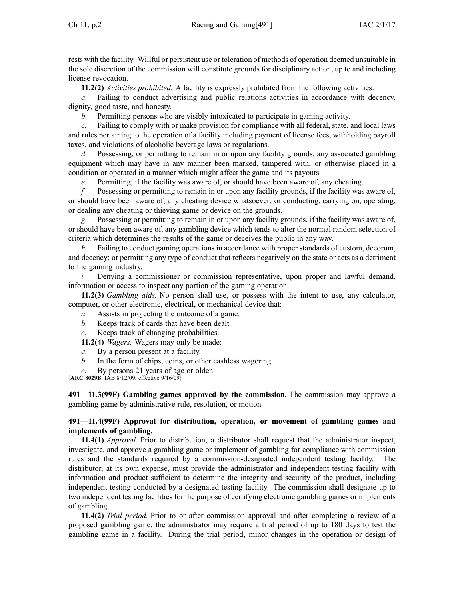rests with the facility. Willful or persistent use or toleration of methods of operation deemed unsuitable in the sole discretion of the commission will constitute grounds for disciplinary action, up to and including license revocation.

**11.2(2)** *Activities prohibited.* A facility is expressly prohibited from the following activities:

*a.* Failing to conduct advertising and public relations activities in accordance with decency, dignity, good taste, and honesty.

*b.* Permitting persons who are visibly intoxicated to participate in gaming activity.

Failing to comply with or make provision for compliance with all federal, state, and local laws and rules pertaining to the operation of <sup>a</sup> facility including paymen<sup>t</sup> of license fees, withholding payroll taxes, and violations of alcoholic beverage laws or regulations.

*d.* Possessing, or permitting to remain in or upon any facility grounds, any associated gambling equipment which may have in any manner been marked, tampered with, or otherwise placed in <sup>a</sup> condition or operated in <sup>a</sup> manner which might affect the game and its payouts.

*e.* Permitting, if the facility was aware of, or should have been aware of, any cheating.

*f.* Possessing or permitting to remain in or upon any facility grounds, if the facility was aware of, or should have been aware of, any cheating device whatsoever; or conducting, carrying on, operating, or dealing any cheating or thieving game or device on the grounds.

*g.* Possessing or permitting to remain in or upon any facility grounds, if the facility was aware of, or should have been aware of, any gambling device which tends to alter the normal random selection of criteria which determines the results of the game or deceives the public in any way.

*h.* Failing to conduct gaming operations in accordance with proper standards of custom, decorum, and decency; or permitting any type of conduct that reflects negatively on the state or acts as <sup>a</sup> detriment to the gaming industry.

*i.* Denying a commissioner or commission representative, upon proper and lawful demand, information or access to inspect any portion of the gaming operation.

**11.2(3)** *Gambling aids.* No person shall use, or possess with the intent to use, any calculator, computer, or other electronic, electrical, or mechanical device that:

- *a.* Assists in projecting the outcome of <sup>a</sup> game.
- *b.* Keeps track of cards that have been dealt.
- *c.* Keeps track of changing probabilities.

**11.2(4)** *Wagers.* Wagers may only be made:

- *a.* By <sup>a</sup> person presen<sup>t</sup> at <sup>a</sup> facility.
- *b.* In the form of chips, coins, or other cashless wagering.
- *c.* By persons 21 years of age or older.

[**ARC [8029B](https://www.legis.iowa.gov/docs/aco/arc/8029B.pdf)**, IAB 8/12/09, effective 9/16/09]

**491—11.3(99F) Gambling games approved by the commission.** The commission may approve <sup>a</sup> gambling game by administrative rule, resolution, or motion.

# **491—11.4(99F) Approval for distribution, operation, or movement of gambling games and implements of gambling.**

**11.4(1)** *Approval.* Prior to distribution, <sup>a</sup> distributor shall reques<sup>t</sup> that the administrator inspect, investigate, and approve <sup>a</sup> gambling game or implement of gambling for compliance with commission rules and the standards required by <sup>a</sup> commission-designated independent testing facility. The distributor, at its own expense, must provide the administrator and independent testing facility with information and product sufficient to determine the integrity and security of the product, including independent testing conducted by <sup>a</sup> designated testing facility. The commission shall designate up to two independent testing facilities for the purpose of certifying electronic gambling games or implements of gambling.

**11.4(2)** *Trial period.* Prior to or after commission approval and after completing <sup>a</sup> review of <sup>a</sup> proposed gambling game, the administrator may require <sup>a</sup> trial period of up to 180 days to test the gambling game in <sup>a</sup> facility. During the trial period, minor changes in the operation or design of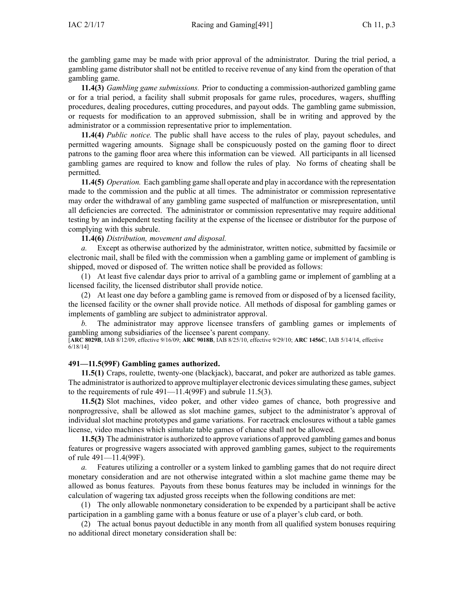the gambling game may be made with prior approval of the administrator. During the trial period, <sup>a</sup> gambling game distributor shall not be entitled to receive revenue of any kind from the operation of that gambling game.

**11.4(3)** *Gambling game submissions.* Prior to conducting <sup>a</sup> commission-authorized gambling game or for <sup>a</sup> trial period, <sup>a</sup> facility shall submit proposals for game rules, procedures, wagers, shuffling procedures, dealing procedures, cutting procedures, and payou<sup>t</sup> odds. The gambling game submission, or requests for modification to an approved submission, shall be in writing and approved by the administrator or <sup>a</sup> commission representative prior to implementation.

**11.4(4)** *Public notice.* The public shall have access to the rules of play, payou<sup>t</sup> schedules, and permitted wagering amounts. Signage shall be conspicuously posted on the gaming floor to direct patrons to the gaming floor area where this information can be viewed. All participants in all licensed gambling games are required to know and follow the rules of play. No forms of cheating shall be permitted.

**11.4(5)** *Operation.* Each gambling game shall operate and play in accordance with the representation made to the commission and the public at all times. The administrator or commission representative may order the withdrawal of any gambling game suspected of malfunction or misrepresentation, until all deficiencies are corrected. The administrator or commission representative may require additional testing by an independent testing facility at the expense of the licensee or distributor for the purpose of complying with this subrule.

### **11.4(6)** *Distribution, movement and disposal.*

*a.* Except as otherwise authorized by the administrator, written notice, submitted by facsimile or electronic mail, shall be filed with the commission when <sup>a</sup> gambling game or implement of gambling is shipped, moved or disposed of. The written notice shall be provided as follows:

(1) At least five calendar days prior to arrival of <sup>a</sup> gambling game or implement of gambling at <sup>a</sup> licensed facility, the licensed distributor shall provide notice.

(2) At least one day before <sup>a</sup> gambling game is removed from or disposed of by <sup>a</sup> licensed facility, the licensed facility or the owner shall provide notice. All methods of disposal for gambling games or implements of gambling are subject to administrator approval.

*b.* The administrator may approve licensee transfers of gambling games or implements of gambling among subsidiaries of the licensee's paren<sup>t</sup> company.

[**ARC [8029B](https://www.legis.iowa.gov/docs/aco/arc/8029B.pdf)**, IAB 8/12/09, effective 9/16/09; **ARC [9018B](https://www.legis.iowa.gov/docs/aco/arc/9018B.pdf)**, IAB 8/25/10, effective 9/29/10; **ARC [1456C](https://www.legis.iowa.gov/docs/aco/arc/1456C.pdf)**, IAB 5/14/14, effective 6/18/14]

### **491—11.5(99F) Gambling games authorized.**

**11.5(1)** Craps, roulette, twenty-one (blackjack), baccarat, and poker are authorized as table games. The administrator is authorized to approve multiplayer electronic devices simulating these games, subject to the requirements of rule [491—11.4](https://www.legis.iowa.gov/docs/iac/rule/491.11.4.pdf)(99F) and subrule [11.5\(3\)](https://www.legis.iowa.gov/docs/iac/rule/491.11.5.pdf).

**11.5(2)** Slot machines, video poker, and other video games of chance, both progressive and nonprogressive, shall be allowed as slot machine games, subject to the administrator's approval of individual slot machine prototypes and game variations. For racetrack enclosures without <sup>a</sup> table games license, video machines which simulate table games of chance shall not be allowed.

**11.5(3)** The administrator is authorized to approve variations of approved gambling games and bonus features or progressive wagers associated with approved gambling games, subject to the requirements of rule [491—11.4\(](https://www.legis.iowa.gov/docs/iac/rule/491.11.4.pdf)99F).

*a.* Features utilizing <sup>a</sup> controller or <sup>a</sup> system linked to gambling games that do not require direct monetary consideration and are not otherwise integrated within <sup>a</sup> slot machine game theme may be allowed as bonus features. Payouts from these bonus features may be included in winnings for the calculation of wagering tax adjusted gross receipts when the following conditions are met:

(1) The only allowable nonmonetary consideration to be expended by <sup>a</sup> participant shall be active participation in <sup>a</sup> gambling game with <sup>a</sup> bonus feature or use of <sup>a</sup> player's club card, or both.

(2) The actual bonus payou<sup>t</sup> deductible in any month from all qualified system bonuses requiring no additional direct monetary consideration shall be: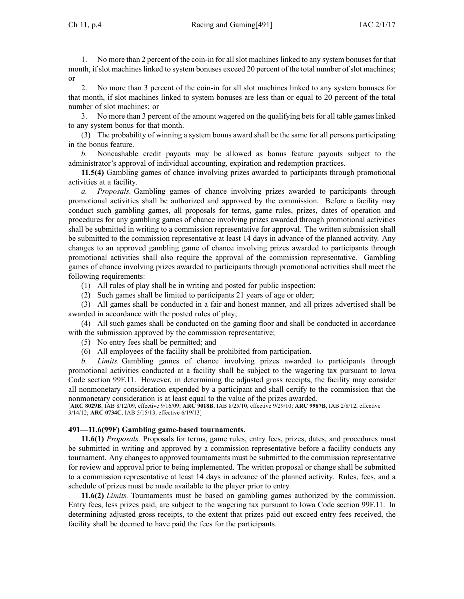Ch 11, p.4 Racing and Gaming[491] IAC 2/1/17

1. No more than 2 percen<sup>t</sup> of the coin-in for all slot machines linked to any system bonuses for that month, if slot machines linked to system bonuses exceed 20 percen<sup>t</sup> of the total number of slot machines; or

2. No more than 3 percen<sup>t</sup> of the coin-in for all slot machines linked to any system bonuses for that month, if slot machines linked to system bonuses are less than or equal to 20 percen<sup>t</sup> of the total number of slot machines; or

3. No more than 3 percen<sup>t</sup> of the amount wagered on the qualifying bets for all table games linked to any system bonus for that month.

(3) The probability of winning <sup>a</sup> system bonus award shall be the same for all persons participating in the bonus feature.

*b.* Noncashable credit payouts may be allowed as bonus feature payouts subject to the administrator's approval of individual accounting, expiration and redemption practices.

**11.5(4)** Gambling games of chance involving prizes awarded to participants through promotional activities at <sup>a</sup> facility.

*a. Proposals.* Gambling games of chance involving prizes awarded to participants through promotional activities shall be authorized and approved by the commission. Before <sup>a</sup> facility may conduct such gambling games, all proposals for terms, game rules, prizes, dates of operation and procedures for any gambling games of chance involving prizes awarded through promotional activities shall be submitted in writing to <sup>a</sup> commission representative for approval. The written submission shall be submitted to the commission representative at least 14 days in advance of the planned activity. Any changes to an approved gambling game of chance involving prizes awarded to participants through promotional activities shall also require the approval of the commission representative. Gambling games of chance involving prizes awarded to participants through promotional activities shall meet the following requirements:

(1) All rules of play shall be in writing and posted for public inspection;

(2) Such games shall be limited to participants 21 years of age or older;

(3) All games shall be conducted in <sup>a</sup> fair and honest manner, and all prizes advertised shall be awarded in accordance with the posted rules of play;

(4) All such games shall be conducted on the gaming floor and shall be conducted in accordance with the submission approved by the commission representative;

(5) No entry fees shall be permitted; and

(6) All employees of the facility shall be prohibited from participation.

*b. Limits.* Gambling games of chance involving prizes awarded to participants through promotional activities conducted at <sup>a</sup> facility shall be subject to the wagering tax pursuan<sup>t</sup> to Iowa Code section [99F.11](https://www.legis.iowa.gov/docs/ico/section/99F.11.pdf). However, in determining the adjusted gross receipts, the facility may consider all nonmonetary consideration expended by <sup>a</sup> participant and shall certify to the commission that the nonmonetary consideration is at least equal to the value of the prizes awarded.

[**ARC [8029B](https://www.legis.iowa.gov/docs/aco/arc/8029B.pdf)**, IAB 8/12/09, effective 9/16/09; **ARC [9018B](https://www.legis.iowa.gov/docs/aco/arc/9018B.pdf)**, IAB 8/25/10, effective 9/29/10; **ARC [9987B](https://www.legis.iowa.gov/docs/aco/arc/9987B.pdf)**, IAB 2/8/12, effective 3/14/12; **ARC [0734C](https://www.legis.iowa.gov/docs/aco/arc/0734C.pdf)**, IAB 5/15/13, effective 6/19/13]

### **491—11.6(99F) Gambling game-based tournaments.**

**11.6(1)** *Proposals.* Proposals for terms, game rules, entry fees, prizes, dates, and procedures must be submitted in writing and approved by <sup>a</sup> commission representative before <sup>a</sup> facility conducts any tournament. Any changes to approved tournaments must be submitted to the commission representative for review and approval prior to being implemented. The written proposal or change shall be submitted to <sup>a</sup> commission representative at least 14 days in advance of the planned activity. Rules, fees, and <sup>a</sup> schedule of prizes must be made available to the player prior to entry.

**11.6(2)** *Limits.* Tournaments must be based on gambling games authorized by the commission. Entry fees, less prizes paid, are subject to the wagering tax pursuan<sup>t</sup> to Iowa Code section [99F.11](https://www.legis.iowa.gov/docs/ico/section/99F.11.pdf). In determining adjusted gross receipts, to the extent that prizes paid out exceed entry fees received, the facility shall be deemed to have paid the fees for the participants.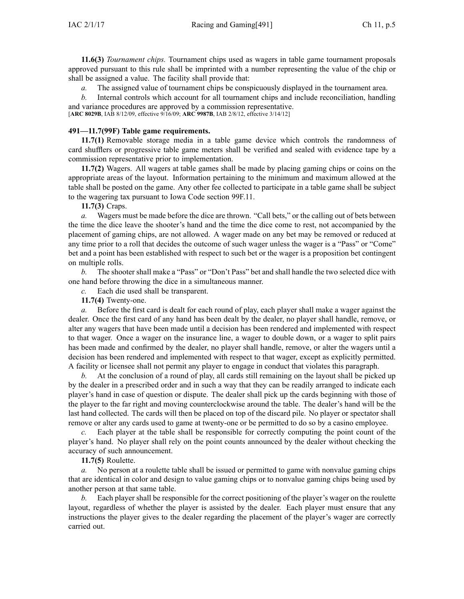**11.6(3)** *Tournament chips.* Tournament chips used as wagers in table game tournament proposals approved pursuan<sup>t</sup> to this rule shall be imprinted with <sup>a</sup> number representing the value of the chip or shall be assigned <sup>a</sup> value. The facility shall provide that:

*a.* The assigned value of tournament chips be conspicuously displayed in the tournament area.

*b.* Internal controls which account for all tournament chips and include reconciliation, handling and variance procedures are approved by <sup>a</sup> commission representative.

[**ARC [8029B](https://www.legis.iowa.gov/docs/aco/arc/8029B.pdf)**, IAB 8/12/09, effective 9/16/09; **ARC [9987B](https://www.legis.iowa.gov/docs/aco/arc/9987B.pdf)**, IAB 2/8/12, effective 3/14/12]

# **491—11.7(99F) Table game requirements.**

**11.7(1)** Removable storage media in <sup>a</sup> table game device which controls the randomness of card shufflers or progressive table game meters shall be verified and sealed with evidence tape by <sup>a</sup> commission representative prior to implementation.

**11.7(2)** Wagers. All wagers at table games shall be made by placing gaming chips or coins on the appropriate areas of the layout. Information pertaining to the minimum and maximum allowed at the table shall be posted on the game. Any other fee collected to participate in <sup>a</sup> table game shall be subject to the wagering tax pursuan<sup>t</sup> to Iowa Code section [99F.11](https://www.legis.iowa.gov/docs/ico/section/99F.11.pdf).

**11.7(3)** Craps.

*a.* Wagers must be made before the dice are thrown. "Call bets," or the calling out of bets between the time the dice leave the shooter's hand and the time the dice come to rest, not accompanied by the placement of gaming chips, are not allowed. A wager made on any bet may be removed or reduced at any time prior to <sup>a</sup> roll that decides the outcome of such wager unless the wager is <sup>a</sup> "Pass" or "Come" bet and <sup>a</sup> point has been established with respec<sup>t</sup> to such bet or the wager is <sup>a</sup> proposition bet contingent on multiple rolls.

*b.* The shooter shall make <sup>a</sup> "Pass" or "Don't Pass" bet and shall handle the two selected dice with one hand before throwing the dice in <sup>a</sup> simultaneous manner.

*c.* Each die used shall be transparent.

**11.7(4)** Twenty-one.

*a.* Before the first card is dealt for each round of play, each player shall make <sup>a</sup> wager against the dealer. Once the first card of any hand has been dealt by the dealer, no player shall handle, remove, or alter any wagers that have been made until <sup>a</sup> decision has been rendered and implemented with respec<sup>t</sup> to that wager. Once <sup>a</sup> wager on the insurance line, <sup>a</sup> wager to double down, or <sup>a</sup> wager to split pairs has been made and confirmed by the dealer, no player shall handle, remove, or alter the wagers until <sup>a</sup> decision has been rendered and implemented with respec<sup>t</sup> to that wager, excep<sup>t</sup> as explicitly permitted. A facility or licensee shall not permit any player to engage in conduct that violates this paragraph.

*b.* At the conclusion of <sup>a</sup> round of play, all cards still remaining on the layout shall be picked up by the dealer in <sup>a</sup> prescribed order and in such <sup>a</sup> way that they can be readily arranged to indicate each player's hand in case of question or dispute. The dealer shall pick up the cards beginning with those of the player to the far right and moving counterclockwise around the table. The dealer's hand will be the last hand collected. The cards will then be placed on top of the discard pile. No player or spectator shall remove or alter any cards used to game at twenty-one or be permitted to do so by <sup>a</sup> casino employee.

*c.* Each player at the table shall be responsible for correctly computing the point count of the player's hand. No player shall rely on the point counts announced by the dealer without checking the accuracy of such announcement.

**11.7(5)** Roulette.

*a.* No person at <sup>a</sup> roulette table shall be issued or permitted to game with nonvalue gaming chips that are identical in color and design to value gaming chips or to nonvalue gaming chips being used by another person at that same table.

*b.* Each player shall be responsible for the correct positioning of the player's wager on the roulette layout, regardless of whether the player is assisted by the dealer. Each player must ensure that any instructions the player gives to the dealer regarding the placement of the player's wager are correctly carried out.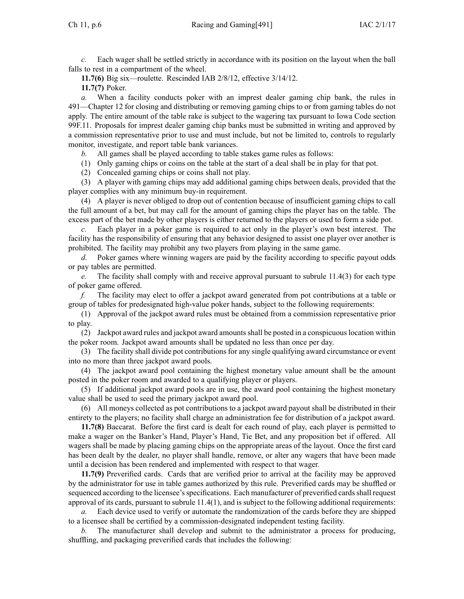*c.* Each wager shall be settled strictly in accordance with its position on the layout when the ball falls to rest in <sup>a</sup> compartment of the wheel.

**11.7(6)** Big six—roulette. Rescinded IAB [2/8/12](https://www.legis.iowa.gov/docs/aco/bulletin/02-08-2012.pdf), effective 3/14/12. **11.7(7)** Poker.

*a.* When <sup>a</sup> facility conducts poker with an imprest dealer gaming chip bank, the rules in [491—Chapter](https://www.legis.iowa.gov/docs/iac/chapter/491.12.pdf) 12 for closing and distributing or removing gaming chips to or from gaming tables do not apply. The entire amount of the table rake is subject to the wagering tax pursuan<sup>t</sup> to Iowa Code section [99F.11](https://www.legis.iowa.gov/docs/ico/section/99F.11.pdf). Proposals for imprest dealer gaming chip banks must be submitted in writing and approved by <sup>a</sup> commission representative prior to use and must include, but not be limited to, controls to regularly monitor, investigate, and repor<sup>t</sup> table bank variances.

*b.* All games shall be played according to table stakes game rules as follows:

(1) Only gaming chips or coins on the table at the start of <sup>a</sup> deal shall be in play for that pot.

(2) Concealed gaming chips or coins shall not play.

(3) A player with gaming chips may add additional gaming chips between deals, provided that the player complies with any minimum buy-in requirement.

(4) A player is never obliged to drop out of contention because of insufficient gaming chips to call the full amount of <sup>a</sup> bet, but may call for the amount of gaming chips the player has on the table. The excess par<sup>t</sup> of the bet made by other players is either returned to the players or used to form <sup>a</sup> side pot.

*c.* Each player in <sup>a</sup> poker game is required to act only in the player's own best interest. The facility has the responsibility of ensuring that any behavior designed to assist one player over another is prohibited. The facility may prohibit any two players from playing in the same game.

*d.* Poker games where winning wagers are paid by the facility according to specific payou<sup>t</sup> odds or pay tables are permitted.

*e.* The facility shall comply with and receive approval pursuan<sup>t</sup> to subrule [11.4\(3\)](https://www.legis.iowa.gov/docs/iac/rule/491.11.4.pdf) for each type of poker game offered.

*f.* The facility may elect to offer <sup>a</sup> jackpot award generated from po<sup>t</sup> contributions at <sup>a</sup> table or group of tables for predesignated high-value poker hands, subject to the following requirements:

(1) Approval of the jackpot award rules must be obtained from <sup>a</sup> commission representative prior to play.

(2) Jackpot award rules and jackpot award amountsshall be posted in <sup>a</sup> conspicuouslocation within the poker room. Jackpot award amounts shall be updated no less than once per day.

(3) The facility shall divide po<sup>t</sup> contributionsfor any single qualifying award circumstance or event into no more than three jackpot award pools.

(4) The jackpot award pool containing the highest monetary value amount shall be the amount posted in the poker room and awarded to <sup>a</sup> qualifying player or players.

(5) If additional jackpot award pools are in use, the award pool containing the highest monetary value shall be used to seed the primary jackpot award pool.

(6) All moneys collected as po<sup>t</sup> contributions to <sup>a</sup> jackpot award payou<sup>t</sup> shall be distributed in their entirety to the players; no facility shall charge an administration fee for distribution of <sup>a</sup> jackpot award.

**11.7(8)** Baccarat. Before the first card is dealt for each round of play, each player is permitted to make <sup>a</sup> wager on the Banker's Hand, Player's Hand, Tie Bet, and any proposition bet if offered. All wagers shall be made by placing gaming chips on the appropriate areas of the layout. Once the first card has been dealt by the dealer, no player shall handle, remove, or alter any wagers that have been made until <sup>a</sup> decision has been rendered and implemented with respec<sup>t</sup> to that wager.

**11.7(9)** Preverified cards. Cards that are verified prior to arrival at the facility may be approved by the administrator for use in table games authorized by this rule. Preverified cards may be shuffled or sequenced according to the licensee's specifications. Each manufacturer of preverified cards shall request approval of its cards, pursuan<sup>t</sup> to subrule [11.4\(1\)](https://www.legis.iowa.gov/docs/iac/rule/491.11.4.pdf), and is subject to the following additional requirements:

*a.* Each device used to verify or automate the randomization of the cards before they are shipped to <sup>a</sup> licensee shall be certified by <sup>a</sup> commission-designated independent testing facility.

*b.* The manufacturer shall develop and submit to the administrator <sup>a</sup> process for producing, shuffling, and packaging preverified cards that includes the following: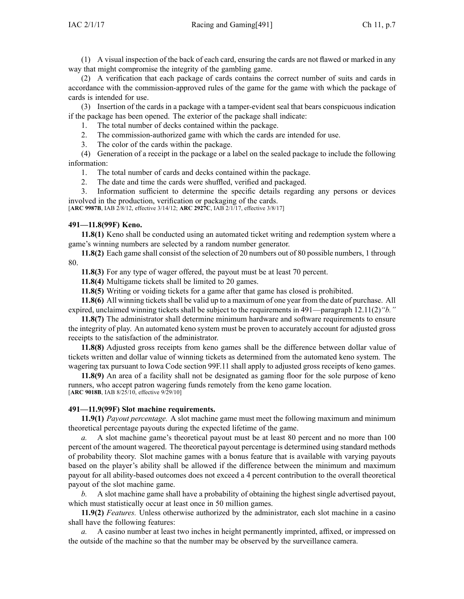(1) A visual inspection of the back of each card, ensuring the cards are not flawed or marked in any way that might compromise the integrity of the gambling game.

(2) A verification that each package of cards contains the correct number of suits and cards in accordance with the commission-approved rules of the game for the game with which the package of cards is intended for use.

(3) Insertion of the cards in <sup>a</sup> package with <sup>a</sup> tamper-evident seal that bears conspicuous indication if the package has been opened. The exterior of the package shall indicate:

1. The total number of decks contained within the package.

2. The commission-authorized game with which the cards are intended for use.

3. The color of the cards within the package.

(4) Generation of <sup>a</sup> receipt in the package or <sup>a</sup> label on the sealed package to include the following information:

1. The total number of cards and decks contained within the package.

2. The date and time the cards were shuffled, verified and packaged.

3. Information sufficient to determine the specific details regarding any persons or devices involved in the production, verification or packaging of the cards.

[**ARC [9987B](https://www.legis.iowa.gov/docs/aco/arc/9987B.pdf)**, IAB 2/8/12, effective 3/14/12; **ARC [2927C](https://www.legis.iowa.gov/docs/aco/arc/2927C.pdf)**, IAB 2/1/17, effective 3/8/17]

# **491—11.8(99F) Keno.**

**11.8(1)** Keno shall be conducted using an automated ticket writing and redemption system where <sup>a</sup> game's winning numbers are selected by <sup>a</sup> random number generator.

**11.8(2)** Each game shall consist of the selection of 20 numbers out of 80 possible numbers, 1 through 80.

**11.8(3)** For any type of wager offered, the payou<sup>t</sup> must be at least 70 percent.

**11.8(4)** Multigame tickets shall be limited to 20 games.

**11.8(5)** Writing or voiding tickets for <sup>a</sup> game after that game has closed is prohibited.

**11.8(6)** All winning ticketsshall be valid up to <sup>a</sup> maximum of one year from the date of purchase. All expired, unclaimed winning tickets shall be subject to the requirements in [491—paragraph](https://www.legis.iowa.gov/docs/iac/rule/491.12.11.pdf) 12.11(2)*"b."*

**11.8(7)** The administrator shall determine minimum hardware and software requirements to ensure the integrity of play. An automated keno system must be proven to accurately account for adjusted gross receipts to the satisfaction of the administrator.

**11.8(8)** Adjusted gross receipts from keno games shall be the difference between dollar value of tickets written and dollar value of winning tickets as determined from the automated keno system. The wagering tax pursuan<sup>t</sup> to Iowa Code section [99F.11](https://www.legis.iowa.gov/docs/ico/section/99F.11.pdf) shall apply to adjusted gross receipts of keno games.

**11.8(9)** An area of <sup>a</sup> facility shall not be designated as gaming floor for the sole purpose of keno runners, who accep<sup>t</sup> patron wagering funds remotely from the keno game location. [**ARC [9018B](https://www.legis.iowa.gov/docs/aco/arc/9018B.pdf)**, IAB 8/25/10, effective 9/29/10]

### **491—11.9(99F) Slot machine requirements.**

**11.9(1)** *Payout percentage.* A slot machine game must meet the following maximum and minimum theoretical percentage payouts during the expected lifetime of the game.

*a.* A slot machine game's theoretical payou<sup>t</sup> must be at least 80 percen<sup>t</sup> and no more than 100 percen<sup>t</sup> of the amount wagered. The theoretical payou<sup>t</sup> percentage is determined using standard methods of probability theory. Slot machine games with <sup>a</sup> bonus feature that is available with varying payouts based on the player's ability shall be allowed if the difference between the minimum and maximum payou<sup>t</sup> for all ability-based outcomes does not exceed <sup>a</sup> 4 percen<sup>t</sup> contribution to the overall theoretical payou<sup>t</sup> of the slot machine game.

*b.* A slot machine game shall have <sup>a</sup> probability of obtaining the highest single advertised payout, which must statistically occur at least once in 50 million games.

**11.9(2)** *Features.* Unless otherwise authorized by the administrator, each slot machine in <sup>a</sup> casino shall have the following features:

*a.* A casino number at least two inches in height permanently imprinted, affixed, or impressed on the outside of the machine so that the number may be observed by the surveillance camera.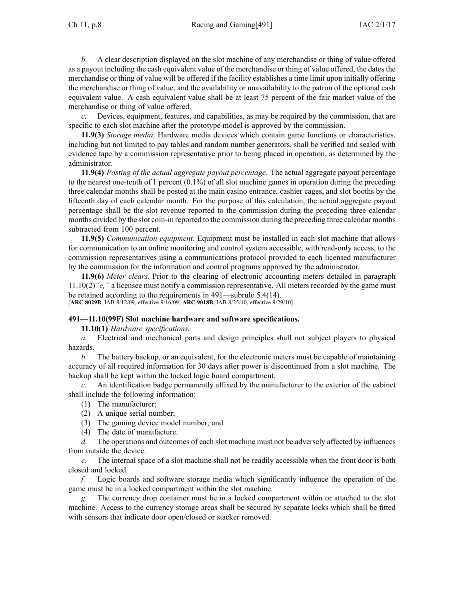*b.* A clear description displayed on the slot machine of any merchandise or thing of value offered as <sup>a</sup> payou<sup>t</sup> including the cash equivalent value of the merchandise or thing of value offered, the dates the merchandise or thing of value will be offered if the facility establishes <sup>a</sup> time limit upon initially offering the merchandise or thing of value, and the availability or unavailability to the patron of the optional cash equivalent value. A cash equivalent value shall be at least 75 percen<sup>t</sup> of the fair market value of the merchandise or thing of value offered.

*c.* Devices, equipment, features, and capabilities, as may be required by the commission, that are specific to each slot machine after the prototype model is approved by the commission.

**11.9(3)** *Storage media.* Hardware media devices which contain game functions or characteristics, including but not limited to pay tables and random number generators, shall be verified and sealed with evidence tape by <sup>a</sup> commission representative prior to being placed in operation, as determined by the administrator.

**11.9(4)** *Posting of the actual aggregate payou<sup>t</sup> percentage.* The actual aggregate payou<sup>t</sup> percentage to the nearest one-tenth of 1 percen<sup>t</sup> (0.1%) of all slot machine games in operation during the preceding three calendar months shall be posted at the main casino entrance, cashier cages, and slot booths by the fifteenth day of each calendar month. For the purpose of this calculation, the actual aggregate payou<sup>t</sup> percentage shall be the slot revenue reported to the commission during the preceding three calendar months divided by the slot coin-in reported to the commission during the preceding three calendar months subtracted from 100 percent.

**11.9(5)** *Communication equipment.* Equipment must be installed in each slot machine that allows for communication to an online monitoring and control system accessible, with read-only access, to the commission representatives using <sup>a</sup> communications protocol provided to each licensed manufacturer by the commission for the information and control programs approved by the administrator.

**11.9(6)** *Meter clears.* Prior to the clearing of electronic accounting meters detailed in paragraph [11.10\(2\)](https://www.legis.iowa.gov/docs/iac/rule/491.11.10.pdf)*"c,"* <sup>a</sup> licensee must notify <sup>a</sup> commission representative. All meters recorded by the game must be retained according to the requirements in [491—subrule](https://www.legis.iowa.gov/docs/iac/rule/491.5.4.pdf) 5.4(14). [**ARC [8029B](https://www.legis.iowa.gov/docs/aco/arc/8029B.pdf)**, IAB 8/12/09, effective 9/16/09; **ARC [9018B](https://www.legis.iowa.gov/docs/aco/arc/9018B.pdf)**, IAB 8/25/10, effective 9/29/10]

## **491—11.10(99F) Slot machine hardware and software specifications.**

**11.10(1)** *Hardware specifications.*

*a.* Electrical and mechanical parts and design principles shall not subject players to physical hazards.

*b.* The battery backup, or an equivalent, for the electronic meters must be capable of maintaining accuracy of all required information for 30 days after power is discontinued from <sup>a</sup> slot machine. The backup shall be kept within the locked logic board compartment.

*c.* An identification badge permanently affixed by the manufacturer to the exterior of the cabinet shall include the following information:

- (1) The manufacturer;
- (2) A unique serial number;
- (3) The gaming device model number; and
- (4) The date of manufacture.

*d.* The operations and outcomes of each slot machine must not be adversely affected by influences from outside the device.

*e.* The internal space of <sup>a</sup> slot machine shall not be readily accessible when the front door is both closed and locked.

*f.* Logic boards and software storage media which significantly influence the operation of the game must be in <sup>a</sup> locked compartment within the slot machine.

*g.* The currency drop container must be in <sup>a</sup> locked compartment within or attached to the slot machine. Access to the currency storage areas shall be secured by separate locks which shall be fitted with sensors that indicate door open/closed or stacker removed.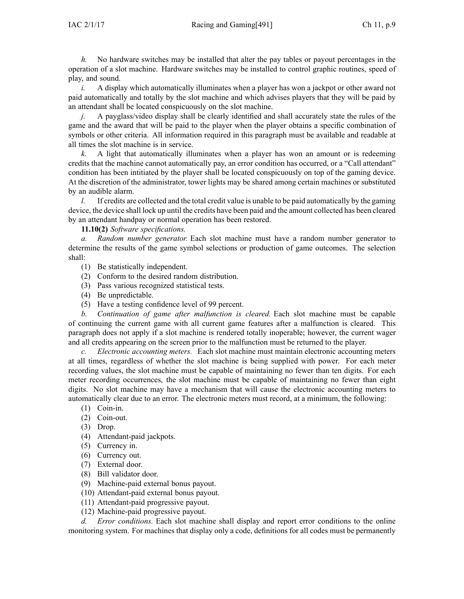*h.* No hardware switches may be installed that alter the pay tables or payou<sup>t</sup> percentages in the operation of <sup>a</sup> slot machine. Hardware switches may be installed to control graphic routines, speed of play, and sound.

*i.* A display which automatically illuminates when a player has won a jackpot or other award not paid automatically and totally by the slot machine and which advises players that they will be paid by an attendant shall be located conspicuously on the slot machine.

*j.* A payglass/video display shall be clearly identified and shall accurately state the rules of the game and the award that will be paid to the player when the player obtains <sup>a</sup> specific combination of symbols or other criteria. All information required in this paragraph must be available and readable at all times the slot machine is in service.

*k.* A light that automatically illuminates when <sup>a</sup> player has won an amount or is redeeming credits that the machine cannot automatically pay, an error condition has occurred, or <sup>a</sup> "Call attendant" condition has been intitiated by the player shall be located conspicuously on top of the gaming device. At the discretion of the administrator, tower lights may be shared among certain machines or substituted by an audible alarm.

*l.* If credits are collected and the total credit value is unable to be paid automatically by the gaming device, the device shall lock up until the credits have been paid and the amount collected has been cleared by an attendant handpay or normal operation has been restored.

**11.10(2)** *Software specifications.*

*a. Random number generator.* Each slot machine must have <sup>a</sup> random number generator to determine the results of the game symbol selections or production of game outcomes. The selection shall:

- (1) Be statistically independent.
- (2) Conform to the desired random distribution.
- (3) Pass various recognized statistical tests.
- (4) Be unpredictable.
- (5) Have <sup>a</sup> testing confidence level of 99 percent.

*b. Continuation of game after malfunction is cleared.* Each slot machine must be capable of continuing the current game with all current game features after <sup>a</sup> malfunction is cleared. This paragraph does not apply if <sup>a</sup> slot machine is rendered totally inoperable; however, the current wager and all credits appearing on the screen prior to the malfunction must be returned to the player.

*c. Electronic accounting meters.* Each slot machine must maintain electronic accounting meters at all times, regardless of whether the slot machine is being supplied with power. For each meter recording values, the slot machine must be capable of maintaining no fewer than ten digits. For each meter recording occurrences, the slot machine must be capable of maintaining no fewer than eight digits. No slot machine may have <sup>a</sup> mechanism that will cause the electronic accounting meters to automatically clear due to an error. The electronic meters must record, at <sup>a</sup> minimum, the following:

- (1) Coin-in.
- (2) Coin-out.
- (3) Drop.
- (4) Attendant-paid jackpots.
- (5) Currency in.
- (6) Currency out.
- (7) External door.
- (8) Bill validator door.
- (9) Machine-paid external bonus payout.
- (10) Attendant-paid external bonus payout.
- (11) Attendant-paid progressive payout.
- (12) Machine-paid progressive payout.

*d. Error conditions.* Each slot machine shall display and repor<sup>t</sup> error conditions to the online monitoring system. For machines that display only <sup>a</sup> code, definitions for all codes must be permanently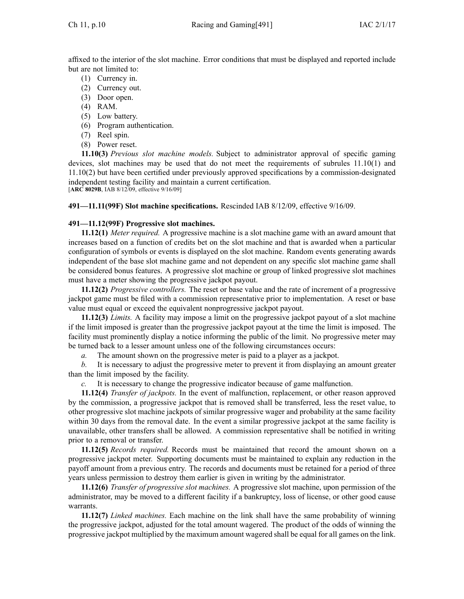affixed to the interior of the slot machine. Error conditions that must be displayed and reported include but are not limited to:

- (1) Currency in.
- (2) Currency out.
- (3) Door open.
- (4) RAM.
- (5) Low battery.
- (6) Program authentication.
- (7) Reel spin.
- (8) Power reset.

**11.10(3)** *Previous slot machine models.* Subject to administrator approval of specific gaming devices, slot machines may be used that do not meet the requirements of subrules [11.10\(1\)](https://www.legis.iowa.gov/docs/iac/rule/491.11.10.pdf) and [11.10\(2\)](https://www.legis.iowa.gov/docs/iac/rule/491.11.10.pdf) but have been certified under previously approved specifications by <sup>a</sup> commission-designated independent testing facility and maintain <sup>a</sup> current certification. [**ARC [8029B](https://www.legis.iowa.gov/docs/aco/arc/8029B.pdf)**, IAB 8/12/09, effective 9/16/09]

**491—11.11(99F) Slot machine specifications.** Rescinded IAB [8/12/09](https://www.legis.iowa.gov/docs/aco/bulletin/08-12-2009.pdf), effective 9/16/09.

# **491—11.12(99F) Progressive slot machines.**

**11.12(1)** *Meter required.* A progressive machine is <sup>a</sup> slot machine game with an award amount that increases based on <sup>a</sup> function of credits bet on the slot machine and that is awarded when <sup>a</sup> particular configuration of symbols or events is displayed on the slot machine. Random events generating awards independent of the base slot machine game and not dependent on any specific slot machine game shall be considered bonus features. A progressive slot machine or group of linked progressive slot machines must have <sup>a</sup> meter showing the progressive jackpot payout.

**11.12(2)** *Progressive controllers.* The reset or base value and the rate of increment of <sup>a</sup> progressive jackpot game must be filed with <sup>a</sup> commission representative prior to implementation. A reset or base value must equal or exceed the equivalent nonprogressive jackpot payout.

**11.12(3)** *Limits.* A facility may impose <sup>a</sup> limit on the progressive jackpot payou<sup>t</sup> of <sup>a</sup> slot machine if the limit imposed is greater than the progressive jackpot payou<sup>t</sup> at the time the limit is imposed. The facility must prominently display <sup>a</sup> notice informing the public of the limit. No progressive meter may be turned back to <sup>a</sup> lesser amount unless one of the following circumstances occurs:

*a.* The amount shown on the progressive meter is paid to <sup>a</sup> player as <sup>a</sup> jackpot.

*b.* It is necessary to adjust the progressive meter to preven<sup>t</sup> it from displaying an amount greater than the limit imposed by the facility.

*c.* It is necessary to change the progressive indicator because of game malfunction.

**11.12(4)** *Transfer of jackpots.* In the event of malfunction, replacement, or other reason approved by the commission, <sup>a</sup> progressive jackpot that is removed shall be transferred, less the reset value, to other progressive slot machine jackpots of similar progressive wager and probability at the same facility within 30 days from the removal date. In the event a similar progressive jackpot at the same facility is unavailable, other transfers shall be allowed. A commission representative shall be notified in writing prior to <sup>a</sup> removal or transfer.

**11.12(5)** *Records required.* Records must be maintained that record the amount shown on <sup>a</sup> progressive jackpot meter. Supporting documents must be maintained to explain any reduction in the payoff amount from <sup>a</sup> previous entry. The records and documents must be retained for <sup>a</sup> period of three years unless permission to destroy them earlier is given in writing by the administrator.

**11.12(6)** *Transfer of progressive slot machines.* A progressive slot machine, upon permission of the administrator, may be moved to <sup>a</sup> different facility if <sup>a</sup> bankruptcy, loss of license, or other good cause warrants.

**11.12(7)** *Linked machines.* Each machine on the link shall have the same probability of winning the progressive jackpot, adjusted for the total amount wagered. The product of the odds of winning the progressive jackpot multiplied by the maximum amount wagered shall be equal for all games on the link.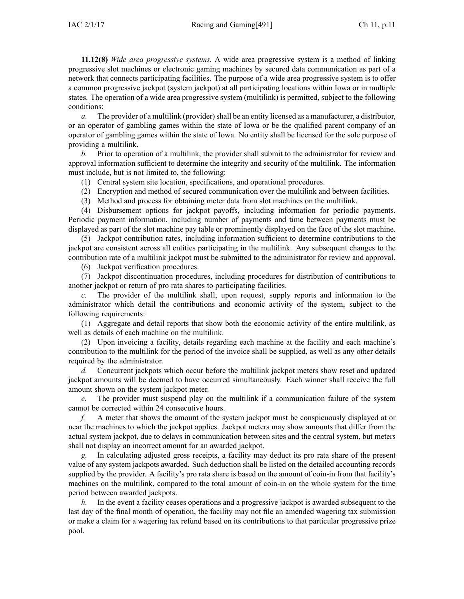**11.12(8)** *Wide area progressive systems.* A wide area progressive system is <sup>a</sup> method of linking progressive slot machines or electronic gaming machines by secured data communication as par<sup>t</sup> of <sup>a</sup> network that connects participating facilities. The purpose of <sup>a</sup> wide area progressive system is to offer <sup>a</sup> common progressive jackpot (system jackpot) at all participating locations within Iowa or in multiple states. The operation of <sup>a</sup> wide area progressive system (multilink) is permitted, subject to the following conditions:

*a.* The provider of a multilink (provider) shall be an entity licensed as a manufacturer, a distributor, or an operator of gambling games within the state of Iowa or be the qualified paren<sup>t</sup> company of an operator of gambling games within the state of Iowa. No entity shall be licensed for the sole purpose of providing <sup>a</sup> multilink.

*b.* Prior to operation of <sup>a</sup> multilink, the provider shall submit to the administrator for review and approval information sufficient to determine the integrity and security of the multilink. The information must include, but is not limited to, the following:

(1) Central system site location, specifications, and operational procedures.

(2) Encryption and method of secured communication over the multilink and between facilities.

(3) Method and process for obtaining meter data from slot machines on the multilink.

(4) Disbursement options for jackpot payoffs, including information for periodic payments. Periodic paymen<sup>t</sup> information, including number of payments and time between payments must be displayed as par<sup>t</sup> of the slot machine pay table or prominently displayed on the face of the slot machine.

(5) Jackpot contribution rates, including information sufficient to determine contributions to the jackpot are consistent across all entities participating in the multilink. Any subsequent changes to the contribution rate of <sup>a</sup> multilink jackpot must be submitted to the administrator for review and approval.

(6) Jackpot verification procedures.

(7) Jackpot discontinuation procedures, including procedures for distribution of contributions to another jackpot or return of pro rata shares to participating facilities.

The provider of the multilink shall, upon request, supply reports and information to the administrator which detail the contributions and economic activity of the system, subject to the following requirements:

(1) Aggregate and detail reports that show both the economic activity of the entire multilink, as well as details of each machine on the multilink.

(2) Upon invoicing <sup>a</sup> facility, details regarding each machine at the facility and each machine's contribution to the multilink for the period of the invoice shall be supplied, as well as any other details required by the administrator.

*d.* Concurrent jackpots which occur before the multilink jackpot meters show reset and updated jackpot amounts will be deemed to have occurred simultaneously. Each winner shall receive the full amount shown on the system jackpot meter.

*e.* The provider must suspend play on the multilink if <sup>a</sup> communication failure of the system cannot be corrected within 24 consecutive hours.

*f.* A meter that shows the amount of the system jackpot must be conspicuously displayed at or near the machines to which the jackpot applies. Jackpot meters may show amounts that differ from the actual system jackpot, due to delays in communication between sites and the central system, but meters shall not display an incorrect amount for an awarded jackpot.

*g.* In calculating adjusted gross receipts, <sup>a</sup> facility may deduct its pro rata share of the presen<sup>t</sup> value of any system jackpots awarded. Such deduction shall be listed on the detailed accounting records supplied by the provider. A facility's pro rata share is based on the amount of coin-in from that facility's machines on the multilink, compared to the total amount of coin-in on the whole system for the time period between awarded jackpots.

*h.* In the event a facility ceases operations and a progressive jackpot is awarded subsequent to the last day of the final month of operation, the facility may not file an amended wagering tax submission or make <sup>a</sup> claim for <sup>a</sup> wagering tax refund based on its contributions to that particular progressive prize pool.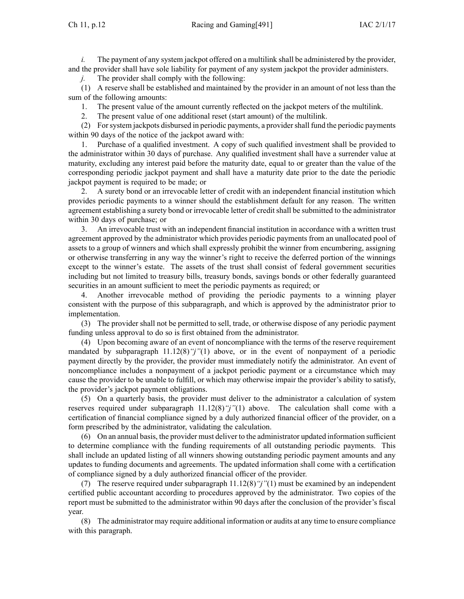*i.* The payment of any system jackpot offered on a multilink shall be administered by the provider, and the provider shall have sole liability for paymen<sup>t</sup> of any system jackpot the provider administers.

*j.* The provider shall comply with the following:

(1) A reserve shall be established and maintained by the provider in an amount of not less than the sum of the following amounts:

1. The presen<sup>t</sup> value of the amount currently reflected on the jackpot meters of the multilink.

2. The presen<sup>t</sup> value of one additional reset (start amount) of the multilink.

(2) Forsystem jackpots disbursed in periodic payments, <sup>a</sup> providershall fund the periodic payments within 90 days of the notice of the jackpot award with:

1. Purchase of <sup>a</sup> qualified investment. A copy of such qualified investment shall be provided to the administrator within 30 days of purchase. Any qualified investment shall have <sup>a</sup> surrender value at maturity, excluding any interest paid before the maturity date, equal to or greater than the value of the corresponding periodic jackpot paymen<sup>t</sup> and shall have <sup>a</sup> maturity date prior to the date the periodic jackpot paymen<sup>t</sup> is required to be made; or

2. A surety bond or an irrevocable letter of credit with an independent financial institution which provides periodic payments to <sup>a</sup> winner should the establishment default for any reason. The written agreemen<sup>t</sup> establishing <sup>a</sup> surety bond or irrevocable letter of creditshall be submitted to the administrator within 30 days of purchase; or

3. An irrevocable trust with an independent financial institution in accordance with <sup>a</sup> written trust agreemen<sup>t</sup> approved by the administrator which provides periodic payments from an unallocated pool of assets to <sup>a</sup> group of winners and which shall expressly prohibit the winner from encumbering, assigning or otherwise transferring in any way the winner's right to receive the deferred portion of the winnings excep<sup>t</sup> to the winner's estate. The assets of the trust shall consist of federal governmen<sup>t</sup> securities including but not limited to treasury bills, treasury bonds, savings bonds or other federally guaranteed securities in an amount sufficient to meet the periodic payments as required; or

4. Another irrevocable method of providing the periodic payments to <sup>a</sup> winning player consistent with the purpose of this subparagraph, and which is approved by the administrator prior to implementation.

(3) The provider shall not be permitted to sell, trade, or otherwise dispose of any periodic paymen<sup>t</sup> funding unless approval to do so is first obtained from the administrator.

(4) Upon becoming aware of an event of noncompliance with the terms of the reserve requirement mandated by subparagraph [11.12\(8\)](https://www.legis.iowa.gov/docs/iac/rule/491.11.12.pdf)*"j"*(1) above, or in the event of nonpaymen<sup>t</sup> of <sup>a</sup> periodic paymen<sup>t</sup> directly by the provider, the provider must immediately notify the administrator. An event of noncompliance includes <sup>a</sup> nonpaymen<sup>t</sup> of <sup>a</sup> jackpot periodic paymen<sup>t</sup> or <sup>a</sup> circumstance which may cause the provider to be unable to fulfill, or which may otherwise impair the provider's ability to satisfy, the provider's jackpot paymen<sup>t</sup> obligations.

(5) On <sup>a</sup> quarterly basis, the provider must deliver to the administrator <sup>a</sup> calculation of system reserves required under subparagraph [11.12\(8\)](https://www.legis.iowa.gov/docs/iac/rule/491.11.12.pdf)*"j"*(1) above. The calculation shall come with <sup>a</sup> certification of financial compliance signed by <sup>a</sup> duly authorized financial officer of the provider, on <sup>a</sup> form prescribed by the administrator, validating the calculation.

(6) On an annual basis, the provider must deliver to the administrator updated information sufficient to determine compliance with the funding requirements of all outstanding periodic payments. This shall include an updated listing of all winners showing outstanding periodic paymen<sup>t</sup> amounts and any updates to funding documents and agreements. The updated information shall come with <sup>a</sup> certification of compliance signed by <sup>a</sup> duly authorized financial officer of the provider.

(7) The reserve required under subparagraph [11.12\(8\)](https://www.legis.iowa.gov/docs/iac/rule/491.11.12.pdf)*"j"*(1) must be examined by an independent certified public accountant according to procedures approved by the administrator. Two copies of the repor<sup>t</sup> must be submitted to the administrator within 90 days after the conclusion of the provider's fiscal year.

(8) The administrator may require additional information or audits at any time to ensure compliance with this paragraph.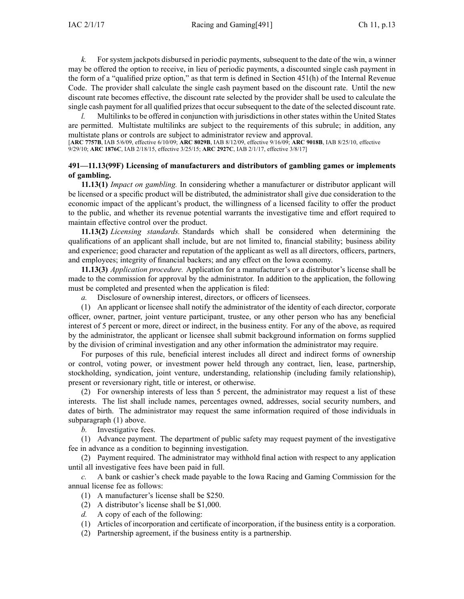*k.* For system jackpots disbursed in periodic payments, subsequent to the date of the win, <sup>a</sup> winner may be offered the option to receive, in lieu of periodic payments, <sup>a</sup> discounted single cash paymen<sup>t</sup> in the form of <sup>a</sup> "qualified prize option," as that term is defined in Section 451(h) of the Internal Revenue Code. The provider shall calculate the single cash paymen<sup>t</sup> based on the discount rate. Until the new discount rate becomes effective, the discount rate selected by the provider shall be used to calculate the single cash paymen<sup>t</sup> for all qualified prizes that occur subsequent to the date of the selected discount rate.

*l.* Multilinks to be offered in conjunction with jurisdictions in other states within the United States are permitted. Multistate multilinks are subject to the requirements of this subrule; in addition, any multistate plans or controls are subject to administrator review and approval.

[**ARC [7757B](https://www.legis.iowa.gov/docs/aco/arc/7757B.pdf)**, IAB 5/6/09, effective 6/10/09; **ARC [8029B](https://www.legis.iowa.gov/docs/aco/arc/8029B.pdf)**, IAB 8/12/09, effective 9/16/09; **ARC [9018B](https://www.legis.iowa.gov/docs/aco/arc/9018B.pdf)**, IAB 8/25/10, effective 9/29/10; **ARC [1876C](https://www.legis.iowa.gov/docs/aco/arc/1876C.pdf)**, IAB 2/18/15, effective 3/25/15; **ARC [2927C](https://www.legis.iowa.gov/docs/aco/arc/2927C.pdf)**, IAB 2/1/17, effective 3/8/17]

# **491—11.13(99F) Licensing of manufacturers and distributors of gambling games or implements of gambling.**

**11.13(1)** *Impact on gambling.* In considering whether <sup>a</sup> manufacturer or distributor applicant will be licensed or <sup>a</sup> specific product will be distributed, the administrator shall give due consideration to the economic impact of the applicant's product, the willingness of <sup>a</sup> licensed facility to offer the product to the public, and whether its revenue potential warrants the investigative time and effort required to maintain effective control over the product.

**11.13(2)** *Licensing standards.* Standards which shall be considered when determining the qualifications of an applicant shall include, but are not limited to, financial stability; business ability and experience; good character and reputation of the applicant as well as all directors, officers, partners, and employees; integrity of financial backers; and any effect on the Iowa economy.

**11.13(3)** *Application procedure.* Application for <sup>a</sup> manufacturer's or <sup>a</sup> distributor's license shall be made to the commission for approval by the administrator. In addition to the application, the following must be completed and presented when the application is filed:

*a.* Disclosure of ownership interest, directors, or officers of licensees.

(1) An applicant or licensee shall notify the administrator of the identity of each director, corporate officer, owner, partner, joint venture participant, trustee, or any other person who has any beneficial interest of 5 percen<sup>t</sup> or more, direct or indirect, in the business entity. For any of the above, as required by the administrator, the applicant or licensee shall submit background information on forms supplied by the division of criminal investigation and any other information the administrator may require.

For purposes of this rule, beneficial interest includes all direct and indirect forms of ownership or control, voting power, or investment power held through any contract, lien, lease, partnership, stockholding, syndication, joint venture, understanding, relationship (including family relationship), presen<sup>t</sup> or reversionary right, title or interest, or otherwise.

(2) For ownership interests of less than 5 percent, the administrator may reques<sup>t</sup> <sup>a</sup> list of these interests. The list shall include names, percentages owned, addresses, social security numbers, and dates of birth. The administrator may reques<sup>t</sup> the same information required of those individuals in subparagraph (1) above.

*b.* Investigative fees.

(1) Advance payment. The department of public safety may reques<sup>t</sup> paymen<sup>t</sup> of the investigative fee in advance as <sup>a</sup> condition to beginning investigation.

(2) Payment required. The administrator may withhold final action with respec<sup>t</sup> to any application until all investigative fees have been paid in full.

*c.* A bank or cashier's check made payable to the Iowa Racing and Gaming Commission for the annual license fee as follows:

- (1) A manufacturer's license shall be \$250.
- (2) A distributor's license shall be \$1,000.
- *d.* A copy of each of the following:
- (1) Articles of incorporation and certificate of incorporation, if the business entity is <sup>a</sup> corporation.
- (2) Partnership agreement, if the business entity is <sup>a</sup> partnership.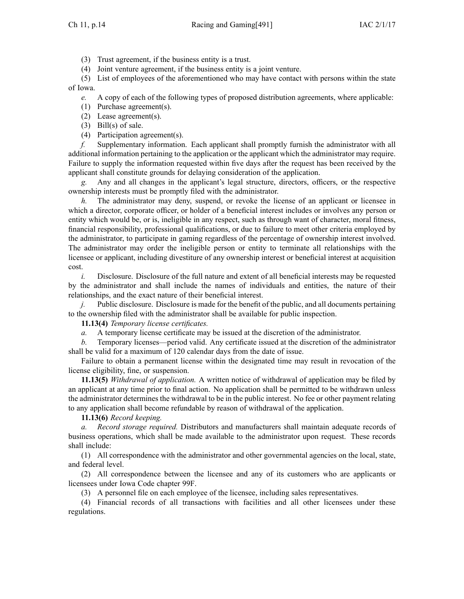(3) Trust agreement, if the business entity is <sup>a</sup> trust.

(4) Joint venture agreement, if the business entity is <sup>a</sup> joint venture.

(5) List of employees of the aforementioned who may have contact with persons within the state of Iowa.

*e.* A copy of each of the following types of proposed distribution agreements, where applicable:

(1) Purchase agreement(s).

(2) Lease agreement(s).

(3) Bill(s) of sale.

(4) Participation agreement(s).

*f.* Supplementary information. Each applicant shall promptly furnish the administrator with all additional information pertaining to the application or the applicant which the administrator may require. Failure to supply the information requested within five days after the reques<sup>t</sup> has been received by the applicant shall constitute grounds for delaying consideration of the application.

*g.* Any and all changes in the applicant's legal structure, directors, officers, or the respective ownership interests must be promptly filed with the administrator.

*h.* The administrator may deny, suspend, or revoke the license of an applicant or licensee in which <sup>a</sup> director, corporate officer, or holder of <sup>a</sup> beneficial interest includes or involves any person or entity which would be, or is, ineligible in any respect, such as through want of character, moral fitness, financial responsibility, professional qualifications, or due to failure to meet other criteria employed by the administrator, to participate in gaming regardless of the percentage of ownership interest involved. The administrator may order the ineligible person or entity to terminate all relationships with the licensee or applicant, including divestiture of any ownership interest or beneficial interest at acquisition cost.

*i.* Disclosure. Disclosure of the full nature and extent of all beneficial interests may be requested by the administrator and shall include the names of individuals and entities, the nature of their relationships, and the exact nature of their beneficial interest.

*j.* Public disclosure. Disclosure is made for the benefit of the public, and all documents pertaining to the ownership filed with the administrator shall be available for public inspection.

**11.13(4)** *Temporary license certificates.*

*a.* A temporary license certificate may be issued at the discretion of the administrator.

*b.* Temporary licenses—period valid. Any certificate issued at the discretion of the administrator shall be valid for <sup>a</sup> maximum of 120 calendar days from the date of issue.

Failure to obtain <sup>a</sup> permanen<sup>t</sup> license within the designated time may result in revocation of the license eligibility, fine, or suspension.

**11.13(5)** *Withdrawal of application.* A written notice of withdrawal of application may be filed by an applicant at any time prior to final action. No application shall be permitted to be withdrawn unless the administrator determines the withdrawal to be in the public interest. No fee or other paymen<sup>t</sup> relating to any application shall become refundable by reason of withdrawal of the application.

**11.13(6)** *Record keeping.*

*a. Record storage required.* Distributors and manufacturers shall maintain adequate records of business operations, which shall be made available to the administrator upon request. These records shall include:

(1) All correspondence with the administrator and other governmental agencies on the local, state, and federal level.

(2) All correspondence between the licensee and any of its customers who are applicants or licensees under Iowa Code chapter [99F](https://www.legis.iowa.gov/docs/ico/chapter/99F.pdf).

(3) A personnel file on each employee of the licensee, including sales representatives.

(4) Financial records of all transactions with facilities and all other licensees under these regulations.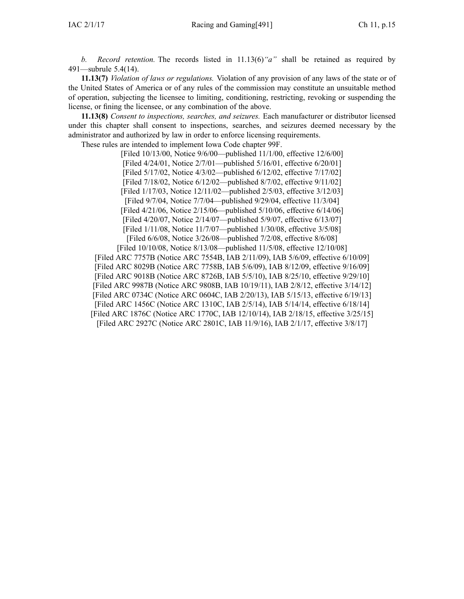*b. Record retention.* The records listed in [11.13\(6\)](https://www.legis.iowa.gov/docs/iac/rule/491.11.13.pdf)*"a"* shall be retained as required by [491—subrule](https://www.legis.iowa.gov/docs/iac/rule/491.5.4.pdf) 5.4(14).

**11.13(7)** *Violation of laws or regulations.* Violation of any provision of any laws of the state or of the United States of America or of any rules of the commission may constitute an unsuitable method of operation, subjecting the licensee to limiting, conditioning, restricting, revoking or suspending the license, or fining the licensee, or any combination of the above.

**11.13(8)** *Consent to inspections, searches, and seizures.* Each manufacturer or distributor licensed under this chapter shall consent to inspections, searches, and seizures deemed necessary by the administrator and authorized by law in order to enforce licensing requirements.

These rules are intended to implement Iowa Code chapter [99F](https://www.legis.iowa.gov/docs/ico/chapter/99F.pdf).

[Filed 10/13/00, Notice 9/6/00—published 11/1/00, effective 12/6/00] [Filed 4/24/01, Notice 2/7/01—published 5/16/01, effective 6/20/01] [Filed 5/17/02, Notice 4/3/02—published 6/12/02, effective 7/17/02] [Filed 7/18/02, Notice 6/12/02—published 8/7/02, effective 9/11/02] [Filed 1/17/03, Notice 12/11/02—published 2/5/03, effective 3/12/03] [Filed 9/7/04, Notice 7/7/04—published 9/29/04, effective 11/3/04] [Filed 4/21/06, Notice 2/15/06—published 5/10/06, effective 6/14/06] [Filed 4/20/07, Notice 2/14/07—published 5/9/07, effective 6/13/07] [Filed 1/11/08, Notice 11/7/07—published 1/30/08, effective 3/5/08] [Filed 6/6/08, Notice 3/26/08—published 7/2/08, effective 8/6/08]

[Filed 10/10/08, Notice 8/13/08—published 11/5/08, effective 12/10/08] [\[Filed](https://www.legis.iowa.gov/docs/aco/arc/7757B.pdf) ARC 7757B ([Notice](https://www.legis.iowa.gov/docs/aco/arc/7554B.pdf) ARC 7554B, IAB 2/11/09), IAB 5/6/09, effective 6/10/09] [[Filed](https://www.legis.iowa.gov/docs/aco/arc/8029B.pdf) ARC 8029B (Notice ARC [7758B](https://www.legis.iowa.gov/docs/aco/arc/7758B.pdf), IAB 5/6/09), IAB 8/12/09, effective 9/16/09] [[Filed](https://www.legis.iowa.gov/docs/aco/arc/9018B.pdf) ARC 9018B ([Notice](https://www.legis.iowa.gov/docs/aco/arc/8726B.pdf) ARC 8726B, IAB 5/5/10), IAB 8/25/10, effective 9/29/10] [Filed ARC [9987B](https://www.legis.iowa.gov/docs/aco/arc/9987B.pdf) [\(Notice](https://www.legis.iowa.gov/docs/aco/arc/9808B.pdf) ARC 9808B, IAB 10/19/11), IAB 2/8/12, effective 3/14/12] [[Filed](https://www.legis.iowa.gov/docs/aco/arc/0734C.pdf) ARC 0734C ([Notice](https://www.legis.iowa.gov/docs/aco/arc/0604C.pdf) ARC 0604C, IAB 2/20/13), IAB 5/15/13, effective 6/19/13] [[Filed](https://www.legis.iowa.gov/docs/aco/arc/1456C.pdf) ARC 1456C ([Notice](https://www.legis.iowa.gov/docs/aco/arc/1310C.pdf) ARC 1310C, IAB 2/5/14), IAB 5/14/14, effective 6/18/14] [[Filed](https://www.legis.iowa.gov/docs/aco/arc/1876C.pdf) ARC 1876C ([Notice](https://www.legis.iowa.gov/docs/aco/arc/1770C.pdf) ARC 1770C, IAB 12/10/14), IAB 2/18/15, effective 3/25/15] [[Filed](https://www.legis.iowa.gov/docs/aco/arc/2927C.pdf) ARC 2927C ([Notice](https://www.legis.iowa.gov/docs/aco/arc/2801C.pdf) ARC 2801C, IAB 11/9/16), IAB 2/1/17, effective 3/8/17]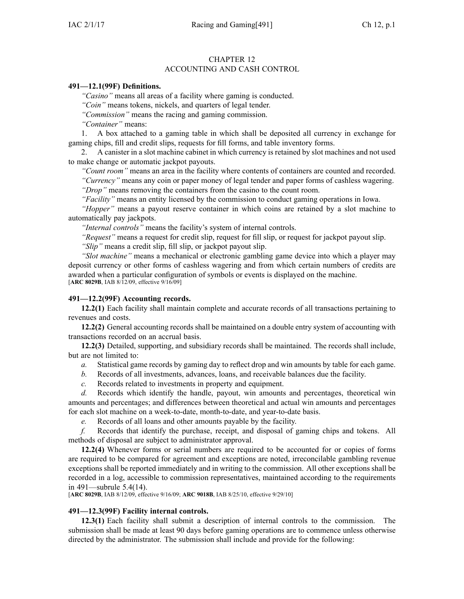# CHAPTER 12

# ACCOUNTING AND CASH CONTROL

### **491—12.1(99F) Definitions.**

*"Casino"* means all areas of <sup>a</sup> facility where gaming is conducted.

*"Coin"* means tokens, nickels, and quarters of legal tender.

*"Commission"* means the racing and gaming commission.

*"Container"* means:

1. A box attached to <sup>a</sup> gaming table in which shall be deposited all currency in exchange for gaming chips, fill and credit slips, requests for fill forms, and table inventory forms.

2. A canister in <sup>a</sup> slot machine cabinet in which currency is retained by slot machines and not used to make change or automatic jackpot payouts.

*"Count room"* means an area in the facility where contents of containers are counted and recorded. *"Currency"* means any coin or paper money of legal tender and paper forms of cashless wagering. *"Drop"* means removing the containers from the casino to the count room.

*"Facility"* means an entity licensed by the commission to conduct gaming operations in Iowa.

*"Hopper"* means <sup>a</sup> payou<sup>t</sup> reserve container in which coins are retained by <sup>a</sup> slot machine to automatically pay jackpots.

*"Internal controls"* means the facility's system of internal controls.

*"Request"* means <sup>a</sup> reques<sup>t</sup> for credit slip, reques<sup>t</sup> for fill slip, or reques<sup>t</sup> for jackpot payou<sup>t</sup> slip.

*"Slip"* means <sup>a</sup> credit slip, fill slip, or jackpot payou<sup>t</sup> slip.

*"Slot machine"* means <sup>a</sup> mechanical or electronic gambling game device into which <sup>a</sup> player may deposit currency or other forms of cashless wagering and from which certain numbers of credits are awarded when <sup>a</sup> particular configuration of symbols or events is displayed on the machine. [**ARC [8029B](https://www.legis.iowa.gov/docs/aco/arc/8029B.pdf)**, IAB 8/12/09, effective 9/16/09]

## **491—12.2(99F) Accounting records.**

**12.2(1)** Each facility shall maintain complete and accurate records of all transactions pertaining to revenues and costs.

**12.2(2)** General accounting records shall be maintained on <sup>a</sup> double entry system of accounting with transactions recorded on an accrual basis.

**12.2(3)** Detailed, supporting, and subsidiary records shall be maintained. The records shall include, but are not limited to:

*a.* Statistical game records by gaming day to reflect drop and win amounts by table for each game.

*b.* Records of all investments, advances, loans, and receivable balances due the facility.

*c.* Records related to investments in property and equipment.

*d.* Records which identify the handle, payout, win amounts and percentages, theoretical win amounts and percentages; and differences between theoretical and actual win amounts and percentages for each slot machine on <sup>a</sup> week-to-date, month-to-date, and year-to-date basis.

*e.* Records of all loans and other amounts payable by the facility.

*f.* Records that identify the purchase, receipt, and disposal of gaming chips and tokens. All methods of disposal are subject to administrator approval.

**12.2(4)** Whenever forms or serial numbers are required to be accounted for or copies of forms are required to be compared for agreemen<sup>t</sup> and exceptions are noted, irreconcilable gambling revenue exceptions shall be reported immediately and in writing to the commission. All other exceptions shall be recorded in <sup>a</sup> log, accessible to commission representatives, maintained according to the requirements in [491—subrule](https://www.legis.iowa.gov/docs/iac/rule/491.5.4.pdf) 5.4(14).

[**ARC [8029B](https://www.legis.iowa.gov/docs/aco/arc/8029B.pdf)**, IAB 8/12/09, effective 9/16/09; **ARC [9018B](https://www.legis.iowa.gov/docs/aco/arc/9018B.pdf)**, IAB 8/25/10, effective 9/29/10]

### **491—12.3(99F) Facility internal controls.**

**12.3(1)** Each facility shall submit <sup>a</sup> description of internal controls to the commission. The submission shall be made at least 90 days before gaming operations are to commence unless otherwise directed by the administrator. The submission shall include and provide for the following: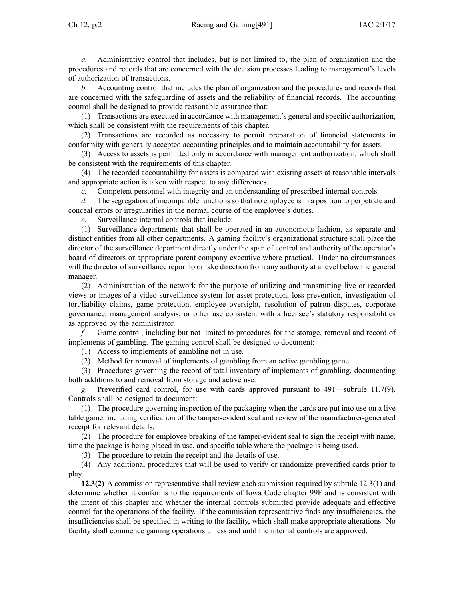*a.* Administrative control that includes, but is not limited to, the plan of organization and the procedures and records that are concerned with the decision processes leading to management's levels of authorization of transactions.

*b.* Accounting control that includes the plan of organization and the procedures and records that are concerned with the safeguarding of assets and the reliability of financial records. The accounting control shall be designed to provide reasonable assurance that:

(1) Transactions are executed in accordance with management's general and specific authorization, which shall be consistent with the requirements of this chapter.

(2) Transactions are recorded as necessary to permit preparation of financial statements in conformity with generally accepted accounting principles and to maintain accountability for assets.

(3) Access to assets is permitted only in accordance with managemen<sup>t</sup> authorization, which shall be consistent with the requirements of this chapter.

(4) The recorded accountability for assets is compared with existing assets at reasonable intervals and appropriate action is taken with respec<sup>t</sup> to any differences.

*c.* Competent personnel with integrity and an understanding of prescribed internal controls.

*d.* The segregation of incompatible functions so that no employee is in <sup>a</sup> position to perpetrate and conceal errors or irregularities in the normal course of the employee's duties.

*e.* Surveillance internal controls that include:

(1) Surveillance departments that shall be operated in an autonomous fashion, as separate and distinct entities from all other departments. A gaming facility's organizational structure shall place the director of the surveillance department directly under the span of control and authority of the operator's board of directors or appropriate paren<sup>t</sup> company executive where practical. Under no circumstances will the director of surveillance repor<sup>t</sup> to or take direction from any authority at <sup>a</sup> level below the general manager.

(2) Administration of the network for the purpose of utilizing and transmitting live or recorded views or images of <sup>a</sup> video surveillance system for asset protection, loss prevention, investigation of tort/liability claims, game protection, employee oversight, resolution of patron disputes, corporate governance, managemen<sup>t</sup> analysis, or other use consistent with <sup>a</sup> licensee's statutory responsibilities as approved by the administrator.

*f.* Game control, including but not limited to procedures for the storage, removal and record of implements of gambling. The gaming control shall be designed to document:

(1) Access to implements of gambling not in use.

(2) Method for removal of implements of gambling from an active gambling game.

(3) Procedures governing the record of total inventory of implements of gambling, documenting both additions to and removal from storage and active use.

*g.* Preverified card control, for use with cards approved pursuan<sup>t</sup> to [491—subrule](https://www.legis.iowa.gov/docs/iac/rule/491.11.7.pdf) 11.7(9). Controls shall be designed to document:

(1) The procedure governing inspection of the packaging when the cards are pu<sup>t</sup> into use on <sup>a</sup> live table game, including verification of the tamper-evident seal and review of the manufacturer-generated receipt for relevant details.

(2) The procedure for employee breaking of the tamper-evident seal to sign the receipt with name, time the package is being placed in use, and specific table where the package is being used.

(3) The procedure to retain the receipt and the details of use.

(4) Any additional procedures that will be used to verify or randomize preverified cards prior to play.

**12.3(2)** A commission representative shall review each submission required by subrule [12.3\(1\)](https://www.legis.iowa.gov/docs/iac/rule/491.12.3.pdf) and determine whether it conforms to the requirements of Iowa Code chapter [99F](https://www.legis.iowa.gov/docs/ico/chapter/99F.pdf) and is consistent with the intent of this chapter and whether the internal controls submitted provide adequate and effective control for the operations of the facility. If the commission representative finds any insufficiencies, the insufficiencies shall be specified in writing to the facility, which shall make appropriate alterations. No facility shall commence gaming operations unless and until the internal controls are approved.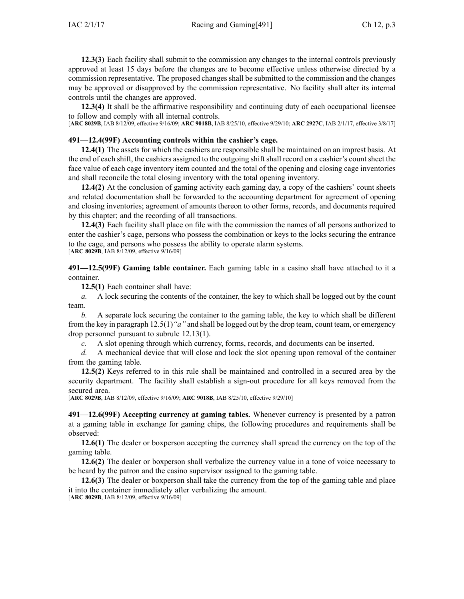**12.3(3)** Each facility shall submit to the commission any changes to the internal controls previously approved at least 15 days before the changes are to become effective unless otherwise directed by <sup>a</sup> commission representative. The proposed changes shall be submitted to the commission and the changes may be approved or disapproved by the commission representative. No facility shall alter its internal controls until the changes are approved.

**12.3(4)** It shall be the affirmative responsibility and continuing duty of each occupational licensee to follow and comply with all internal controls.

[**ARC [8029B](https://www.legis.iowa.gov/docs/aco/arc/8029B.pdf)**, IAB 8/12/09, effective 9/16/09; **ARC [9018B](https://www.legis.iowa.gov/docs/aco/arc/9018B.pdf)**, IAB 8/25/10, effective 9/29/10; **ARC [2927C](https://www.legis.iowa.gov/docs/aco/arc/2927C.pdf)**, IAB 2/1/17, effective 3/8/17]

#### **491—12.4(99F) Accounting controls within the cashier's cage.**

**12.4(1)** The assets for which the cashiers are responsible shall be maintained on an imprest basis. At the end of each shift, the cashiers assigned to the outgoing shift shall record on <sup>a</sup> cashier's count sheet the face value of each cage inventory item counted and the total of the opening and closing cage inventories and shall reconcile the total closing inventory with the total opening inventory.

**12.4(2)** At the conclusion of gaming activity each gaming day, <sup>a</sup> copy of the cashiers' count sheets and related documentation shall be forwarded to the accounting department for agreemen<sup>t</sup> of opening and closing inventories; agreemen<sup>t</sup> of amounts thereon to other forms, records, and documents required by this chapter; and the recording of all transactions.

**12.4(3)** Each facility shall place on file with the commission the names of all persons authorized to enter the cashier's cage, persons who possess the combination or keys to the locks securing the entrance to the cage, and persons who possess the ability to operate alarm systems. [**ARC [8029B](https://www.legis.iowa.gov/docs/aco/arc/8029B.pdf)**, IAB 8/12/09, effective 9/16/09]

**491—12.5(99F) Gaming table container.** Each gaming table in <sup>a</sup> casino shall have attached to it <sup>a</sup> container.

**12.5(1)** Each container shall have:

*a.* A lock securing the contents of the container, the key to which shall be logged out by the count team.

*b.* A separate lock securing the container to the gaming table, the key to which shall be different from the key in paragraph [12.5\(1\)](https://www.legis.iowa.gov/docs/iac/rule/491.12.5.pdf)*"a"* and shall be logged out by the drop team, count team, or emergency drop personnel pursuan<sup>t</sup> to subrule [12.13\(1\)](https://www.legis.iowa.gov/docs/iac/rule/491.12.13.pdf).

*c.* A slot opening through which currency, forms, records, and documents can be inserted.

*d.* A mechanical device that will close and lock the slot opening upon removal of the container from the gaming table.

**12.5(2)** Keys referred to in this rule shall be maintained and controlled in <sup>a</sup> secured area by the security department. The facility shall establish <sup>a</sup> sign-out procedure for all keys removed from the secured area.

[**ARC [8029B](https://www.legis.iowa.gov/docs/aco/arc/8029B.pdf)**, IAB 8/12/09, effective 9/16/09; **ARC [9018B](https://www.legis.iowa.gov/docs/aco/arc/9018B.pdf)**, IAB 8/25/10, effective 9/29/10]

**491—12.6(99F) Accepting currency at gaming tables.** Whenever currency is presented by <sup>a</sup> patron at <sup>a</sup> gaming table in exchange for gaming chips, the following procedures and requirements shall be observed:

**12.6(1)** The dealer or boxperson accepting the currency shall spread the currency on the top of the gaming table.

**12.6(2)** The dealer or boxperson shall verbalize the currency value in <sup>a</sup> tone of voice necessary to be heard by the patron and the casino supervisor assigned to the gaming table.

**12.6(3)** The dealer or boxperson shall take the currency from the top of the gaming table and place it into the container immediately after verbalizing the amount. [**ARC [8029B](https://www.legis.iowa.gov/docs/aco/arc/8029B.pdf)**, IAB 8/12/09, effective 9/16/09]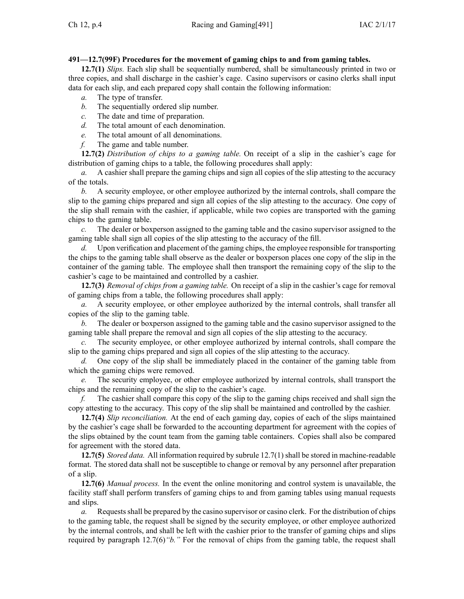# **491—12.7(99F) Procedures for the movement of gaming chips to and from gaming tables.**

**12.7(1)** *Slips.* Each slip shall be sequentially numbered, shall be simultaneously printed in two or three copies, and shall discharge in the cashier's cage. Casino supervisors or casino clerks shall input data for each slip, and each prepared copy shall contain the following information:

- *a.* The type of transfer.
- *b.* The sequentially ordered slip number.
- *c.* The date and time of preparation.
- *d.* The total amount of each denomination.
- *e.* The total amount of all denominations.
- *f.* The game and table number.

**12.7(2)** *Distribution of chips to <sup>a</sup> gaming table.* On receipt of <sup>a</sup> slip in the cashier's cage for distribution of gaming chips to <sup>a</sup> table, the following procedures shall apply:

*a.* A cashier shall prepare the gaming chips and sign all copies of the slip attesting to the accuracy of the totals.

*b.* A security employee, or other employee authorized by the internal controls, shall compare the slip to the gaming chips prepared and sign all copies of the slip attesting to the accuracy. One copy of the slip shall remain with the cashier, if applicable, while two copies are transported with the gaming chips to the gaming table.

*c.* The dealer or boxperson assigned to the gaming table and the casino supervisor assigned to the gaming table shall sign all copies of the slip attesting to the accuracy of the fill.

*d.* Upon verification and placement of the gaming chips, the employee responsible for transporting the chips to the gaming table shall observe as the dealer or boxperson places one copy of the slip in the container of the gaming table. The employee shall then transport the remaining copy of the slip to the cashier's cage to be maintained and controlled by <sup>a</sup> cashier.

**12.7(3)** *Removal of chips from <sup>a</sup> gaming table.* On receipt of <sup>a</sup> slip in the cashier's cage for removal of gaming chips from <sup>a</sup> table, the following procedures shall apply:

*a.* A security employee, or other employee authorized by the internal controls, shall transfer all copies of the slip to the gaming table.

*b.* The dealer or boxperson assigned to the gaming table and the casino supervisor assigned to the gaming table shall prepare the removal and sign all copies of the slip attesting to the accuracy.

*c.* The security employee, or other employee authorized by internal controls, shall compare the slip to the gaming chips prepared and sign all copies of the slip attesting to the accuracy.

*d.* One copy of the slip shall be immediately placed in the container of the gaming table from which the gaming chips were removed.

*e.* The security employee, or other employee authorized by internal controls, shall transport the chips and the remaining copy of the slip to the cashier's cage.

*f.* The cashier shall compare this copy of the slip to the gaming chips received and shall sign the copy attesting to the accuracy. This copy of the slip shall be maintained and controlled by the cashier.

**12.7(4)** *Slip reconciliation.* At the end of each gaming day, copies of each of the slips maintained by the cashier's cage shall be forwarded to the accounting department for agreemen<sup>t</sup> with the copies of the slips obtained by the count team from the gaming table containers. Copies shall also be compared for agreemen<sup>t</sup> with the stored data.

**12.7(5)** *Stored data.* All information required by subrule [12.7\(1\)](https://www.legis.iowa.gov/docs/iac/rule/491.12.7.pdf)shall be stored in machine-readable format. The stored data shall not be susceptible to change or removal by any personnel after preparation of <sup>a</sup> slip.

**12.7(6)** *Manual process.* In the event the online monitoring and control system is unavailable, the facility staff shall perform transfers of gaming chips to and from gaming tables using manual requests and slips.

*a.* Requests shall be prepared by the casino supervisor or casino clerk. For the distribution of chips to the gaming table, the reques<sup>t</sup> shall be signed by the security employee, or other employee authorized by the internal controls, and shall be left with the cashier prior to the transfer of gaming chips and slips required by paragraph [12.7\(6\)](https://www.legis.iowa.gov/docs/iac/rule/491.12.7.pdf)*"b."* For the removal of chips from the gaming table, the reques<sup>t</sup> shall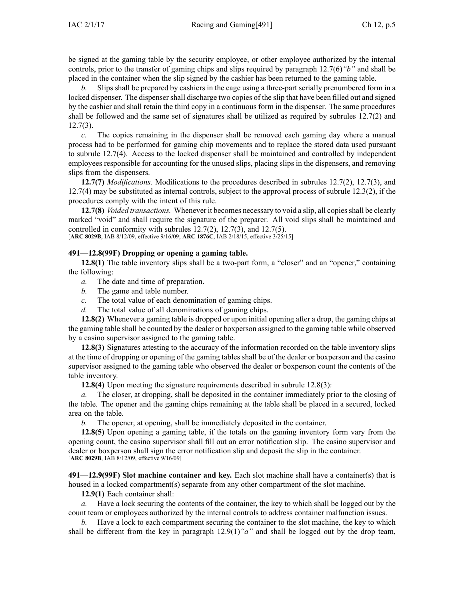be signed at the gaming table by the security employee, or other employee authorized by the internal controls, prior to the transfer of gaming chips and slips required by paragraph [12.7\(6\)](https://www.legis.iowa.gov/docs/iac/rule/491.12.7.pdf)*"b"* and shall be placed in the container when the slip signed by the cashier has been returned to the gaming table.

*b.* Slips shall be prepared by cashiers in the cage using <sup>a</sup> three-part serially prenumbered form in <sup>a</sup> locked dispenser. The dispenser shall discharge two copies of the slip that have been filled out and signed by the cashier and shall retain the third copy in <sup>a</sup> continuous form in the dispenser. The same procedures shall be followed and the same set of signatures shall be utilized as required by subrules [12.7\(2\)](https://www.legis.iowa.gov/docs/iac/rule/491.12.7.pdf) and  $12.7(3)$ .

*c.* The copies remaining in the dispenser shall be removed each gaming day where <sup>a</sup> manual process had to be performed for gaming chip movements and to replace the stored data used pursuan<sup>t</sup> to subrule [12.7\(4\)](https://www.legis.iowa.gov/docs/iac/rule/491.12.7.pdf). Access to the locked dispenser shall be maintained and controlled by independent employees responsible for accounting for the unused slips, placing slips in the dispensers, and removing slips from the dispensers.

**12.7(7)** *Modifications.* Modifications to the procedures described in subrules [12.7\(2\)](https://www.legis.iowa.gov/docs/iac/rule/491.12.7.pdf), [12.7\(3\)](https://www.legis.iowa.gov/docs/iac/rule/491.12.7.pdf), and [12.7\(4\)](https://www.legis.iowa.gov/docs/iac/rule/491.12.7.pdf) may be substituted as internal controls, subject to the approval process of subrule [12.3\(2\)](https://www.legis.iowa.gov/docs/iac/rule/491.12.3.pdf), if the procedures comply with the intent of this rule.

**12.7(8)** *Voided transactions.* Whenever it becomes necessary to void <sup>a</sup> slip, all copiesshall be clearly marked "void" and shall require the signature of the preparer. All void slips shall be maintained and controlled in conformity with subrules [12.7\(2\)](https://www.legis.iowa.gov/docs/iac/rule/491.12.7.pdf), [12.7\(3\)](https://www.legis.iowa.gov/docs/iac/rule/491.12.7.pdf), and [12.7\(5\)](https://www.legis.iowa.gov/docs/iac/rule/491.12.7.pdf). [**ARC [8029B](https://www.legis.iowa.gov/docs/aco/arc/8029B.pdf)**, IAB 8/12/09, effective 9/16/09; **ARC [1876C](https://www.legis.iowa.gov/docs/aco/arc/1876C.pdf)**, IAB 2/18/15, effective 3/25/15]

# **491—12.8(99F) Dropping or opening <sup>a</sup> gaming table.**

**12.8(1)** The table inventory slips shall be <sup>a</sup> two-part form, <sup>a</sup> "closer" and an "opener," containing the following:

- *a.* The date and time of preparation.
- *b.* The game and table number.
- *c.* The total value of each denomination of gaming chips.
- *d.* The total value of all denominations of gaming chips.

**12.8(2)** Whenever <sup>a</sup> gaming table is dropped or upon initial opening after <sup>a</sup> drop, the gaming chips at the gaming table shall be counted by the dealer or boxperson assigned to the gaming table while observed by <sup>a</sup> casino supervisor assigned to the gaming table.

**12.8(3)** Signatures attesting to the accuracy of the information recorded on the table inventory slips at the time of dropping or opening of the gaming tables shall be of the dealer or boxperson and the casino supervisor assigned to the gaming table who observed the dealer or boxperson count the contents of the table inventory.

**12.8(4)** Upon meeting the signature requirements described in subrule [12.8\(3\)](https://www.legis.iowa.gov/docs/iac/rule/491.12.8.pdf):

*a.* The closer, at dropping, shall be deposited in the container immediately prior to the closing of the table. The opener and the gaming chips remaining at the table shall be placed in <sup>a</sup> secured, locked area on the table.

*b.* The opener, at opening, shall be immediately deposited in the container.

**12.8(5)** Upon opening <sup>a</sup> gaming table, if the totals on the gaming inventory form vary from the opening count, the casino supervisor shall fill out an error notification slip. The casino supervisor and dealer or boxperson shall sign the error notification slip and deposit the slip in the container. [**ARC [8029B](https://www.legis.iowa.gov/docs/aco/arc/8029B.pdf)**, IAB 8/12/09, effective 9/16/09]

**491—12.9(99F) Slot machine container and key.** Each slot machine shall have <sup>a</sup> container(s) that is housed in <sup>a</sup> locked compartment(s) separate from any other compartment of the slot machine.

**12.9(1)** Each container shall:

*a.* Have <sup>a</sup> lock securing the contents of the container, the key to which shall be logged out by the count team or employees authorized by the internal controls to address container malfunction issues.

*b.* Have <sup>a</sup> lock to each compartment securing the container to the slot machine, the key to which shall be different from the key in paragraph [12.9\(1\)](https://www.legis.iowa.gov/docs/iac/rule/491.12.9.pdf)*"a"* and shall be logged out by the drop team,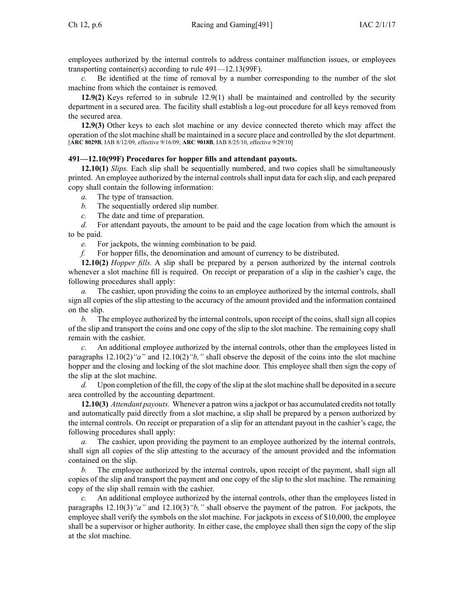employees authorized by the internal controls to address container malfunction issues, or employees transporting container(s) according to rule [491—12.13\(](https://www.legis.iowa.gov/docs/iac/rule/491.12.13.pdf)99F).

*c.* Be identified at the time of removal by <sup>a</sup> number corresponding to the number of the slot machine from which the container is removed.

**12.9(2)** Keys referred to in subrule [12.9\(1\)](https://www.legis.iowa.gov/docs/iac/rule/491.12.9.pdf) shall be maintained and controlled by the security department in <sup>a</sup> secured area. The facility shall establish <sup>a</sup> log-out procedure for all keys removed from the secured area.

**12.9(3)** Other keys to each slot machine or any device connected thereto which may affect the operation of the slot machine shall be maintained in <sup>a</sup> secure place and controlled by the slot department. [**ARC [8029B](https://www.legis.iowa.gov/docs/aco/arc/8029B.pdf)**, IAB 8/12/09, effective 9/16/09; **ARC [9018B](https://www.legis.iowa.gov/docs/aco/arc/9018B.pdf)**, IAB 8/25/10, effective 9/29/10]

#### **491—12.10(99F) Procedures for hopper fills and attendant payouts.**

**12.10(1)** *Slips.* Each slip shall be sequentially numbered, and two copies shall be simultaneously printed. An employee authorized by the internal controls shall input data for each slip, and each prepared copy shall contain the following information:

*a.* The type of transaction.

- *b.* The sequentially ordered slip number.
- *c.* The date and time of preparation.

*d.* For attendant payouts, the amount to be paid and the cage location from which the amount is to be paid.

*e.* For jackpots, the winning combination to be paid.

*f.* For hopper fills, the denomination and amount of currency to be distributed.

**12.10(2)** *Hopper fills.* A slip shall be prepared by <sup>a</sup> person authorized by the internal controls whenever <sup>a</sup> slot machine fill is required. On receipt or preparation of <sup>a</sup> slip in the cashier's cage, the following procedures shall apply:

*a.* The cashier, upon providing the coins to an employee authorized by the internal controls, shall sign all copies of the slip attesting to the accuracy of the amount provided and the information contained on the slip.

*b.* The employee authorized by the internal controls, upon receipt of the coins, shall sign all copies of the slip and transport the coins and one copy of the slip to the slot machine. The remaining copy shall remain with the cashier.

*c.* An additional employee authorized by the internal controls, other than the employees listed in paragraphs [12.10\(2\)](https://www.legis.iowa.gov/docs/iac/rule/491.12.10.pdf)*"a"* and [12.10\(2\)](https://www.legis.iowa.gov/docs/iac/rule/491.12.10.pdf)*"b,"* shall observe the deposit of the coins into the slot machine hopper and the closing and locking of the slot machine door. This employee shall then sign the copy of the slip at the slot machine.

*d.* Upon completion of the fill, the copy of the slip at the slot machine shall be deposited in <sup>a</sup> secure area controlled by the accounting department.

**12.10(3)** *Attendant payouts.* Whenever <sup>a</sup> patron wins <sup>a</sup> jackpot or has accumulated credits not totally and automatically paid directly from <sup>a</sup> slot machine, <sup>a</sup> slip shall be prepared by <sup>a</sup> person authorized by the internal controls. On receipt or preparation of <sup>a</sup> slip for an attendant payou<sup>t</sup> in the cashier's cage, the following procedures shall apply:

*a.* The cashier, upon providing the paymen<sup>t</sup> to an employee authorized by the internal controls, shall sign all copies of the slip attesting to the accuracy of the amount provided and the information contained on the slip.

*b.* The employee authorized by the internal controls, upon receipt of the payment, shall sign all copies of the slip and transport the paymen<sup>t</sup> and one copy of the slip to the slot machine. The remaining copy of the slip shall remain with the cashier.

*c.* An additional employee authorized by the internal controls, other than the employees listed in paragraphs [12.10\(3\)](https://www.legis.iowa.gov/docs/iac/rule/491.12.10.pdf)*"a"* and [12.10\(3\)](https://www.legis.iowa.gov/docs/iac/rule/491.12.10.pdf)*"b,"* shall observe the paymen<sup>t</sup> of the patron. For jackpots, the employee shall verify the symbols on the slot machine. For jackpots in excess of \$10,000, the employee shall be <sup>a</sup> supervisor or higher authority. In either case, the employee shall then sign the copy of the slip at the slot machine.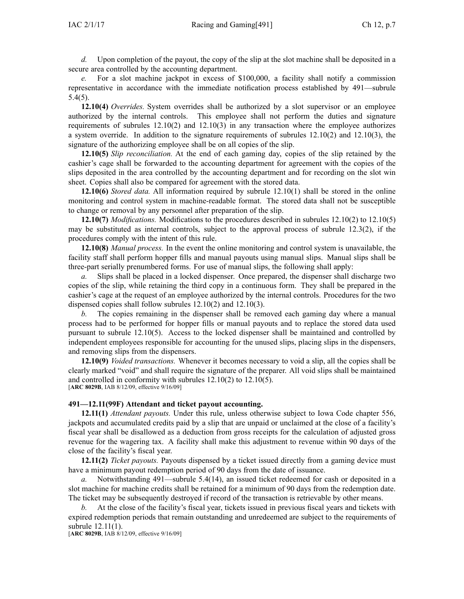*d.* Upon completion of the payout, the copy of the slip at the slot machine shall be deposited in <sup>a</sup> secure area controlled by the accounting department.

*e.* For <sup>a</sup> slot machine jackpot in excess of \$100,000, <sup>a</sup> facility shall notify <sup>a</sup> commission representative in accordance with the immediate notification process established by [491—subrule](https://www.legis.iowa.gov/docs/iac/rule/491.5.4.pdf) [5.4\(5\)](https://www.legis.iowa.gov/docs/iac/rule/491.5.4.pdf).

**12.10(4)** *Overrides.* System overrides shall be authorized by <sup>a</sup> slot supervisor or an employee authorized by the internal controls. This employee shall not perform the duties and signature requirements of subrules [12.10\(2\)](https://www.legis.iowa.gov/docs/iac/rule/491.12.10.pdf) and [12.10\(3\)](https://www.legis.iowa.gov/docs/iac/rule/491.12.10.pdf) in any transaction where the employee authorizes <sup>a</sup> system override. In addition to the signature requirements of subrules [12.10\(2\)](https://www.legis.iowa.gov/docs/iac/rule/491.12.10.pdf) and [12.10\(3\)](https://www.legis.iowa.gov/docs/iac/rule/491.12.10.pdf), the signature of the authorizing employee shall be on all copies of the slip.

**12.10(5)** *Slip reconciliation.* At the end of each gaming day, copies of the slip retained by the cashier's cage shall be forwarded to the accounting department for agreemen<sup>t</sup> with the copies of the slips deposited in the area controlled by the accounting department and for recording on the slot win sheet. Copies shall also be compared for agreemen<sup>t</sup> with the stored data.

**12.10(6)** *Stored data.* All information required by subrule [12.10\(1\)](https://www.legis.iowa.gov/docs/iac/rule/491.12.10.pdf) shall be stored in the online monitoring and control system in machine-readable format. The stored data shall not be susceptible to change or removal by any personnel after preparation of the slip.

**12.10(7)** *Modifications.* Modifications to the procedures described in subrules [12.10\(2\)](https://www.legis.iowa.gov/docs/iac/rule/491.12.10.pdf) to [12.10\(5\)](https://www.legis.iowa.gov/docs/iac/rule/491.12.10.pdf) may be substituted as internal controls, subject to the approval process of subrule [12.3\(2\)](https://www.legis.iowa.gov/docs/iac/rule/491.12.3.pdf), if the procedures comply with the intent of this rule.

**12.10(8)** *Manual process.* In the event the online monitoring and control system is unavailable, the facility staff shall perform hopper fills and manual payouts using manual slips. Manual slips shall be three-part serially prenumbered forms. For use of manual slips, the following shall apply:

*a.* Slips shall be placed in <sup>a</sup> locked dispenser. Once prepared, the dispenser shall discharge two copies of the slip, while retaining the third copy in <sup>a</sup> continuous form. They shall be prepared in the cashier's cage at the reques<sup>t</sup> of an employee authorized by the internal controls. Procedures for the two dispensed copies shall follow subrules [12.10\(2\)](https://www.legis.iowa.gov/docs/iac/rule/491.12.10.pdf) and [12.10\(3\)](https://www.legis.iowa.gov/docs/iac/rule/491.12.10.pdf).

*b.* The copies remaining in the dispenser shall be removed each gaming day where <sup>a</sup> manual process had to be performed for hopper fills or manual payouts and to replace the stored data used pursuan<sup>t</sup> to subrule [12.10\(5\)](https://www.legis.iowa.gov/docs/iac/rule/491.12.10.pdf). Access to the locked dispenser shall be maintained and controlled by independent employees responsible for accounting for the unused slips, placing slips in the dispensers, and removing slips from the dispensers.

**12.10(9)** *Voided transactions.* Whenever it becomes necessary to void <sup>a</sup> slip, all the copies shall be clearly marked "void" and shall require the signature of the preparer. All void slips shall be maintained and controlled in conformity with subrules [12.10\(2\)](https://www.legis.iowa.gov/docs/iac/rule/491.12.10.pdf) to [12.10\(5\)](https://www.legis.iowa.gov/docs/iac/rule/491.12.10.pdf). [**ARC [8029B](https://www.legis.iowa.gov/docs/aco/arc/8029B.pdf)**, IAB 8/12/09, effective 9/16/09]

### **491—12.11(99F) Attendant and ticket payout accounting.**

**12.11(1)** *Attendant payouts.* Under this rule, unless otherwise subject to Iowa Code chapter [556](https://www.legis.iowa.gov/docs/ico/chapter/556.pdf), jackpots and accumulated credits paid by <sup>a</sup> slip that are unpaid or unclaimed at the close of <sup>a</sup> facility's fiscal year shall be disallowed as <sup>a</sup> deduction from gross receipts for the calculation of adjusted gross revenue for the wagering tax. A facility shall make this adjustment to revenue within 90 days of the close of the facility's fiscal year.

**12.11(2)** *Ticket payouts.* Payouts dispensed by <sup>a</sup> ticket issued directly from <sup>a</sup> gaming device must have <sup>a</sup> minimum payou<sup>t</sup> redemption period of 90 days from the date of issuance.

*a.* Notwithstanding [491—subrule](https://www.legis.iowa.gov/docs/iac/rule/491.5.4.pdf) 5.4(14), an issued ticket redeemed for cash or deposited in <sup>a</sup> slot machine for machine credits shall be retained for <sup>a</sup> minimum of 90 days from the redemption date. The ticket may be subsequently destroyed if record of the transaction is retrievable by other means.

*b.* At the close of the facility's fiscal year, tickets issued in previous fiscal years and tickets with expired redemption periods that remain outstanding and unredeemed are subject to the requirements of subrule [12.11\(1\)](https://www.legis.iowa.gov/docs/iac/rule/491.12.11.pdf).

[**ARC [8029B](https://www.legis.iowa.gov/docs/aco/arc/8029B.pdf)**, IAB 8/12/09, effective 9/16/09]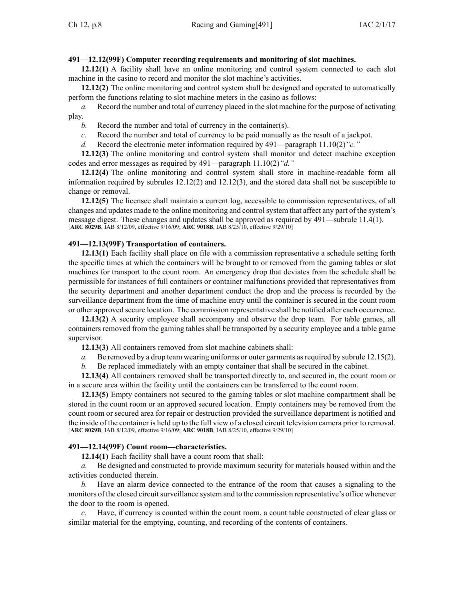# **491—12.12(99F) Computer recording requirements and monitoring of slot machines.**

**12.12(1)** A facility shall have an online monitoring and control system connected to each slot machine in the casino to record and monitor the slot machine's activities.

**12.12(2)** The online monitoring and control system shall be designed and operated to automatically perform the functions relating to slot machine meters in the casino as follows:

*a.* Record the number and total of currency placed in the slot machine for the purpose of activating play.

*b.* Record the number and total of currency in the container(s).

*c.* Record the number and total of currency to be paid manually as the result of <sup>a</sup> jackpot.

*d.* Record the electronic meter information required by [491—paragraph](https://www.legis.iowa.gov/docs/iac/rule/491.11.10.pdf) 11.10(2)*"c."*

**12.12(3)** The online monitoring and control system shall monitor and detect machine exception codes and error messages as required by [491—paragraph](https://www.legis.iowa.gov/docs/iac/rule/491.11.10.pdf) 11.10(2)*"d."*

**12.12(4)** The online monitoring and control system shall store in machine-readable form all information required by subrules [12.12\(2\)](https://www.legis.iowa.gov/docs/iac/rule/491.12.12.pdf) and [12.12\(3\)](https://www.legis.iowa.gov/docs/iac/rule/491.12.12.pdf), and the stored data shall not be susceptible to change or removal.

**12.12(5)** The licensee shall maintain <sup>a</sup> current log, accessible to commission representatives, of all changes and updates made to the online monitoring and controlsystem that affect any par<sup>t</sup> of the system's message digest. These changes and updates shall be approved as required by [491—subrule](https://www.legis.iowa.gov/docs/iac/rule/491.11.4.pdf) 11.4(1). [**ARC [8029B](https://www.legis.iowa.gov/docs/aco/arc/8029B.pdf)**, IAB 8/12/09, effective 9/16/09; **ARC [9018B](https://www.legis.iowa.gov/docs/aco/arc/9018B.pdf)**, IAB 8/25/10, effective 9/29/10]

# **491—12.13(99F) Transportation of containers.**

**12.13(1)** Each facility shall place on file with <sup>a</sup> commission representative <sup>a</sup> schedule setting forth the specific times at which the containers will be brought to or removed from the gaming tables or slot machines for transport to the count room. An emergency drop that deviates from the schedule shall be permissible for instances of full containers or container malfunctions provided that representatives from the security department and another department conduct the drop and the process is recorded by the surveillance department from the time of machine entry until the container is secured in the count room or other approved secure location. The commission representative shall be notified after each occurrence.

**12.13(2)** A security employee shall accompany and observe the drop team. For table games, all containers removed from the gaming tables shall be transported by <sup>a</sup> security employee and <sup>a</sup> table game supervisor.

**12.13(3)** All containers removed from slot machine cabinets shall:

*a.* Be removed by a drop team wearing uniforms or outer garments as required by subrule [12.15\(2\)](https://www.legis.iowa.gov/docs/iac/rule/491.12.15.pdf).

*b.* Be replaced immediately with an empty container that shall be secured in the cabinet.

**12.13(4)** All containers removed shall be transported directly to, and secured in, the count room or in <sup>a</sup> secure area within the facility until the containers can be transferred to the count room.

**12.13(5)** Empty containers not secured to the gaming tables or slot machine compartment shall be stored in the count room or an approved secured location. Empty containers may be removed from the count room or secured area for repair or destruction provided the surveillance department is notified and the inside of the container is held up to the full view of <sup>a</sup> closed circuit television camera prior to removal. [**ARC [8029B](https://www.legis.iowa.gov/docs/aco/arc/8029B.pdf)**, IAB 8/12/09, effective 9/16/09; **ARC [9018B](https://www.legis.iowa.gov/docs/aco/arc/9018B.pdf)**, IAB 8/25/10, effective 9/29/10]

# **491—12.14(99F) Count room—characteristics.**

**12.14(1)** Each facility shall have <sup>a</sup> count room that shall:

*a.* Be designed and constructed to provide maximum security for materials housed within and the activities conducted therein.

*b.* Have an alarm device connected to the entrance of the room that causes <sup>a</sup> signaling to the monitors of the closed circuit surveillance system and to the commission representative's office whenever the door to the room is opened.

*c.* Have, if currency is counted within the count room, <sup>a</sup> count table constructed of clear glass or similar material for the emptying, counting, and recording of the contents of containers.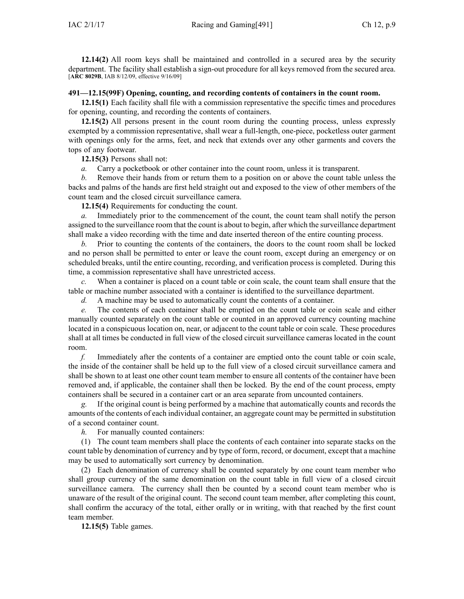**12.14(2)** All room keys shall be maintained and controlled in <sup>a</sup> secured area by the security department. The facility shall establish <sup>a</sup> sign-out procedure for all keys removed from the secured area. [**ARC [8029B](https://www.legis.iowa.gov/docs/aco/arc/8029B.pdf)**, IAB 8/12/09, effective 9/16/09]

## **491—12.15(99F) Opening, counting, and recording contents of containers in the count room.**

**12.15(1)** Each facility shall file with <sup>a</sup> commission representative the specific times and procedures for opening, counting, and recording the contents of containers.

**12.15(2)** All persons presen<sup>t</sup> in the count room during the counting process, unless expressly exempted by <sup>a</sup> commission representative, shall wear <sup>a</sup> full-length, one-piece, pocketless outer garmen<sup>t</sup> with openings only for the arms, feet, and neck that extends over any other garments and covers the tops of any footwear.

**12.15(3)** Persons shall not:

*a.* Carry <sup>a</sup> pocketbook or other container into the count room, unless it is transparent.

*b.* Remove their hands from or return them to <sup>a</sup> position on or above the count table unless the backs and palms of the hands are first held straight out and exposed to the view of other members of the count team and the closed circuit surveillance camera.

**12.15(4)** Requirements for conducting the count.

*a.* Immediately prior to the commencement of the count, the count team shall notify the person assigned to the surveillance room that the count is about to begin, after which the surveillance department shall make <sup>a</sup> video recording with the time and date inserted thereon of the entire counting process.

*b.* Prior to counting the contents of the containers, the doors to the count room shall be locked and no person shall be permitted to enter or leave the count room, excep<sup>t</sup> during an emergency or on scheduled breaks, until the entire counting, recording, and verification process is completed. During this time, <sup>a</sup> commission representative shall have unrestricted access.

*c.* When <sup>a</sup> container is placed on <sup>a</sup> count table or coin scale, the count team shall ensure that the table or machine number associated with <sup>a</sup> container is identified to the surveillance department.

*d.* A machine may be used to automatically count the contents of <sup>a</sup> container.

*e.* The contents of each container shall be emptied on the count table or coin scale and either manually counted separately on the count table or counted in an approved currency counting machine located in <sup>a</sup> conspicuous location on, near, or adjacent to the count table or coin scale. These procedures shall at all times be conducted in full view of the closed circuit surveillance cameras located in the count room.

*f.* Immediately after the contents of <sup>a</sup> container are emptied onto the count table or coin scale, the inside of the container shall be held up to the full view of <sup>a</sup> closed circuit surveillance camera and shall be shown to at least one other count team member to ensure all contents of the container have been removed and, if applicable, the container shall then be locked. By the end of the count process, empty containers shall be secured in <sup>a</sup> container cart or an area separate from uncounted containers.

*g.* If the original count is being performed by <sup>a</sup> machine that automatically counts and records the amounts of the contents of each individual container, an aggregate count may be permitted in substitution of <sup>a</sup> second container count.

*h.* For manually counted containers:

(1) The count team members shall place the contents of each container into separate stacks on the count table by denomination of currency and by type of form, record, or document, excep<sup>t</sup> that <sup>a</sup> machine may be used to automatically sort currency by denomination.

(2) Each denomination of currency shall be counted separately by one count team member who shall group currency of the same denomination on the count table in full view of <sup>a</sup> closed circuit surveillance camera. The currency shall then be counted by <sup>a</sup> second count team member who is unaware of the result of the original count. The second count team member, after completing this count, shall confirm the accuracy of the total, either orally or in writing, with that reached by the first count team member.

**12.15(5)** Table games.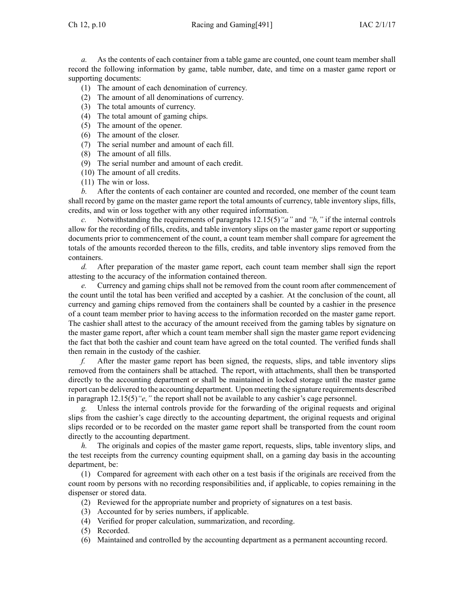*a.* As the contents of each container from a table game are counted, one count team member shall record the following information by game, table number, date, and time on <sup>a</sup> master game repor<sup>t</sup> or supporting documents:

- (1) The amount of each denomination of currency.
- (2) The amount of all denominations of currency.
- (3) The total amounts of currency.
- (4) The total amount of gaming chips.
- (5) The amount of the opener.
- (6) The amount of the closer.
- (7) The serial number and amount of each fill.
- (8) The amount of all fills.
- (9) The serial number and amount of each credit.
- (10) The amount of all credits.
- (11) The win or loss.

*b.* After the contents of each container are counted and recorded, one member of the count team shall record by game on the master game repor<sup>t</sup> the total amounts of currency, table inventory slips, fills, credits, and win or loss together with any other required information.

*c.* Notwithstanding the requirements of paragraphs [12.15\(5\)](https://www.legis.iowa.gov/docs/iac/rule/491.12.15.pdf)*"a"* and *["b,"](https://www.legis.iowa.gov/docs/iac/rule/491.12.15.pdf)* if the internal controls allow for the recording of fills, credits, and table inventory slips on the master game repor<sup>t</sup> or supporting documents prior to commencement of the count, <sup>a</sup> count team member shall compare for agreemen<sup>t</sup> the totals of the amounts recorded thereon to the fills, credits, and table inventory slips removed from the containers.

*d.* After preparation of the master game report, each count team member shall sign the repor<sup>t</sup> attesting to the accuracy of the information contained thereon.

*e.* Currency and gaming chips shall not be removed from the count room after commencement of the count until the total has been verified and accepted by <sup>a</sup> cashier. At the conclusion of the count, all currency and gaming chips removed from the containers shall be counted by <sup>a</sup> cashier in the presence of <sup>a</sup> count team member prior to having access to the information recorded on the master game report. The cashier shall attest to the accuracy of the amount received from the gaming tables by signature on the master game report, after which <sup>a</sup> count team member shall sign the master game repor<sup>t</sup> evidencing the fact that both the cashier and count team have agreed on the total counted. The verified funds shall then remain in the custody of the cashier.

*f.* After the master game repor<sup>t</sup> has been signed, the requests, slips, and table inventory slips removed from the containers shall be attached. The report, with attachments, shall then be transported directly to the accounting department or shall be maintained in locked storage until the master game repor<sup>t</sup> can be delivered to the accounting department. Upon meeting the signature requirements described in paragraph [12.15\(5\)](https://www.legis.iowa.gov/docs/iac/rule/491.12.15.pdf)*"e,"* the repor<sup>t</sup> shall not be available to any cashier's cage personnel.

*g.* Unless the internal controls provide for the forwarding of the original requests and original slips from the cashier's cage directly to the accounting department, the original requests and original slips recorded or to be recorded on the master game repor<sup>t</sup> shall be transported from the count room directly to the accounting department.

*h.* The originals and copies of the master game report, requests, slips, table inventory slips, and the test receipts from the currency counting equipment shall, on <sup>a</sup> gaming day basis in the accounting department, be:

(1) Compared for agreemen<sup>t</sup> with each other on <sup>a</sup> test basis if the originals are received from the count room by persons with no recording responsibilities and, if applicable, to copies remaining in the dispenser or stored data.

- (2) Reviewed for the appropriate number and propriety of signatures on <sup>a</sup> test basis.
- (3) Accounted for by series numbers, if applicable.
- (4) Verified for proper calculation, summarization, and recording.
- (5) Recorded.
- (6) Maintained and controlled by the accounting department as <sup>a</sup> permanen<sup>t</sup> accounting record.